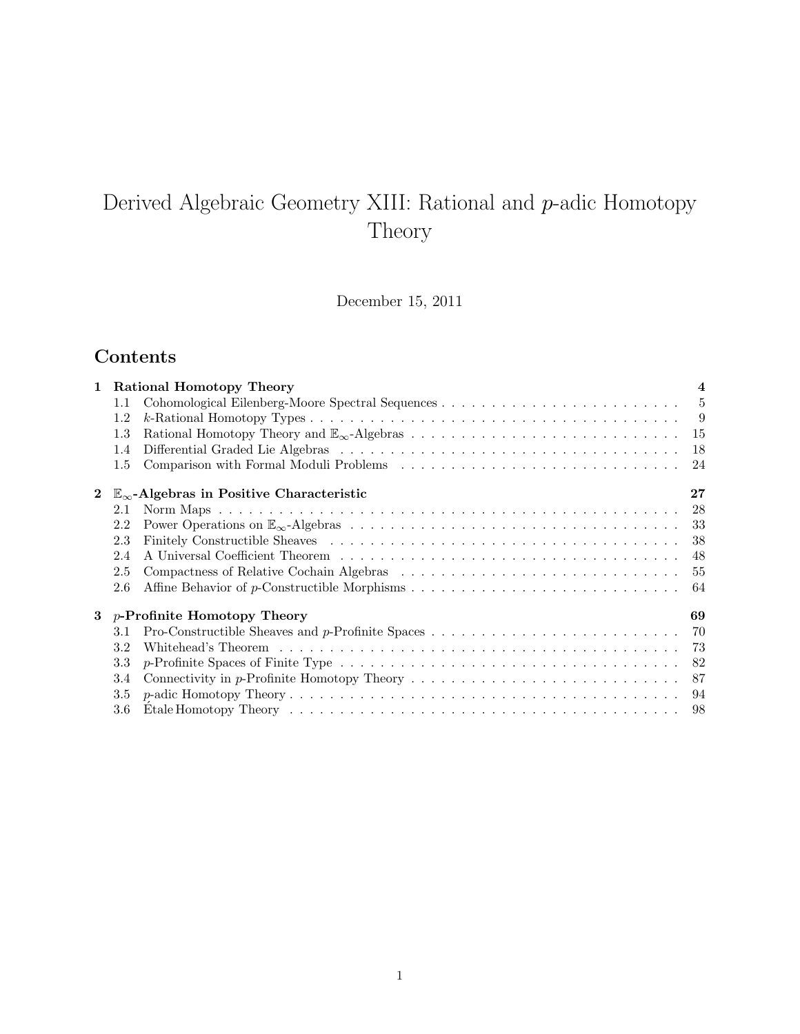# Derived Algebraic Geometry XIII: Rational and p-adic Homotopy Theory

December 15, 2011

## Contents

| 1           | Rational Homotopy Theory            |                                                                                                              | $\overline{\mathbf{4}}$ |
|-------------|-------------------------------------|--------------------------------------------------------------------------------------------------------------|-------------------------|
|             | $1.1\,$                             |                                                                                                              |                         |
|             | 1.2                                 |                                                                                                              |                         |
|             | 1.3                                 |                                                                                                              |                         |
|             | 1.4                                 |                                                                                                              |                         |
|             | 1.5                                 |                                                                                                              |                         |
| $\bf{2}$    |                                     | $\mathbb{E}_{\infty}$ -Algebras in Positive Characteristic                                                   | 27                      |
|             | 2.1                                 |                                                                                                              |                         |
|             | 2.2                                 |                                                                                                              |                         |
|             | 2.3                                 |                                                                                                              | 38                      |
|             | 2.4                                 |                                                                                                              | 48                      |
|             | 2.5                                 |                                                                                                              |                         |
|             | 2.6                                 |                                                                                                              | 64                      |
| $3^{\circ}$ | <i>p</i> -Profinite Homotopy Theory |                                                                                                              | 69                      |
|             | 3.1                                 |                                                                                                              |                         |
|             | 3.2                                 |                                                                                                              |                         |
|             | 3.3                                 |                                                                                                              |                         |
|             | 3.4                                 | Connectivity in p-Profinite Homotopy Theory $\ldots \ldots \ldots \ldots \ldots \ldots \ldots \ldots \ldots$ | 87                      |
|             | 3.5                                 |                                                                                                              |                         |
|             | 3.6                                 |                                                                                                              |                         |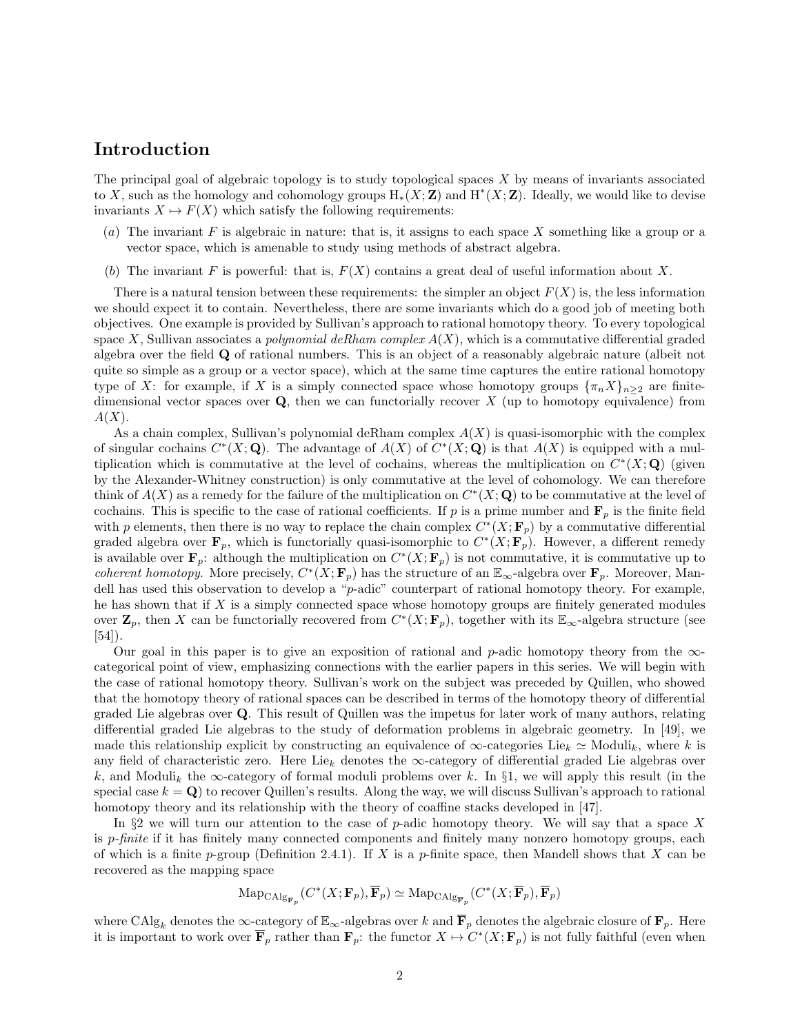## Introduction

The principal goal of algebraic topology is to study topological spaces X by means of invariants associated to X, such as the homology and cohomology groups  $H_*(X;\mathbf{Z})$  and  $H^*(X;\mathbf{Z})$ . Ideally, we would like to devise invariants  $X \mapsto F(X)$  which satisfy the following requirements:

- (a) The invariant  $F$  is algebraic in nature: that is, it assigns to each space  $X$  something like a group or a vector space, which is amenable to study using methods of abstract algebra.
- (b) The invariant F is powerful: that is,  $F(X)$  contains a great deal of useful information about X.

There is a natural tension between these requirements: the simpler an object  $F(X)$  is, the less information we should expect it to contain. Nevertheless, there are some invariants which do a good job of meeting both objectives. One example is provided by Sullivan's approach to rational homotopy theory. To every topological space X, Sullivan associates a *polynomial deRham complex*  $A(X)$ , which is a commutative differential graded algebra over the field Q of rational numbers. This is an object of a reasonably algebraic nature (albeit not quite so simple as a group or a vector space), which at the same time captures the entire rational homotopy type of X: for example, if X is a simply connected space whose homotopy groups  $\{\pi_n X\}_{n\geq 2}$  are finitedimensional vector spaces over  $Q$ , then we can functorially recover  $X$  (up to homotopy equivalence) from  $A(X).$ 

As a chain complex, Sullivan's polynomial deRham complex  $A(X)$  is quasi-isomorphic with the complex of singular cochains  $C^*(X; \mathbf{Q})$ . The advantage of  $A(X)$  of  $C^*(X; \mathbf{Q})$  is that  $A(X)$  is equipped with a multiplication which is commutative at the level of cochains, whereas the multiplication on  $C^*(X; \mathbf{Q})$  (given by the Alexander-Whitney construction) is only commutative at the level of cohomology. We can therefore think of  $A(X)$  as a remedy for the failure of the multiplication on  $C^*(X; \mathbf{Q})$  to be commutative at the level of cochains. This is specific to the case of rational coefficients. If p is a prime number and  $\mathbf{F}_p$  is the finite field with p elements, then there is no way to replace the chain complex  $C^*(X; \mathbf{F}_p)$  by a commutative differential graded algebra over  $\mathbf{F}_p$ , which is functorially quasi-isomorphic to  $C^*(X; \mathbf{F}_p)$ . However, a different remedy is available over  $\mathbf{F}_p$ : although the multiplication on  $C^*(X; \mathbf{F}_p)$  is not commutative, it is commutative up to *coherent homotopy.* More precisely,  $C^*(X; \mathbf{F}_p)$  has the structure of an  $\mathbb{E}_{\infty}$ -algebra over  $\mathbf{F}_p$ . Moreover, Mandell has used this observation to develop a "p-adic" counterpart of rational homotopy theory. For example, he has shown that if  $X$  is a simply connected space whose homotopy groups are finitely generated modules over  $\mathbf{Z}_p$ , then X can be functorially recovered from  $C^*(X; \mathbf{F}_p)$ , together with its  $\mathbb{E}_{\infty}$ -algebra structure (see [54]).

Our goal in this paper is to give an exposition of rational and p-adic homotopy theory from the  $\infty$ categorical point of view, emphasizing connections with the earlier papers in this series. We will begin with the case of rational homotopy theory. Sullivan's work on the subject was preceded by Quillen, who showed that the homotopy theory of rational spaces can be described in terms of the homotopy theory of differential graded Lie algebras over Q. This result of Quillen was the impetus for later work of many authors, relating differential graded Lie algebras to the study of deformation problems in algebraic geometry. In [49], we made this relationship explicit by constructing an equivalence of  $\infty$ -categories Lie<sub>k</sub>  $\simeq$  Moduli<sub>k</sub>, where k is any field of characteristic zero. Here Lie<sub>k</sub> denotes the ∞-category of differential graded Lie algebras over k, and Moduli<sub>k</sub> the  $\infty$ -category of formal moduli problems over k. In §1, we will apply this result (in the special case  $k = Q$ ) to recover Quillen's results. Along the way, we will discuss Sullivan's approach to rational homotopy theory and its relationship with the theory of coaffine stacks developed in [47].

In §2 we will turn our attention to the case of p-adic homotopy theory. We will say that a space X is p-finite if it has finitely many connected components and finitely many nonzero homotopy groups, each of which is a finite p-group (Definition 2.4.1). If X is a p-finite space, then Mandell shows that X can be recovered as the mapping space

$$
\mathrm{Map}_{\mathrm{CAlg}_{\mathbf{F}_p}}(C^*(X;\mathbf{F}_p),\overline{\mathbf{F}}_p)\simeq \mathrm{Map}_{\mathrm{CAlg}_{\overline{\mathbf{F}}_p}}(C^*(X;\overline{\mathbf{F}}_p),\overline{\mathbf{F}}_p)
$$

where CAlg<sub>k</sub> denotes the  $\infty$ -category of  $\mathbb{E}_{\infty}$ -algebras over k and  $\overline{\mathbf{F}}_p$  denotes the algebraic closure of  $\mathbf{F}_p$ . Here it is important to work over  $\overline{\mathbf{F}}_p$  rather than  $\mathbf{F}_p$ : the functor  $X \mapsto C^*(X; \mathbf{F}_p)$  is not fully faithful (even when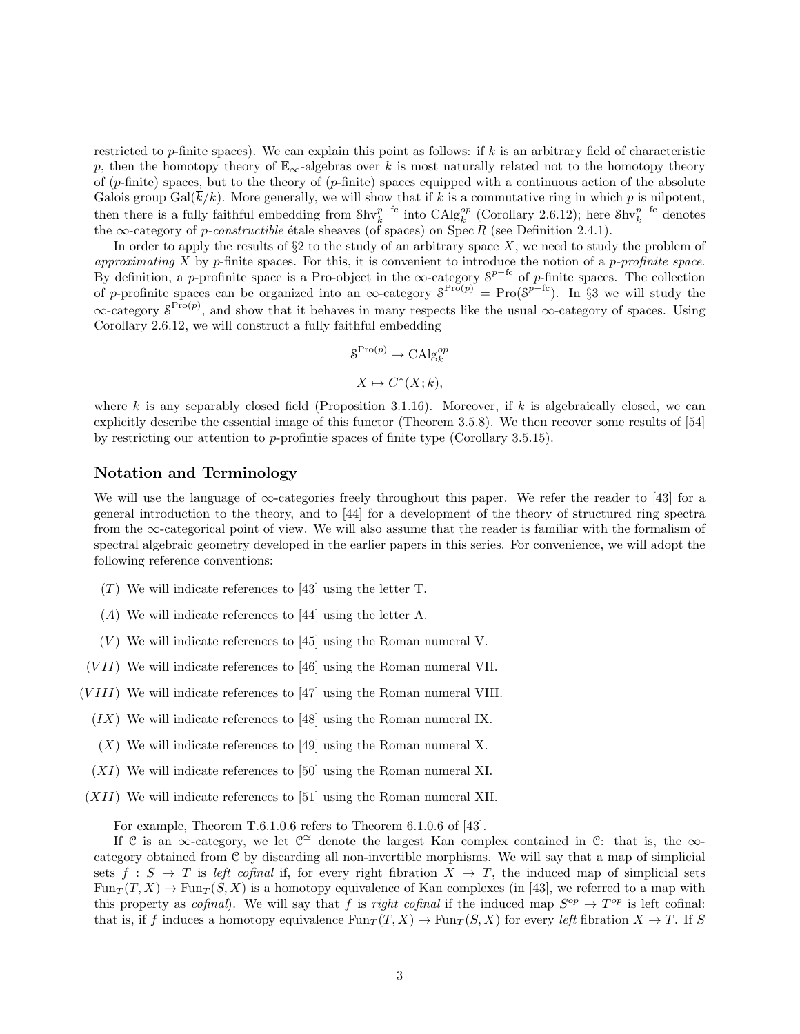restricted to  $p$ -finite spaces). We can explain this point as follows: if k is an arbitrary field of characteristic p, then the homotopy theory of  $\mathbb{E}_{\infty}$ -algebras over k is most naturally related not to the homotopy theory of  $(p\text{-finite})$  spaces, but to the theory of  $(p\text{-finite})$  spaces equipped with a continuous action of the absolute Galois group  $Gal(k/k)$ . More generally, we will show that if k is a commutative ring in which p is nilpotent, then there is a fully faithful embedding from  $\text{Shv}_k^{p-\text{fc}}$  into  $\text{CAlg}_k^{op}$  (Corollary 2.6.12); here  $\text{Shv}_k^{p-\text{fc}}$  denotes the  $\infty$ -category of *p-constructible* étale sheaves (of spaces) on Spec R (see Definition 2.4.1).

In order to apply the results of  $\S2$  to the study of an arbitrary space X, we need to study the problem of approximating  $X$  by p-finite spaces. For this, it is convenient to introduce the notion of a p-profinite space. By definition, a p-profinite space is a Pro-object in the  $\infty$ -category  $S^{p-{\rm fc}}$  of p-finite spaces. The collection of p-profinite spaces can be organized into an  $\infty$ -category  $S^{\text{Pro}(p)} = \text{Pro}(S^{p-fc})$ . In §3 we will study the  $\infty$ -category  $S^{\text{Pro}(p)}$ , and show that it behaves in many respects like the usual  $\infty$ -category of spaces. Using Corollary 2.6.12, we will construct a fully faithful embedding

$$
S^{\text{Pro}(p)} \to \text{CAlg}_k^{op}
$$

$$
X \mapsto C^*(X; k),
$$

where k is any separably closed field (Proposition 3.1.16). Moreover, if k is algebraically closed, we can explicitly describe the essential image of this functor (Theorem 3.5.8). We then recover some results of [54] by restricting our attention to p-profintie spaces of finite type (Corollary 3.5.15).

#### Notation and Terminology

We will use the language of ∞-categories freely throughout this paper. We refer the reader to [43] for a general introduction to the theory, and to [44] for a development of the theory of structured ring spectra from the  $\infty$ -categorical point of view. We will also assume that the reader is familiar with the formalism of spectral algebraic geometry developed in the earlier papers in this series. For convenience, we will adopt the following reference conventions:

- $(T)$  We will indicate references to [43] using the letter T.
- (A) We will indicate references to [44] using the letter A.
- $(V)$  We will indicate references to [45] using the Roman numeral V.

 $(VII)$  We will indicate references to [46] using the Roman numeral VII.

- $(VIII)$  We will indicate references to [47] using the Roman numeral VIII.
	- $(IX)$  We will indicate references to [48] using the Roman numeral IX.
	- $(X)$  We will indicate references to [49] using the Roman numeral X.
	- (XI) We will indicate references to [50] using the Roman numeral XI.
- $(XII)$  We will indicate references to [51] using the Roman numeral XII.

For example, Theorem T.6.1.0.6 refers to Theorem 6.1.0.6 of [43].

If C is an  $\infty$ -category, we let  $\mathbb{C}^{\simeq}$  denote the largest Kan complex contained in C: that is, the  $\infty$ category obtained from C by discarding all non-invertible morphisms. We will say that a map of simplicial sets  $f : S \to T$  is left cofinal if, for every right fibration  $X \to T$ , the induced map of simplicial sets  $\text{Fun}_{T}(T, X) \to \text{Fun}_{T}(S, X)$  is a homotopy equivalence of Kan complexes (in [43], we referred to a map with this property as *cofinal*). We will say that f is right cofinal if the induced map  $S^{op} \to T^{op}$  is left cofinal: that is, if f induces a homotopy equivalence  $Fun_T(T, X) \to Fun_T(S, X)$  for every left fibration  $X \to T$ . If S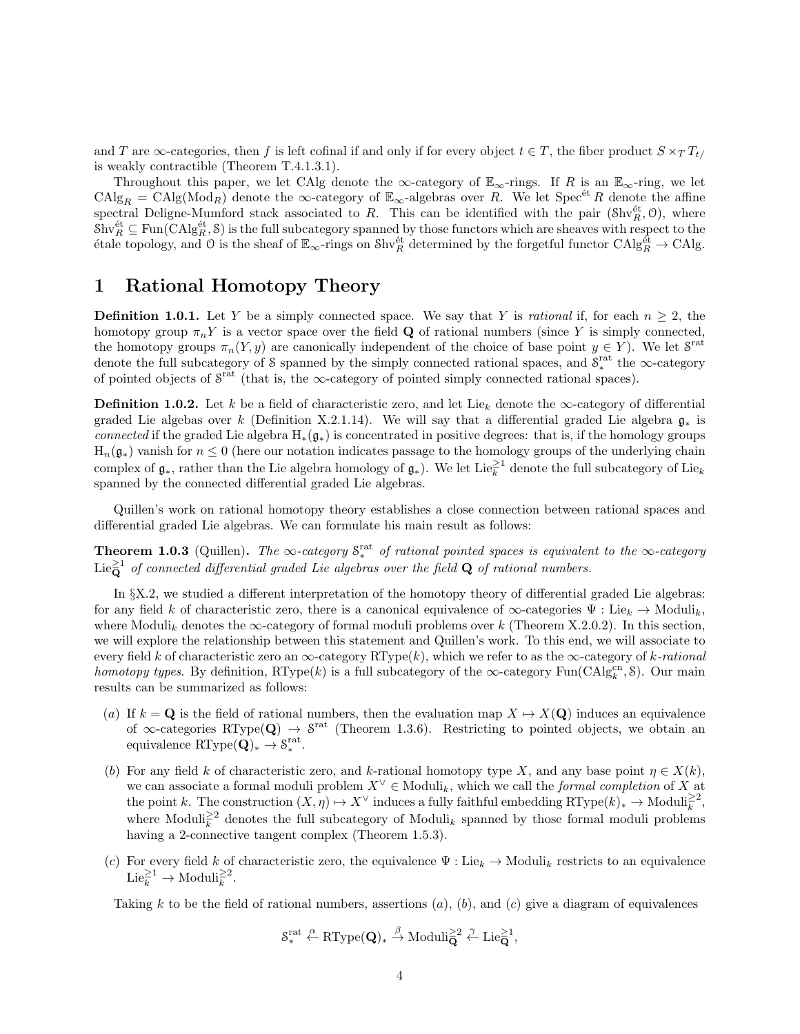and T are  $\infty$ -categories, then f is left cofinal if and only if for every object  $t \in T$ , the fiber product  $S \times_T T_t$ is weakly contractible (Theorem T.4.1.3.1).

Throughout this paper, we let CAlg denote the  $\infty$ -category of  $\mathbb{E}_{\infty}$ -rings. If R is an  $\mathbb{E}_{\infty}$ -ring, we let  $\text{CAlg}_R = \text{CAlg}(\text{Mod}_R)$  denote the  $\infty$ -category of  $\mathbb{E}_{\infty}$ -algebras over R. We let Spec<sup>et</sup> R denote the affine spectral Deligne-Mumford stack associated to R. This can be identified with the pair  $(\text{Shv}_R^{\text{\'et}}, 0)$ , where  $\text{Shv}_R^{\text{\'et}} \subseteq \text{Fun}(\text{CAlg}_R^{\text{\'et}}, \mathcal{S})$  is the full subcategory spanned by those functors which are sheaves with respect to the  $\acute{e}$ tale topology, and O is the sheaf of  $\mathbb{E}_{\infty}$ -rings on Shv $_R^{\acute{e}t}$  determined by the forgetful functor CAlg $_R^{\acute{e}t} \to$ CAlg.

## 1 Rational Homotopy Theory

**Definition 1.0.1.** Let Y be a simply connected space. We say that Y is *rational* if, for each  $n \geq 2$ , the homotopy group  $\pi_n Y$  is a vector space over the field **Q** of rational numbers (since Y is simply connected, the homotopy groups  $\pi_n(Y, y)$  are canonically independent of the choice of base point  $y \in Y$ ). We let  $S^{\text{rat}}$ denote the full subcategory of S spanned by the simply connected rational spaces, and  $S_*^{\text{rat}}$  the  $\infty$ -category of pointed objects of  $S^{\text{rat}}$  (that is, the  $\infty$ -category of pointed simply connected rational spaces).

**Definition 1.0.2.** Let k be a field of characteristic zero, and let Lie<sub>k</sub> denote the  $\infty$ -category of differential graded Lie algebas over k (Definition X.2.1.14). We will say that a differential graded Lie algebra  $\mathfrak{g}_*$  is connected if the graded Lie algebra  $H_*(\mathfrak{g}_*)$  is concentrated in positive degrees: that is, if the homology groups  $H_n(\mathfrak{g}_*)$  vanish for  $n \leq 0$  (here our notation indicates passage to the homology groups of the underlying chain complex of  $\mathfrak{g}_*$ , rather than the Lie algebra homology of  $\mathfrak{g}_*$ ). We let Lie $_k^{\geq 1}$  denote the full subcategory of Lie $_k$ spanned by the connected differential graded Lie algebras.

Quillen's work on rational homotopy theory establishes a close connection between rational spaces and differential graded Lie algebras. We can formulate his main result as follows:

**Theorem 1.0.3** (Quillen). The ∞-category  $S_*^{\text{rat}}$  of rational pointed spaces is equivalent to the ∞-category Lie $\mathbf{\bar{Q}}^1$  of connected differential graded Lie algebras over the field  $\mathbf{Q}$  of rational numbers.

In §X.2, we studied a different interpretation of the homotopy theory of differential graded Lie algebras: for any field k of characteristic zero, there is a canonical equivalence of  $\infty$ -categories  $\Psi$  : Lie<sub>k</sub>  $\rightarrow$  Moduli<sub>k</sub>, where Moduli<sub>k</sub> denotes the  $\infty$ -category of formal moduli problems over k (Theorem X.2.0.2). In this section, we will explore the relationship between this statement and Quillen's work. To this end, we will associate to every field k of characteristic zero an  $\infty$ -category RType(k), which we refer to as the  $\infty$ -category of k-rational homotopy types. By definition, RType(k) is a full subcategory of the  $\infty$ -category Fun(CAlg $_{k}^{cn}, \delta$ ). Our main results can be summarized as follows:

- (a) If  $k = \mathbf{Q}$  is the field of rational numbers, then the evaluation map  $X \mapsto X(\mathbf{Q})$  induces an equivalence of  $\infty$ -categories RType(Q)  $\rightarrow$   $S^{\text{rat}}$  (Theorem 1.3.6). Restricting to pointed objects, we obtain an equivalence RType $(Q)_{*} \to S_{*}^{\text{rat}}$ .
- (b) For any field k of characteristic zero, and k-rational homotopy type X, and any base point  $\eta \in X(k)$ , we can associate a formal moduli problem  $X^{\vee} \in Moduli_k$ , which we call the *formal completion* of X at the point k. The construction  $(X, \eta) \mapsto X^{\vee}$  induces a fully faithful embedding  $RType(k)_{*} \to Moduli_{k}^{\geq 2}$ , where Moduli<sup>22</sup> denotes the full subcategory of Moduli<sub>k</sub> spanned by those formal moduli problems having a 2-connective tangent complex (Theorem 1.5.3).
- (c) For every field k of characteristic zero, the equivalence  $\Psi: Lie_k \to Moduli_k$  restricts to an equivalence  $\text{Lie}_{k}^{\geq 1} \to \text{Moduli}_{k}^{\geq 2}.$

Taking k to be the field of rational numbers, assertions  $(a)$ ,  $(b)$ , and  $(c)$  give a diagram of equivalences

$$
\mathcal{S}_*^{\mathrm{rat}} \xleftarrow{\alpha} \mathrm{RType}(\mathbf{Q})_* \xrightarrow{\beta} \mathrm{Moduli}_{\mathbf{Q}}^{\geq 2} \xleftarrow{\gamma} \mathrm{Lie}_{\mathbf{Q}}^{\geq 1},
$$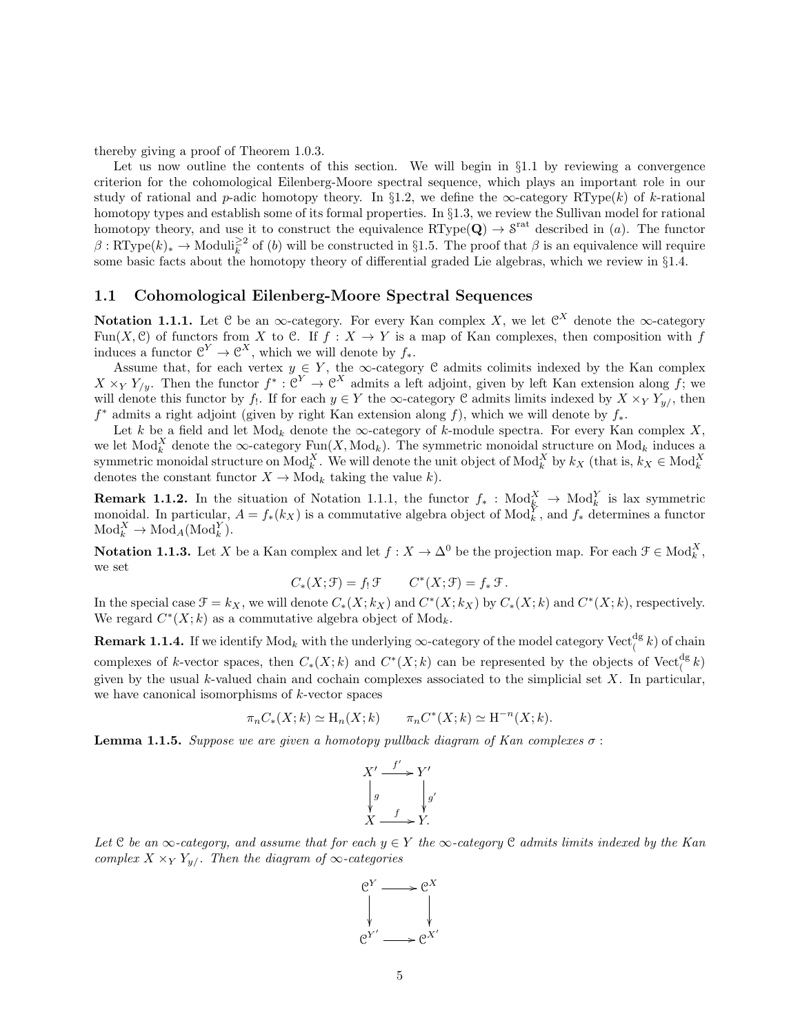thereby giving a proof of Theorem 1.0.3.

Let us now outline the contents of this section. We will begin in  $\S1.1$  by reviewing a convergence criterion for the cohomological Eilenberg-Moore spectral sequence, which plays an important role in our study of rational and p-adic homotopy theory. In §1.2, we define the  $\infty$ -category RType(k) of k-rational homotopy types and establish some of its formal properties. In §1.3, we review the Sullivan model for rational homotopy theory, and use it to construct the equivalence  $\{RType(Q) \to S^{rat} \}$  described in (*a*). The functor  $\beta: \mathsf{RType}(k)_* \to \mathsf{Moduli}_k^{\geq 2}$  of (b) will be constructed in §1.5. The proof that  $\beta$  is an equivalence will require some basic facts about the homotopy theory of differential graded Lie algebras, which we review in §1.4.

#### 1.1 Cohomological Eilenberg-Moore Spectral Sequences

Notation 1.1.1. Let C be an  $\infty$ -category. For every Kan complex X, we let  $\mathfrak{C}^X$  denote the  $\infty$ -category Fun(X, C) of functors from X to C. If  $f : X \to Y$  is a map of Kan complexes, then composition with f induces a functor  $\mathcal{C}^Y \to \mathcal{C}^X$ , which we will denote by  $f_*$ .

Assume that, for each vertex  $y \in Y$ , the  $\infty$ -category C admits colimits indexed by the Kan complex  $X \times_Y Y_{/y}$ . Then the functor  $f^* : \mathfrak{C}^Y \to \mathfrak{C}^X$  admits a left adjoint, given by left Kan extension along f; we will denote this functor by  $f_!$ . If for each  $y \in Y$  the  $\infty$ -category C admits limits indexed by  $X \times_Y Y_{y/}$ , then  $f^*$  admits a right adjoint (given by right Kan extension along f), which we will denote by  $f_*$ .

Let k be a field and let  $Mod_k$  denote the  $\infty$ -category of k-module spectra. For every Kan complex X, we let  $\text{Mod}_{k}^{X}$  denote the  $\infty$ -category  $\text{Fun}(X, \text{Mod}_{k})$ . The symmetric monoidal structure on  $\text{Mod}_{k}$  induces a symmetric monoidal structure on  $\text{Mod}_{k}^{X}$ . We will denote the unit object of  $\text{Mod}_{k}^{X}$  by  $k_{X}$  (that is,  $k_{X} \in \text{Mod}_{k}^{X}$ denotes the constant functor  $X \to \text{Mod}_k$  taking the value k).

**Remark 1.1.2.** In the situation of Notation 1.1.1, the functor  $f_*$ :  $\text{Mod}_k^X \to \text{Mod}_k^Y$  is lax symmetric monoidal. In particular,  $A = f_*(k_X)$  is a commutative algebra object of  $Mod_k^Y$ , and  $f_*$  determines a functor  $\text{Mod}_k^X \to \text{Mod}_A(\text{Mod}_k^Y).$ 

**Notation 1.1.3.** Let X be a Kan complex and let  $f: X \to \Delta^0$  be the projection map. For each  $\mathcal{F} \in \text{Mod}_{k}^X$ , we set

$$
C_*(X; \mathcal{F}) = f_! \mathcal{F} \qquad C^*(X; \mathcal{F}) = f_* \mathcal{F}.
$$

In the special case  $\mathcal{F} = k_X$ , we will denote  $C_*(X; k_X)$  and  $C^*(X; k_X)$  by  $C_*(X; k)$  and  $C^*(X; k)$ , respectively. We regard  $C^*(X; k)$  as a commutative algebra object of  $Mod_k$ .

**Remark 1.1.4.** If we identify  $\text{Mod}_k$  with the underlying  $\infty$ -category of the model category  $\text{Vect}_{\ell}^{\text{dg}}k$ ) of chain complexes of k-vector spaces, then  $C_*(X;k)$  and  $C^*(X;k)$  can be represented by the objects of  $Vect_{\ell}^{\{d\}}k$ given by the usual k-valued chain and cochain complexes associated to the simplicial set  $X$ . In particular, we have canonical isomorphisms of  $k$ -vector spaces

$$
\pi_n C_*(X;k) \simeq \mathrm{H}_n(X;k) \qquad \pi_n C^*(X;k) \simeq \mathrm{H}^{-n}(X;k).
$$

**Lemma 1.1.5.** Suppose we are given a homotopy pullback diagram of Kan complexes  $\sigma$ :



Let C be an  $\infty$ -category, and assume that for each  $y \in Y$  the  $\infty$ -category C admits limits indexed by the Kan complex  $X \times_Y Y_{y}$ . Then the diagram of  $\infty$ -categories

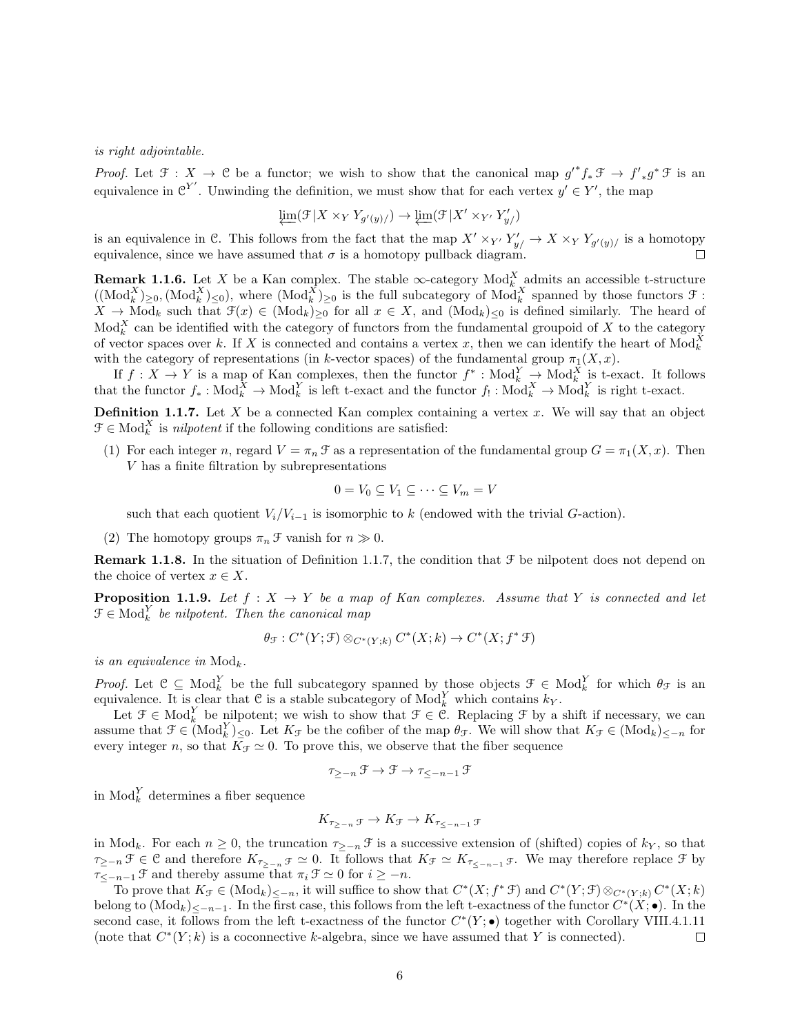is right adjointable.

*Proof.* Let  $\mathcal{F}: X \to \mathcal{C}$  be a functor; we wish to show that the canonical map  $g'^* f_* \mathcal{F} \to f'_{*} g^* \mathcal{F}$  is an equivalence in  $\mathfrak{C}^{Y'}$ . Unwinding the definition, we must show that for each vertex  $y' \in Y'$ , the map

$$
\varprojlim(\mathcal{F}|X \times_Y Y_{g'(y)}/) \to \varprojlim(\mathcal{F}|X' \times_{Y'} Y'_{y'})
$$

is an equivalence in C. This follows from the fact that the map  $X' \times_{Y'} Y'_{y'} \to X \times_{Y} Y_{g'(y)'}$  is a homotopy equivalence, since we have assumed that  $\sigma$  is a homotopy pullback diagram.  $\Box$ 

**Remark 1.1.6.** Let X be a Kan complex. The stable  $\infty$ -category Mod<sub>k</sub> admits an accessible t-structure  $((\text{Mod}_{k}^{X})_{\geq 0}, (\text{Mod}_{k}^{X})_{\leq 0}),$  where  $(\text{Mod}_{k}^{X})_{\geq 0}$  is the full subcategory of  $\text{Mod}_{k}^{X}$  spanned by those functors  $\mathcal{F}$ :  $X \to \text{Mod}_k$  such that  $\mathfrak{F}(x) \in (\text{Mod}_k)_{\geq 0}$  for all  $x \in X$ , and  $(\text{Mod}_k)_{\leq 0}$  is defined similarly. The heard of  $\text{Mod}_{k}^{X}$  can be identified with the category of functors from the fundamental groupoid of X to the category of vector spaces over k. If X is connected and contains a vertex x, then we can identify the heart of  $\text{Mod}_{k}^{X}$ with the category of representations (in k-vector spaces) of the fundamental group  $\pi_1(X, x)$ .

If  $f: X \to Y$  is a map of Kan complexes, then the functor  $f^* : Mod_k^Y \to Mod_k^X$  is t-exact. It follows that the functor  $f_* : Mod_k^X \to Mod_k^Y$  is left t-exact and the functor  $f_! : Mod_k^X \to Mod_k^Y$  is right t-exact.

**Definition 1.1.7.** Let  $X$  be a connected Kan complex containing a vertex  $x$ . We will say that an object  $\mathcal{F} \in \text{Mod}_{k}^{X}$  is *nilpotent* if the following conditions are satisfied:

(1) For each integer n, regard  $V = \pi_n \mathcal{F}$  as a representation of the fundamental group  $G = \pi_1(X, x)$ . Then V has a finite filtration by subrepresentations

$$
0 = V_0 \subseteq V_1 \subseteq \cdots \subseteq V_m = V
$$

such that each quotient  $V_i/V_{i-1}$  is isomorphic to k (endowed with the trivial G-action).

(2) The homotopy groups  $\pi_n \mathcal{F}$  vanish for  $n \gg 0$ .

**Remark 1.1.8.** In the situation of Definition 1.1.7, the condition that  $\mathcal{F}$  be nilpotent does not depend on the choice of vertex  $x \in X$ .

**Proposition 1.1.9.** Let  $f: X \to Y$  be a map of Kan complexes. Assume that Y is connected and let  $\mathcal{F} \in \text{Mod}_{k}^{Y}$  be nilpotent. Then the canonical map

$$
\theta_{\mathcal{F}}: C^*(Y; \mathcal{F}) \otimes_{C^*(Y; k)} C^*(X; k) \to C^*(X; f^* \mathcal{F})
$$

is an equivalence in  $Mod_k$ .

*Proof.* Let  $\mathcal{C} \subseteq \text{Mod}_{k}^{Y}$  be the full subcategory spanned by those objects  $\mathcal{F} \in \text{Mod}_{k}^{Y}$  for which  $\theta_{\mathcal{F}}$  is an equivalence. It is clear that C is a stable subcategory of  $Mod_k^Y$  which contains  $k_Y$ .

Let  $\mathcal{F} \in \text{Mod}_{k}^{Y}$  be nilpotent; we wish to show that  $\mathcal{F} \in \mathcal{C}$ . Replacing  $\mathcal{F}$  by a shift if necessary, we can assume that  $\mathcal{F} \in (\text{Mod}_{k}^{Y})_{\leq 0}$ . Let  $K_{\mathcal{F}}$  be the cofiber of the map  $\theta_{\mathcal{F}}$ . We will show that  $K_{\mathcal{F}} \in (\text{Mod}_{k})_{\leq -n}$  for every integer n, so that  $\overline{K}_{\mathcal{F}} \simeq 0$ . To prove this, we observe that the fiber sequence

$$
\tau_{\geq -n} \: \mathcal{F} \to \mathcal{F} \to \tau_{\leq -n-1} \: \mathcal{F}
$$

in  $\text{Mod}_{k}^{Y}$  determines a fiber sequence

$$
K_{\tau_{\geq -n}} \mathfrak{F} \to K \mathfrak{F} \to K_{\tau_{\leq -n-1}} \mathfrak{F}
$$

in Mod<sub>k</sub>. For each  $n \geq 0$ , the truncation  $\tau_{\geq -n}$  f is a successive extension of (shifted) copies of  $k_y$ , so that  $\tau_{\geq -n}$   $\mathcal{F} \in \mathcal{C}$  and therefore  $K_{\tau_{\geq -n}}$   $\mathcal{F} \simeq 0$ . It follows that  $K_{\mathcal{F}} \simeq K_{\tau_{\leq -n-1}}$   $\mathcal{F}$ . We may therefore replace  $\mathcal{F}$  by  $\tau_{\leq -n-1}$   $\mathcal F$  and thereby assume that  $\pi_i \mathcal F \simeq 0$  for  $i \geq -n$ .

To prove that  $K_{\mathcal{F}} \in (\text{Mod}_k)_{\leq -n}$ , it will suffice to show that  $C^*(X; f^* \mathcal{F})$  and  $C^*(Y; \mathcal{F}) \otimes_{C^*(Y; k)} C^*(X; k)$ belong to  $(\text{Mod}_k)_{\leq -n-1}$ . In the first case, this follows from the left t-exactness of the functor  $C^*(X;\bullet)$ . In the second case, it follows from the left t-exactness of the functor  $C^*(Y; \bullet)$  together with Corollary VIII.4.1.11 (note that  $C^*(Y; k)$  is a coconnective k-algebra, since we have assumed that Y is connected). □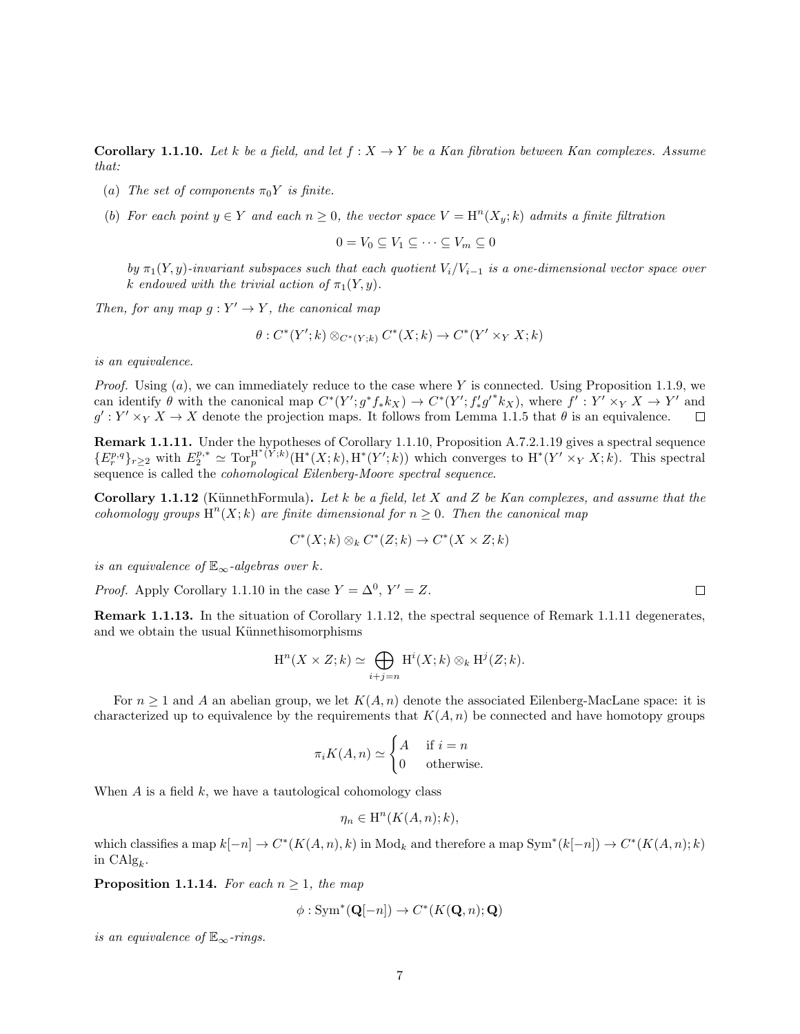Corollary 1.1.10. Let k be a field, and let  $f: X \to Y$  be a Kan fibration between Kan complexes. Assume that:

- (a) The set of components  $\pi_0 Y$  is finite.
- (b) For each point  $y \in Y$  and each  $n \geq 0$ , the vector space  $V = H<sup>n</sup>(X<sub>y</sub>; k)$  admits a finite filtration

$$
0 = V_0 \subseteq V_1 \subseteq \cdots \subseteq V_m \subseteq 0
$$

by  $\pi_1(Y, y)$ -invariant subspaces such that each quotient  $V_i/V_{i-1}$  is a one-dimensional vector space over k endowed with the trivial action of  $\pi_1(Y, y)$ .

Then, for any map  $g: Y' \to Y$ , the canonical map

$$
\theta: C^*(Y';k) \otimes_{C^*(Y;k)} C^*(X;k) \to C^*(Y' \times_Y X;k)
$$

is an equivalence.

*Proof.* Using  $(a)$ , we can immediately reduce to the case where Y is connected. Using Proposition 1.1.9, we can identify  $\theta$  with the canonical map  $C^*(Y'; g^*f_*k_X) \to C^*(Y'; f'_*g'^*k_X)$ , where  $f': Y' \times_Y X \to Y'$  and  $g': Y' \times_Y X \to X$  denote the projection maps. It follows from Lemma 1.1.5 that  $\theta$  is an equivalence.  $\Box$ 

**Remark 1.1.11.** Under the hypotheses of Corollary 1.1.10, Proposition A.7.2.1.19 gives a spectral sequence  ${E_r^{p,q}}_{r\geq2}$  with  $E_2^{p,*} \simeq \text{Tor}_p^{\text{H}^*(Y;k)}(\text{H}^*(X;k),\text{H}^*(Y';k))$  which converges to  $\text{H}^*(Y' \times_Y X;k)$ . This spectral sequence is called the *cohomological Eilenberg-Moore spectral sequence*.

**Corollary 1.1.12** (KünnethFormula). Let k be a field, let X and Z be Kan complexes, and assume that the cohomology groups  $\mathrm{H}^n(X;k)$  are finite dimensional for  $n\geq 0$ . Then the canonical map

$$
C^*(X;k) \otimes_k C^*(Z;k) \to C^*(X \times Z;k)
$$

is an equivalence of  $\mathbb{E}_{\infty}$ -algebras over k.

*Proof.* Apply Corollary 1.1.10 in the case  $Y = \Delta^0$ ,  $Y' = Z$ .

Remark 1.1.13. In the situation of Corollary 1.1.12, the spectral sequence of Remark 1.1.11 degenerates, and we obtain the usual Künnethisomorphisms

$$
H^{n}(X \times Z; k) \simeq \bigoplus_{i+j=n} H^{i}(X; k) \otimes_{k} H^{j}(Z; k).
$$

For  $n \geq 1$  and A an abelian group, we let  $K(A, n)$  denote the associated Eilenberg-MacLane space: it is characterized up to equivalence by the requirements that  $K(A, n)$  be connected and have homotopy groups

$$
\pi_i K(A, n) \simeq \begin{cases} A & \text{if } i = n \\ 0 & \text{otherwise.} \end{cases}
$$

When  $A$  is a field  $k$ , we have a tautological cohomology class

$$
\eta_n \in \mathrm{H}^n(K(A,n);k),
$$

which classifies a map  $k[-n] \to C^*(K(A,n), k)$  in  $\text{Mod}_k$  and therefore a map  $\text{Sym}^*(k[-n]) \to C^*(K(A,n); k)$ in  $\text{CAlg}_k$ .

**Proposition 1.1.14.** For each  $n \geq 1$ , the map

$$
\phi: \operatorname{Sym}^*(\mathbf{Q}[-n]) \to C^*(K(\mathbf{Q}, n); \mathbf{Q})
$$

is an equivalence of  $\mathbb{E}_{\infty}$ -rings.

 $\Box$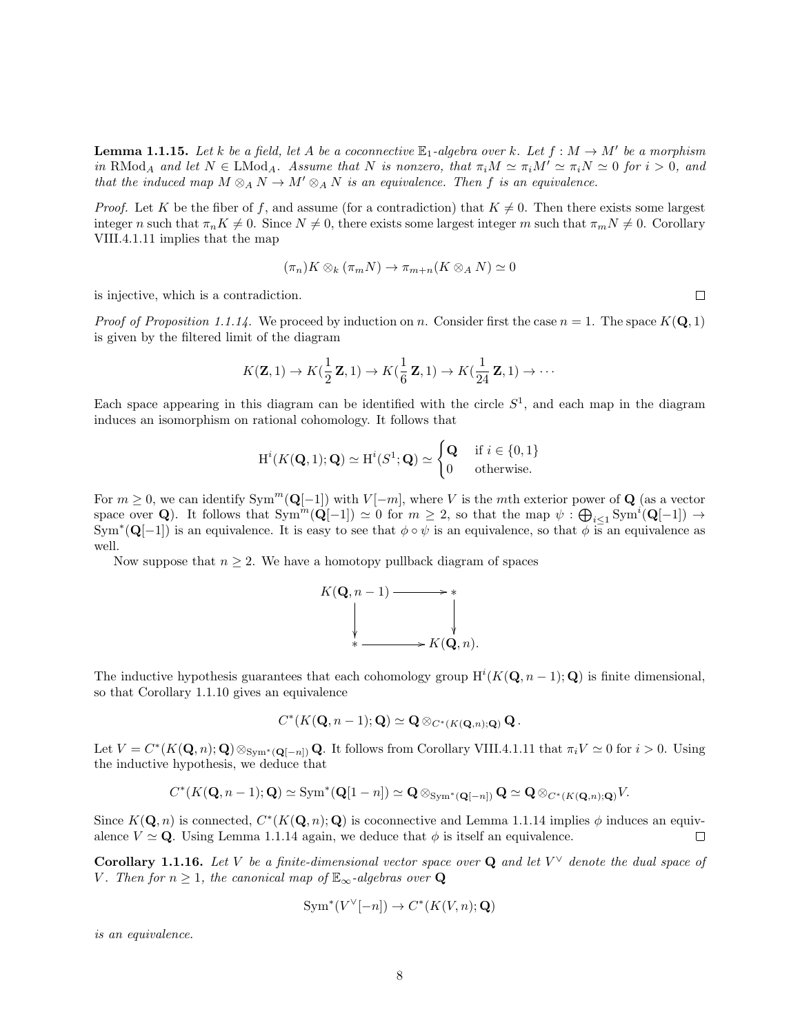**Lemma 1.1.15.** Let k be a field, let A be a coconnective  $\mathbb{E}_1$ -algebra over k. Let  $f : M \to M'$  be a morphism in RMod<sub>A</sub> and let  $N \in \text{LMod}_A$ . Assume that N is nonzero, that  $\pi_i M \simeq \pi_i M' \simeq \pi_i N \simeq 0$  for  $i > 0$ , and that the induced map  $M \otimes_A N \to M' \otimes_A N$  is an equivalence. Then f is an equivalence.

*Proof.* Let K be the fiber of f, and assume (for a contradiction) that  $K \neq 0$ . Then there exists some largest integer n such that  $\pi_n K \neq 0$ . Since  $N \neq 0$ , there exists some largest integer m such that  $\pi_m N \neq 0$ . Corollary VIII.4.1.11 implies that the map

$$
(\pi_n)K \otimes_k (\pi_m N) \to \pi_{m+n}(K \otimes_A N) \simeq 0
$$

is injective, which is a contradiction.

*Proof of Proposition 1.1.14.* We proceed by induction on n. Consider first the case  $n = 1$ . The space  $K(\mathbf{Q}, 1)$ is given by the filtered limit of the diagram

$$
K(\mathbf{Z},1) \to K(\frac{1}{2}\mathbf{Z},1) \to K(\frac{1}{6}\mathbf{Z},1) \to K(\frac{1}{24}\mathbf{Z},1) \to \cdots
$$

Each space appearing in this diagram can be identified with the circle  $S<sup>1</sup>$ , and each map in the diagram induces an isomorphism on rational cohomology. It follows that

$$
H^{i}(K(\mathbf{Q}, 1); \mathbf{Q}) \simeq H^{i}(S^{1}; \mathbf{Q}) \simeq \begin{cases} \mathbf{Q} & \text{if } i \in \{0, 1\} \\ 0 & \text{otherwise.} \end{cases}
$$

For  $m \geq 0$ , we can identify Sym<sup>m</sup>( $\mathbf{Q}[-1]$ ) with  $V[-m]$ , where V is the mth exterior power of  $\mathbf{Q}$  (as a vector space over Q). It follows that  $Sym^m(\mathbf{Q}[-1]) \simeq 0$  for  $m \geq 2$ , so that the map  $\psi : \bigoplus_{i \leq 1} Sym^i(\mathbf{Q}[-1]) \to$  $\text{Sym}^*(\mathbf{Q}[-1])$  is an equivalence. It is easy to see that  $\phi \circ \psi$  is an equivalence, so that  $\phi$  is an equivalence as well.

Now suppose that  $n \geq 2$ . We have a homotopy pullback diagram of spaces



The inductive hypothesis guarantees that each cohomology group  $H^{i}(K(Q, n-1); Q)$  is finite dimensional, so that Corollary 1.1.10 gives an equivalence

$$
C^*(K(\mathbf{Q}, n-1); \mathbf{Q}) \simeq \mathbf{Q} \otimes_{C^*(K(\mathbf{Q}, n); \mathbf{Q})} \mathbf{Q}.
$$

Let  $V = C^*(K(\mathbf{Q}, n); \mathbf{Q}) \otimes_{Sym^*(\mathbf{Q}[-n])} \mathbf{Q}$ . It follows from Corollary VIII.4.1.11 that  $\pi_i V \simeq 0$  for  $i > 0$ . Using the inductive hypothesis, we deduce that

$$
C^*(K(\mathbf{Q},n-1);\mathbf{Q}) \simeq \text{Sym}^*(\mathbf{Q}[1-n]) \simeq \mathbf{Q} \otimes_{\text{Sym}^*(\mathbf{Q}[-n])} \mathbf{Q} \simeq \mathbf{Q} \otimes_{C^*(K(\mathbf{Q},n);\mathbf{Q})} V.
$$

Since  $K(\mathbf{Q}, n)$  is connected,  $C^*(K(\mathbf{Q}, n); \mathbf{Q})$  is coconnective and Lemma 1.1.14 implies  $\phi$  induces an equivalence  $V \simeq \mathbf{Q}$ . Using Lemma 1.1.14 again, we deduce that  $\phi$  is itself an equivalence.  $\Box$ 

**Corollary 1.1.16.** Let V be a finite-dimensional vector space over **Q** and let  $V^{\vee}$  denote the dual space of V. Then for  $n \geq 1$ , the canonical map of  $\mathbb{E}_{\infty}$ -algebras over **Q** 

$$
Sym^*(V^{\vee}[-n]) \to C^*(K(V,n); \mathbf{Q})
$$

is an equivalence.

 $\Box$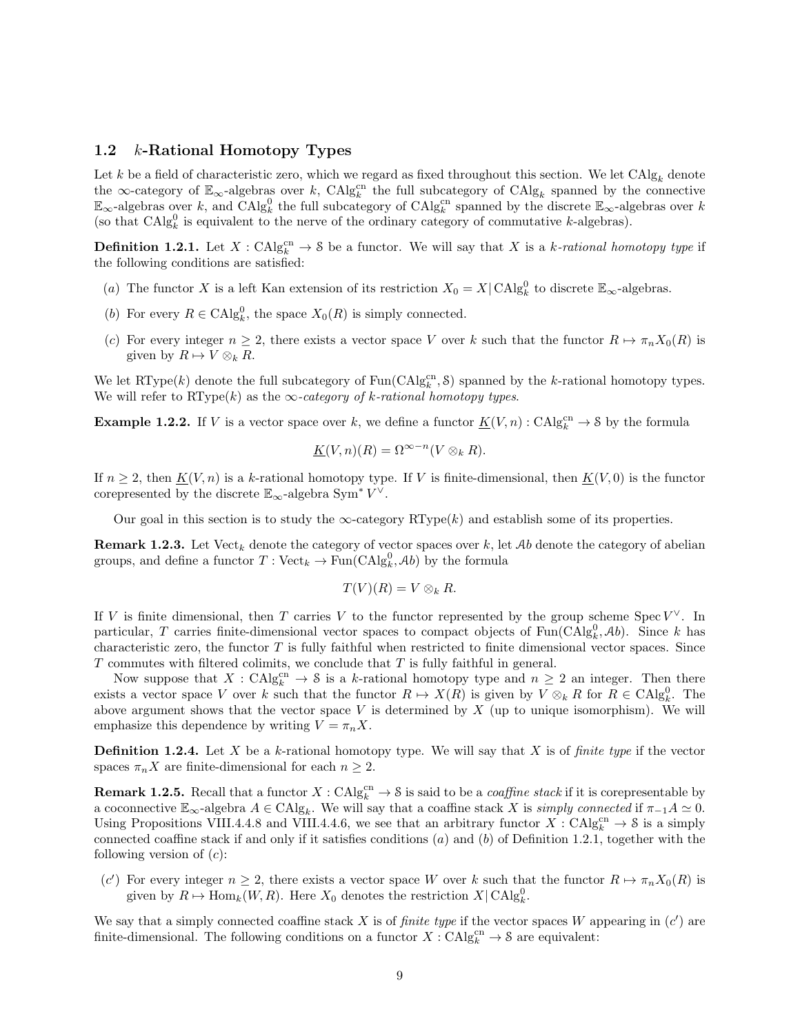#### 1.2 k-Rational Homotopy Types

Let k be a field of characteristic zero, which we regard as fixed throughout this section. We let  $CAlg_k$  denote the ∞-category of  $\mathbb{E}_{\infty}$ -algebras over k, CAlg<sub>k</sub> the full subcategory of CAlg<sub>k</sub> spanned by the connective  $\mathbb{E}_{\infty}$ -algebras over k, and CAlg<sub>k</sub><sup>0</sup> the full subcategory of CAlg<sub>k</sub><sup>cn</sup> spanned by the discrete  $\mathbb{E}_{\infty}$ -algebras over k (so that  $CAlg_k^0$  is equivalent to the nerve of the ordinary category of commutative k-algebras).

**Definition 1.2.1.** Let  $X : CAlg_k^{cn} \to \mathcal{S}$  be a functor. We will say that X is a k-rational homotopy type if the following conditions are satisfied:

- (a) The functor X is a left Kan extension of its restriction  $X_0 = X | \text{CAlg}_k^0$  to discrete  $\mathbb{E}_{\infty}$ -algebras.
- (b) For every  $R \in \mathrm{CAlg}_{k}^{0}$ , the space  $X_0(R)$  is simply connected.
- (c) For every integer  $n \geq 2$ , there exists a vector space V over k such that the functor  $R \mapsto \pi_n X_0(R)$  is given by  $R \mapsto V \otimes_k R$ .

We let RType(k) denote the full subcategory of  $\text{Fun}(\text{CAlg}_{k}^{\text{cn}}, \mathcal{S})$  spanned by the k-rational homotopy types. We will refer to RType(k) as the  $\infty$ -category of k-rational homotopy types.

**Example 1.2.2.** If V is a vector space over k, we define a functor  $\underline{K}(V,n)$ : CAlg $_k^{\text{cn}} \to \mathcal{S}$  by the formula

$$
\underline{K}(V,n)(R) = \Omega^{\infty - n}(V \otimes_k R).
$$

If  $n \geq 2$ , then  $K(V, n)$  is a k-rational homotopy type. If V is finite-dimensional, then  $K(V, 0)$  is the functor corepresented by the discrete  $\mathbb{E}_{\infty}$ -algebra Sym<sup>\*</sup>  $V^{\vee}$ .

Our goal in this section is to study the  $\infty$ -category RType(k) and establish some of its properties.

**Remark 1.2.3.** Let  $Vect_k$  denote the category of vector spaces over k, let Ab denote the category of abelian groups, and define a functor  $T: \text{Vect}_k \to \text{Fun}(\text{CAlg}_k^0, \mathcal{A}b)$  by the formula

$$
T(V)(R) = V \otimes_k R.
$$

If V is finite dimensional, then T carries V to the functor represented by the group scheme Spec  $V^{\vee}$ . In particular, T carries finite-dimensional vector spaces to compact objects of  $\text{Fun}(\text{CAlg}_k^0, \mathcal{A}b)$ . Since k has characteristic zero, the functor  $T$  is fully faithful when restricted to finite dimensional vector spaces. Since  $T$  commutes with filtered colimits, we conclude that  $T$  is fully faithful in general.

Now suppose that  $X : \mathrm{CAlg}_{k}^{\mathrm{cn}} \to \mathcal{S}$  is a k-rational homotopy type and  $n \geq 2$  an integer. Then there exists a vector space V over k such that the functor  $R \mapsto X(R)$  is given by  $V \otimes_k R$  for  $R \in \mathrm{CAlg}_k^0$ . The above argument shows that the vector space  $V$  is determined by  $X$  (up to unique isomorphism). We will emphasize this dependence by writing  $V = \pi_n X$ .

**Definition 1.2.4.** Let  $X$  be a  $k$ -rational homotopy type. We will say that  $X$  is of *finite type* if the vector spaces  $\pi_n X$  are finite-dimensional for each  $n \geq 2$ .

**Remark 1.2.5.** Recall that a functor  $X : CAlg_k^{cn} \to \mathcal{S}$  is said to be a *coaffine stack* if it is corepresentable by a coconnective  $\mathbb{E}_{\infty}$ -algebra  $A \in \mathrm{CAlg}_k$ . We will say that a coaffine stack X is simply connected if  $\pi_{-1}A \simeq 0$ . Using Propositions VIII.4.4.8 and VIII.4.4.6, we see that an arbitrary functor  $X: \mathrm{CAlg}_k^{\mathrm{cn}} \to \mathcal{S}$  is a simply connected coaffine stack if and only if it satisfies conditions  $(a)$  and  $(b)$  of Definition 1.2.1, together with the following version of  $(c)$ :

(c') For every integer  $n \geq 2$ , there exists a vector space W over k such that the functor  $R \mapsto \pi_n X_0(R)$  is given by  $R \mapsto \text{Hom}_k(W, R)$ . Here  $X_0$  denotes the restriction  $X | \text{CAlg}_k^0$ .

We say that a simply connected coaffine stack X is of *finite type* if the vector spaces W appearing in  $(c')$  are finite-dimensional. The following conditions on a functor  $X: \mathrm{CAlg}_{k}^{\mathrm{cn}} \to \mathcal{S}$  are equivalent: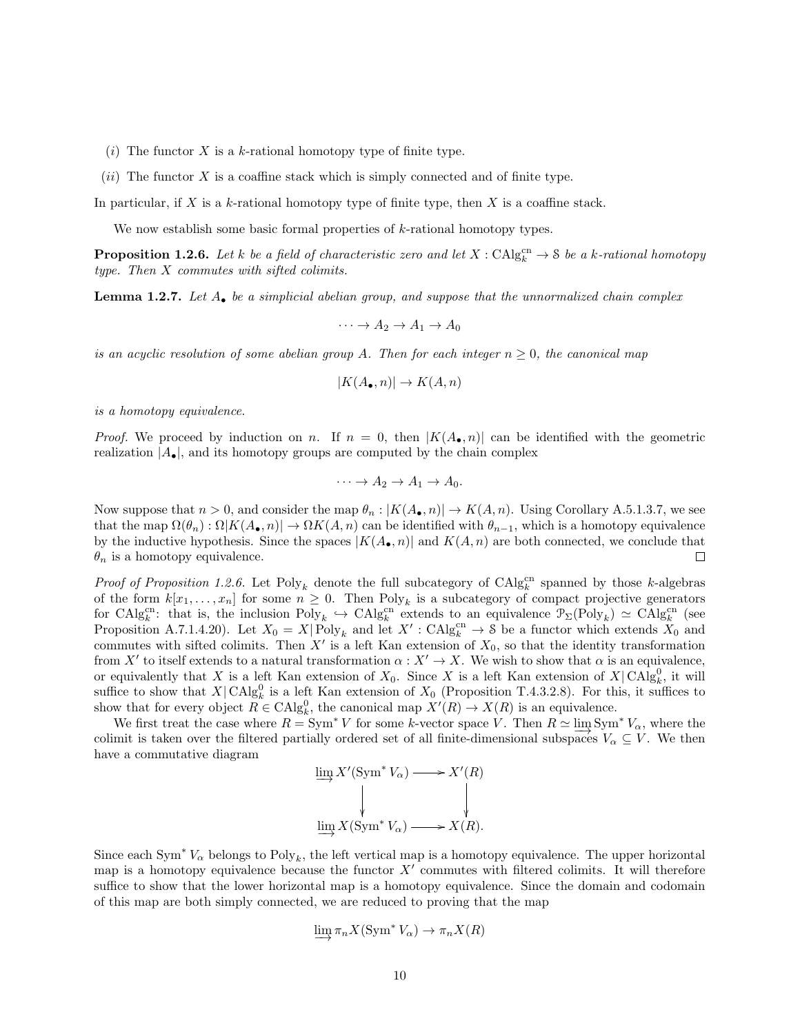- (i) The functor X is a k-rational homotopy type of finite type.
- $(ii)$  The functor X is a coaffine stack which is simply connected and of finite type.

In particular, if X is a  $k$ -rational homotopy type of finite type, then X is a coaffine stack.

We now establish some basic formal properties of  $k$ -rational homotopy types.

**Proposition 1.2.6.** Let k be a field of characteristic zero and let  $X : CAlg_k^{cn} \to \mathcal{S}$  be a k-rational homotopy type. Then X commutes with sifted colimits.

**Lemma 1.2.7.** Let  $A_{\bullet}$  be a simplicial abelian group, and suppose that the unnormalized chain complex

$$
\cdots \to A_2 \to A_1 \to A_0
$$

is an acyclic resolution of some abelian group A. Then for each integer  $n \geq 0$ , the canonical map

$$
|K(A_{\bullet}, n)| \to K(A, n)
$$

is a homotopy equivalence.

*Proof.* We proceed by induction on n. If  $n = 0$ , then  $|K(A_{\bullet}, n)|$  can be identified with the geometric realization  $|A_{\bullet}|$ , and its homotopy groups are computed by the chain complex

$$
\cdots \to A_2 \to A_1 \to A_0.
$$

Now suppose that  $n > 0$ , and consider the map  $\theta_n : |K(A_0, n)| \to K(A, n)$ . Using Corollary A.5.1.3.7, we see that the map  $\Omega(\theta_n): \Omega|K(A_{\bullet}, n)| \to \Omega K(A, n)$  can be identified with  $\theta_{n-1}$ , which is a homotopy equivalence by the inductive hypothesis. Since the spaces  $|K(A_{\bullet}, n)|$  and  $K(A, n)$  are both connected, we conclude that  $\theta_n$  is a homotopy equivalence.  $\Box$ 

*Proof of Proposition 1.2.6.* Let  $Poly_k$  denote the full subcategory of  $CAlg_k^{cn}$  spanned by those k-algebras of the form  $k[x_1,\ldots,x_n]$  for some  $n\geq 0$ . Then  $Poly_k$  is a subcategory of compact projective generators for  $\text{CAlg}_k^{\text{cn}}$ : that is, the inclusion  $\text{Poly}_k \hookrightarrow \text{CAlg}_k^{\text{cn}}$  extends to an equivalence  $\mathcal{P}_{\Sigma}(\text{Poly}_k) \simeq \text{CAlg}_k^{\text{cn}}$  (see Proposition A.7.1.4.20). Let  $X_0 = X|\text{Poly}_k$  and let  $X': \text{CAlg}_k^{\text{cn}} \to \mathcal{S}$  be a functor which extends  $X_0$  and commutes with sifted colimits. Then  $X'$  is a left Kan extension of  $X_0$ , so that the identity transformation from X' to itself extends to a natural transformation  $\alpha : X' \to X$ . We wish to show that  $\alpha$  is an equivalence, or equivalently that X is a left Kan extension of  $X_0$ . Since X is a left Kan extension of  $X|\text{CAlg}_k^0$ , it will suffice to show that  $X|\text{CAlg}_k^0$  is a left Kan extension of  $X_0$  (Proposition T.4.3.2.8). For this, it suffices to show that for every object  $R \in \text{CAlg}_{k}^{0}$ , the canonical map  $X'(R) \to X(R)$  is an equivalence.

We first treat the case where  $R = \text{Sym}^* V$  for some k-vector space V. Then  $R \simeq \varinjlim \text{Sym}^* V_\alpha$ , where the colimit is taken over the filtered partially ordered set of all finite-dimensional subspaces  $V_\alpha \subseteq V$ . We then have a commutative diagram

$$
\varinjlim X'(\operatorname{Sym}^* V_\alpha) \longrightarrow X'(R)
$$
  

$$
\downarrow \qquad \qquad \downarrow
$$
  

$$
\varinjlim X(\operatorname{Sym}^* V_\alpha) \longrightarrow X(R).
$$

Since each Sym<sup>∗</sup>  $V_{\alpha}$  belongs to Poly<sub>k</sub>, the left vertical map is a homotopy equivalence. The upper horizontal map is a homotopy equivalence because the functor  $X'$  commutes with filtered colimits. It will therefore suffice to show that the lower horizontal map is a homotopy equivalence. Since the domain and codomain of this map are both simply connected, we are reduced to proving that the map

$$
\varinjlim \pi_n X(\operatorname{Sym}^* V_\alpha) \to \pi_n X(R)
$$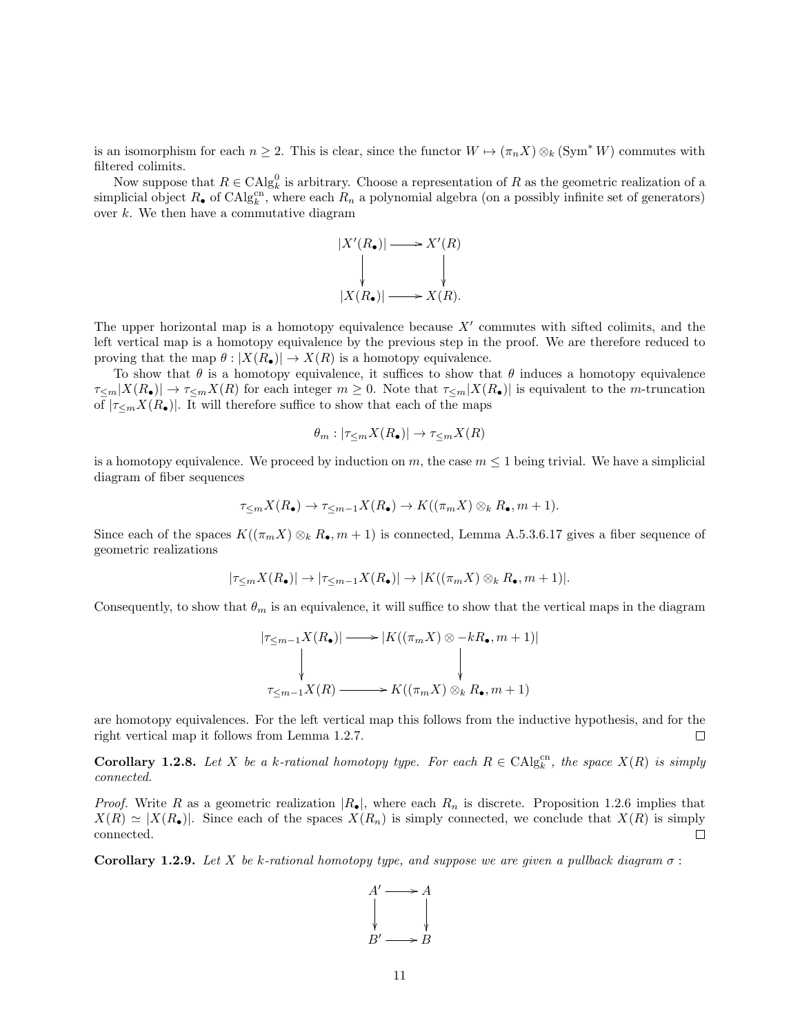is an isomorphism for each  $n \geq 2$ . This is clear, since the functor  $W \mapsto (\pi_n X) \otimes_k (\text{Sym}^* W)$  commutes with filtered colimits.

Now suppose that  $R \in \text{CAlg}_{k}^{0}$  is arbitrary. Choose a representation of R as the geometric realization of a simplicial object  $R_{\bullet}$  of  $\text{CAlg}_{k}^{\text{cn}}$ , where each  $R_n$  a polynomial algebra (on a possibly infinite set of generators) over  $k$ . We then have a commutative diagram



The upper horizontal map is a homotopy equivalence because  $X'$  commutes with sifted colimits, and the left vertical map is a homotopy equivalence by the previous step in the proof. We are therefore reduced to proving that the map  $\theta : |X(R_{\bullet})| \to X(R)$  is a homotopy equivalence.

To show that  $\theta$  is a homotopy equivalence, it suffices to show that  $\theta$  induces a homotopy equivalence  $\tau_{\leq m}|X(R_{\bullet})|\to \tau_{\leq m}X(R)$  for each integer  $m\geq 0$ . Note that  $\tau_{\leq m}|X(R_{\bullet})|$  is equivalent to the *m*-truncation of  $|\tau_{\leq m}X(R_{\bullet})|$ . It will therefore suffice to show that each of the maps

$$
\theta_m : |\tau_{\leq m} X(R_{\bullet})| \to \tau_{\leq m} X(R)
$$

is a homotopy equivalence. We proceed by induction on m, the case  $m \leq 1$  being trivial. We have a simplicial diagram of fiber sequences

$$
\tau_{\leq m} X(R_{\bullet}) \to \tau_{\leq m-1} X(R_{\bullet}) \to K((\pi_m X) \otimes_k R_{\bullet}, m+1).
$$

Since each of the spaces  $K((\pi_m X) \otimes_k R_\bullet, m+1)$  is connected, Lemma A.5.3.6.17 gives a fiber sequence of geometric realizations

$$
|\tau_{\leq m}X(R_\bullet)|\to |\tau_{\leq m-1}X(R_\bullet)|\to |K((\pi_mX)\otimes_kR_\bullet,m+1)|.
$$

Consequently, to show that  $\theta_m$  is an equivalence, it will suffice to show that the vertical maps in the diagram

$$
|\tau_{\leq m-1}X(R_{\bullet})| \longrightarrow |K((\pi_m X) \otimes -kR_{\bullet}, m+1)|
$$
  
\n
$$
\downarrow
$$
  
\n
$$
\tau_{\leq m-1}X(R) \longrightarrow K((\pi_m X) \otimes_k R_{\bullet}, m+1)
$$

are homotopy equivalences. For the left vertical map this follows from the inductive hypothesis, and for the right vertical map it follows from Lemma 1.2.7. П

**Corollary 1.2.8.** Let X be a k-rational homotopy type. For each  $R \in CAlg_k^{cn}$ , the space  $X(R)$  is simply connected.

*Proof.* Write R as a geometric realization  $|R_{\bullet}|$ , where each  $R_n$  is discrete. Proposition 1.2.6 implies that  $X(R) \simeq |X(R_{\bullet})|$ . Since each of the spaces  $X(R_n)$  is simply connected, we conclude that  $X(R)$  is simply connected.  $\Box$ 

**Corollary 1.2.9.** Let X be k-rational homotopy type, and suppose we are given a pullback diagram  $\sigma$ :

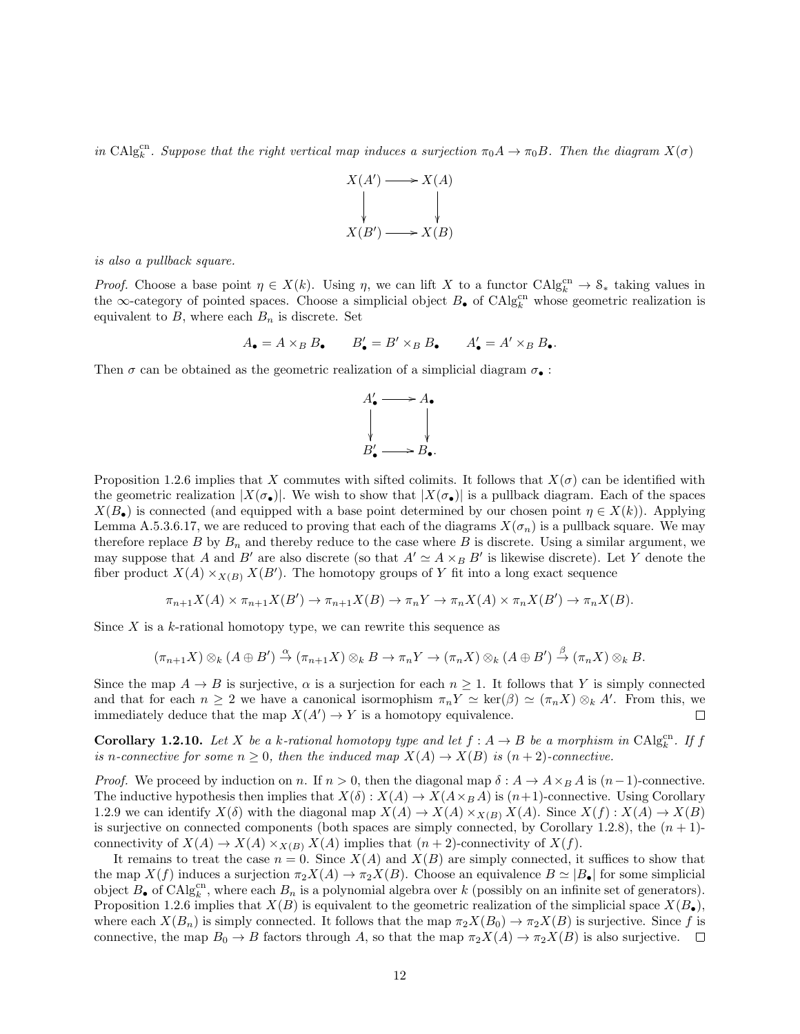in CAlg<sub>c</sub><sup>ch</sup>. Suppose that the right vertical map induces a surjection  $\pi_0 A \to \pi_0 B$ . Then the diagram  $X(\sigma)$ 



is also a pullback square.

*Proof.* Choose a base point  $\eta \in X(k)$ . Using  $\eta$ , we can lift X to a functor  $\text{CAlg}_{k}^{\text{cn}} \to \mathcal{S}_{*}$  taking values in the ∞-category of pointed spaces. Choose a simplicial object  $B_{\bullet}$  of CAlg<sup>cn</sup> whose geometric realization is equivalent to  $B$ , where each  $B_n$  is discrete. Set

$$
A_{\bullet} = A \times_B B_{\bullet} \qquad B'_{\bullet} = B' \times_B B_{\bullet} \qquad A'_{\bullet} = A' \times_B B_{\bullet}.
$$

Then  $\sigma$  can be obtained as the geometric realization of a simplicial diagram  $\sigma_{\bullet}$ :



Proposition 1.2.6 implies that X commutes with sifted colimits. It follows that  $X(\sigma)$  can be identified with the geometric realization  $|X(\sigma_{\bullet})|$ . We wish to show that  $|X(\sigma_{\bullet})|$  is a pullback diagram. Each of the spaces  $X(B_{\bullet})$  is connected (and equipped with a base point determined by our chosen point  $\eta \in X(k)$ ). Applying Lemma A.5.3.6.17, we are reduced to proving that each of the diagrams  $X(\sigma_n)$  is a pullback square. We may therefore replace B by  $B_n$  and thereby reduce to the case where B is discrete. Using a similar argument, we may suppose that A and B' are also discrete (so that  $A' \simeq A \times_B B'$  is likewise discrete). Let Y denote the fiber product  $X(A) \times_{X(B)} X(B')$ . The homotopy groups of Y fit into a long exact sequence

$$
\pi_{n+1}X(A) \times \pi_{n+1}X(B') \to \pi_{n+1}X(B) \to \pi_nY \to \pi_nX(A) \times \pi_nX(B') \to \pi_nX(B).
$$

Since  $X$  is a k-rational homotopy type, we can rewrite this sequence as

$$
(\pi_{n+1}X)\otimes_k (A\oplus B')\stackrel{\alpha}{\to} (\pi_{n+1}X)\otimes_k B\to \pi_nY\to (\pi_nX)\otimes_k (A\oplus B')\stackrel{\beta}{\to} (\pi_nX)\otimes_k B.
$$

Since the map  $A \to B$  is surjective,  $\alpha$  is a surjection for each  $n \geq 1$ . It follows that Y is simply connected and that for each  $n \geq 2$  we have a canonical isormophism  $\pi_n Y \simeq \text{ker}(\beta) \simeq (\pi_n X) \otimes_k A'$ . From this, we immediately deduce that the map  $X(A') \to Y$  is a homotopy equivalence.  $\Box$ 

**Corollary 1.2.10.** Let X be a k-rational homotopy type and let  $f : A \rightarrow B$  be a morphism in  $\text{CAlg}_{k}^{\text{cn}}$ . If f is n-connective for some  $n \geq 0$ , then the induced map  $X(A) \to X(B)$  is  $(n+2)$ -connective.

*Proof.* We proceed by induction on n. If  $n > 0$ , then the diagonal map  $\delta: A \to A \times_B A$  is  $(n-1)$ -connective. The inductive hypothesis then implies that  $X(\delta) : X(A) \to X(A \times_B A)$  is  $(n+1)$ -connective. Using Corollary 1.2.9 we can identify  $X(\delta)$  with the diagonal map  $X(A) \to X(A) \times_{X(B)} X(A)$ . Since  $X(f) : X(A) \to X(B)$ is surjective on connected components (both spaces are simply connected, by Corollary 1.2.8), the  $(n + 1)$ connectivity of  $X(A) \to X(A) \times_{X(B)} X(A)$  implies that  $(n+2)$ -connectivity of  $X(f)$ .

It remains to treat the case  $n = 0$ . Since  $X(A)$  and  $X(B)$  are simply connected, it suffices to show that the map  $X(f)$  induces a surjection  $\pi_2 X(A) \to \pi_2 X(B)$ . Choose an equivalence  $B \simeq |B_{\bullet}|$  for some simplicial object  $B_{\bullet}$  of  $\mathrm{CAlg}_{k}^{\mathrm{cn}}$ , where each  $B_{n}$  is a polynomial algebra over k (possibly on an infinite set of generators). Proposition 1.2.6 implies that  $X(B)$  is equivalent to the geometric realization of the simplicial space  $X(B_{\bullet})$ , where each  $X(B_n)$  is simply connected. It follows that the map  $\pi_2 X(B_0) \to \pi_2 X(B)$  is surjective. Since f is connective, the map  $B_0 \to B$  factors through A, so that the map  $\pi_2 X(A) \to \pi_2 X(B)$  is also surjective.  $\square$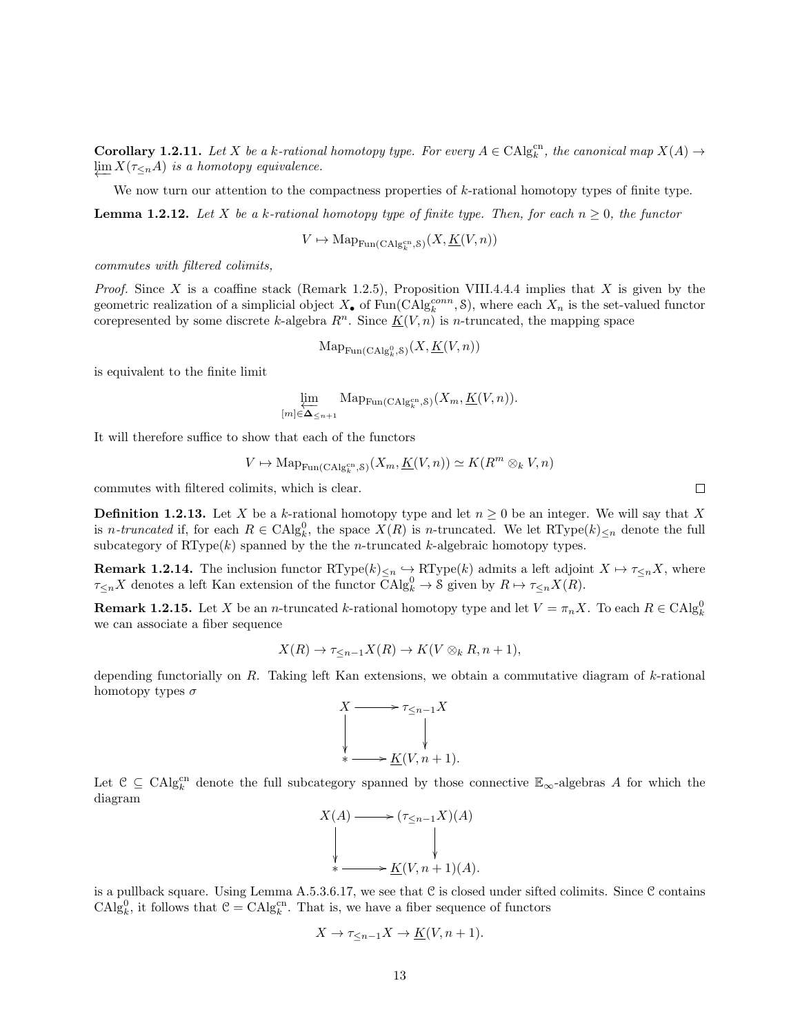**Corollary 1.2.11.** Let X be a k-rational homotopy type. For every  $A \in CAlg_k^{cn}$ , the canonical map  $X(A) \rightarrow$  $\varprojlim X(\tau_{\leq n}A)$  is a homotopy equivalence.

We now turn our attention to the compactness properties of k-rational homotopy types of finite type.

**Lemma 1.2.12.** Let X be a k-rational homotopy type of finite type. Then, for each  $n \geq 0$ , the functor

$$
V \mapsto \mathrm{Map}_{\mathrm{Fun}(\mathrm{CAlg}_{k}^{\mathrm{cn}}, \mathcal{S})}(X, \underline{K}(V, n))
$$

commutes with filtered colimits,

*Proof.* Since X is a coaffine stack (Remark 1.2.5), Proposition VIII.4.4.4 implies that X is given by the geometric realization of a simplicial object  $X_{\bullet}$  of  $\text{Fun}(\text{CAlg}_{k}^{conn}, \mathcal{S})$ , where each  $X_n$  is the set-valued functor corepresented by some discrete k-algebra  $R^n$ . Since  $K(V, n)$  is n-truncated, the mapping space

$$
\operatorname{Map}_{\operatorname{Fun}(\operatorname{CAlg}^0_k, \mathcal{S})}(X, \underline{K}(V, n))
$$

is equivalent to the finite limit

$$
\varprojlim_{[m]\in \Delta_{
$$

It will therefore suffice to show that each of the functors

$$
V \mapsto \mathrm{Map}_{\mathrm{Fun}(\mathrm{CAlg}_{k}^{\mathrm{cn}}, S)}(X_m, \underline{K}(V, n)) \simeq K(R^m \otimes_k V, n)
$$

commutes with filtered colimits, which is clear.

**Definition 1.2.13.** Let X be a k-rational homotopy type and let  $n \geq 0$  be an integer. We will say that X is *n-truncated* if, for each  $R \in \text{CAlg}_{k}^{0}$ , the space  $X(R)$  is *n*-truncated. We let  $RType(k)_{\leq n}$  denote the full subcategory of  $RType(k)$  spanned by the the *n*-truncated *k*-algebraic homotopy types.

**Remark 1.2.14.** The inclusion functor  $\mathrm{RType}(k)_{\leq n} \hookrightarrow \mathrm{RType}(k)$  admits a left adjoint  $X \mapsto \tau_{\leq n} X$ , where  $\tau_{\leq n} X$  denotes a left Kan extension of the functor  $\bar{C}Alg_k^0 \to \mathcal{S}$  given by  $R \mapsto \tau_{\leq n} X(R)$ .

**Remark 1.2.15.** Let X be an *n*-truncated k-rational homotopy type and let  $V = \pi_n X$ . To each  $R \in \text{CAlg}_k^0$ we can associate a fiber sequence

$$
X(R) \to \tau_{\leq n-1} X(R) \to K(V \otimes_k R, n+1),
$$

depending functorially on  $R$ . Taking left Kan extensions, we obtain a commutative diagram of  $k$ -rational homotopy types  $\sigma$ 

$$
X \longrightarrow \tau_{\leq n-1} X
$$
  
\n
$$
\downarrow
$$
  
\n
$$
\downarrow
$$
  
\n
$$
\star \longrightarrow \underline{K}(V, n+1).
$$

Let  $\mathcal{C} \subseteq \text{CAlg}_{k}^{\text{cn}}$  denote the full subcategory spanned by those connective  $\mathbb{E}_{\infty}$ -algebras A for which the diagram

$$
X(A) \longrightarrow (\tau_{\leq n-1}X)(A)
$$
  
\n
$$
\downarrow \qquad \qquad \downarrow
$$
  
\n
$$
\ast \longrightarrow \underline{K}(V, n+1)(A).
$$

is a pullback square. Using Lemma A.5.3.6.17, we see that  $C$  is closed under sifted colimits. Since  $C$  contains  $\text{CAlg}_{k}^{0}$ , it follows that  $\mathcal{C} = \text{CAlg}_{k}^{\text{cn}}$ . That is, we have a fiber sequence of functors

$$
X \to \tau_{\leq n-1} X \to \underline{K}(V, n+1).
$$

 $\Box$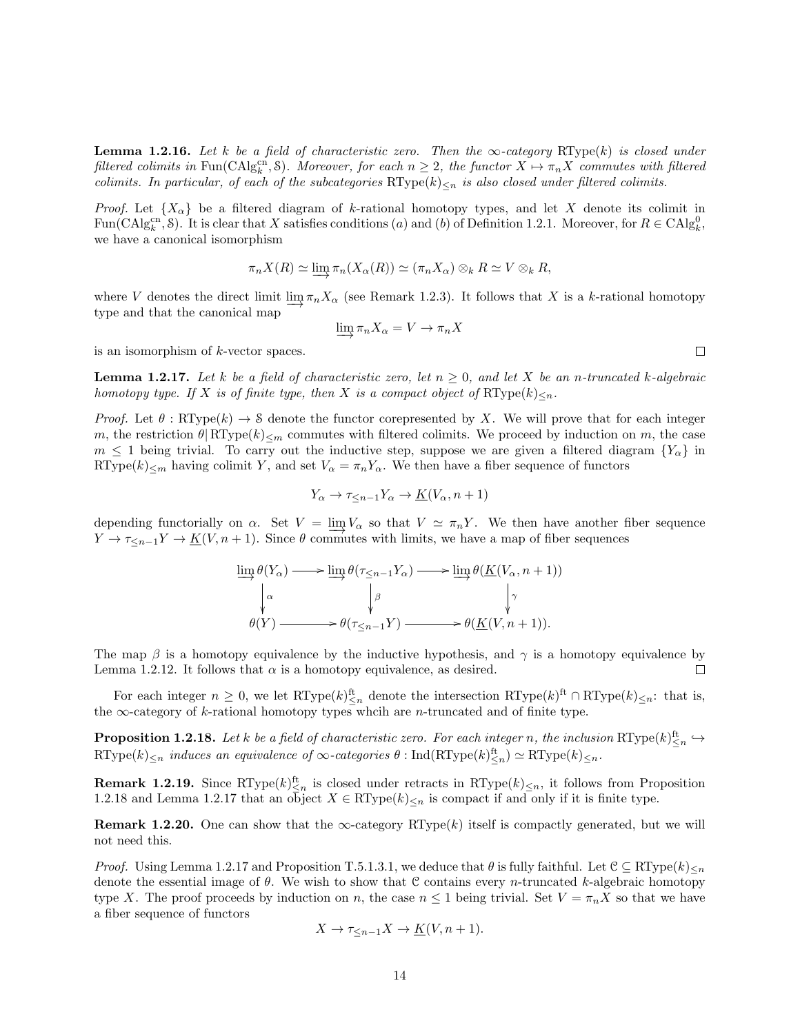**Lemma 1.2.16.** Let k be a field of characteristic zero. Then the  $\infty$ -category RType(k) is closed under filtered colimits in Fun(CAlgc<sup>n</sup>, S). Moreover, for each  $n \geq 2$ , the functor  $X \mapsto \pi_n X$  commutes with filtered colimits. In particular, of each of the subcategories  $RType(k)_{\leq n}$  is also closed under filtered colimits.

*Proof.* Let  $\{X_\alpha\}$  be a filtered diagram of k-rational homotopy types, and let X denote its colimit in Fun(CAlg<sup>cn</sup>, S). It is clear that X satisfies conditions (a) and (b) of Definition 1.2.1. Moreover, for  $R \in CAlg_k^0$ , we have a canonical isomorphism

$$
\pi_n X(R) \simeq \varinjlim \pi_n (X_\alpha(R)) \simeq (\pi_n X_\alpha) \otimes_k R \simeq V \otimes_k R,
$$

where V denotes the direct limit  $\varinjlim_{n} \pi_n X_\alpha$  (see Remark 1.2.3). It follows that X is a k-rational homotopy type and that the canonical map

$$
\varinjlim \pi_n X_\alpha = V \to \pi_n X
$$

is an isomorphism of k-vector spaces.

**Lemma 1.2.17.** Let k be a field of characteristic zero, let  $n \geq 0$ , and let X be an n-truncated k-algebraic homotopy type. If X is of finite type, then X is a compact object of  $\operatorname{RType}(k)_{\leq n}$ .

*Proof.* Let  $\theta$ : RType(k)  $\rightarrow$  S denote the functor corepresented by X. We will prove that for each integer m, the restriction  $\theta | RType(k)_{\leq m}$  commutes with filtered colimits. We proceed by induction on m, the case  $m \leq 1$  being trivial. To carry out the inductive step, suppose we are given a filtered diagram  $\{Y_{\alpha}\}\$  in RType(k)<sub> $\leq m$ </sub> having colimit Y, and set  $V_{\alpha} = \pi_n Y_{\alpha}$ . We then have a fiber sequence of functors

$$
Y_{\alpha} \to \tau_{\leq n-1} Y_{\alpha} \to \underline{K}(V_{\alpha}, n+1)
$$

depending functorially on  $\alpha$ . Set  $V = \lim_{n \to \infty} V_{\alpha}$  so that  $V \simeq \pi_n Y$ . We then have another fiber sequence  $Y \to \tau \leq_{n-1} Y \to K(V, n+1)$ . Since  $\theta$  commutes with limits, we have a map of fiber sequences

$$
\varinjlim_{n} \theta(Y_{\alpha}) \longrightarrow \varinjlim_{n} \theta(\tau_{\leq n-1} Y_{\alpha}) \longrightarrow \varinjlim_{n} \theta(\underline{K}(V_{\alpha}, n+1))
$$
\n
$$
\downarrow^{\alpha} \qquad \qquad \downarrow^{\beta} \qquad \qquad \downarrow^{\gamma}
$$
\n
$$
\theta(Y) \longrightarrow \theta(\tau_{\leq n-1} Y) \longrightarrow \theta(\underline{K}(V, n+1)).
$$

The map  $\beta$  is a homotopy equivalence by the inductive hypothesis, and  $\gamma$  is a homotopy equivalence by Lemma 1.2.12. It follows that  $\alpha$  is a homotopy equivalence, as desired.  $\Box$ 

For each integer  $n \geq 0$ , we let  $\mathrm{RType}(k)_{\leq n}^{\text{ft}}$  denote the intersection  $\mathrm{RType}(k)^{\text{ft}} \cap \mathrm{RType}(k)_{\leq n}$ : that is, the  $\infty$ -category of k-rational homotopy types whcih are *n*-truncated and of finite type.

**Proposition 1.2.18.** Let k be a field of characteristic zero. For each integer n, the inclusion  $\text{RType}(k)_{\leq n}^{\text{ft}} \hookrightarrow$  $\text{RType}(k)_{\leq n}$  induces an equivalence of  $\infty$ -categories  $\theta$ : Ind $(\text{RType}(k)_{\leq n}^{\text{ft}}) \simeq \text{RType}(k)_{\leq n}$ .

**Remark 1.2.19.** Since RType $(k)_{\leq n}^{\text{ft}}$  is closed under retracts in RType $(k)_{\leq n}$ , it follows from Proposition 1.2.18 and Lemma 1.2.17 that an object  $X \in \text{RType}(k)_{\leq n}$  is compact if and only if it is finite type.

**Remark 1.2.20.** One can show that the  $\infty$ -category RType(k) itself is compactly generated, but we will not need this.

*Proof.* Using Lemma 1.2.17 and Proposition T.5.1.3.1, we deduce that  $\theta$  is fully faithful. Let  $\mathcal{C} \subseteq \mathbb{R} \mathbb{Y}$  pe $(k)_{\leq n}$ denote the essential image of  $\theta$ . We wish to show that C contains every *n*-truncated k-algebraic homotopy type X. The proof proceeds by induction on n, the case  $n \leq 1$  being trivial. Set  $V = \pi_n X$  so that we have a fiber sequence of functors

$$
X \to \tau_{\leq n-1} X \to \underline{K}(V, n+1).
$$

 $\Box$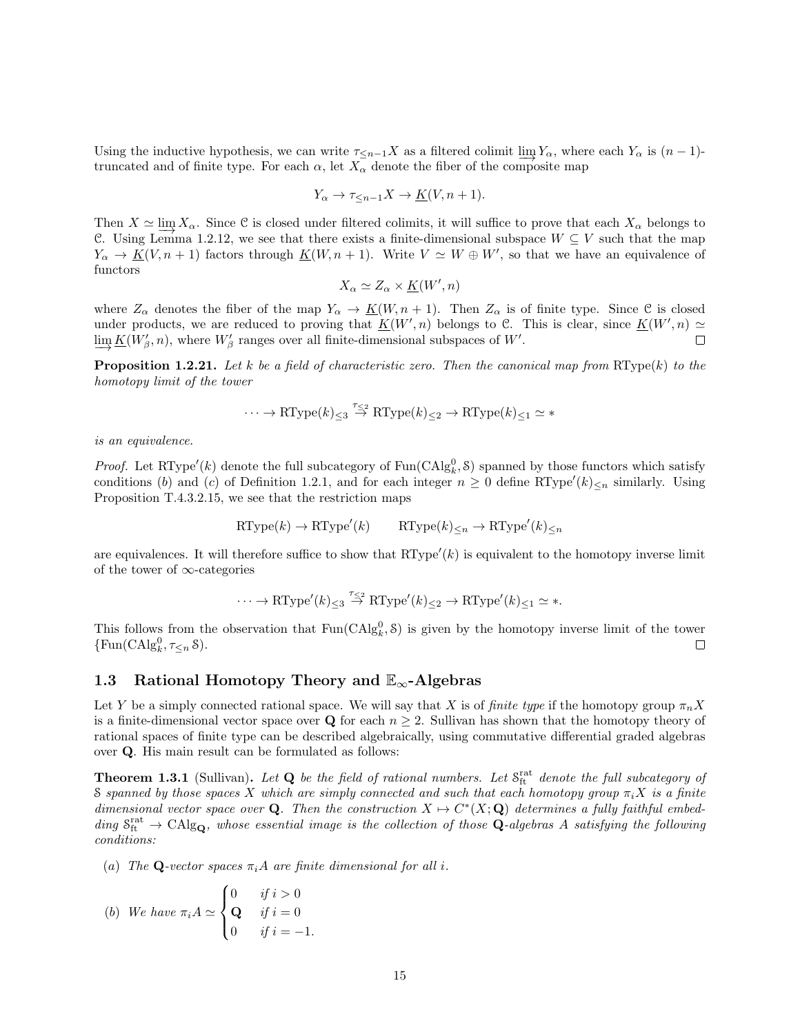Using the inductive hypothesis, we can write  $\tau_{\leq n-1}X$  as a filtered colimit  $\lim_{n \to \infty} Y_\alpha$ , where each  $Y_\alpha$  is  $(n-1)$ truncated and of finite type. For each  $\alpha$ , let  $X_{\alpha}$  denote the fiber of the composite map

$$
Y_{\alpha} \to \tau_{\leq n-1} X \to \underline{K}(V, n+1).
$$

Then  $X \simeq \lim_{\alpha \to 0} X_{\alpha}$ . Since C is closed under filtered colimits, it will suffice to prove that each  $X_{\alpha}$  belongs to C. Using Lemma 1.2.12, we see that there exists a finite-dimensional subspace  $W \subseteq V$  such that the map  $Y_{\alpha} \to \underline{K}(V, n+1)$  factors through  $\underline{K}(W, n+1)$ . Write  $V \simeq W \oplus W'$ , so that we have an equivalence of functors

$$
X_{\alpha} \simeq Z_{\alpha} \times \underline{K}(W', n)
$$

where  $Z_{\alpha}$  denotes the fiber of the map  $Y_{\alpha} \to \underline{K}(W, n+1)$ . Then  $Z_{\alpha}$  is of finite type. Since C is closed under products, we are reduced to proving that  $K(W', n)$  belongs to C. This is clear, since  $K(W', n) \simeq$  $\varinjlim \underline{K}(W'_\beta,n)$ , where  $W'_\beta$  ranges over all finite-dimensional subspaces of  $W'.$  $\Box$ 

**Proposition 1.2.21.** Let k be a field of characteristic zero. Then the canonical map from  $\text{RType}(k)$  to the homotopy limit of the tower

$$
\cdots \to \mathrm{RType}(k)_{\leq 3} \stackrel{\tau_{\leq 2}}{\to} \mathrm{RType}(k)_{\leq 2} \to \mathrm{RType}(k)_{\leq 1} \simeq *
$$

is an equivalence.

*Proof.* Let RType'(k) denote the full subcategory of  $\text{Fun}(\text{CAlg}_k^0, \mathcal{S})$  spanned by those functors which satisfy conditions (b) and (c) of Definition 1.2.1, and for each integer  $n \geq 0$  define RType'(k)<sub>≤n</sub> similarly. Using Proposition T.4.3.2.15, we see that the restriction maps

$$
\text{RType}(k) \to \text{RType}'(k) \qquad \text{RType}(k)_{\leq n} \to \text{RType}'(k)_{\leq n}
$$

are equivalences. It will therefore suffice to show that  $RType'(k)$  is equivalent to the homotopy inverse limit of the tower of ∞-categories

$$
\cdots \to \mathrm{RType}'(k)_{\leq 3} \stackrel{\tau_{\leq 2}}{\to} \mathrm{RType}'(k)_{\leq 2} \to \mathrm{RType}'(k)_{\leq 1} \simeq \ast.
$$

This follows from the observation that  $Fun(CAlg_k^0, \mathcal{S})$  is given by the homotopy inverse limit of the tower  $\{\text{Fun}(\text{CAlg}_k^0, \tau_{\leq n} \, \mathcal{S})\}.$  $\Box$ 

#### 1.3 Rational Homotopy Theory and  $\mathbb{E}_{\infty}$ -Algebras

Let Y be a simply connected rational space. We will say that X is of finite type if the homotopy group  $\pi_n X$ is a finite-dimensional vector space over Q for each  $n \geq 2$ . Sullivan has shown that the homotopy theory of rational spaces of finite type can be described algebraically, using commutative differential graded algebras over Q. His main result can be formulated as follows:

**Theorem 1.3.1** (Sullivan). Let  $Q$  be the field of rational numbers. Let  $S_{ft}^{rat}$  denote the full subcategory of S spanned by those spaces X which are simply connected and such that each homotopy group  $\pi_i X$  is a finite dimensional vector space over Q. Then the construction  $X \mapsto C^*(X; \mathbf{Q})$  determines a fully faithful embedding  $S_{ft}^{rat} \to \text{CAlg}_{\mathbf{Q}}$ , whose essential image is the collection of those  $\mathbf{Q}$ -algebras A satisfying the following conditions:

(a) The Q-vector spaces  $\pi_i A$  are finite dimensional for all i.

(b) We have 
$$
\pi_i A \simeq \begin{cases} 0 & \text{if } i > 0 \\ \mathbf{Q} & \text{if } i = 0 \\ 0 & \text{if } i = -1. \end{cases}
$$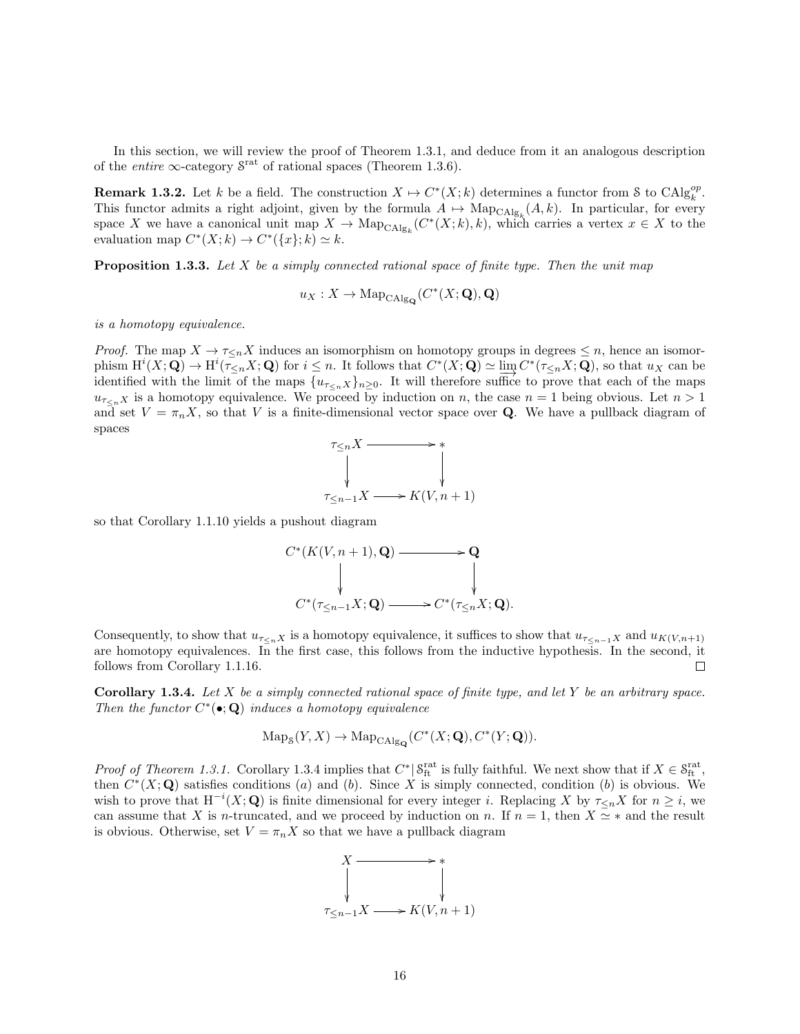In this section, we will review the proof of Theorem 1.3.1, and deduce from it an analogous description of the *entire*  $\infty$ -category  $S^{\text{rat}}$  of rational spaces (Theorem 1.3.6).

**Remark 1.3.2.** Let k be a field. The construction  $X \mapsto C^*(X;k)$  determines a functor from S to  $\text{CAlg}_{k}^{op}$ . This functor admits a right adjoint, given by the formula  $A \mapsto \text{Map}_{\text{CAlg}_k}(A, k)$ . In particular, for every space X we have a canonical unit map  $X \to \mathrm{Map}_{\mathrm{CAlg}_k}(C^*(X;k),k)$ , which carries a vertex  $x \in X$  to the evaluation map  $C^*(X;k) \to C^*(\lbrace x \rbrace;k) \simeq k$ .

**Proposition 1.3.3.** Let  $X$  be a simply connected rational space of finite type. Then the unit map

$$
u_X: X \to \mathrm{Map}_{\mathrm{CAlg}_{\mathbf{Q}}}(C^*(X; \mathbf{Q}), \mathbf{Q})
$$

is a homotopy equivalence.

*Proof.* The map  $X \to \tau \leq nX$  induces an isomorphism on homotopy groups in degrees  $\leq n$ , hence an isomorphism  $\mathrm{H}^i(X; \mathbf{Q}) \to \mathrm{H}^i(\overline{\tau}_{\leq n} X; \mathbf{Q})$  for  $i \leq n$ . It follows that  $C^*(X; \mathbf{Q}) \simeq \varinjlim_{\mathbf{Q}} C^*(\tau_{\leq n} X; \mathbf{Q})$ , so that  $u_X$  can be identified with the limit of the maps  $\{u_{\tau\lt n}x\}_{n\geq 0}$ . It will therefore suffice to prove that each of the maps  $u_{\tau\langle n,X\rangle}$  is a homotopy equivalence. We proceed by induction on n, the case  $n = 1$  being obvious. Let  $n > 1$ and set  $V = \pi_n X$ , so that V is a finite-dimensional vector space over **Q**. We have a pullback diagram of spaces

$$
\begin{array}{ccc}\n\tau_{\leq n}X & \longrightarrow & \ast \\
\downarrow & & \downarrow \\
\tau_{\leq n-1}X & \longrightarrow & K(V, n+1)\n\end{array}
$$

so that Corollary 1.1.10 yields a pushout diagram

$$
C^*(K(V, n+1), \mathbf{Q}) \longrightarrow \mathbf{Q}
$$
  
\n
$$
\downarrow \qquad \qquad \downarrow
$$
  
\n
$$
C^*(\tau_{\leq n-1}X; \mathbf{Q}) \longrightarrow C^*(\tau_{\leq n}X; \mathbf{Q}).
$$

Consequently, to show that  $u_{\tau\leq nX}$  is a homotopy equivalence, it suffices to show that  $u_{\tau\leq n-1X}$  and  $u_{K(V,n+1)}$ are homotopy equivalences. In the first case, this follows from the inductive hypothesis. In the second, it follows from Corollary 1.1.16.  $\Box$ 

**Corollary 1.3.4.** Let X be a simply connected rational space of finite type, and let Y be an arbitrary space. Then the functor  $C^*(\bullet; \mathbf{Q})$  induces a homotopy equivalence

$$
\operatorname{Map}_{\mathcal{S}}(Y,X) \to \operatorname{Map}_{\operatorname{CAlg}_{\mathbf{Q}}}(C^*(X;{\mathbf Q}), C^*(Y;{\mathbf Q})).
$$

*Proof of Theorem 1.3.1.* Corollary 1.3.4 implies that  $C^* \mid S_{\text{ft}}^{\text{rat}}$  is fully faithful. We next show that if  $X \in S_{\text{ft}}^{\text{rat}}$ , then  $C^*(X; \mathbf{Q})$  satisfies conditions (a) and (b). Since X is simply connected, condition (b) is obvious. We wish to prove that  $H^{-i}(X; Q)$  is finite dimensional for every integer i. Replacing X by  $\tau \leq_n X$  for  $n \geq i$ , we can assume that X is n-truncated, and we proceed by induction on n. If  $n = 1$ , then  $X \simeq *$  and the result is obvious. Otherwise, set  $V = \pi_n X$  so that we have a pullback diagram

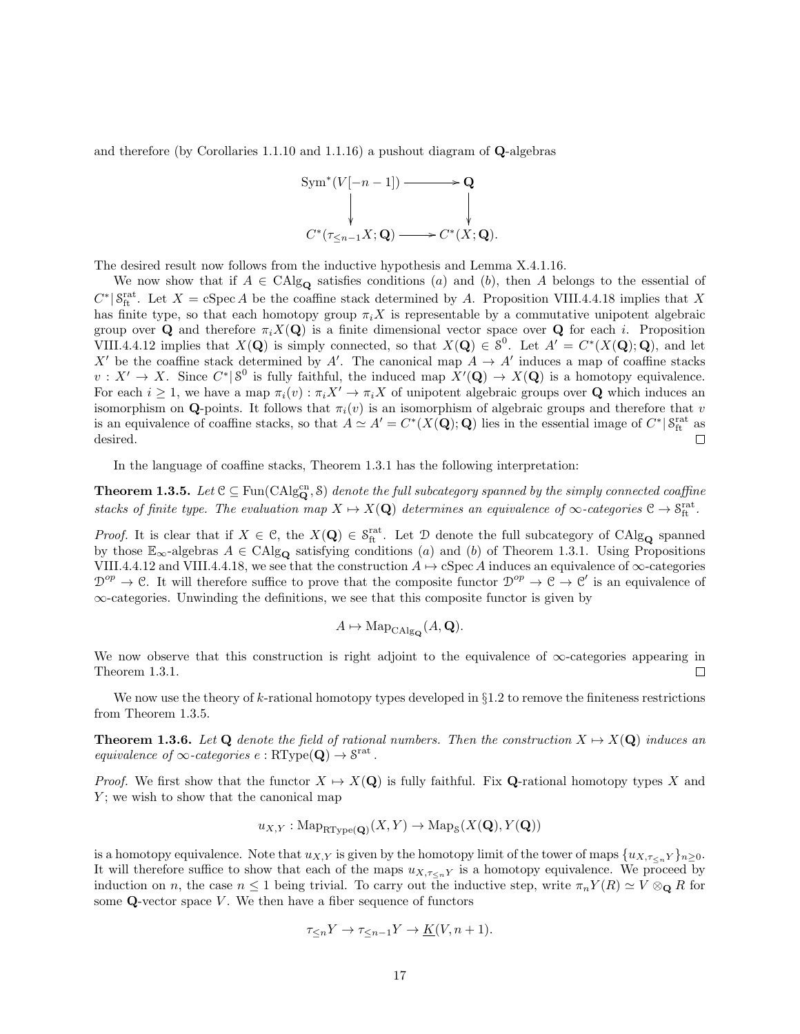and therefore (by Corollaries 1.1.10 and 1.1.16) a pushout diagram of Q-algebras



The desired result now follows from the inductive hypothesis and Lemma X.4.1.16.

We now show that if  $A \in \text{CAlg}_{\mathbf{Q}}$  satisfies conditions (a) and (b), then A belongs to the essential of  $C^* | S_{\text{ft}}^{\text{rat}}$ . Let  $X = \text{cSpec } A$  be the coaffine stack determined by A. Proposition VIII.4.4.18 implies that X has finite type, so that each homotopy group  $\pi_i X$  is representable by a commutative unipotent algebraic group over Q and therefore  $\pi_i X(Q)$  is a finite dimensional vector space over Q for each i. Proposition VIII.4.4.12 implies that  $X(\mathbf{Q})$  is simply connected, so that  $X(\mathbf{Q}) \in \mathcal{S}^0$ . Let  $A' = C^*(X(\mathbf{Q}); \mathbf{Q})$ , and let X' be the coaffine stack determined by A'. The canonical map  $A \to A'$  induces a map of coaffine stacks  $v: X' \to X$ . Since  $C^* | S^0$  is fully faithful, the induced map  $X'(\mathbf{Q}) \to X(\mathbf{Q})$  is a homotopy equivalence. For each  $i \geq 1$ , we have a map  $\pi_i(v) : \pi_i X' \to \pi_i X$  of unipotent algebraic groups over **Q** which induces an isomorphism on Q-points. It follows that  $\pi_i(v)$  is an isomorphism of algebraic groups and therefore that v is an equivalence of coaffine stacks, so that  $A \simeq A' = C^*(X(\mathbf{Q}); \mathbf{Q})$  lies in the essential image of  $C^* | S^{\text{rat}}_{\text{ft}}$  as desired.

In the language of coaffine stacks, Theorem 1.3.1 has the following interpretation:

**Theorem 1.3.5.** Let  $C \subseteq \text{Fun}(\text{CAlg}_{\mathbf{Q}}^{\text{cn}}, \mathcal{S})$  denote the full subcategory spanned by the simply connected coaffine stacks of finite type. The evaluation map  $X \mapsto X(\mathbf{Q})$  determines an equivalence of  $\infty$ -categories  $\mathcal{C} \to \mathcal{S}_{\text{ft}}^{\text{rat}}$ .

*Proof.* It is clear that if  $X \in \mathcal{C}$ , the  $X(\mathbf{Q}) \in \mathcal{S}_{\text{ft}}^{\text{rat}}$ . Let  $\mathcal{D}$  denote the full subcategory of CAlg<sub>Q</sub> spanned by those  $\mathbb{E}_{\infty}$ -algebras  $A \in \text{CAlg}_{\mathbf{Q}}$  satisfying conditions (*a*) and (*b*) of Theorem 1.3.1. Using Propositions VIII.4.4.12 and VIII.4.4.18, we see that the construction  $A \mapsto cSpec A$  induces an equivalence of  $\infty$ -categories  $\mathcal{D}^{op} \to \mathcal{C}$ . It will therefore suffice to prove that the composite functor  $\mathcal{D}^{op} \to \mathcal{C} \to \mathcal{C}'$  is an equivalence of ∞-categories. Unwinding the definitions, we see that this composite functor is given by

$$
A \mapsto \mathrm{Map}_{\mathrm{CAlg}_{\mathbf{Q}}}(A, \mathbf{Q}).
$$

We now observe that this construction is right adjoint to the equivalence of ∞-categories appearing in Theorem 1.3.1.  $\Box$ 

We now use the theory of k-rational homotopy types developed in  $\S1.2$  to remove the finiteness restrictions from Theorem 1.3.5.

**Theorem 1.3.6.** Let Q denote the field of rational numbers. Then the construction  $X \mapsto X(Q)$  induces an equivalence of  $\infty$ -categories  $e : \text{RType}(\mathbf{Q}) \to \mathcal{S}^{\text{rat}}$ .

*Proof.* We first show that the functor  $X \mapsto X(Q)$  is fully faithful. Fix Q-rational homotopy types X and  $Y$ ; we wish to show that the canonical map

$$
u_{X,Y} : \mathrm{Map}_{\mathrm{RType}(\mathbf{Q})}(X,Y) \to \mathrm{Map}_\mathcal{S}(X(\mathbf{Q}),Y(\mathbf{Q}))
$$

is a homotopy equivalence. Note that  $u_{X,Y}$  is given by the homotopy limit of the tower of maps  $\{u_{X,\tau\leq nY}\}_{n\geq 0}$ . It will therefore suffice to show that each of the maps  $u_{X,\tau\lt n}$  is a homotopy equivalence. We proceed by induction on n, the case  $n \leq 1$  being trivial. To carry out the inductive step, write  $\pi_n Y(R) \simeq V \otimes_{\mathbf{Q}} R$  for some  $Q$ -vector space  $V$ . We then have a fiber sequence of functors

$$
\tau_{\leq n} Y \to \tau_{\leq n-1} Y \to \underline{K}(V, n+1).
$$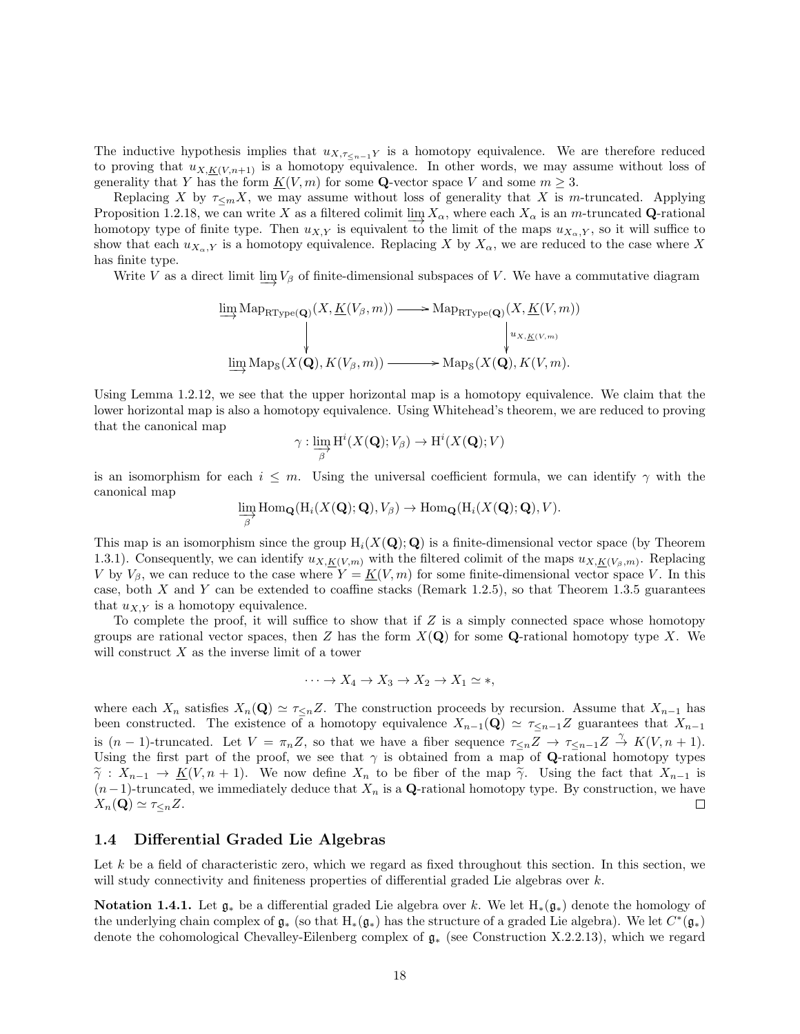The inductive hypothesis implies that  $u_{X,\tau\leq n-1}$  is a homotopy equivalence. We are therefore reduced to proving that  $u_{X,K(V,n+1)}$  is a homotopy equivalence. In other words, we may assume without loss of generality that Y has the form  $K(V, m)$  for some Q-vector space V and some  $m \geq 3$ .

Replacing X by  $\tau \leq_m X$ , we may assume without loss of generality that X is m-truncated. Applying Proposition 1.2.18, we can write X as a filtered colimit  $\lim_{\Delta} X_{\alpha}$ , where each  $X_{\alpha}$  is an m-truncated Q-rational homotopy type of finite type. Then  $u_{X,Y}$  is equivalent to the limit of the maps  $u_{X_0,Y}$ , so it will suffice to show that each  $u_{X_{\alpha},Y}$  is a homotopy equivalence. Replacing X by  $X_{\alpha}$ , we are reduced to the case where X has finite type.

Write V as a direct limit  $\varinjlim V_\beta$  of finite-dimensional subspaces of V. We have a commutative diagram

$$
\varinjlim\mathrm{Map}_{\mathrm{RType}(\mathbf{Q})}(X, \underline{K}(V_{\beta}, m)) \longrightarrow \mathrm{Map}_{\mathrm{RType}(\mathbf{Q})}(X, \underline{K}(V, m))
$$
\n
$$
\downarrow \qquad \qquad \downarrow u_{X, \underline{K}(V, m)}
$$
\n
$$
\varinjlim\mathrm{Map}_8(X(\mathbf{Q}), K(V_{\beta}, m)) \longrightarrow \mathrm{Map}_8(X(\mathbf{Q}), K(V, m).
$$

Using Lemma 1.2.12, we see that the upper horizontal map is a homotopy equivalence. We claim that the lower horizontal map is also a homotopy equivalence. Using Whitehead's theorem, we are reduced to proving that the canonical map

$$
\gamma: \varinjlim_{\beta} \mathrm{H}^i(X(\mathbf{Q}); V_{\beta}) \to \mathrm{H}^i(X(\mathbf{Q}); V)
$$

is an isomorphism for each  $i \leq m$ . Using the universal coefficient formula, we can identify  $\gamma$  with the canonical map

$$
\varinjlim_{\beta} \text{Hom}_{\mathbf{Q}}(\text{H}_{i}(X(\mathbf{Q}); \mathbf{Q}), V_{\beta}) \to \text{Hom}_{\mathbf{Q}}(\text{H}_{i}(X(\mathbf{Q}); \mathbf{Q}), V).
$$

This map is an isomorphism since the group  $H_i(X(Q); Q)$  is a finite-dimensional vector space (by Theorem 1.3.1). Consequently, we can identify  $u_{X,K(V,m)}$  with the filtered colimit of the maps  $u_{X,K(V_\beta,m)}$ . Replacing V by  $V_\beta$ , we can reduce to the case where  $Y = K(V, m)$  for some finite-dimensional vector space V. In this case, both  $X$  and  $Y$  can be extended to coaffine stacks (Remark 1.2.5), so that Theorem 1.3.5 guarantees that  $u_{XY}$  is a homotopy equivalence.

To complete the proof, it will suffice to show that if  $Z$  is a simply connected space whose homotopy groups are rational vector spaces, then Z has the form  $X(Q)$  for some Q-rational homotopy type X. We will construct  $X$  as the inverse limit of a tower

$$
\cdots \to X_4 \to X_3 \to X_2 \to X_1 \simeq *,
$$

where each  $X_n$  satisfies  $X_n(\mathbf{Q}) \simeq \tau \leq nZ$ . The construction proceeds by recursion. Assume that  $X_{n-1}$  has been constructed. The existence of a homotopy equivalence  $X_{n-1}(\mathbf{Q}) \simeq \tau \leq_{n-1}Z$  guarantees that  $X_{n-1}$ is  $(n-1)$ -truncated. Let  $V = \pi_n Z$ , so that we have a fiber sequence  $\tau \leq n \leq \pi Z \to \tau \leq n-1 Z \stackrel{\gamma}{\to} K(V, n+1)$ . Using the first part of the proof, we see that  $\gamma$  is obtained from a map of Q-rational homotopy types  $\tilde{\gamma}: X_{n-1} \to K(V, n+1)$ . We now define  $X_n$  to be fiber of the map  $\tilde{\gamma}$ . Using the fact that  $X_{n-1}$  is  $(n-1)$ -truncated, we immediately deduce that  $X_n$  is a Q-rational homotopy type. By construction, we have  $X_n(\mathbf{Q}) \simeq \tau_{\leq n} Z$ .  $\Box$ 

#### 1.4 Differential Graded Lie Algebras

Let k be a field of characteristic zero, which we regard as fixed throughout this section. In this section, we will study connectivity and finiteness properties of differential graded Lie algebras over k.

Notation 1.4.1. Let  $\mathfrak{g}_*$  be a differential graded Lie algebra over k. We let  $H_*(\mathfrak{g}_*)$  denote the homology of the underlying chain complex of  $\mathfrak{g}_*$  (so that  $H_*(\mathfrak{g}_*)$  has the structure of a graded Lie algebra). We let  $C^*(\mathfrak{g}_*)$ denote the cohomological Chevalley-Eilenberg complex of g<sup>∗</sup> (see Construction X.2.2.13), which we regard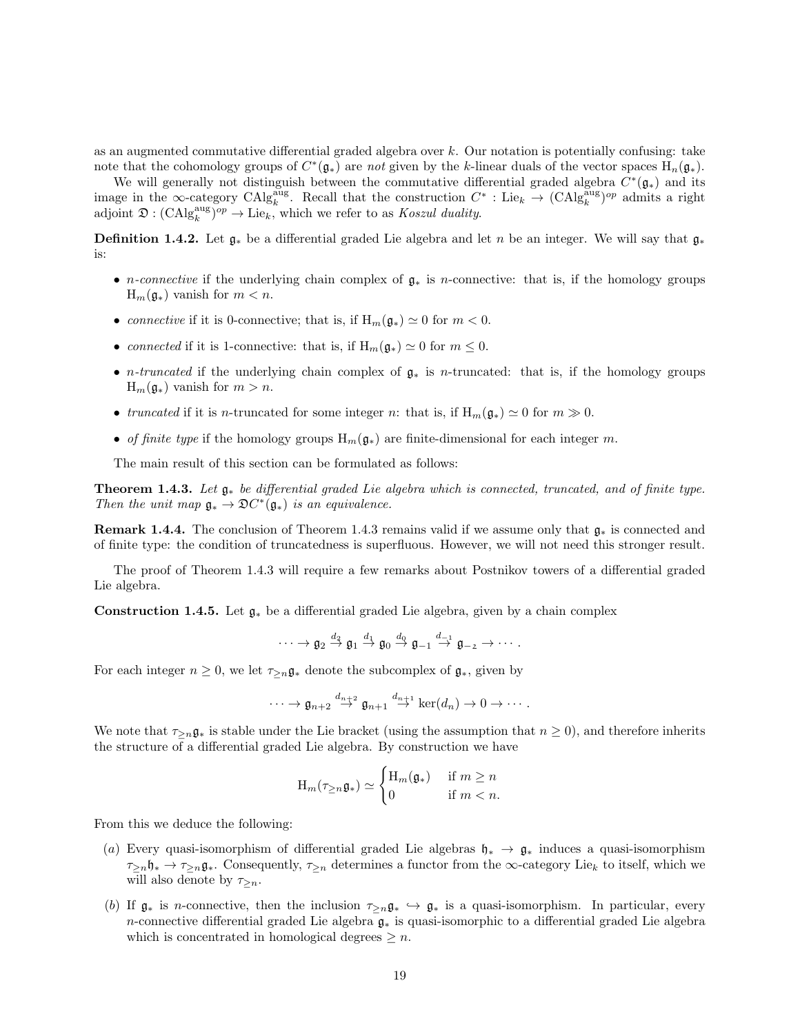as an augmented commutative differential graded algebra over k. Our notation is potentially confusing: take note that the cohomology groups of  $C^*(\mathfrak{g}_*)$  are not given by the k-linear duals of the vector spaces  $H_n(\mathfrak{g}_*)$ .

We will generally not distinguish between the commutative differential graded algebra  $C^*(\mathfrak{g}_*)$  and its image in the ∞-category  $\text{CAlg}_{k}^{\text{aug}}$ . Recall that the construction  $C^*$ : Lie<sub>k</sub>  $\rightarrow (\text{CAlg}_{k}^{\text{aug}})^{op}$  admits a right adjoint  $\mathfrak{D}: (\mathrm{CAlg}_{k}^{\mathrm{aug}})^{op} \to \mathrm{Lie}_{k}$ , which we refer to as *Koszul duality*.

**Definition 1.4.2.** Let  $\mathfrak{g}_*$  be a differential graded Lie algebra and let n be an integer. We will say that  $\mathfrak{g}_*$ is:

- *n-connective* if the underlying chain complex of  $\mathfrak{g}_*$  is *n*-connective: that is, if the homology groups  $H_m(\mathfrak{g}_*)$  vanish for  $m < n$ .
- connective if it is 0-connective; that is, if  $H_m(\mathfrak{g}_*) \simeq 0$  for  $m < 0$ .
- connected if it is 1-connective: that is, if  $H_m(\mathfrak{g}_*) \simeq 0$  for  $m \leq 0$ .
- *n-truncated* if the underlying chain complex of  $g_*$  is *n*-truncated: that is, if the homology groups  $H_m(\mathfrak{g}_*)$  vanish for  $m > n$ .
- truncated if it is n-truncated for some integer n: that is, if  $H_m(\mathfrak{g}_*) \simeq 0$  for  $m \gg 0$ .
- of finite type if the homology groups  $H_m(\mathfrak{g}_*)$  are finite-dimensional for each integer m.

The main result of this section can be formulated as follows:

**Theorem 1.4.3.** Let  $\mathfrak{g}_*$  be differential graded Lie algebra which is connected, truncated, and of finite type. Then the unit map  $\mathfrak{g}_* \to \mathfrak{D}C^*(\mathfrak{g}_*)$  is an equivalence.

**Remark 1.4.4.** The conclusion of Theorem 1.4.3 remains valid if we assume only that  $\mathfrak{g}_*$  is connected and of finite type: the condition of truncatedness is superfluous. However, we will not need this stronger result.

The proof of Theorem 1.4.3 will require a few remarks about Postnikov towers of a differential graded Lie algebra.

Construction 1.4.5. Let  $\mathfrak{g}_*$  be a differential graded Lie algebra, given by a chain complex

$$
\cdots \to \mathfrak{g}_2 \stackrel{d_2}{\to} \mathfrak{g}_1 \stackrel{d_1}{\to} \mathfrak{g}_0 \stackrel{d_0}{\to} \mathfrak{g}_{-1} \stackrel{d_{-1}}{\to} \mathfrak{g}_{-2} \to \cdots.
$$

For each integer  $n \geq 0$ , we let  $\tau_{\geq n} \mathfrak{g}_*$  denote the subcomplex of  $\mathfrak{g}_*$ , given by

$$
\cdots \to \mathfrak{g}_{n+2} \stackrel{d_{n+2}}{\to} \mathfrak{g}_{n+1} \stackrel{d_{n+1}}{\to} \ker(d_n) \to 0 \to \cdots.
$$

We note that  $\tau_{\geq n}\mathfrak{g}_*$  is stable under the Lie bracket (using the assumption that  $n \geq 0$ ), and therefore inherits the structure of a differential graded Lie algebra. By construction we have

$$
\mathcal{H}_m(\tau_{\geq n}\mathfrak{g}_*) \simeq \begin{cases} \mathcal{H}_m(\mathfrak{g}_*) & \text{if } m \geq n \\ 0 & \text{if } m < n. \end{cases}
$$

From this we deduce the following:

- (a) Every quasi-isomorphism of differential graded Lie algebras  $\mathfrak{h}_* \to \mathfrak{g}_*$  induces a quasi-isomorphism  $\tau_{\geq n}\mathfrak{h}_* \to \tau_{\geq n}\mathfrak{g}_*$ . Consequently,  $\tau_{\geq n}$  determines a functor from the  $\infty$ -category Lie<sub>k</sub> to itself, which we will also denote by  $\tau_{\geq n}$ .
- (b) If  $\mathfrak{g}_*$  is n-connective, then the inclusion  $\tau_{\geq n}\mathfrak{g}_* \hookrightarrow \mathfrak{g}_*$  is a quasi-isomorphism. In particular, every n-connective differential graded Lie algebra g<sup>∗</sup> is quasi-isomorphic to a differential graded Lie algebra which is concentrated in homological degrees  $\geq n$ .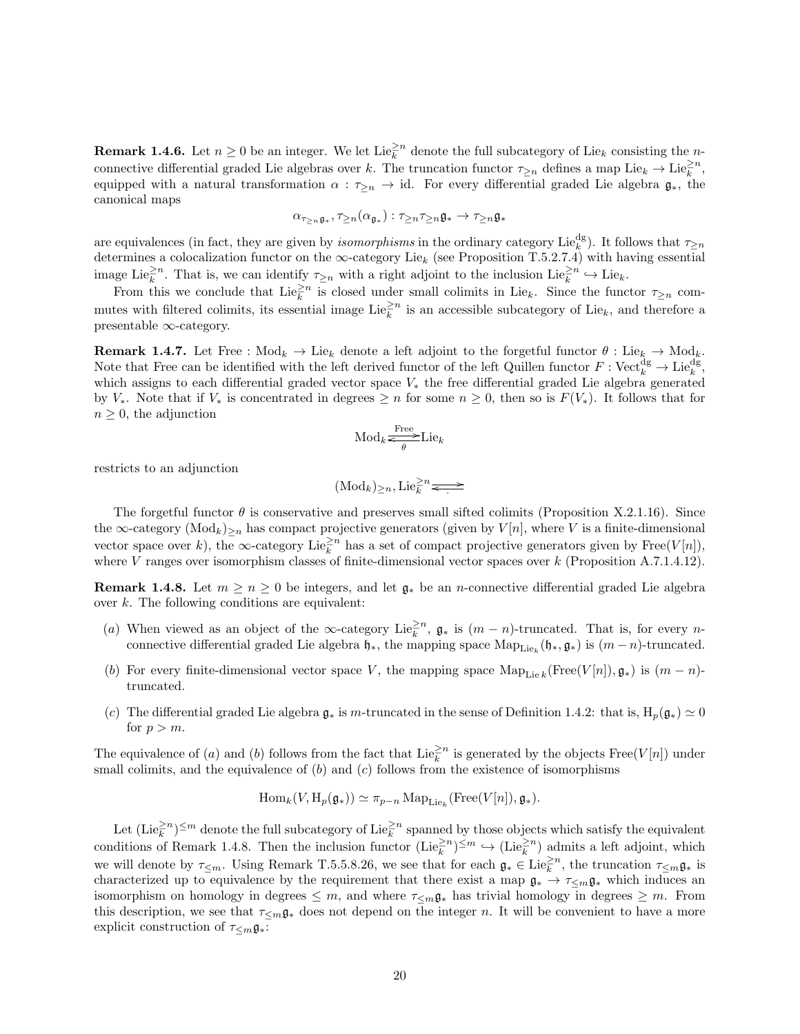**Remark 1.4.6.** Let  $n \geq 0$  be an integer. We let  $\text{Lie}_{k}^{\geq n}$  denote the full subcategory of  $\text{Lie}_{k}$  consisting the nconnective differential graded Lie algebras over k. The truncation functor  $\tau_{\geq n}$  defines a map Lie $_k \to \text{Lie}_k^{\geq n}$ , equipped with a natural transformation  $\alpha : \tau_{\geq n} \to id$ . For every differential graded Lie algebra  $\mathfrak{g}_*$ , the canonical maps

$$
\alpha_{\tau_{\geq n}\mathfrak{g}_*},\tau_{\geq n}(\alpha_{\mathfrak{g}_*}):\tau_{\geq n}\tau_{\geq n}\mathfrak{g}_*\to \tau_{\geq n}\mathfrak{g}_*
$$

are equivalences (in fact, they are given by *isomorphisms* in the ordinary category Lie<sup>dg</sup>). It follows that  $\tau_{\geq n}$ determines a colocalization functor on the  $\infty$ -category Lie<sub>k</sub> (see Proposition T.5.2.7.4) with having essential image Lie $\geq^2$ <sup>n</sup>. That is, we can identify  $\tau_{\geq n}$  with a right adjoint to the inclusion Lie $\geq^2$ <sup>n</sup>  $\hookrightarrow$  Lie<sub>k</sub>.

From this we conclude that  $\text{Lie}_k^{\geq n}$  is closed under small colimits in Lie<sub>k</sub>. Since the functor  $\tau_{\geq n}$  commutes with filtered colimits, its essential image  $\text{Lie}_k^{\geq n}$  is an accessible subcategory of  $\text{Lie}_k$ , and therefore a presentable ∞-category.

**Remark 1.4.7.** Let Free :  $\text{Mod}_k \to \text{Lie}_k$  denote a left adjoint to the forgetful functor  $\theta$  : Lie<sub>k</sub>  $\to \text{Mod}_k$ . Note that Free can be identified with the left derived functor of the left Quillen functor  $F: \mathrm{Vect}_{k}^{\mathrm{dg}} \to \mathrm{Lie}_{k}^{\mathrm{dg}},$ which assigns to each differential graded vector space V<sup>∗</sup> the free differential graded Lie algebra generated by  $V_*$ . Note that if  $V_*$  is concentrated in degrees  $\geq n$  for some  $n \geq 0$ , then so is  $F(V_*)$ . It follows that for  $n \geq 0$ , the adjunction

$$
\mathrm{Mod}_k \underset{\theta}{\overset{\mathrm{Free}}{\Longleftrightarrow}} \mathrm{Lie}_k
$$

restricts to an adjunction

$$
(\mathrm{Mod}_k)_{\geq n}, \mathrm{Lie}_k^{\geq n} \rightleftharpoons
$$

The forgetful functor  $\theta$  is conservative and preserves small sifted colimits (Proposition X.2.1.16). Since the  $\infty$ -category  $(\text{Mod}_k)_{\geq n}$  has compact projective generators (given by  $V[n]$ , where V is a finite-dimensional vector space over k), the  $\infty$ -category Lie $\geq^2$ <sup>n</sup> has a set of compact projective generators given by Free(V[n]), where V ranges over isomorphism classes of finite-dimensional vector spaces over  $k$  (Proposition A.7.1.4.12).

**Remark 1.4.8.** Let  $m \geq n \geq 0$  be integers, and let  $\mathfrak{g}_*$  be an *n*-connective differential graded Lie algebra over  $k$ . The following conditions are equivalent:

- (a) When viewed as an object of the  $\infty$ -category Lie<sup>2n</sup>,  $\mathfrak{g}_*$  is  $(m-n)$ -truncated. That is, for every nconnective differential graded Lie algebra  $\mathfrak{h}_*$ , the mapping space  $\mathrm{Map}_{\mathrm{Lie}_k}(\mathfrak{h}_*, \mathfrak{g}_*)$  is  $(m-n)$ -truncated.
- (b) For every finite-dimensional vector space V, the mapping space  $\text{Map}_{\text{Lie }k}(\text{Free}(V[n]), \mathfrak{g}_*)$  is  $(m n)$ truncated.
- (c) The differential graded Lie algebra  $\mathfrak{g}_*$  is m-truncated in the sense of Definition 1.4.2: that is,  $H_p(\mathfrak{g}_*) \simeq 0$ for  $p > m$ .

The equivalence of (a) and (b) follows from the fact that  $\text{Lie}_{k}^{\geq n}$  is generated by the objects  $\text{Free}(V[n])$  under small colimits, and the equivalence of  $(b)$  and  $(c)$  follows from the existence of isomorphisms

$$
\operatorname{Hom}_k(V, \operatorname{H}_p(\mathfrak{g}_*)) \simeq \pi_{p-n} \operatorname{Map}_{\operatorname{Lie}_k}(\operatorname{Free}(V[n]), \mathfrak{g}_*).
$$

Let  $(\text{Lie}_k^{\geq n})^{\leq m}$  denote the full subcategory of  $\text{Lie}_k^{\geq n}$  spanned by those objects which satisfy the equivalent conditions of Remark 1.4.8. Then the inclusion functor  $(\text{Lie}_k^{\geq n})^{\leq m} \hookrightarrow (\text{Lie}_k^{\geq n})$  admits a left adjoint, which we will denote by  $\tau_{\leq m}$ . Using Remark T.5.5.8.26, we see that for each  $\mathfrak{g}_* \in \text{Lie}_{k}^{\geq n}$ , the truncation  $\tau_{\leq m} \mathfrak{g}_*$  is characterized up to equivalence by the requirement that there exist a map  $\mathfrak{g}_* \to \tau_{\leq m} \mathfrak{g}_*$  which induces an isomorphism on homology in degrees  $\leq m$ , and where  $\tau_{\leq m} \mathfrak{g}_*$  has trivial homology in degrees  $\geq m$ . From this description, we see that  $\tau \leq_m \mathfrak{g}_*$  does not depend on the integer n. It will be convenient to have a more explicit construction of  $\tau <sub>m</sub> \mathfrak{g}_{*}$ :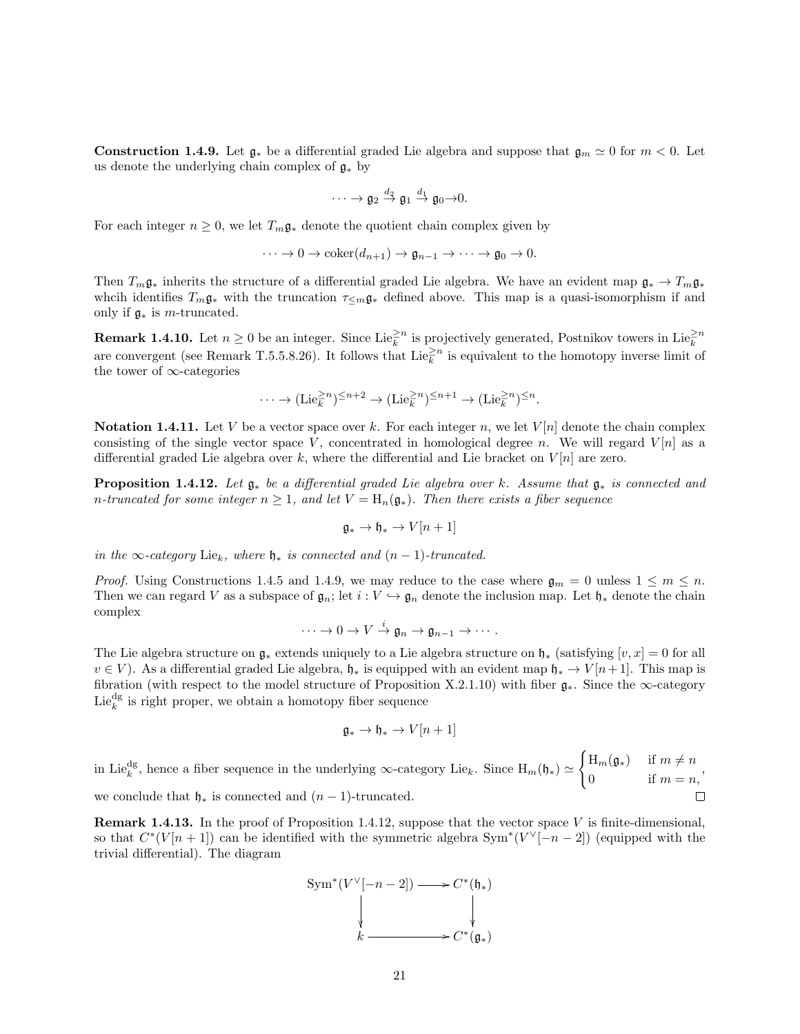**Construction 1.4.9.** Let  $\mathfrak{g}_*$  be a differential graded Lie algebra and suppose that  $\mathfrak{g}_m \simeq 0$  for  $m < 0$ . Let us denote the underlying chain complex of  $\mathfrak{g}_*$  by

$$
\cdots \to \mathfrak{g}_2 \stackrel{d_2}{\to} \mathfrak{g}_1 \stackrel{d_1}{\to} \mathfrak{g}_0 \to 0.
$$

For each integer  $n \geq 0$ , we let  $T_m \mathfrak{g}_*$  denote the quotient chain complex given by

$$
\cdots \to 0 \to \mathrm{coker}(d_{n+1}) \to \mathfrak{g}_{n-1} \to \cdots \to \mathfrak{g}_0 \to 0.
$$

Then  $T_m\mathfrak{g}_*$  inherits the structure of a differential graded Lie algebra. We have an evident map  $\mathfrak{g}_*\to T_m\mathfrak{g}_*$ whcih identifies  $T_m\mathfrak{g}_*$  with the truncation  $\tau_{\leq m}\mathfrak{g}_*$  defined above. This map is a quasi-isomorphism if and only if  $\mathfrak{g}_*$  is *m*-truncated.

**Remark 1.4.10.** Let  $n \ge 0$  be an integer. Since Lie $\frac{\ge n}{k}$  is projectively generated, Postnikov towers in Lie $\frac{\ge n}{k}$  are convergent (see Remark T.5.5.8.26). It follows that Lie $\frac{\ge n}{k}$  is equivalent to the homot the tower of ∞-categories

$$
\cdots \to (\mathrm{Lie}_k^{\geq n})^{\leq n+2} \to (\mathrm{Lie}_k^{\geq n})^{\leq n+1} \to (\mathrm{Lie}_k^{\geq n})^{\leq n}.
$$

**Notation 1.4.11.** Let V be a vector space over k. For each integer n, we let  $V[n]$  denote the chain complex consisting of the single vector space V, concentrated in homological degree n. We will regard  $V[n]$  as a differential graded Lie algebra over k, where the differential and Lie bracket on  $V[n]$  are zero.

**Proposition 1.4.12.** Let  $\mathfrak{g}_*$  be a differential graded Lie algebra over k. Assume that  $\mathfrak{g}_*$  is connected and n-truncated for some integer  $n \geq 1$ , and let  $V = H_n(\mathfrak{g}_*)$ . Then there exists a fiber sequence

$$
\mathfrak{g}_* \to \mathfrak{h}_* \to V[n+1]
$$

in the ∞-category Lie<sub>k</sub>, where  $\mathfrak{h}_*$  is connected and  $(n-1)$ -truncated.

*Proof.* Using Constructions 1.4.5 and 1.4.9, we may reduce to the case where  $\mathfrak{g}_m = 0$  unless  $1 \leq m \leq n$ . Then we can regard V as a subspace of  $\mathfrak{g}_n$ ; let  $i : V \hookrightarrow \mathfrak{g}_n$  denote the inclusion map. Let  $\mathfrak{h}_*$  denote the chain complex

$$
\cdots \to 0 \to V \stackrel{i}{\to} \mathfrak{g}_n \to \mathfrak{g}_{n-1} \to \cdots.
$$

The Lie algebra structure on  $\mathfrak{g}_*$  extends uniquely to a Lie algebra structure on  $\mathfrak{h}_*$  (satisfying  $[v, x] = 0$  for all  $v \in V$ ). As a differential graded Lie algebra,  $\mathfrak{h}_*$  is equipped with an evident map  $\mathfrak{h}_* \to V[n+1]$ . This map is fibration (with respect to the model structure of Proposition X.2.1.10) with fiber  $\mathfrak{g}_*$ . Since the ∞-category  $\mathrm{Lie}^{\mathrm{dg}}_k$  is right proper, we obtain a homotopy fiber sequence

$$
\mathfrak{g}_* \to \mathfrak{h}_* \to V[n+1]
$$

in Lie<sup>dg</sup>, hence a fiber sequence in the underlying  $\infty$ -category Lie<sub>k</sub>. Since  $H_m(\mathfrak{h}_*) \simeq$  $\int H_m(\mathfrak{g}_*)$  if  $m \neq n$  $0$  if  $m = n$ , we conclude that  $\mathfrak{h}_*$  is connected and  $(n-1)$ -truncated.

**Remark 1.4.13.** In the proof of Proposition 1.4.12, suppose that the vector space V is finite-dimensional, so that  $C^*(V[n+1])$  can be identified with the symmetric algebra  $Sym^*(V^{\vee}[-n-2])$  (equipped with the trivial differential). The diagram

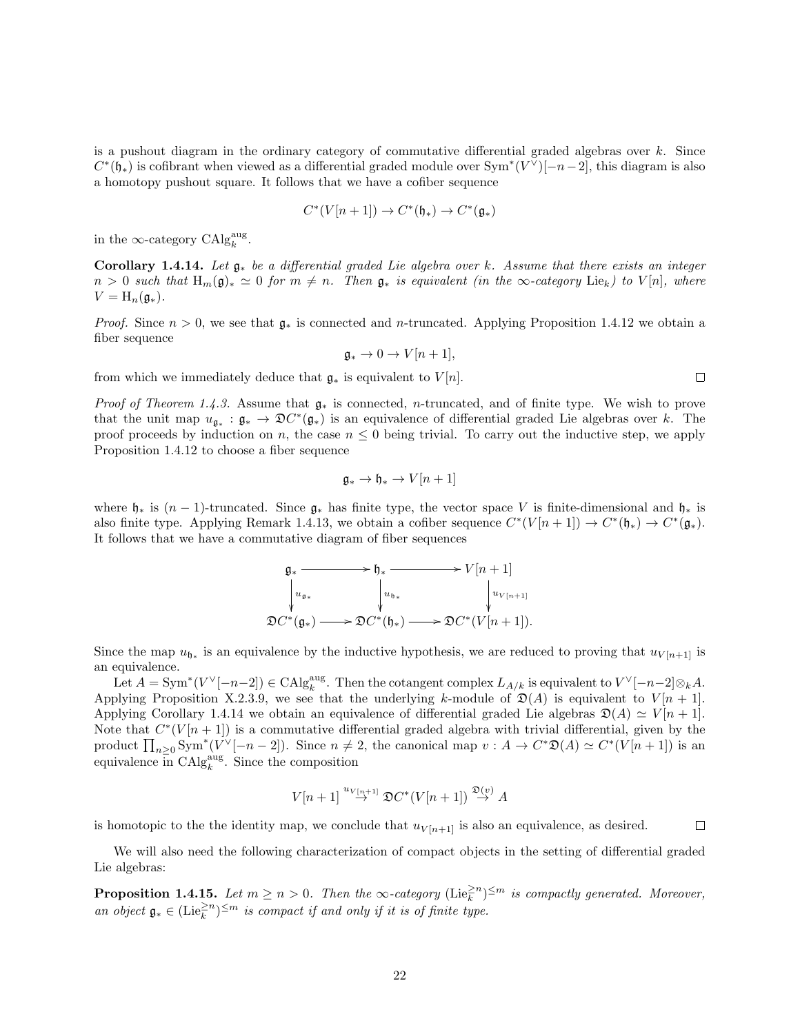is a pushout diagram in the ordinary category of commutative differential graded algebras over  $k$ . Since  $C^*(\mathfrak{h}_*)$  is cofibrant when viewed as a differential graded module over  $\text{Sym}^*(V^{\vee})[-n-2]$ , this diagram is also a homotopy pushout square. It follows that we have a cofiber sequence

$$
C^*(V[n+1]) \to C^*(\mathfrak{h}_*) \to C^*(\mathfrak{g}_*)
$$

in the  $\infty$ -category  $\mathrm{CAlg}_{k}^{\mathrm{aug}}$ .

Corollary 1.4.14. Let  $\mathfrak{g}_*$  be a differential graded Lie algebra over k. Assume that there exists an integer  $n > 0$  such that  $H_m(\mathfrak{g})_* \simeq 0$  for  $m \neq n$ . Then  $\mathfrak{g}_*$  is equivalent (in the  $\infty$ -category Lie<sub>k</sub>) to  $V[n]$ , where  $V = H_n(\mathfrak{g}_*).$ 

*Proof.* Since  $n > 0$ , we see that  $\mathfrak{g}_*$  is connected and n-truncated. Applying Proposition 1.4.12 we obtain a fiber sequence

$$
\mathfrak{g}_* \to 0 \to V[n+1],
$$

from which we immediately deduce that  $\mathfrak{g}_*$  is equivalent to  $V[n]$ .

*Proof of Theorem 1.4.3.* Assume that  $g_*$  is connected, *n*-truncated, and of finite type. We wish to prove that the unit map  $u_{\mathfrak{g}_*}: \mathfrak{g}_* \to \mathfrak{D}C^*(\mathfrak{g}_*)$  is an equivalence of differential graded Lie algebras over k. The proof proceeds by induction on n, the case  $n \leq 0$  being trivial. To carry out the inductive step, we apply Proposition 1.4.12 to choose a fiber sequence

$$
\mathfrak{g}_* \to \mathfrak{h}_* \to V[n+1]
$$

where  $\mathfrak{h}_*$  is  $(n-1)$ -truncated. Since  $\mathfrak{g}_*$  has finite type, the vector space V is finite-dimensional and  $\mathfrak{h}_*$  is also finite type. Applying Remark 1.4.13, we obtain a cofiber sequence  $C^*(V[n+1]) \to C^*(\mathfrak{h}_*) \to C^*(\mathfrak{g}_*)$ . It follows that we have a commutative diagram of fiber sequences

$$
\mathfrak{g}_* \xrightarrow{\mathfrak{h}_*} V[n+1]
$$
\n
$$
\downarrow u_{\mathfrak{g}_*} \qquad \qquad \downarrow u_{\mathfrak{h}_*} \qquad \qquad \downarrow u_{V[n+1]}
$$
\n
$$
\mathfrak{D}C^*(\mathfrak{g}_*) \longrightarrow \mathfrak{D}C^*(\mathfrak{h}_*) \longrightarrow \mathfrak{D}C^*(V[n+1]).
$$

Since the map  $u_{\mathfrak{h}_*}$  is an equivalence by the inductive hypothesis, we are reduced to proving that  $u_{V[n+1]}$  is an equivalence.

Let  $A = \text{Sym}^*(V^{\vee}[-n-2]) \in \text{CAlg}_k^{\text{aug}}$ . Then the cotangent complex  $L_{A/k}$  is equivalent to  $V^{\vee}[-n-2]\otimes_k A$ . Applying Proposition X.2.3.9, we see that the underlying k-module of  $\mathfrak{D}(A)$  is equivalent to  $V[n+1]$ . Applying Corollary 1.4.14 we obtain an equivalence of differential graded Lie algebras  $\mathfrak{D}(A) \simeq V[n+1]$ . Note that  $C^{*}(V[n+1])$  is a commutative differential graded algebra with trivial differential, given by the product  $\prod_{n\geq 0} \text{Sym}^*(V^{\vee}[-n-2])$ . Since  $n \neq 2$ , the canonical map  $v : A \to C^*\mathfrak{D}(A) \simeq C^*(V[n+1])$  is an equivalence in  $\text{CAlg}_k^{\text{aug}}$ . Since the composition

$$
V[n+1] \stackrel{u_{V[n+1]}}{\rightarrow} \mathfrak{D}C^*(V[n+1]) \stackrel{\mathfrak{D}(v)}{\rightarrow} A
$$

 $\Box$ is homotopic to the the identity map, we conclude that  $u_{V[n+1]}$  is also an equivalence, as desired.

We will also need the following characterization of compact objects in the setting of differential graded Lie algebras:

**Proposition 1.4.15.** Let  $m \ge n > 0$ . Then the  $\infty$ -category  $(\text{Lie}_{k}^{\ge n})^{\le m}$  is compactly generated. Moreover, an object  $\mathfrak{g}_* \in (\mathrm{Lie}_k^{\geq n})^{\leq m}$  is compact if and only if it is of finite type.

 $\Box$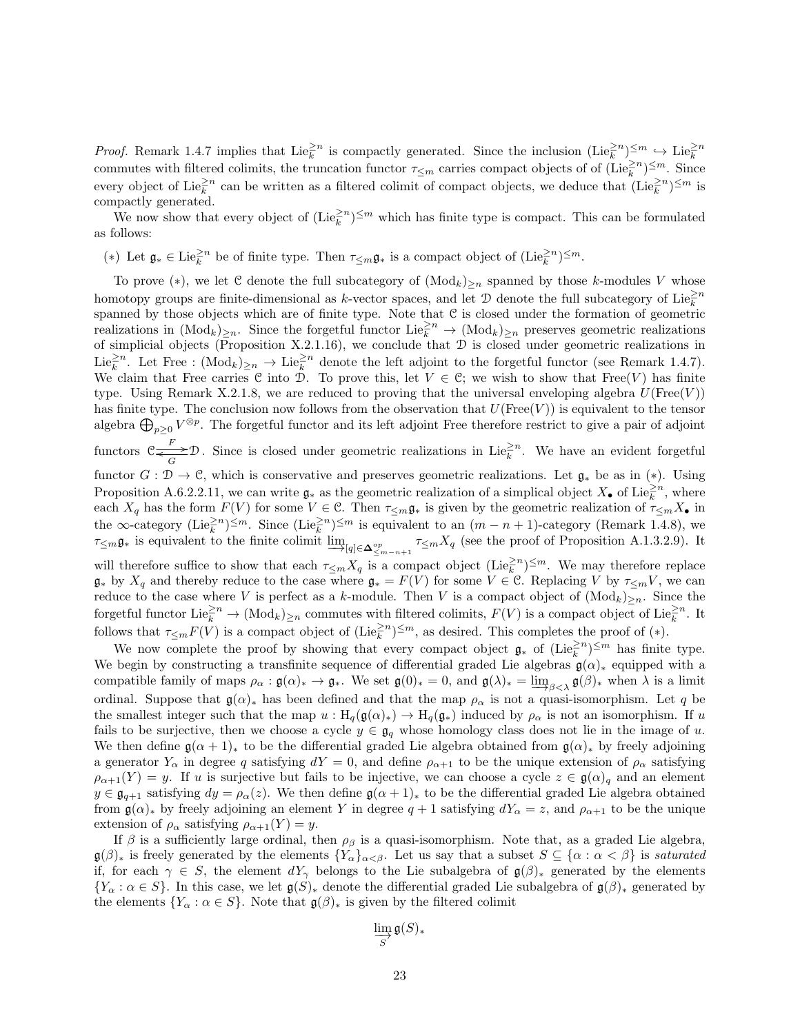*Proof.* Remark 1.4.7 implies that  $\text{Lie}_{k}^{\geq n}$  is compactly generated. Since the inclusion  $(\text{Lie}_{k}^{\geq n})^{\leq m} \hookrightarrow \text{Lie}_{k}^{\geq n}$ commutes with filtered colimits, the truncation functor  $\tau_{\leq m}$  carries compact objects of of  $(\text{Lie}_k^{\geq n})^{\leq m}$ . Since every object of Lie $\frac{\geq n}{k}$  can be written as a filtered colimit of compact objects, we deduce that  $(\text{Lie}_k^{\geq n})^{\leq m}$  is compactly generated.

We now show that every object of  $(Lie_k^{\geq n})^{\leq m}$  which has finite type is compact. This can be formulated as follows:

(\*) Let  $\mathfrak{g}_* \in \text{Lie}_k^{\geq n}$  be of finite type. Then  $\tau_{\leq m} \mathfrak{g}_*$  is a compact object of  $(\text{Lie}_k^{\geq n})^{\leq m}$ .

To prove (\*), we let C denote the full subcategory of  $(Mod_k)_{\geq n}$  spanned by those k-modules V whose homotopy groups are finite-dimensional as k-vector spaces, and let  $\mathcal D$  denote the full subcategory of Lie $\geq^2$ n spanned by those objects which are of finite type. Note that C is closed under the formation of geometric realizations in  $(\text{Mod}_k)_{\geq n}$ . Since the forgetful functor  $\text{Lie}_k^{\geq n} \to (\text{Mod}_k)_{\geq n}$  preserves geometric realizations of simplicial objects (Proposition X.2.1.16), we conclude that  $D$  is closed under geometric realizations in Lie<sup> $\geq n$ </sup>. Let Free :  $(\text{Mod}_k)_{\geq n} \to \text{Lie}_k^{\geq n}$  denote the left adjoint to the forgetful functor (see Remark 1.4.7). We claim that Free carries C into D. To prove this, let  $V \in \mathcal{C}$ ; we wish to show that Free(V) has finite type. Using Remark X.2.1.8, we are reduced to proving that the universal enveloping algebra  $U(\text{Free}(V))$ has finite type. The conclusion now follows from the observation that  $U(\text{Free}(V))$  is equivalent to the tensor algebra  $\bigoplus_{p\geq 0} V^{\otimes p}$ . The forgetful functor and its left adjoint Free therefore restrict to give a pair of adjoint functors  $\mathcal{C}$   $\frac{F}{G}\mathcal{D}$ . Since is closed under geometric realizations in Lie $\frac{e^{2n}}{k}$ . We have an evident forgetful functor  $G : \mathcal{D} \to \mathcal{C}$ , which is conservative and preserves geometric realizations. Let  $\mathfrak{g}_*$  be as in (\*). Using Proposition A.6.2.2.11, we can write  $\mathfrak{g}_*$  as the geometric realization of a simplical object  $X_{\bullet}$  of Lie $_k^{\geq n}$ , where each  $X_q$  has the form  $F(V)$  for some  $V \in \mathcal{C}$ . Then  $\tau_{\leq m} \mathfrak{g}_*$  is given by the geometric realization of  $\tau_{\leq m} X_{\bullet}$  in the  $\infty$ -category  $(\text{Lie}_k^{\geq n})^{\leq m}$ . Since  $(\text{Lie}_k^{\geq n})^{\leq m}$  is equivalent to an  $(m - n + 1)$ -category (Remark 1.4.8), we  $\tau_{\leq m}$ **g**∗ is equivalent to the finite colimit  $\varinjlim_{|q| \in \mathbf{\Delta}_{\leq m-n+1}^{\text{op}}} \tau_{\leq m} X_q$  (see the proof of Proposition A.1.3.2.9). It will therefore suffice to show that each  $\tau_{\leq m} X_q$  is a compact object  $(\text{Lie}_k^{\geq n})^{\leq m}$ . We may therefore replace  $\mathfrak{g}_*$  by  $X_q$  and thereby reduce to the case where  $\mathfrak{g}_* = F(\tilde{V})$  for some  $V \in \mathfrak{C}$ . Replacing  $V$  by  $\tau_{\leq m}V$ , we can reduce to the case where V is perfect as a k-module. Then V is a compact object of  $(\text{Mod}_k)_{\geq n}$ . Since the forgetful functor  $\text{Lie}_{k}^{\geq n} \to (\text{Mod}_{k})_{\geq n}$  commutes with filtered colimits,  $F(V)$  is a compact object of  $\text{Lie}_{k}^{\geq n}$ . It follows that  $\tau_{\leq m}F(V)$  is a compact object of  $(\text{Lie}_k^{\geq n})^{\leq m}$ , as desired. This completes the proof of  $(*)$ .

We now complete the proof by showing that every compact object  $\mathfrak{g}_*$  of  $(\text{Lie}_k^{\geq n})^{\leq m}$  has finite type. We begin by constructing a transfinite sequence of differential graded Lie algebras  $\mathfrak{g}(\alpha)_*$  equipped with a compatible family of maps  $\rho_{\alpha} : \mathfrak{g}(\alpha)_{*} \to \mathfrak{g}_{*}$ . We set  $\mathfrak{g}(0)_{*} = 0$ , and  $\mathfrak{g}(\lambda)_{*} = \varinjlim_{\beta \leq \lambda} \mathfrak{g}(\beta)_{*}$  when  $\lambda$  is a limit ordinal. Suppose that  $\mathfrak{g}(\alpha)_*$  has been defined and that the map  $\rho_\alpha$  is not a quasi-isomorphism. Let q be the smallest integer such that the map  $u : H_q(\mathfrak{g}(\alpha)_*) \to H_q(\mathfrak{g}_*)$  induced by  $\rho_\alpha$  is not an isomorphism. If u fails to be surjective, then we choose a cycle  $y \in \mathfrak{g}_q$  whose homology class does not lie in the image of u. We then define  $\mathfrak{g}(\alpha+1)_*$  to be the differential graded Lie algebra obtained from  $\mathfrak{g}(\alpha)_*$  by freely adjoining a generator  $Y_\alpha$  in degree q satisfying  $dY = 0$ , and define  $\rho_{\alpha+1}$  to be the unique extension of  $\rho_\alpha$  satisfying  $\rho_{\alpha+1}(Y) = y$ . If u is surjective but fails to be injective, we can choose a cycle  $z \in \mathfrak{g}(\alpha)_q$  and an element  $y \in \mathfrak{g}_{q+1}$  satisfying  $dy = \rho_{\alpha}(z)$ . We then define  $\mathfrak{g}(\alpha+1)_*$  to be the differential graded Lie algebra obtained from  $\mathfrak{g}(\alpha)_*$  by freely adjoining an element Y in degree  $q+1$  satisfying  $dY_\alpha = z$ , and  $\rho_{\alpha+1}$  to be the unique extension of  $\rho_{\alpha}$  satisfying  $\rho_{\alpha+1}(Y) = y$ .

If  $\beta$  is a sufficiently large ordinal, then  $\rho_{\beta}$  is a quasi-isomorphism. Note that, as a graded Lie algebra,  $\mathfrak{g}(\beta)_*$  is freely generated by the elements  $\{Y_\alpha\}_{\alpha<\beta}$ . Let us say that a subset  $S \subseteq \{\alpha : \alpha < \beta\}$  is saturated if, for each  $\gamma \in S$ , the element  $dY_{\gamma}$  belongs to the Lie subalgebra of  $\mathfrak{g}(\beta)_{*}$  generated by the elements  $\{Y_\alpha : \alpha \in S\}$ . In this case, we let  $\mathfrak{g}(S)_*$  denote the differential graded Lie subalgebra of  $\mathfrak{g}(\beta)_*$  generated by the elements  $\{Y_\alpha : \alpha \in S\}$ . Note that  $\mathfrak{g}(\beta)_*$  is given by the filtered colimit

$$
\varinjlim_{S} \mathfrak{g}(S)_*
$$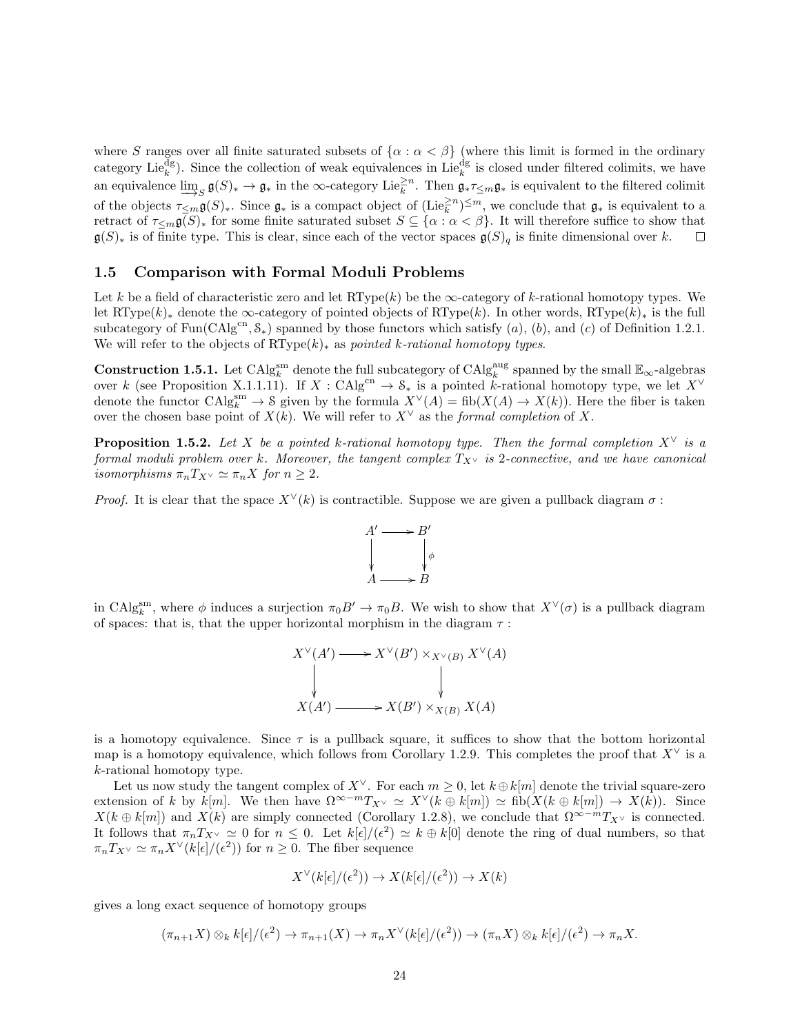where S ranges over all finite saturated subsets of  $\{\alpha : \alpha < \beta\}$  (where this limit is formed in the ordinary category Lie<sup>dg</sup>). Since the collection of weak equivalences in Lie<sup>dg</sup> is closed under filtered colimits, we have an equivalence  $\underline{\lim}_{S} \mathfrak{g}(S)_{*} \to \mathfrak{g}_{*}$  in the  $\infty$ -category Lie<sup>2n</sup>. Then  $\mathfrak{g}_{*}\tau_{\leq m}\mathfrak{g}_{*}$  is equivalent to the filtered colimit of the objects  $\tau_{\leq m}\mathfrak{g}(S)_\ast$ . Since  $\mathfrak{g}_\ast$  is a compact object of  $(\text{Lie}_k^{\geq n})^{\leq m}$ , we conclude that  $\mathfrak{g}_\ast$  is equivalent to a retract of  $\tau_{\leq m}(\mathfrak{g})_*$  for some finite saturated subset  $S \subseteq {\alpha : \alpha < \beta}$ . It will therefore suffice to show that  $\mathfrak{g}(S)_*$  is of finite type. This is clear, since each of the vector spaces  $\mathfrak{g}(S)_q$  is finite dimensional over k.  $\Box$ 

#### 1.5 Comparison with Formal Moduli Problems

Let k be a field of characteristic zero and let  $RType(k)$  be the  $\infty$ -category of k-rational homotopy types. We let RType(k)<sub>∗</sub> denote the ∞-category of pointed objects of RType(k). In other words, RType(k)<sub>∗</sub> is the full subcategory of  $Fun(CAlg^{cn}, \mathcal{S}_*)$  spanned by those functors which satisfy  $(a)$ ,  $(b)$ , and  $(c)$  of Definition 1.2.1. We will refer to the objects of  $\operatorname{RType}(k)_*$  as *pointed k-rational homotopy types*.

**Construction 1.5.1.** Let  $\text{CAlg}_{k}^{\text{sm}}$  denote the full subcategory of  $\text{CAlg}_{k}^{\text{aug}}$  spanned by the small  $\mathbb{E}_{\infty}$ -algebras over k (see Proposition X.1.1.11). If  $X : \mathrm{CAlg}^{cn} \to \mathcal{S}_*$  is a pointed k-rational homotopy type, we let  $X^{\vee}$ denote the functor  $\text{CAlg}_{k}^{\text{sm}} \to \mathcal{S}$  given by the formula  $X^{\vee}(A) = \text{fib}(X(A) \to X(k))$ . Here the fiber is taken over the chosen base point of  $X(k)$ . We will refer to  $X^{\vee}$  as the formal completion of X.

**Proposition 1.5.2.** Let X be a pointed k-rational homotopy type. Then the formal completion  $X^{\vee}$  is a formal moduli problem over k. Moreover, the tangent complex  $T_{X^{\vee}}$  is 2-connective, and we have canonical isomorphisms  $\pi_n T_{X^\vee} \simeq \pi_n X$  for  $n \geq 2$ .

*Proof.* It is clear that the space  $X^{\vee}(k)$  is contractible. Suppose we are given a pullback diagram  $\sigma$ :



in CAlg<sup>sm</sup>, where  $\phi$  induces a surjection  $\pi_0 B' \to \pi_0 B$ . We wish to show that  $X^{\vee}(\sigma)$  is a pullback diagram of spaces: that is, that the upper horizontal morphism in the diagram  $\tau$ :

$$
X^{\vee}(A') \longrightarrow X^{\vee}(B') \times_{X^{\vee}(B)} X^{\vee}(A)
$$
  
\n
$$
\downarrow \qquad \qquad \downarrow
$$
  
\n
$$
X(A') \longrightarrow X(B') \times_{X(B)} X(A)
$$

is a homotopy equivalence. Since  $\tau$  is a pullback square, it suffices to show that the bottom horizontal map is a homotopy equivalence, which follows from Corollary 1.2.9. This completes the proof that  $X^{\vee}$  is a k-rational homotopy type.

Let us now study the tangent complex of  $X^{\vee}$ . For each  $m \geq 0$ , let  $k \oplus k[m]$  denote the trivial square-zero extension of k by k[m]. We then have  $\Omega^{\infty-m}T_{X^{\vee}} \simeq X^{\vee}(k \oplus k[m]) \simeq \text{fib}(X(k \oplus k[m]) \to X(k)).$  Since  $X(k \oplus k[m])$  and  $X(k)$  are simply connected (Corollary 1.2.8), we conclude that  $\Omega^{\infty-m}T_{X^{\vee}}$  is connected. It follows that  $\pi_n T_{X^\vee} \simeq 0$  for  $n \leq 0$ . Let  $k[\epsilon]/(\epsilon^2) \simeq k \oplus k[0]$  denote the ring of dual numbers, so that  $\pi_n T_{X^\vee} \simeq \pi_n X^\vee(k[\epsilon]/(\epsilon^2))$  for  $n \geq 0$ . The fiber sequence

$$
X^{\vee}(k[\epsilon]/(\epsilon^2)) \to X(k[\epsilon]/(\epsilon^2)) \to X(k)
$$

gives a long exact sequence of homotopy groups

$$
(\pi_{n+1}X)\otimes_k k[\epsilon]/(\epsilon^2)\to \pi_{n+1}(X)\to \pi_nX^{\vee}(k[\epsilon]/(\epsilon^2))\to (\pi_nX)\otimes_k k[\epsilon]/(\epsilon^2)\to \pi_nX.
$$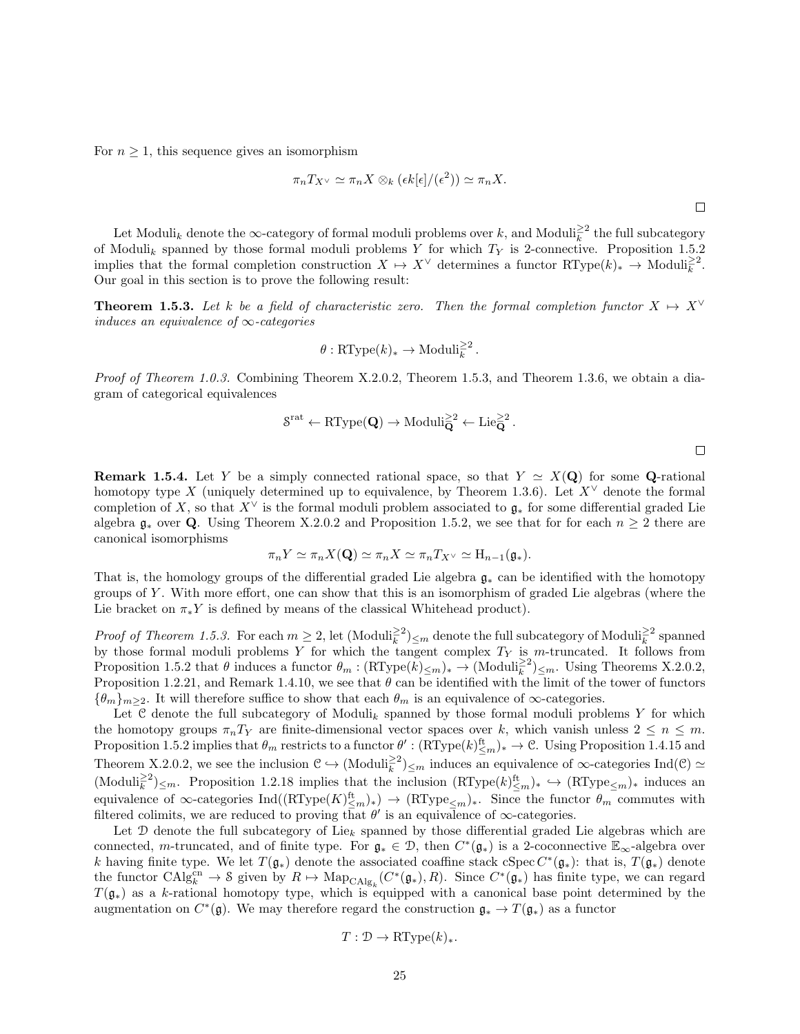For  $n \geq 1$ , this sequence gives an isomorphism

$$
\pi_n T_{X^\vee} \simeq \pi_n X \otimes_k (\epsilon k[\epsilon]/(\epsilon^2)) \simeq \pi_n X.
$$

Let Moduli<sub>k</sub> denote the  $\infty$ -category of formal moduli problems over k, and Moduli $_k^{\geq 2}$  the full subcategory of Moduli<sub>k</sub> spanned by those formal moduli problems Y for which  $T<sub>Y</sub>$  is 2-connective. Proposition 1.5.2 implies that the formal completion construction  $X \mapsto X^{\vee}$  determines a functor  $\mathrm{RType}(k)_* \to \mathrm{Moduli}_k^{\geq 2}$ . Our goal in this section is to prove the following result:

**Theorem 1.5.3.** Let k be a field of characteristic zero. Then the formal completion functor  $X \mapsto X^{\vee}$ induces an equivalence of  $\infty$ -categories

$$
\theta: \mathrm{RType}(k)_* \to \mathrm{Moduli}_k^{\geq 2}.
$$

Proof of Theorem 1.0.3. Combining Theorem X.2.0.2, Theorem 1.5.3, and Theorem 1.3.6, we obtain a diagram of categorical equivalences

$$
\mathcal{S}^{\mathrm{rat}} \leftarrow \mathrm{RType}(\mathbf{Q}) \rightarrow \mathrm{Moduli}_{\mathbf{Q}}^{\geq 2} \leftarrow \mathrm{Lie}_{\mathbf{Q}}^{\geq 2} \, .
$$

**Remark 1.5.4.** Let Y be a simply connected rational space, so that  $Y \simeq X(Q)$  for some Q-rational homotopy type X (uniquely determined up to equivalence, by Theorem 1.3.6). Let  $X^{\vee}$  denote the formal completion of X, so that  $X^{\vee}$  is the formal moduli problem associated to  $\mathfrak{g}_*$  for some differential graded Lie algebra  $\mathfrak{g}_*$  over Q. Using Theorem X.2.0.2 and Proposition 1.5.2, we see that for for each  $n \geq 2$  there are canonical isomorphisms

$$
\pi_n Y \simeq \pi_n X(\mathbf{Q}) \simeq \pi_n X \simeq \pi_n T_{X^\vee} \simeq \mathrm{H}_{n-1}(\mathfrak{g}_*).
$$

That is, the homology groups of the differential graded Lie algebra g<sup>∗</sup> can be identified with the homotopy groups of Y . With more effort, one can show that this is an isomorphism of graded Lie algebras (where the Lie bracket on  $\pi_* Y$  is defined by means of the classical Whitehead product).

*Proof of Theorem 1.5.3.* For each  $m \geq 2$ , let  $(\text{Moduli}_{\overline{k}}^{\geq 2})_{\leq m}$  denote the full subcategory of  $\text{Moduli}_{\overline{k}}^{\geq 2}$  spanned by those formal moduli problems Y for which the tangent complex  $T_Y$  is m-truncated. It follows from Proposition 1.5.2 that  $\theta$  induces a functor  $\theta_m : (\mathrm{RType}(k)_{\leq m})_* \to (\mathrm{Moduli}_k^{\geq 2})_{\leq m}$ . Using Theorems X.2.0.2, Proposition 1.2.21, and Remark 1.4.10, we see that  $\theta$  can be identified with the limit of the tower of functors  ${\{\theta_m\}}_{m\geq 2}$ . It will therefore suffice to show that each  $\theta_m$  is an equivalence of  $\infty$ -categories.

Let C denote the full subcategory of Moduli<sub>k</sub> spanned by those formal moduli problems Y for which the homotopy groups  $\pi_n T_Y$  are finite-dimensional vector spaces over k, which vanish unless  $2 \leq n \leq m$ . Proposition 1.5.2 implies that  $\theta_m$  restricts to a functor  $\theta'$ :  $(RType(k)_{\leq m}^{\text{ft}})_* \to \mathcal{C}$ . Using Proposition 1.4.15 and Theorem X.2.0.2, we see the inclusion  $\mathcal{C} \hookrightarrow (\text{Moduli}_{\vec{k}}^{\geq 2})_{\leq m}$  induces an equivalence of  $\infty$ -categories Ind( $\mathcal{C}$ )  $\simeq$  $(\text{Moduli}_{\overline{k}}^{\geq 2})_{\leq m}$ . Proposition 1.2.18 implies that the inclusion  $(\text{RType}(k)_{\leq m}^{\text{ft}})_* \hookrightarrow (\text{RType}_{\leq m})_*$  induces an equivalence of  $\infty$ -categories  $\text{Ind}((\text{RType}(K)_{\leq m}^{\text{ft}})_*) \to (\text{RType}_{\leq m})_*$ . Since the functor  $\theta_m$  commutes with filtered colimits, we are reduced to proving that  $\theta'$  is an equivalence of  $\infty$ -categories.

Let  $\mathcal D$  denote the full subcategory of Lie<sub>k</sub> spanned by those differential graded Lie algebras which are connected, m-truncated, and of finite type. For  $\mathfrak{g}_* \in \mathcal{D}$ , then  $C^*(\mathfrak{g}_*)$  is a 2-coconnective  $\mathbb{E}_{\infty}$ -algebra over k having finite type. We let  $T(\mathfrak{g}_*)$  denote the associated coaffine stack cSpec  $C^*(\mathfrak{g}_*)$ : that is,  $T(\mathfrak{g}_*)$  denote the functor  $\text{CAlg}_{k}^{\text{cn}} \to \text{S}$  given by  $R \mapsto \text{Map}_{\text{CAlg}_{k}}(C^*(\mathfrak{g}_{*}), R)$ . Since  $C^*(\mathfrak{g}_{*})$  has finite type, we can regard  $T(\mathfrak{g}_*)$  as a k-rational homotopy type, which is equipped with a canonical base point determined by the augmentation on  $C^*(\mathfrak{g})$ . We may therefore regard the construction  $\mathfrak{g}_* \to T(\mathfrak{g}_*)$  as a functor

$$
T: \mathcal{D} \to \mathsf{RType}(k)_*.
$$

 $\Box$ 

 $\Box$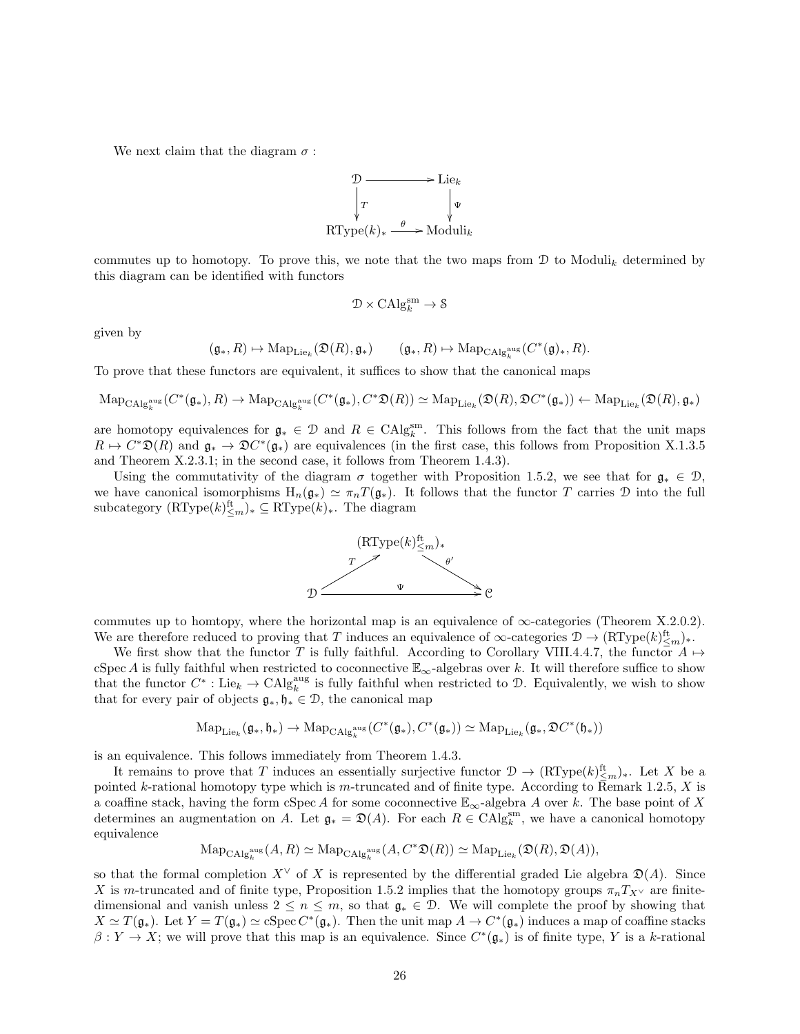We next claim that the diagram  $\sigma$ :



commutes up to homotopy. To prove this, we note that the two maps from  $\mathcal D$  to Moduli<sub>k</sub> determined by this diagram can be identified with functors

$$
\mathcal{D}\times\mathrm{CAlg}_{k}^{\mathrm{sm}}\to \mathcal{S}
$$

given by

$$
(\mathfrak{g}_\ast, R) \mapsto \mathrm{Map}_{\mathrm{Lie}_k}(\mathfrak{D}(R), \mathfrak{g}_\ast) \qquad (\mathfrak{g}_\ast, R) \mapsto \mathrm{Map}_{\mathrm{CAlg}_k^{\mathrm{aug}}} (C^*(\mathfrak{g})_\ast, R).
$$

To prove that these functors are equivalent, it suffices to show that the canonical maps

$$
\mathrm{Map}_{\mathrm{CAlg}_{k}^{\mathrm{aug}}}(C^*(\mathfrak{g}_*),R) \rightarrow \mathrm{Map}_{\mathrm{CAlg}_{k}^{\mathrm{aug}}}(C^*(\mathfrak{g}_*),C^*\mathfrak{D}(R)) \simeq \mathrm{Map}_{\mathrm{Lie}_k}(\mathfrak{D}(R),\mathfrak{D}C^*(\mathfrak{g}_*)) \leftarrow \mathrm{Map}_{\mathrm{Lie}_k}(\mathfrak{D}(R),\mathfrak{g}_*)
$$

are homotopy equivalences for  $\mathfrak{g}_* \in \mathcal{D}$  and  $R \in \text{CAlg}_{k}^{\text{sm}}$ . This follows from the fact that the unit maps  $R \mapsto C^*\mathfrak{D}(R)$  and  $\mathfrak{g}_* \to \mathfrak{D}C^*(\mathfrak{g}_*)$  are equivalences (in the first case, this follows from Proposition X.1.3.5 and Theorem X.2.3.1; in the second case, it follows from Theorem 1.4.3).

Using the commutativity of the diagram  $\sigma$  together with Proposition 1.5.2, we see that for  $\mathfrak{g}_* \in \mathcal{D}$ , we have canonical isomorphisms  $H_n(\mathfrak{g}_*) \simeq \pi_nT(\mathfrak{g}_*)$ . It follows that the functor T carries D into the full subcategory  $(RType(k)<sup>ft</sup><sub>\leq m</sub>)_* \subseteq RType(k)_*.$  The diagram



commutes up to homtopy, where the horizontal map is an equivalence of  $\infty$ -categories (Theorem X.2.0.2). We are therefore reduced to proving that T induces an equivalence of  $\infty$ -categories  $\mathcal{D} \to (\mathrm{RType}(k)_{\leq m}^{\mathrm{ft}})_*.$ 

We first show that the functor T is fully faithful. According to Corollary VIII.4.4.7, the functor  $A \mapsto$ cSpec A is fully faithful when restricted to coconnective  $\mathbb{E}_{\infty}$ -algebras over k. It will therefore suffice to show that the functor  $C^* : \mathrm{Lie}_k \to \mathrm{CAlg}_k^{\mathrm{aug}}$  is fully faithful when restricted to  $\mathcal{D}$ . Equivalently, we wish to show that for every pair of objects  $\mathfrak{g}_*, \mathfrak{h}_* \in \mathcal{D}$ , the canonical map

$$
\mathrm{Map}_{\mathrm{Lie}_k}(\mathfrak{g}_*,\mathfrak{h}_*)\rightarrow\mathrm{Map}_{\mathrm{CAlg}_k^{\mathrm{aug}}}(C^*(\mathfrak{g}_*),C^*(\mathfrak{g}_*))\simeq\mathrm{Map}_{\mathrm{Lie}_k}(\mathfrak{g}_*,\mathfrak{D}C^*(\mathfrak{h}_*))
$$

is an equivalence. This follows immediately from Theorem 1.4.3.

It remains to prove that T induces an essentially surjective functor  $\mathcal{D} \to (\mathrm{RType}(k)_{\leq m}^{\mathrm{ft}})_*$ . Let X be a pointed k-rational homotopy type which is m-truncated and of finite type. According to Remark 1.2.5, X is a coaffine stack, having the form cSpec A for some coconnective  $\mathbb{E}_{\infty}$ -algebra A over k. The base point of X determines an augmentation on A. Let  $\mathfrak{g}_* = \mathfrak{D}(A)$ . For each  $R \in \text{CAlg}_{k}^{\text{sm}}$ , we have a canonical homotopy equivalence

$$
\mathrm{Map}_{\mathrm{CAlg}_{k}^{\mathrm{aug}}}(A,R)\simeq \mathrm{Map}_{\mathrm{CAlg}_{k}^{\mathrm{aug}}}(A,C^{*}\mathfrak{D}(R))\simeq \mathrm{Map}_{\mathrm{Lie}_{k}}(\mathfrak{D}(R),\mathfrak{D}(A)),
$$

so that the formal completion  $X^{\vee}$  of X is represented by the differential graded Lie algebra  $\mathfrak{D}(A)$ . Since X is m-truncated and of finite type, Proposition 1.5.2 implies that the homotopy groups  $\pi_n T_{X^\vee}$  are finitedimensional and vanish unless  $2 \leq n \leq m$ , so that  $\mathfrak{g}_* \in \mathcal{D}$ . We will complete the proof by showing that  $X \simeq T(\mathfrak{g}_*)$ . Let  $Y = T(\mathfrak{g}_*) \simeq c\operatorname{Spec} C^*(\mathfrak{g}_*)$ . Then the unit map  $A \to C^*(\mathfrak{g}_*)$  induces a map of coaffine stacks  $\beta: Y \to X$ ; we will prove that this map is an equivalence. Since  $C^*(\mathfrak{g}_*)$  is of finite type, Y is a k-rational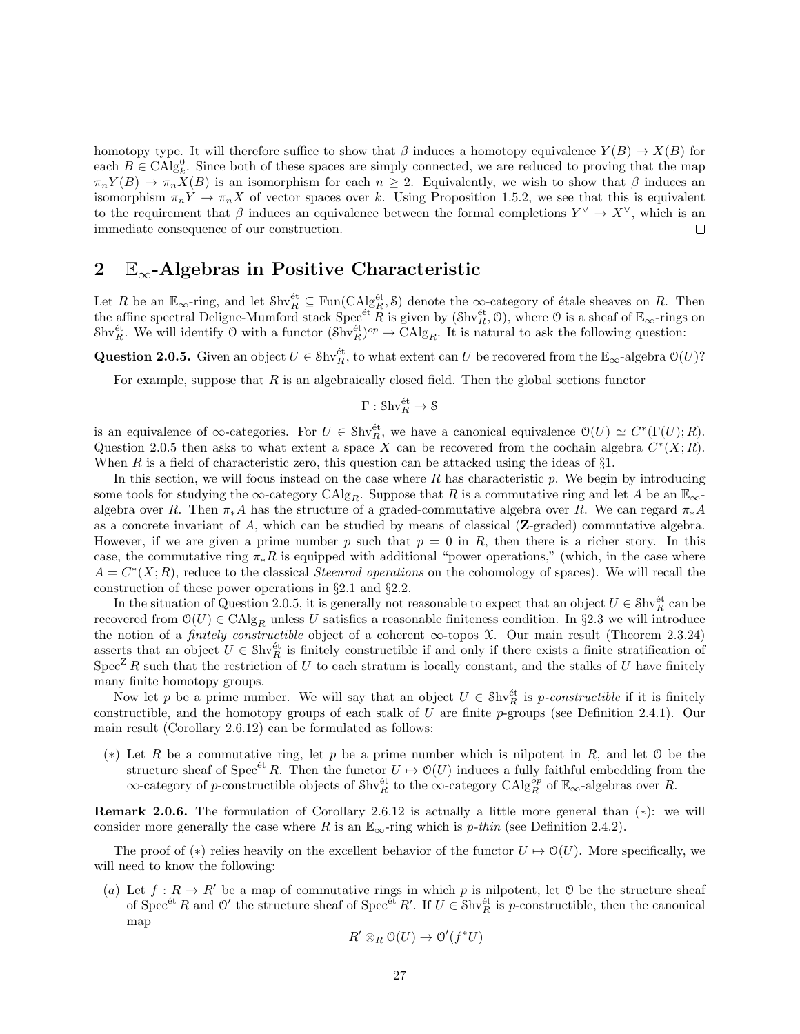homotopy type. It will therefore suffice to show that  $\beta$  induces a homotopy equivalence  $Y(B) \to X(B)$  for each  $B \in \text{CAlg}_{k}^{0}$ . Since both of these spaces are simply connected, we are reduced to proving that the map  $\pi_n Y(B) \to \pi_n X(B)$  is an isomorphism for each  $n \geq 2$ . Equivalently, we wish to show that  $\beta$  induces an isomorphism  $\pi_n Y \to \pi_n X$  of vector spaces over k. Using Proposition 1.5.2, we see that this is equivalent to the requirement that  $\beta$  induces an equivalence between the formal completions  $Y^{\vee} \to X^{\vee}$ , which is an immediate consequence of our construction. П

## 2  $E_{\infty}$ -Algebras in Positive Characteristic

Let R be an  $\mathbb{E}_{\infty}$ -ring, and let  $\text{Shv}_R^{\text{\'et}} \subseteq \text{Fun}(\text{CAlg}_R^{\text{\'et}}, \mathcal{S})$  denote the  $\infty$ -category of étale sheaves on R. Then the affine spectral Deligne-Mumford stack  $Spec^{et}R$  is given by  $(\text{Shv}_R^{\text{\'et}}, 0)$ , where 0 is a sheaf of  $\mathbb{E}_{\infty}$ -rings on Shv<sup>et</sup><sub>R</sub>. We will identify O with a functor  $(\text{Shv}_R^{\text{\'et}})^{op} \to \text{CAlg}_R$ . It is natural to ask the following question:

Question 2.0.5. Given an object  $U \in Shv_R^{\text{\'et}}$ , to what extent can U be recovered from the  $\mathbb{E}_{\infty}$ -algebra  $\mathcal{O}(U)$ ?

For example, suppose that  $R$  is an algebraically closed field. Then the global sections functor

$$
\Gamma:\operatorname{Shv}^{\text{\'et}}_R\to\mathcal{S}
$$

is an equivalence of  $\infty$ -categories. For  $U \in Shv_R^{\text{\'et}}$ , we have a canonical equivalence  $\mathcal{O}(U) \simeq C^*(\Gamma(U); R)$ . Question 2.0.5 then asks to what extent a space X can be recovered from the cochain algebra  $C^*(X;R)$ . When R is a field of characteristic zero, this question can be attacked using the ideas of  $\S1$ .

In this section, we will focus instead on the case where R has characteristic p. We begin by introducing some tools for studying the ∞-category CAlg<sub>R</sub>. Suppose that R is a commutative ring and let A be an  $\mathbb{E}_{\infty}$ algebra over R. Then  $\pi_*A$  has the structure of a graded-commutative algebra over R. We can regard  $\pi_*A$ as a concrete invariant of A, which can be studied by means of classical  $(Z$ -graded) commutative algebra. However, if we are given a prime number p such that  $p = 0$  in R, then there is a richer story. In this case, the commutative ring  $\pi_*R$  is equipped with additional "power operations," (which, in the case where  $A = C^*(X; R)$ , reduce to the classical *Steenrod operations* on the cohomology of spaces). We will recall the construction of these power operations in §2.1 and §2.2.

In the situation of Question 2.0.5, it is generally not reasonable to expect that an object  $U \in \mathcal{S}\mathrm{hv}_R^{\text{\'et}}$  can be recovered from  $\mathcal{O}(U) \in \mathrm{CAlg}_R$  unless U satisfies a reasonable finiteness condition. In §2.3 we will introduce the notion of a *finitely constructible* object of a coherent  $\infty$ -topos X. Our main result (Theorem 2.3.24) asserts that an object  $U \in Shv_R^{\text{\'et}}$  is finitely constructible if and only if there exists a finite stratification of  $Spec^Z R$  such that the restriction of U to each stratum is locally constant, and the stalks of U have finitely many finite homotopy groups.

Now let p be a prime number. We will say that an object  $U \in Shv_R^{\text{\'et}}$  is p-constructible if it is finitely constructible, and the homotopy groups of each stalk of U are finite p-groups (see Definition 2.4.1). Our main result (Corollary 2.6.12) can be formulated as follows:

(∗) Let R be a commutative ring, let p be a prime number which is nilpotent in R, and let O be the structure sheaf of Spec<sup>et</sup> R. Then the functor  $U \mapsto \mathcal{O}(U)$  induces a fully faithful embedding from the ∞-category of p-constructible objects of  $\text{Shv}_R^{\text{\'et}}$  to the ∞-category  $\text{CAlg}_R^{\text{\'ep}}$  of  $\mathbb{E}_{\infty}$ -algebras over R.

Remark 2.0.6. The formulation of Corollary 2.6.12 is actually a little more general than (∗): we will consider more generally the case where R is an  $\mathbb{E}_{\infty}$ -ring which is p-thin (see Definition 2.4.2).

The proof of (\*) relies heavily on the excellent behavior of the functor  $U \mapsto \mathcal{O}(U)$ . More specifically, we will need to know the following:

(a) Let  $f: R \to R'$  be a map of commutative rings in which p is nilpotent, let O be the structure sheaf of Spec<sup>et</sup> R and O' the structure sheaf of Spec<sup>et</sup> R'. If  $U \in Shv_R^{\text{\'et}}$  is p-constructible, then the canonical map

$$
R' \otimes_R \mathcal{O}(U) \to \mathcal{O}'(f^*U)
$$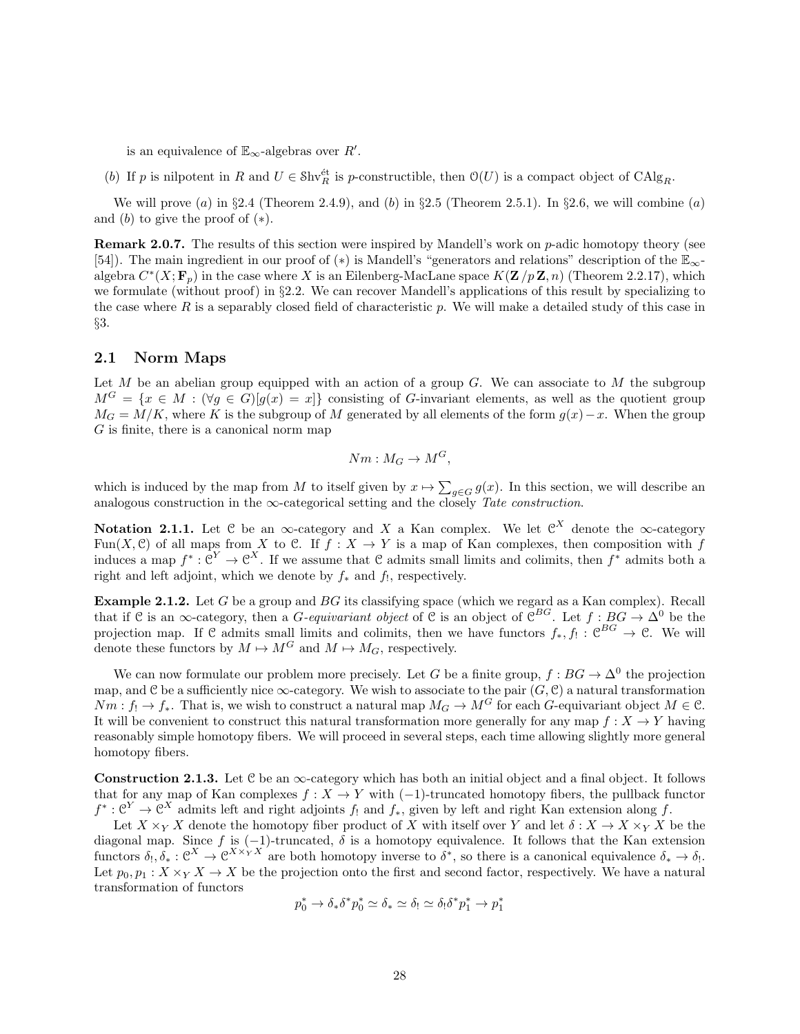is an equivalence of  $\mathbb{E}_{\infty}$ -algebras over  $R'$ .

(b) If p is nilpotent in R and  $U \in Shv_R^{\text{\'et}}$  is p-constructible, then  $O(U)$  is a compact object of  $Chlg_R$ .

We will prove (a) in §2.4 (Theorem 2.4.9), and (b) in §2.5 (Theorem 2.5.1). In §2.6, we will combine (a) and  $(b)$  to give the proof of  $(*).$ 

**Remark 2.0.7.** The results of this section were inspired by Mandell's work on  $p$ -adic homotopy theory (see [54]). The main ingredient in our proof of (∗) is Mandell's "generators and relations" description of the E∞ algebra  $C^*(X; \mathbf{F}_p)$  in the case where X is an Eilenberg-MacLane space  $K(\mathbf{Z}/p\mathbf{Z}, n)$  (Theorem 2.2.17), which we formulate (without proof) in §2.2. We can recover Mandell's applications of this result by specializing to the case where  $R$  is a separably closed field of characteristic  $p$ . We will make a detailed study of this case in §3.

#### 2.1 Norm Maps

Let  $M$  be an abelian group equipped with an action of a group  $G$ . We can associate to  $M$  the subgroup  $M^G = \{x \in M : (\forall g \in G)[g(x) = x]\}\)$  consisting of G-invariant elements, as well as the quotient group  $M_G = M/K$ , where K is the subgroup of M generated by all elements of the form  $g(x) - x$ . When the group  $G$  is finite, there is a canonical norm map

$$
Nm: M_G \to M^G,
$$

which is induced by the map from M to itself given by  $x \mapsto \sum_{g \in G} g(x)$ . In this section, we will describe an analogous construction in the  $\infty$ -categorical setting and the closely Tate construction.

Notation 2.1.1. Let C be an  $\infty$ -category and X a Kan complex. We let  $\mathfrak{C}^X$  denote the  $\infty$ -category Fun(X, C) of all maps from X to C. If  $f: X \to Y$  is a map of Kan complexes, then composition with f induces a map  $f^*: \mathbb{C}^Y \to \mathbb{C}^X$ . If we assume that C admits small limits and colimits, then  $f^*$  admits both a right and left adjoint, which we denote by  $f_*$  and  $f_!$ , respectively.

**Example 2.1.2.** Let  $G$  be a group and  $BG$  its classifying space (which we regard as a Kan complex). Recall that if C is an  $\infty$ -category, then a *G*-equivariant object of C is an object of C<sup>BG</sup>. Let  $f : BG \to \Delta^0$  be the projection map. If C admits small limits and colimits, then we have functors  $f_*, f_! : \mathbb{C}^{BG} \to \mathbb{C}$ . We will denote these functors by  $M \mapsto M^G$  and  $M \mapsto M_G$ , respectively.

We can now formulate our problem more precisely. Let G be a finite group,  $f : BG \to \Delta^0$  the projection map, and C be a sufficiently nice  $\infty$ -category. We wish to associate to the pair  $(G, \mathcal{C})$  a natural transformation  $Nm: f_1 \to f_*$ . That is, we wish to construct a natural map  $M_G \to M^G$  for each G-equivariant object  $M \in \mathcal{C}$ . It will be convenient to construct this natural transformation more generally for any map  $f: X \to Y$  having reasonably simple homotopy fibers. We will proceed in several steps, each time allowing slightly more general homotopy fibers.

**Construction 2.1.3.** Let C be an  $\infty$ -category which has both an initial object and a final object. It follows that for any map of Kan complexes  $f : X \to Y$  with  $(-1)$ -truncated homotopy fibers, the pullback functor  $f^*: \mathbb{C}^Y \to \mathbb{C}^X$  admits left and right adjoints  $f_!$  and  $f_*$ , given by left and right Kan extension along f.

Let  $X \times_Y X$  denote the homotopy fiber product of X with itself over Y and let  $\delta : X \to X \times_Y X$  be the diagonal map. Since f is  $(-1)$ -truncated,  $\delta$  is a homotopy equivalence. It follows that the Kan extension functors  $\delta_!, \delta_* : \mathcal{C}^X \to \mathcal{C}^{X \times_Y X}$  are both homotopy inverse to  $\delta^*$ , so there is a canonical equivalence  $\delta_* \to \delta_!$ . Let  $p_0, p_1 : X \times_Y X \to X$  be the projection onto the first and second factor, respectively. We have a natural transformation of functors

$$
p_0^* \to \delta_* \delta^* p_0^* \simeq \delta_* \simeq \delta_! \simeq \delta_! \delta^* p_1^* \to p_1^*
$$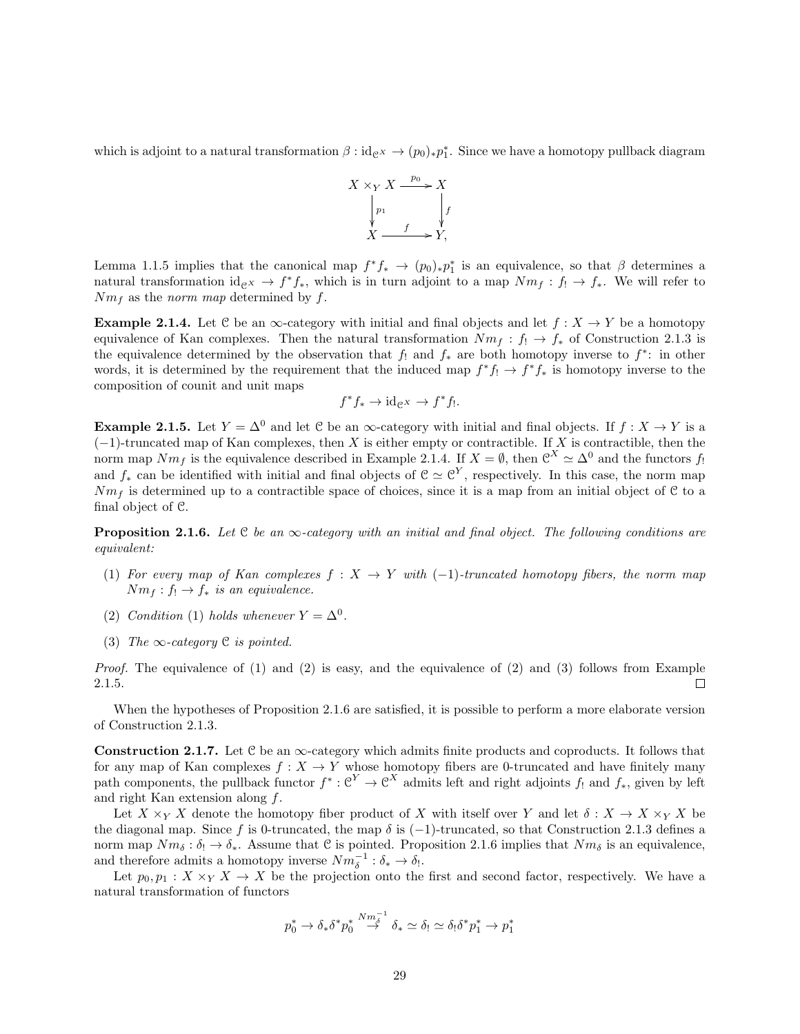which is adjoint to a natural transformation  $\beta : id_{\mathcal{C}^X} \to (p_0)_* p_1^*$ . Since we have a homotopy pullback diagram



Lemma 1.1.5 implies that the canonical map  $f^*f_* \to (p_0)_*p_1^*$  is an equivalence, so that  $\beta$  determines a natural transformation  $id_{\mathcal{C}} \rightarrow f^* f_*$ , which is in turn adjoint to a map  $Nm_f: f_! \rightarrow f_*$ . We will refer to  $Nm_f$  as the norm map determined by f.

**Example 2.1.4.** Let C be an  $\infty$ -category with initial and final objects and let  $f : X \to Y$  be a homotopy equivalence of Kan complexes. Then the natural transformation  $Nm_f : f_! \to f_*$  of Construction 2.1.3 is the equivalence determined by the observation that  $f_!$  and  $f_*$  are both homotopy inverse to  $f^*$ : in other words, it is determined by the requirement that the induced map  $f^*f_! \to f^*f_*$  is homotopy inverse to the composition of counit and unit maps

$$
f^*f_* \to \mathrm{id}_{\mathcal{C}^X} \to f^*f_!.
$$

**Example 2.1.5.** Let  $Y = \Delta^0$  and let C be an  $\infty$ -category with initial and final objects. If  $f : X \to Y$  is a  $(-1)$ -truncated map of Kan complexes, then X is either empty or contractible. If X is contractible, then the norm map  $Nm_f$  is the equivalence described in Example 2.1.4. If  $X = \emptyset$ , then  $\mathcal{C}^X \simeq \Delta^0$  and the functors  $f_!$ and  $f_*$  can be identified with initial and final objects of  $C \simeq C^Y$ , respectively. In this case, the norm map  $Nm_f$  is determined up to a contractible space of choices, since it is a map from an initial object of C to a final object of C.

**Proposition 2.1.6.** Let  $C$  be an  $\infty$ -category with an initial and final object. The following conditions are equivalent:

- (1) For every map of Kan complexes  $f : X \to Y$  with  $(-1)$ -truncated homotopy fibers, the norm map  $Nm_f: f_1 \to f_*$  is an equivalence.
- (2) Condition (1) holds whenever  $Y = \Delta^0$ .
- (3) The  $\infty$ -category C is pointed.

*Proof.* The equivalence of  $(1)$  and  $(2)$  is easy, and the equivalence of  $(2)$  and  $(3)$  follows from Example 2.1.5.  $\Box$ 

When the hypotheses of Proposition 2.1.6 are satisfied, it is possible to perform a more elaborate version of Construction 2.1.3.

**Construction 2.1.7.** Let C be an  $\infty$ -category which admits finite products and coproducts. It follows that for any map of Kan complexes  $f: X \to Y$  whose homotopy fibers are 0-truncated and have finitely many path components, the pullback functor  $f^*: \mathcal{C}^Y \to \mathcal{C}^X$  admits left and right adjoints  $f_!$  and  $f_*,$  given by left and right Kan extension along f.

Let  $X \times_Y X$  denote the homotopy fiber product of X with itself over Y and let  $\delta : X \to X \times_Y X$  be the diagonal map. Since f is 0-truncated, the map  $\delta$  is (−1)-truncated, so that Construction 2.1.3 defines a norm map  $Nm_{\delta}: \delta_! \to \delta_*$ . Assume that C is pointed. Proposition 2.1.6 implies that  $Nm_{\delta}$  is an equivalence, and therefore admits a homotopy inverse  $Nm_{\delta}^{-1} : \delta_{*} \to \delta_{!}$ .

Let  $p_0, p_1 : X \times_Y X \to X$  be the projection onto the first and second factor, respectively. We have a natural transformation of functors

$$
p_0^* \to \delta_* \delta^* p_0^* \stackrel{Nm_\delta^{-1}}{\to} \delta_* \simeq \delta_! \simeq \delta_! \delta^* p_1^* \to p_1^*
$$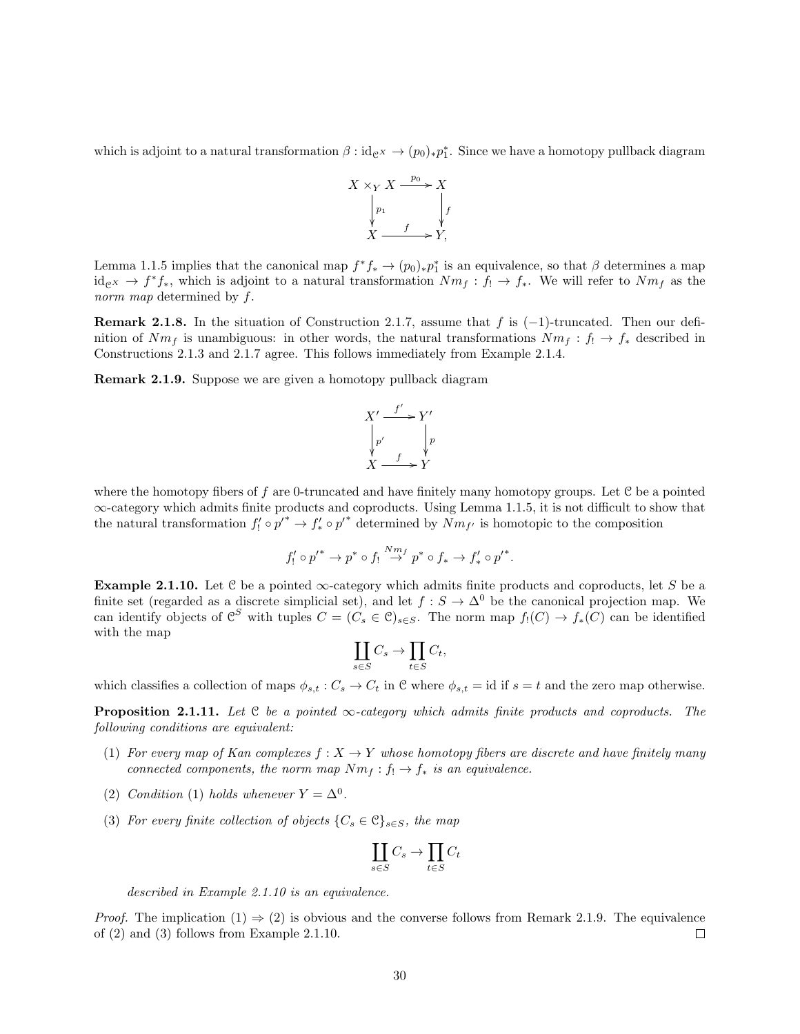which is adjoint to a natural transformation  $\beta : id_{\mathcal{C}^X} \to (p_0)_* p_1^*$ . Since we have a homotopy pullback diagram



Lemma 1.1.5 implies that the canonical map  $f^*f_* \to (p_0)_*p_1^*$  is an equivalence, so that  $\beta$  determines a map  $id_{\mathcal{C}^X} \to f^*f_*,$  which is adjoint to a natural transformation  $Nm_f: f_! \to f_*$ . We will refer to  $Nm_f$  as the norm map determined by f.

**Remark 2.1.8.** In the situation of Construction 2.1.7, assume that f is  $(-1)$ -truncated. Then our definition of  $Nm_f$  is unambiguous: in other words, the natural transformations  $Nm_f : f_1 \to f_*$  described in Constructions 2.1.3 and 2.1.7 agree. This follows immediately from Example 2.1.4.

Remark 2.1.9. Suppose we are given a homotopy pullback diagram



where the homotopy fibers of f are 0-truncated and have finitely many homotopy groups. Let  $C$  be a pointed ∞-category which admits finite products and coproducts. Using Lemma 1.1.5, it is not difficult to show that the natural transformation  $f'_! \circ p'^* \to f'_* \circ p'^*$  determined by  $\widetilde{Nm}_{f'}$  is homotopic to the composition

$$
f'_! \circ p'^* \to p^* \circ f_! \overset{Nm_f}{\to} p^* \circ f_* \to f'_* \circ p'^*.
$$

**Example 2.1.10.** Let  $\mathcal{C}$  be a pointed  $\infty$ -category which admits finite products and coproducts, let S be a finite set (regarded as a discrete simplicial set), and let  $f : S \to \Delta^0$  be the canonical projection map. We can identify objects of  $\mathcal{C}^S$  with tuples  $C = (C_s \in \mathcal{C})_{s \in S}$ . The norm map  $f_!(C) \to f_*(C)$  can be identified with the map

$$
\coprod_{s\in S} C_s \to \prod_{t\in S} C_t,
$$

which classifies a collection of maps  $\phi_{s,t} : C_s \to C_t$  in C where  $\phi_{s,t} = id$  if  $s = t$  and the zero map otherwise.

**Proposition 2.1.11.** Let  $C$  be a pointed  $\infty$ -category which admits finite products and coproducts. The following conditions are equivalent:

- (1) For every map of Kan complexes  $f: X \to Y$  whose homotopy fibers are discrete and have finitely many connected components, the norm map  $Nm_f: f_1 \to f_*$  is an equivalence.
- (2) Condition (1) holds whenever  $Y = \Delta^0$ .
- (3) For every finite collection of objects  $\{C_s \in \mathcal{C}\}_{s \in S}$ , the map

$$
\coprod_{s\in S} C_s \to \prod_{t\in S} C_t
$$

described in Example 2.1.10 is an equivalence.

*Proof.* The implication  $(1) \Rightarrow (2)$  is obvious and the converse follows from Remark 2.1.9. The equivalence of (2) and (3) follows from Example 2.1.10.  $\Box$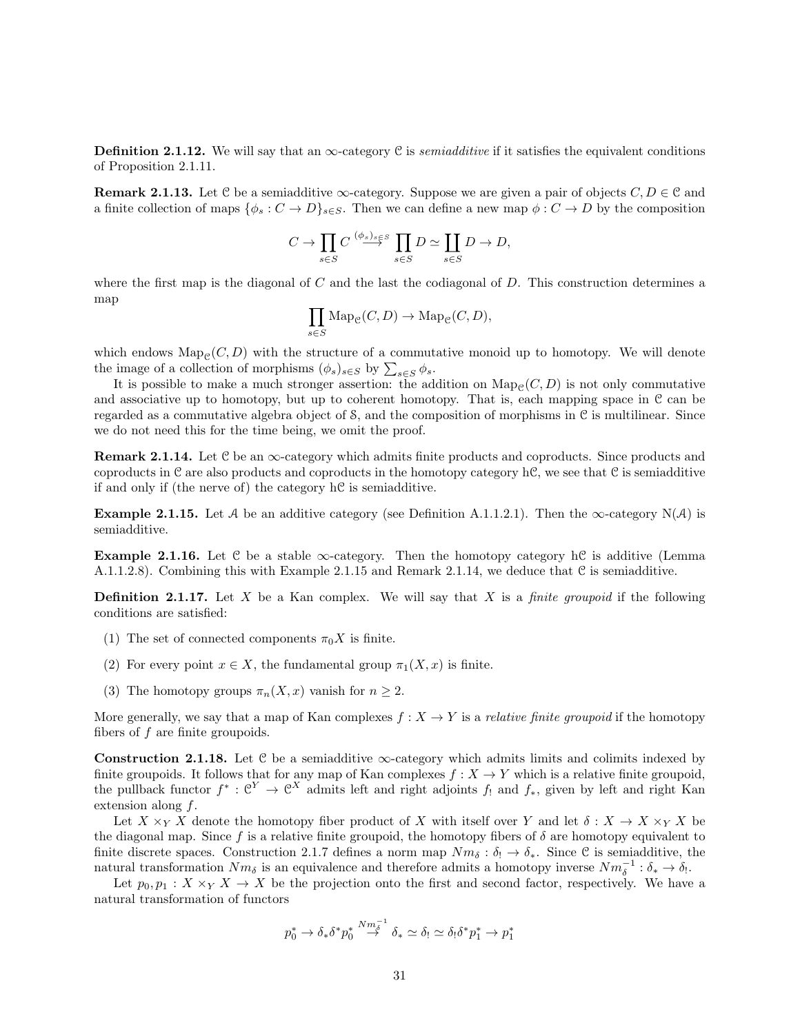**Definition 2.1.12.** We will say that an  $\infty$ -category C is *semiadditive* if it satisfies the equivalent conditions of Proposition 2.1.11.

**Remark 2.1.13.** Let C be a semiadditive  $\infty$ -category. Suppose we are given a pair of objects  $C, D \in \mathcal{C}$  and a finite collection of maps  $\{\phi_s : C \to D\}_{s \in S}$ . Then we can define a new map  $\phi : C \to D$  by the composition

$$
C \to \prod_{s \in S} C \stackrel{(\phi_s)_{s \in S}}{\longrightarrow} \prod_{s \in S} D \simeq \coprod_{s \in S} D \to D,
$$

where the first map is the diagonal of  $C$  and the last the codiagonal of  $D$ . This construction determines a map

$$
\prod_{s \in S} \operatorname{Map}_{\mathcal{C}}(C, D) \to \operatorname{Map}_{\mathcal{C}}(C, D),
$$

which endows  $\text{Map}_{\mathcal{C}}(C, D)$  with the structure of a commutative monoid up to homotopy. We will denote the image of a collection of morphisms  $(\phi_s)_{s\in S}$  by  $\sum_{s\in S}\phi_s$ .

It is possible to make a much stronger assertion: the addition on  $\text{Map}_{\mathcal{C}}(C, D)$  is not only commutative and associative up to homotopy, but up to coherent homotopy. That is, each mapping space in  $\mathfrak C$  can be regarded as a commutative algebra object of  $\mathcal{S}$ , and the composition of morphisms in  $\mathcal{C}$  is multilinear. Since we do not need this for the time being, we omit the proof.

**Remark 2.1.14.** Let  $\mathcal{C}$  be an  $\infty$ -category which admits finite products and coproducts. Since products and coproducts in  $\mathcal C$  are also products and coproducts in the homotopy category h $\mathcal C$ , we see that  $\mathcal C$  is semiadditive if and only if (the nerve of) the category hC is semiadditive.

**Example 2.1.15.** Let A be an additive category (see Definition A.1.1.2.1). Then the  $\infty$ -category N(A) is semiadditive.

Example 2.1.16. Let C be a stable  $\infty$ -category. Then the homotopy category hC is additive (Lemma A.1.1.2.8). Combining this with Example 2.1.15 and Remark 2.1.14, we deduce that  $\mathcal C$  is semiadditive.

**Definition 2.1.17.** Let  $X$  be a Kan complex. We will say that  $X$  is a *finite groupoid* if the following conditions are satisfied:

- (1) The set of connected components  $\pi_0 X$  is finite.
- (2) For every point  $x \in X$ , the fundamental group  $\pi_1(X, x)$  is finite.
- (3) The homotopy groups  $\pi_n(X, x)$  vanish for  $n \geq 2$ .

More generally, we say that a map of Kan complexes  $f: X \to Y$  is a *relative finite groupoid* if the homotopy fibers of  $f$  are finite groupoids.

Construction 2.1.18. Let C be a semiadditive  $\infty$ -category which admits limits and colimits indexed by finite groupoids. It follows that for any map of Kan complexes  $f : X \to Y$  which is a relative finite groupoid, the pullback functor  $f^*: \mathcal{C}^Y \to \mathcal{C}^X$  admits left and right adjoints  $f_!$  and  $f_*$ , given by left and right Kan extension along f.

Let  $X \times_Y X$  denote the homotopy fiber product of X with itself over Y and let  $\delta : X \to X \times_Y X$  be the diagonal map. Since f is a relative finite groupoid, the homotopy fibers of  $\delta$  are homotopy equivalent to finite discrete spaces. Construction 2.1.7 defines a norm map  $Nm_{\delta}: \delta_! \to \delta_*$ . Since C is semiadditive, the natural transformation  $Nm_{\delta}$  is an equivalence and therefore admits a homotopy inverse  $Nm_{\delta}^{-1}$ :  $\delta_{*} \to \delta_{!}$ .

Let  $p_0, p_1 : X \times_Y X \to X$  be the projection onto the first and second factor, respectively. We have a natural transformation of functors

$$
p_0^* \to \delta_* \delta^* p_0^* \stackrel{Nm_\delta^{-1}}{\to} \delta_* \simeq \delta_! \simeq \delta_! \delta^* p_1^* \to p_1^*
$$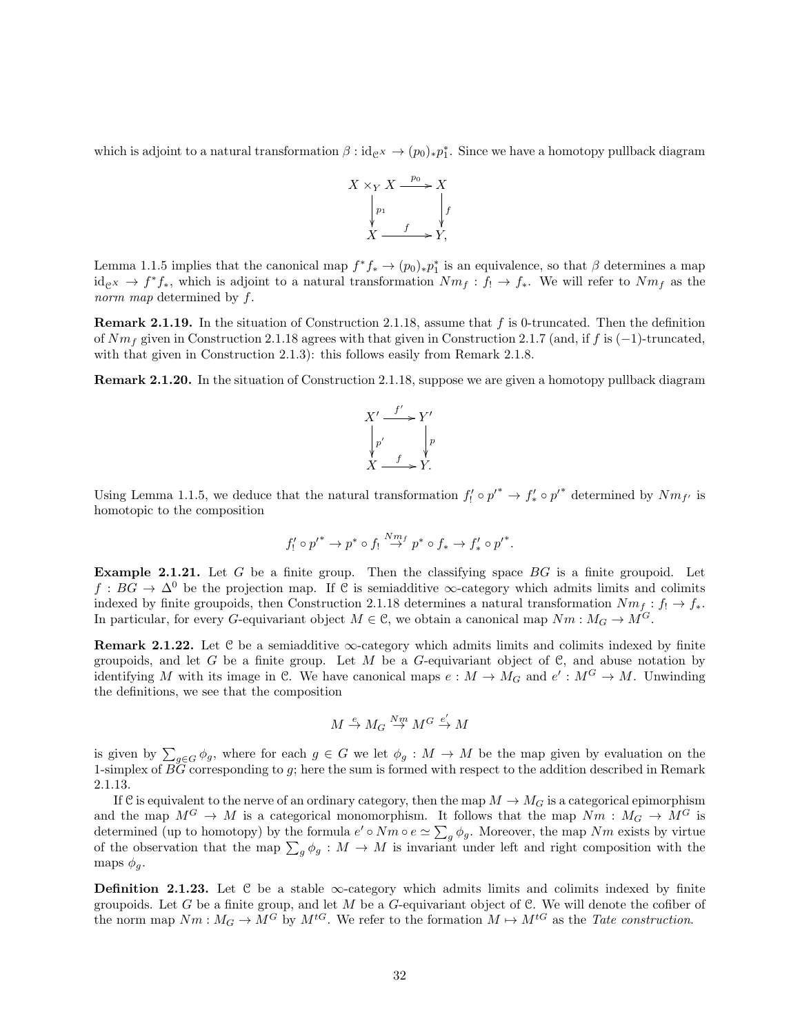which is adjoint to a natural transformation  $\beta : id_{\mathcal{C}^X} \to (p_0)_* p_1^*$ . Since we have a homotopy pullback diagram



Lemma 1.1.5 implies that the canonical map  $f^*f_* \to (p_0)_*p_1^*$  is an equivalence, so that  $\beta$  determines a map  $id_{\mathcal{C}}(X) \to f^*f_*,$  which is adjoint to a natural transformation  $Nm_f: f_! \to f_*$ . We will refer to  $Nm_f$  as the norm map determined by f.

Remark 2.1.19. In the situation of Construction 2.1.18, assume that f is 0-truncated. Then the definition of  $Nm_f$  given in Construction 2.1.18 agrees with that given in Construction 2.1.7 (and, if f is (−1)-truncated, with that given in Construction 2.1.3): this follows easily from Remark 2.1.8.

Remark 2.1.20. In the situation of Construction 2.1.18, suppose we are given a homotopy pullback diagram



Using Lemma 1.1.5, we deduce that the natural transformation  $f'_! \circ p'^* \to f'_* \circ p'^*$  determined by  $Nm_{f'}$  is homotopic to the composition

$$
f'_! \circ p'^* \to p^* \circ f'_! \overset{Nm_f}{\to} p^* \circ f_* \to f'_* \circ p'^*.
$$

**Example 2.1.21.** Let  $G$  be a finite group. Then the classifying space  $BG$  is a finite groupoid. Let  $f : BG \to \Delta^0$  be the projection map. If C is semiadditive  $\infty$ -category which admits limits and colimits indexed by finite groupoids, then Construction 2.1.18 determines a natural transformation  $Nm_f: f_! \to f_*$ . In particular, for every G-equivariant object  $M \in \mathcal{C}$ , we obtain a canonical map  $Nm : M_G \to M^G$ .

**Remark 2.1.22.** Let  $C$  be a semiadditive  $\infty$ -category which admits limits and colimits indexed by finite groupoids, and let G be a finite group. Let M be a G-equivariant object of  $\mathcal{C}$ , and abuse notation by identifying M with its image in C. We have canonical maps  $e: M \to M_G$  and  $e': M^G \to M$ . Unwinding the definitions, we see that the composition

$$
M \xrightarrow{e} M_G \xrightarrow{Nm} M^G \xrightarrow{e'} M
$$

is given by  $\sum_{g\in G}\phi_g$ , where for each  $g\in G$  we let  $\phi_g:M\to M$  be the map given by evaluation on the 1-simplex of  $\tilde{BG}$  corresponding to g; here the sum is formed with respect to the addition described in Remark 2.1.13.

If C is equivalent to the nerve of an ordinary category, then the map  $M \to M_G$  is a categorical epimorphism and the map  $M^G \to M$  is a categorical monomorphism. It follows that the map  $Nm : M_G \to M^G$  is determined (up to homotopy) by the formula  $e' \circ Nm \circ e \simeq \sum_g \phi_g$ . Moreover, the map  $Nm$  exists by virtue of the observation that the map  $\sum_{g} \phi_g : M \to M$  is invariant under left and right composition with the maps  $\phi_q$ .

**Definition 2.1.23.** Let  $C$  be a stable  $\infty$ -category which admits limits and colimits indexed by finite groupoids. Let G be a finite group, and let M be a G-equivariant object of C. We will denote the cofiber of the norm map  $Nm : M_G \to M^G$  by  $M^{tG}$ . We refer to the formation  $M \mapsto M^{tG}$  as the Tate construction.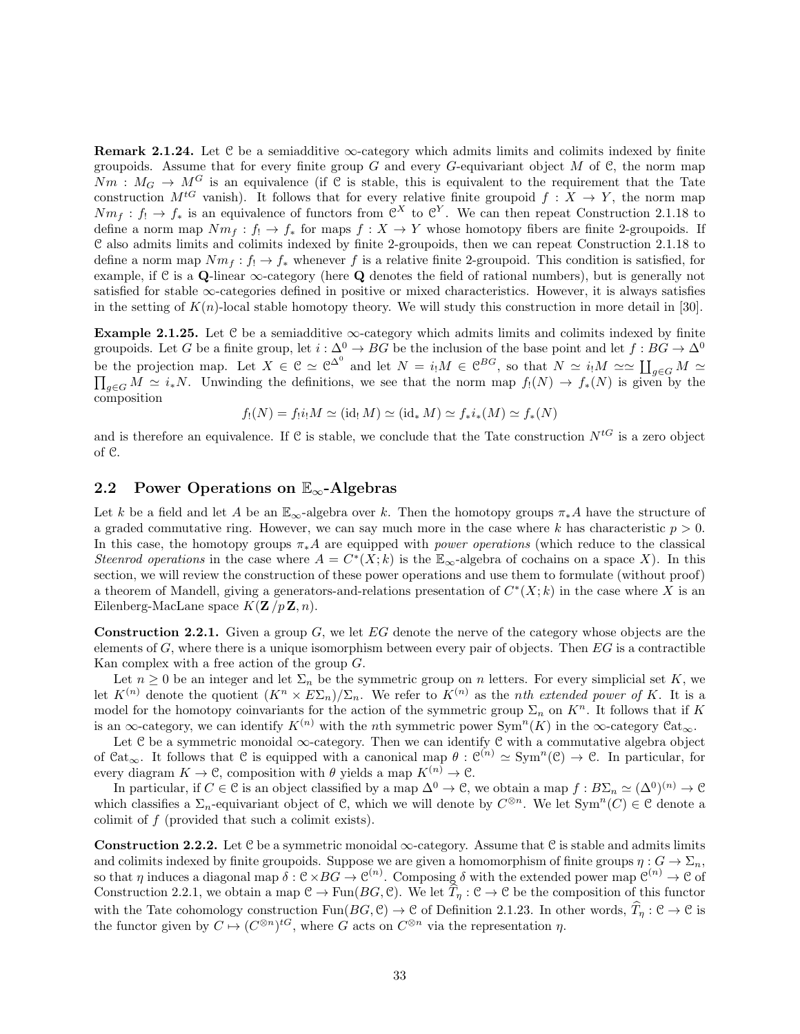**Remark 2.1.24.** Let  $C$  be a semiadditive  $\infty$ -category which admits limits and colimits indexed by finite groupoids. Assume that for every finite group  $G$  and every  $G$ -equivariant object  $M$  of  $\mathfrak{C}$ , the norm map  $Nm: M_G \to M^G$  is an equivalence (if C is stable, this is equivalent to the requirement that the Tate construction  $M^{tG}$  vanish). It follows that for every relative finite groupoid  $f: X \to Y$ , the norm map  $Nm_f: f_! \to f_*$  is an equivalence of functors from  $\mathfrak{C}^X$  to  $\mathfrak{C}^Y$ . We can then repeat Construction 2.1.18 to define a norm map  $Nm_f: f_! \to f_*$  for maps  $f: X \to Y$  whose homotopy fibers are finite 2-groupoids. If C also admits limits and colimits indexed by finite 2-groupoids, then we can repeat Construction 2.1.18 to define a norm map  $Nm_f : f_1 \to f_*$  whenever f is a relative finite 2-groupoid. This condition is satisfied, for example, if C is a Q-linear  $\infty$ -category (here Q denotes the field of rational numbers), but is generally not satisfied for stable  $\infty$ -categories defined in positive or mixed characteristics. However, it is always satisfies in the setting of  $K(n)$ -local stable homotopy theory. We will study this construction in more detail in [30].

**Example 2.1.25.** Let  $\mathcal{C}$  be a semiadditive  $\infty$ -category which admits limits and colimits indexed by finite groupoids. Let G be a finite group, let  $i : \Delta^0 \to BG$  be the inclusion of the base point and let  $f : BG \to \Delta^0$ be the projection map. Let  $X \in \mathcal{C} \simeq \mathcal{C}^{\Delta^0}$  and let  $N = i_!M \in \mathcal{C}^{BG}$ , so that  $N \simeq i_!M \simeq \coprod_{g \in G} M \simeq \prod_{g \in G} M \simeq \prod_{g \in G} M$ . Unwinding the definitions, we see that the norm map  $f_!(N) \to f_*(N)$  is given composition

$$
f_!(N) = f_!\mathbf{i}_! M \simeq (\text{id}_! M) \simeq (\text{id}_* M) \simeq f_*\mathbf{i}_*(M) \simeq f_*(N)
$$

and is therefore an equivalence. If C is stable, we conclude that the Tate construction  $N^{tG}$  is a zero object of C.

### 2.2 Power Operations on  $\mathbb{E}_{\infty}$ -Algebras

Let k be a field and let A be an  $\mathbb{E}_{\infty}$ -algebra over k. Then the homotopy groups  $\pi_* A$  have the structure of a graded commutative ring. However, we can say much more in the case where k has characteristic  $p > 0$ . In this case, the homotopy groups  $\pi_* A$  are equipped with *power operations* (which reduce to the classical Steenrod operations in the case where  $A = C^*(X; k)$  is the  $\mathbb{E}_{\infty}$ -algebra of cochains on a space X). In this section, we will review the construction of these power operations and use them to formulate (without proof) a theorem of Mandell, giving a generators-and-relations presentation of  $C^*(X;k)$  in the case where X is an Eilenberg-MacLane space  $K(\mathbf{Z}/p\mathbf{Z}, n)$ .

**Construction 2.2.1.** Given a group  $G$ , we let  $EG$  denote the nerve of the category whose objects are the elements of G, where there is a unique isomorphism between every pair of objects. Then  $EG$  is a contractible Kan complex with a free action of the group G.

Let  $n \geq 0$  be an integer and let  $\Sigma_n$  be the symmetric group on n letters. For every simplicial set K, we let  $K^{(n)}$  denote the quotient  $(K^n \times E\Sigma_n)/\Sigma_n$ . We refer to  $K^{(n)}$  as the *nth extended power of* K. It is a model for the homotopy coinvariants for the action of the symmetric group  $\Sigma_n$  on  $K^n$ . It follows that if K is an  $\infty$ -category, we can identify  $K^{(n)}$  with the *n*th symmetric power Sym<sup>n</sup>(K) in the  $\infty$ -category  $\mathfrak{Cat}_{\infty}$ .

Let C be a symmetric monoidal ∞-category. Then we can identify C with a commutative algebra object of  $\text{Cat}_{\infty}$ . It follows that C is equipped with a canonical map  $\theta : \mathcal{C}^{(n)} \simeq \text{Sym}^n(\mathcal{C}) \to \mathcal{C}$ . In particular, for every diagram  $K \to \mathfrak{C}$ , composition with  $\theta$  yields a map  $K^{(n)} \to \mathfrak{C}$ .

In particular, if  $C \in \mathcal{C}$  is an object classified by a map  $\Delta^0 \to \mathcal{C}$ , we obtain a map  $f : B\Sigma_n \simeq (\Delta^0)^{(n)} \to \mathcal{C}$ which classifies a  $\Sigma_n$ -equivariant object of C, which we will denote by  $C^{\otimes n}$ . We let  $\text{Sym}^n(C) \in \mathcal{C}$  denote a colimit of f (provided that such a colimit exists).

Construction 2.2.2. Let  $\mathcal C$  be a symmetric monoidal  $\infty$ -category. Assume that  $\mathcal C$  is stable and admits limits and colimits indexed by finite groupoids. Suppose we are given a homomorphism of finite groups  $\eta: G \to \Sigma_n$ , so that  $\eta$  induces a diagonal map  $\delta: \mathcal{C} \times BG \to \mathcal{C}^{(n)}$ . Composing  $\delta$  with the extended power map  $\mathcal{C}^{(n)} \to \mathcal{C}$  of Construction 2.2.1, we obtain a map  $\mathcal{C} \to \text{Fun}(BG, \mathcal{C})$ . We let  $\overline{T}_n : \mathcal{C} \to \mathcal{C}$  be the composition of this functor with the Tate cohomology construction  $\text{Fun}(BG, \mathcal{C}) \to \mathcal{C}$  of Definition 2.1.23. In other words,  $\widehat{T}_n : \mathcal{C} \to \mathcal{C}$  is the functor given by  $C \mapsto (C^{\otimes n})^{tG}$ , where G acts on  $C^{\otimes n}$  via the representation  $\eta$ .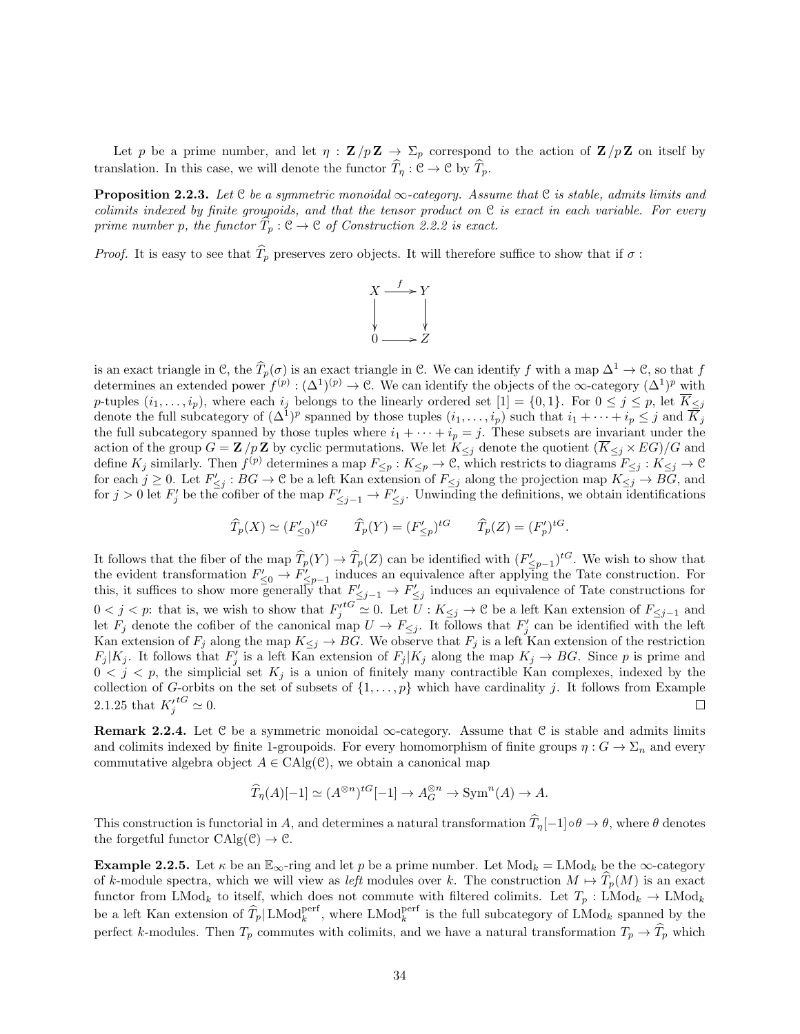Let p be a prime number, and let  $\eta : \mathbf{Z}/p\mathbf{Z} \to \Sigma_p$  correspond to the action of  $\mathbf{Z}/p\mathbf{Z}$  on itself by translation. In this case, we will denote the functor  $\hat{T}_\eta : \mathcal{C} \to \mathcal{C}$  by  $\hat{T}_p$ .

**Proposition 2.2.3.** Let  $\mathcal{C}$  be a symmetric monoidal  $\infty$ -category. Assume that  $\mathcal{C}$  is stable, admits limits and colimits indexed by finite groupoids, and that the tensor product on  $C$  is exact in each variable. For every prime number p, the functor  $\hat{T}_p : \mathcal{C} \to \mathcal{C}$  of Construction 2.2.2 is exact.

*Proof.* It is easy to see that  $\hat{T}_p$  preserves zero objects. It will therefore suffice to show that if  $\sigma$ :



is an exact triangle in C, the  $\widehat{T}_p(\sigma)$  is an exact triangle in C. We can identify f with a map  $\Delta^1 \to \mathcal{C}$ , so that f determines an extended power  $f^{(p)} : (\Delta^1)^{(p)} \to \mathbb{C}$ . We can identify the objects of the  $\infty$ -category  $(\Delta^1)^p$  with p-tuples  $(i_1,\ldots,i_p)$ , where each  $i_j$  belongs to the linearly ordered set  $[1] = \{0,1\}$ . For  $0 \le j \le p$ , let  $\overline{K}_{\le j}$ denote the full subcategory of  $(\Delta^1)^p$  spanned by those tuples  $(i_1,\ldots,i_p)$  such that  $i_1+\cdots+i_p\leq j$  and  $\overline{K}_j$ the full subcategory spanned by those tuples where  $i_1 + \cdots + i_p = j$ . These subsets are invariant under the action of the group  $G = \mathbf{Z}/p\mathbf{Z}$  by cyclic permutations. We let  $K_{\leq j}$  denote the quotient  $(\overline{K}_{\leq j} \times EG)/G$  and define  $K_j$  similarly. Then  $f^{(p)}$  determines a map  $F_{\leq p}: K_{\leq p} \to \mathcal{C}$ , which restricts to diagrams  $F_{\leq j}: K_{\leq j} \to \mathcal{C}$ for each  $j \geq 0$ . Let  $F'_{\leq j} : BG \to \mathcal{C}$  be a left Kan extension of  $F_{\leq j}$  along the projection map  $K_{\leq j} \to BG$ , and for  $j > 0$  let  $F'_j$  be the cofiber of the map  $F'_{\leq j-1} \to F'_{\leq j}$ . Unwinding the definitions, we obtain identifications

$$
\widehat{T}_p(X) \simeq (F'_{\leq 0})^{tG} \qquad \widehat{T}_p(Y) = (F'_{\leq p})^{tG} \qquad \widehat{T}_p(Z) = (F'_p)^{tG}.
$$

It follows that the fiber of the map  $\widehat{T}_p(Y) \to \widehat{T}_p(Z)$  can be identified with  $(F'_{\leq p-1})^{tG}$ . We wish to show that the evident transformation  $F'_{\leq 0} \to F'_{\leq p-1}$  induces an equivalence after applying the Tate construction. For this, it suffices to show more generally that  $F'_{\leq j-1} \to F'_{\leq j}$  induces an equivalence of Tate constructions for  $0 < j < p$ : that is, we wish to show that  $F_j'^{tG} \simeq 0$ . Let  $U : K_{\leq j} \to \mathbb{C}$  be a left Kan extension of  $F_{\leq j-1}$  and let  $F_j$  denote the cofiber of the canonical map  $U \to F_{\leq j}$ . It follows that  $F'_j$  can be identified with the left Kan extension of  $F_j$  along the map  $K_{\leq j} \to BG$ . We observe that  $F_j$  is a left Kan extension of the restriction  $F_j | K_j$ . It follows that  $F'_j$  is a left Kan extension of  $F_j | K_j$  along the map  $K_j \to BG$ . Since p is prime and  $0 < j < p$ , the simplicial set  $K_j$  is a union of finitely many contractible Kan complexes, indexed by the collection of G-orbits on the set of subsets of  $\{1, \ldots, p\}$  which have cardinality j. It follows from Example 2.1.25 that  $K_j'{}^{tG} \simeq 0$ .  $\Box$ 

Remark 2.2.4. Let  $C$  be a symmetric monoidal  $\infty$ -category. Assume that  $C$  is stable and admits limits and colimits indexed by finite 1-groupoids. For every homomorphism of finite groups  $\eta: G \to \Sigma_n$  and every commutative algebra object  $A \in CAlg(\mathcal{C})$ , we obtain a canonical map

$$
\widehat{T}_{\eta}(A)[-1] \simeq (A^{\otimes n})^{tG}[-1] \to A_G^{\otimes n} \to \text{Sym}^n(A) \to A.
$$

This construction is functorial in A, and determines a natural transformation  $\widehat{T}_n[-1]\circ\theta\to\theta$ , where  $\theta$  denotes the forgetful functor  $CAlg(\mathcal{C}) \to \mathcal{C}$ .

**Example 2.2.5.** Let  $\kappa$  be an  $\mathbb{E}_{\infty}$ -ring and let p be a prime number. Let  $\text{Mod}_k = \text{LMod}_k$  be the  $\infty$ -category of k-module spectra, which we will view as left modules over k. The construction  $M \mapsto T_p(M)$  is an exact functor from LMod<sub>k</sub> to itself, which does not commute with filtered colimits. Let  $T_p$ : LMod<sub>k</sub>  $\rightarrow$  LMod<sub>k</sub> be a left Kan extension of  $\widehat{T}_p | \text{LMod}_k^{\text{perf}}$ , where  $\text{LMod}_k^{\text{perf}}$  is the full subcategory of  $\text{LMod}_k$  spanned by the perfect k-modules. Then  $T_p$  commutes with colimits, and we have a natural transformation  $T_p \to \widehat{T}_p$  which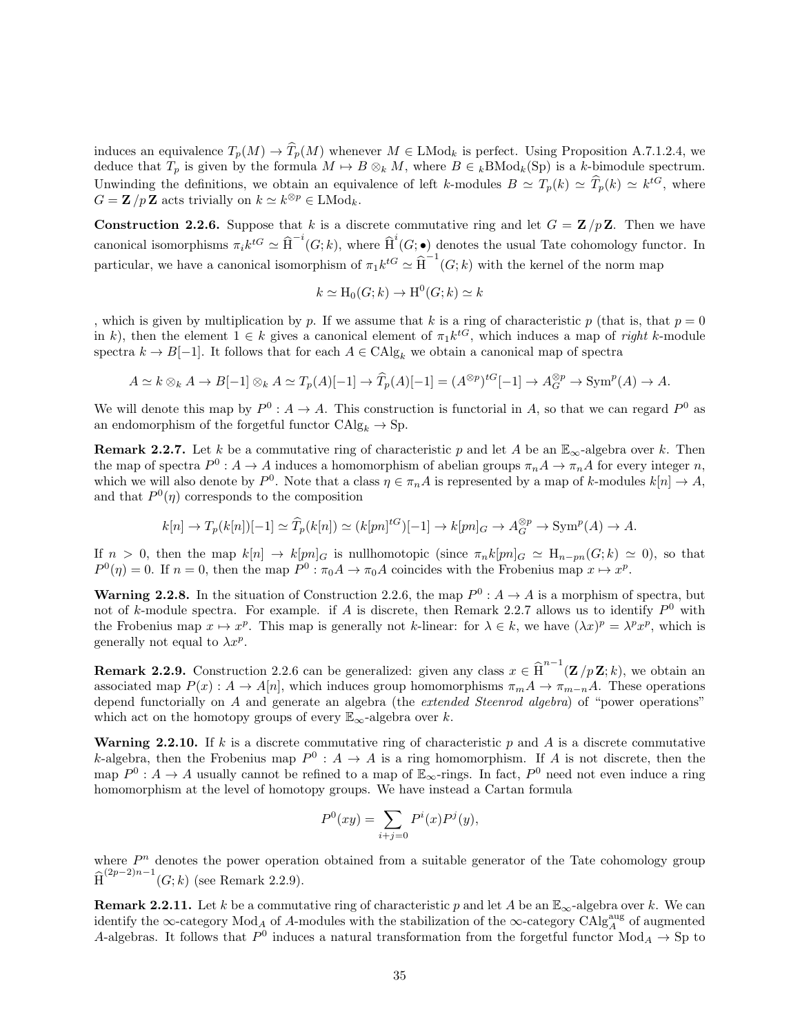induces an equivalence  $T_p(M) \to \widehat{T}_p(M)$  whenever  $M \in \text{LMod}_k$  is perfect. Using Proposition A.7.1.2.4, we deduce that  $T_p$  is given by the formula  $M \mapsto B \otimes_k M$ , where  $B \in kBMod_k(S_p)$  is a k-bimodule spectrum. Unwinding the definitions, we obtain an equivalence of left k-modules  $B \simeq T_p(k) \simeq \widehat{T}_p(k) \simeq k^{tG}$ , where  $G = \mathbf{Z}/p\mathbf{Z}$  acts trivially on  $k \simeq k^{\otimes p} \in \text{LMod}_k$ .

**Construction 2.2.6.** Suppose that k is a discrete commutative ring and let  $G = \mathbb{Z}/p\mathbb{Z}$ . Then we have canonical isomorphisms  $\pi_i k^{tG} \simeq \hat{\text{H}}^{-i}(G;k)$ , where  $\hat{\text{H}}^i(G;\bullet)$  denotes the usual Tate cohomology functor. In particular, we have a canonical isomorphism of  $\pi_1 k^{tG} \simeq \hat{H}^{-1}(G;k)$  with the kernel of the norm map

$$
k \simeq \mathrm{H}_0(G;k) \to \mathrm{H}^0(G;k) \simeq k
$$

, which is given by multiplication by p. If we assume that k is a ring of characteristic p (that is, that  $p = 0$ ) in k), then the element  $1 \in k$  gives a canonical element of  $\pi_1 k^{tG}$ , which induces a map of *right* k-module spectra  $k \to B[-1]$ . It follows that for each  $A \in CAlg_k$  we obtain a canonical map of spectra

$$
A \simeq k \otimes_k A \to B[-1] \otimes_k A \simeq T_p(A)[-1] \to \widehat{T}_p(A)[-1] = (A^{\otimes p})^{tG}[-1] \to A_G^{\otimes p} \to \text{Sym}^p(A) \to A.
$$

We will denote this map by  $P^0: A \to A$ . This construction is functorial in A, so that we can regard  $P^0$  as an endomorphism of the forgetful functor  $CAlg_k \to Sp$ .

**Remark 2.2.7.** Let k be a commutative ring of characteristic p and let A be an  $\mathbb{E}_{\infty}$ -algebra over k. Then the map of spectra  $P^0: A \to A$  induces a homomorphism of abelian groups  $\pi_n A \to \pi_n A$  for every integer n, which we will also denote by  $P^0$ . Note that a class  $\eta \in \pi_n A$  is represented by a map of k-modules  $k[n] \to A$ , and that  $P^0(\eta)$  corresponds to the composition

$$
k[n] \to T_p(k[n])[-1] \simeq \widehat{T}_p(k[n]) \simeq (k[pn]^{\dagger G})[-1] \to k[pn]_G \to A_G^{\otimes p} \to \text{Sym}^p(A) \to A.
$$

If  $n > 0$ , then the map  $k[n] \to k[m]_G$  is nullhomotopic (since  $\pi_n k[m]_G \simeq H_{n-m}(G; k) \simeq 0$ ), so that  $P^0(\eta) = 0$ . If  $n = 0$ , then the map  $P^0: \pi_0 A \to \pi_0 A$  coincides with the Frobenius map  $x \mapsto x^p$ .

**Warning 2.2.8.** In the situation of Construction 2.2.6, the map  $P^0: A \to A$  is a morphism of spectra, but not of k-module spectra. For example. if A is discrete, then Remark 2.2.7 allows us to identify  $P^0$  with the Frobenius map  $x \mapsto x^p$ . This map is generally not k-linear: for  $\lambda \in k$ , we have  $(\lambda x)^p = \lambda^p x^p$ , which is generally not equal to  $\lambda x^p$ .

**Remark 2.2.9.** Construction 2.2.6 can be generalized: given any class  $x \in \widehat{H}^{n-1}(\mathbf{Z}/p\mathbf{Z}; k)$ , we obtain an associated map  $P(x) : A \to A[n]$ , which induces group homomorphisms  $\pi_m A \to \pi_{m-n}A$ . These operations depend functorially on A and generate an algebra (the extended Steenrod algebra) of "power operations" which act on the homotopy groups of every  $\mathbb{E}_{\infty}$ -algebra over k.

**Warning 2.2.10.** If k is a discrete commutative ring of characteristic p and A is a discrete commutative k-algebra, then the Frobenius map  $P^0: A \to A$  is a ring homomorphism. If A is not discrete, then the map  $P^0: A \to A$  usually cannot be refined to a map of  $\mathbb{E}_{\infty}$ -rings. In fact,  $P^0$  need not even induce a ring homomorphism at the level of homotopy groups. We have instead a Cartan formula

$$
P^{0}(xy) = \sum_{i+j=0} P^{i}(x)P^{j}(y),
$$

where  $P<sup>n</sup>$  denotes the power operation obtained from a suitable generator of the Tate cohomology group  $\widehat{\text{H}}^{(2p-2)n-1}(G;k)$  (see Remark 2.2.9).

**Remark 2.2.11.** Let k be a commutative ring of characteristic p and let A be an  $\mathbb{E}_{\infty}$ -algebra over k. We can identify the  $\infty$ -category  $Mod_A$  of A-modules with the stabilization of the  $\infty$ -category  $\check{CAlg}^{\text{aug}}_A$  of augmented A-algebras. It follows that  $P^0$  induces a natural transformation from the forgetful functor  $Mod_A \to Sp$  to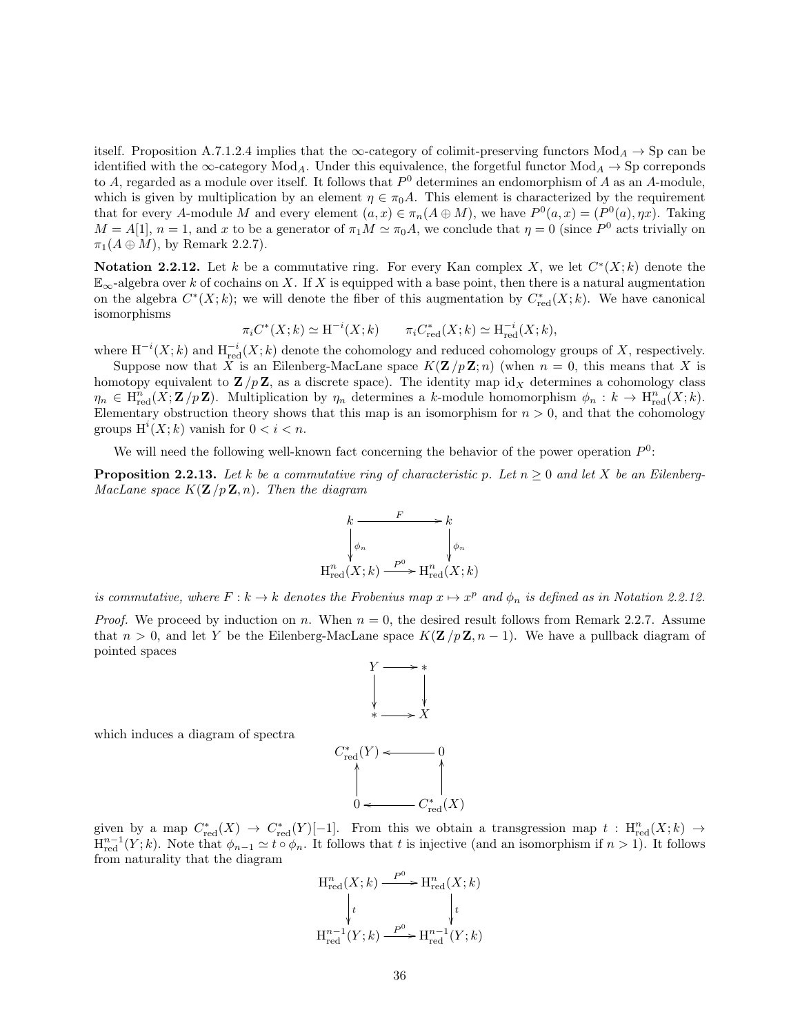itself. Proposition A.7.1.2.4 implies that the  $\infty$ -category of colimit-preserving functors  $Mod_A \rightarrow Sp$  can be identified with the  $\infty$ -category Mod<sub>A</sub>. Under this equivalence, the forgetful functor Mod<sub>A</sub>  $\rightarrow$  Sp correponds to A, regarded as a module over itself. It follows that  $P^0$  determines an endomorphism of A as an A-module, which is given by multiplication by an element  $\eta \in \pi_0 A$ . This element is characterized by the requirement that for every A-module M and every element  $(a, x) \in \pi_n(A \oplus M)$ , we have  $P^0(a, x) = (P^0(a), \eta x)$ . Taking  $M = A[1], n = 1$ , and x to be a generator of  $\pi_1 M \simeq \pi_0 A$ , we conclude that  $\eta = 0$  (since  $P^0$  acts trivially on  $\pi_1(A \oplus M)$ , by Remark 2.2.7).

**Notation 2.2.12.** Let k be a commutative ring. For every Kan complex X, we let  $C^*(X;k)$  denote the  $\mathbb{E}_{\infty}$ -algebra over k of cochains on X. If X is equipped with a base point, then there is a natural augmentation on the algebra  $C^*(X;k)$ ; we will denote the fiber of this augmentation by  $C^*_{red}(X;k)$ . We have canonical isomorphisms

$$
\pi_i C^*(X;k) \simeq \mathrm{H}^{-i}(X;k) \qquad \pi_i C^*_{\text{red}}(X;k) \simeq \mathrm{H}^{-i}_{\text{red}}(X;k),
$$

where  $H^{-i}(X; k)$  and  $H^{-i}_{red}(X; k)$  denote the cohomology and reduced cohomology groups of X, respectively.

Suppose now that X is an Eilenberg-MacLane space  $K(\mathbf{Z}/p\mathbf{Z}; n)$  (when  $n = 0$ , this means that X is homotopy equivalent to  $\mathbf{Z}/p\mathbf{Z}$ , as a discrete space). The identity map id<sub>X</sub> determines a cohomology class  $\eta_n \in \mathrm{H}^n_{\mathrm{red}}(X;\mathbf{Z}/p\mathbf{Z})$ . Multiplication by  $\eta_n$  determines a k-module homomorphism  $\phi_n : k \to \mathrm{H}^n_{\mathrm{red}}(X;k)$ . Elementary obstruction theory shows that this map is an isomorphism for  $n > 0$ , and that the cohomology groups  $H^i(X; k)$  vanish for  $0 < i < n$ .

We will need the following well-known fact concerning the behavior of the power operation  $P^0$ :

**Proposition 2.2.13.** Let k be a commutative ring of characteristic p. Let  $n \geq 0$  and let X be an Eilenberg-MacLane space  $K(\mathbf{Z}/p\mathbf{Z}, n)$ . Then the diagram



is commutative, where  $F: k \to k$  denotes the Frobenius map  $x \mapsto x^p$  and  $\phi_n$  is defined as in Notation 2.2.12.

*Proof.* We proceed by induction on n. When  $n = 0$ , the desired result follows from Remark 2.2.7. Assume that  $n > 0$ , and let Y be the Eilenberg-MacLane space  $K(\mathbf{Z}/p\mathbf{Z}, n-1)$ . We have a pullback diagram of pointed spaces



which induces a diagram of spectra

given by a map  $C^*_{red}(X) \to C^*_{red}(Y)[-1]$ . From this we obtain a transgression map  $t : H^n_{red}(X; k) \to$  $H_{\text{red}}^{n-1}(Y; k)$ . Note that  $\phi_{n-1} \simeq t \circ \phi_n$ . It follows that t is injective (and an isomorphism if  $n > 1$ ). It follows from naturality that the diagram

$$
H_{red}^{n}(X;k) \xrightarrow{P^{0}} H_{red}^{n}(X;k)
$$

$$
\downarrow t \qquad \qquad \downarrow t
$$

$$
H_{red}^{n-1}(Y;k) \xrightarrow{P^{0}} H_{red}^{n-1}(Y;k)
$$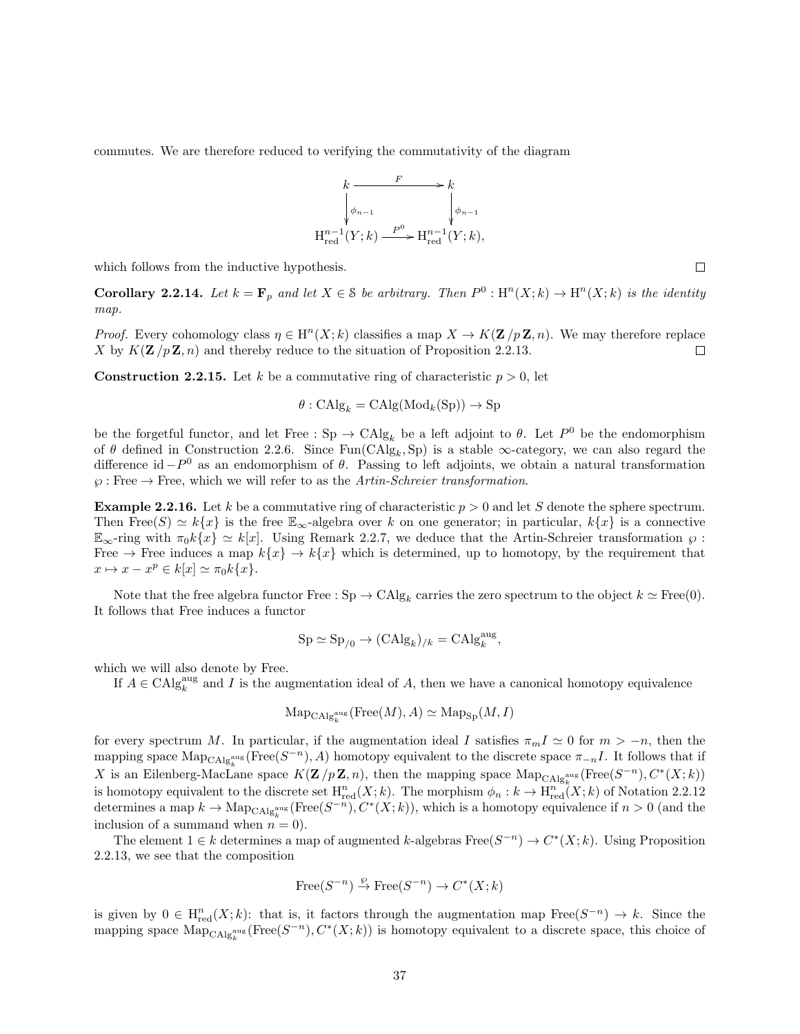commutes. We are therefore reduced to verifying the commutativity of the diagram



which follows from the inductive hypothesis.

**Corollary 2.2.14.** Let  $k = \mathbf{F}_p$  and let  $X \in \mathcal{S}$  be arbitrary. Then  $P^0 : \text{H}^n(X; k) \to \text{H}^n(X; k)$  is the identity map.

*Proof.* Every cohomology class  $\eta \in H^{n}(X; k)$  classifies a map  $X \to K(\mathbf{Z}/p\mathbf{Z}, n)$ . We may therefore replace X by  $K(\mathbf{Z}/p\mathbf{Z}, n)$  and thereby reduce to the situation of Proposition 2.2.13.  $\Box$ 

**Construction 2.2.15.** Let k be a commutative ring of characteristic  $p > 0$ , let

$$
\theta : \mathrm{CAlg}_k = \mathrm{CAlg}(\mathrm{Mod}_k(\mathrm{Sp})) \to \mathrm{Sp}
$$

be the forgetful functor, and let Free :  $\text{Sp} \to \text{CAlg}_k$  be a left adjoint to  $\theta$ . Let  $P^0$  be the endomorphism of  $\theta$  defined in Construction 2.2.6. Since  $Fun(CAlg_k, Sp)$  is a stable  $\infty$ -category, we can also regard the difference id  $-P^0$  as an endomorphism of  $\theta$ . Passing to left adjoints, we obtain a natural transformation  $\wp$ : Free  $\rightarrow$  Free, which we will refer to as the Artin-Schreier transformation.

**Example 2.2.16.** Let k be a commutative ring of characteristic  $p > 0$  and let S denote the sphere spectrum. Then Free $(S) \simeq k\{x\}$  is the free  $\mathbb{E}_{\infty}$ -algebra over k on one generator; in particular,  $k\{x\}$  is a connective  $\mathbb{E}_{\infty}$ -ring with  $\pi_0 k\{x\} \simeq k[x]$ . Using Remark 2.2.7, we deduce that the Artin-Schreier transformation  $\varphi$ : Free  $\rightarrow$  Free induces a map  $k\{x\} \rightarrow k\{x\}$  which is determined, up to homotopy, by the requirement that  $x \mapsto x - x^p \in k[x] \simeq \pi_0 k\{x\}.$ 

Note that the free algebra functor Free :  $\text{Sp} \to \text{CAlg}_k$  carries the zero spectrum to the object  $k \simeq \text{Free}(0)$ . It follows that Free induces a functor

$$
\mathrm{Sp} \simeq \mathrm{Sp}_{/0} \to (\mathrm{CAlg}_k)_{/k} = \mathrm{CAlg}_k^{\mathrm{aug}},
$$

which we will also denote by Free.

If  $A \in \mathrm{CAlg}_{k}^{\mathrm{aug}}$  and I is the augmentation ideal of A, then we have a canonical homotopy equivalence

$$
\mathrm{Map}_{\mathrm{CAlg}_{k}^{\mathrm{aug}}}(\mathrm{Free}(M),A)\simeq \mathrm{Map}_{\mathrm{Sp}}(M,I)
$$

for every spectrum M. In particular, if the augmentation ideal I satisfies  $\pi_m I \simeq 0$  for  $m > -n$ , then the mapping space  $\text{Map}_{\text{CAlg}_k^{\text{aug}}}(\text{Free}(S^{-n}), A)$  homotopy equivalent to the discrete space  $\pi_{-n}I$ . It follows that if X is an Eilenberg-MacLane space  $K(\mathbf{Z}/p\mathbf{Z}, n)$ , then the mapping space  $\text{Map}_{\text{CAlg}_{k}^{\text{aug}}}(\text{Free}(S^{-n}), C^{*}(X; k))$ is homotopy equivalent to the discrete set  $H^n_{\text{red}}(X;k)$ . The morphism  $\phi_n : k \to H^n_{\text{red}}(X;k)$  of Notation 2.2.12 determines a map  $k \to \text{Map}_{\text{CAlg}_k^{\text{aug}}}(\text{Free}(S^{-n}), C^*(X; k)),$  which is a homotopy equivalence if  $n > 0$  (and the inclusion of a summand when  $n = 0$ ).

The element  $1 \in k$  determines a map of augmented k-algebras Free $(S^{-n}) \to C^*(X;k)$ . Using Proposition 2.2.13, we see that the composition

$$
Free(S^{-n}) \stackrel{\wp}{\to} Free(S^{-n}) \to C^*(X;k)
$$

is given by  $0 \in H_{red}^n(X; k)$ : that is, it factors through the augmentation map  $Free(S^{-n}) \to k$ . Since the mapping space  $\text{Map}_{\text{CAlg}_k^{\text{aug}}}(\text{Free}(S^{-n}), C^*(X; k))$  is homotopy equivalent to a discrete space, this choice of

 $\Box$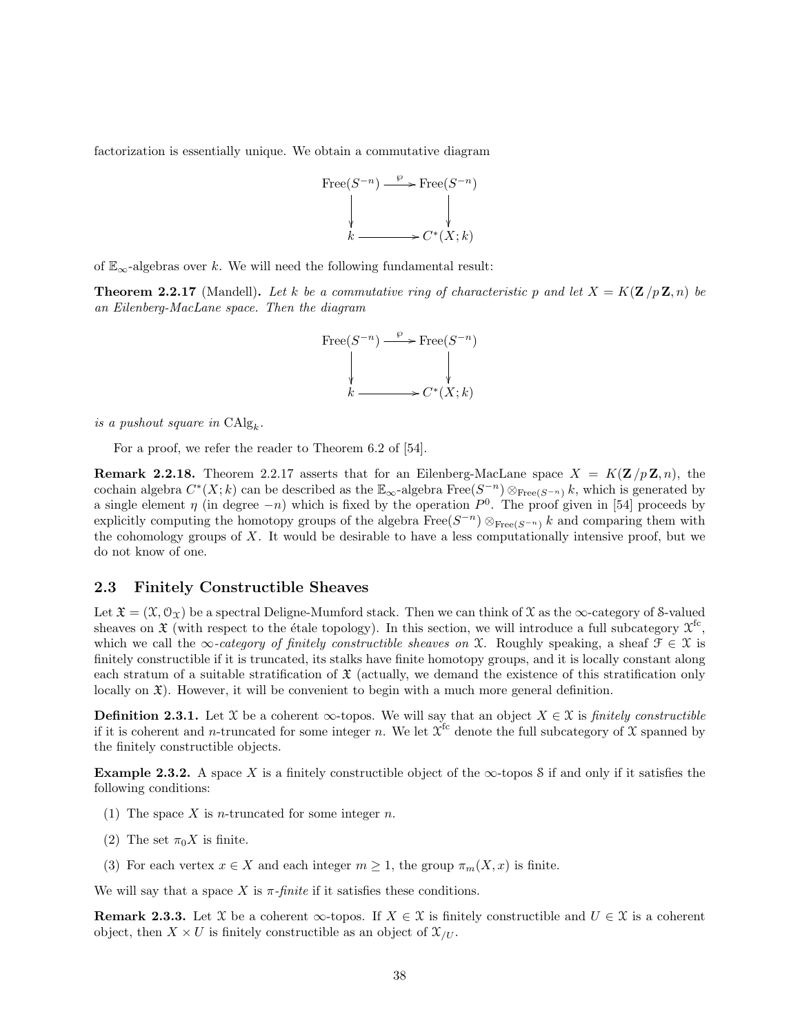factorization is essentially unique. We obtain a commutative diagram



of  $\mathbb{E}_{\infty}$ -algebras over k. We will need the following fundamental result:

**Theorem 2.2.17** (Mandell). Let k be a commutative ring of characteristic p and let  $X = K(\mathbf{Z}/p\mathbf{Z}, n)$  be an Eilenberg-MacLane space. Then the diagram



is a pushout square in  $\text{CAlg}_k$ .

For a proof, we refer the reader to Theorem 6.2 of [54].

**Remark 2.2.18.** Theorem 2.2.17 asserts that for an Eilenberg-MacLane space  $X = K(\mathbf{Z}/p\mathbf{Z}, n)$ , the cochain algebra  $C^*(X;k)$  can be described as the  $\mathbb{E}_{\infty}$ -algebra  $\text{Free}(S^{-n})\otimes_{\text{Free}(S^{-n})}k$ , which is generated by a single element  $\eta$  (in degree  $-n$ ) which is fixed by the operation  $P^0$ . The proof given in [54] proceeds by explicitly computing the homotopy groups of the algebra  $\text{Free}(S^{-n})\otimes_{\text{Free}(S^{-n})} k$  and comparing them with the cohomology groups of  $X$ . It would be desirable to have a less computationally intensive proof, but we do not know of one.

#### 2.3 Finitely Constructible Sheaves

Let  $\mathfrak{X} = (\mathfrak{X}, \mathfrak{O}_{\mathfrak{X}})$  be a spectral Deligne-Mumford stack. Then we can think of X as the  $\infty$ -category of S-valued sheaves on  $\mathfrak X$  (with respect to the étale topology). In this section, we will introduce a full subcategory  $\mathfrak X^{\mathrm{fc}}$ , which we call the  $\infty$ -category of finitely constructible sheaves on X. Roughly speaking, a sheaf  $\mathcal{F} \in \mathcal{X}$  is finitely constructible if it is truncated, its stalks have finite homotopy groups, and it is locally constant along each stratum of a suitable stratification of  $\mathfrak X$  (actually, we demand the existence of this stratification only locally on  $\mathfrak{X}$ ). However, it will be convenient to begin with a much more general definition.

**Definition 2.3.1.** Let X be a coherent  $\infty$ -topos. We will say that an object  $X \in \mathcal{X}$  is finitely constructible if it is coherent and *n*-truncated for some integer *n*. We let  $\chi^{\text{fc}}$  denote the full subcategory of X spanned by the finitely constructible objects.

**Example 2.3.2.** A space X is a finitely constructible object of the  $\infty$ -topos S if and only if it satisfies the following conditions:

- (1) The space  $X$  is *n*-truncated for some integer  $n$ .
- (2) The set  $\pi_0 X$  is finite.
- (3) For each vertex  $x \in X$  and each integer  $m \geq 1$ , the group  $\pi_m(X, x)$  is finite.

We will say that a space X is  $\pi$ -finite if it satisfies these conditions.

**Remark 2.3.3.** Let X be a coherent  $\infty$ -topos. If  $X \in \mathcal{X}$  is finitely constructible and  $U \in \mathcal{X}$  is a coherent object, then  $X \times U$  is finitely constructible as an object of  $\mathfrak{X}_{U}$ .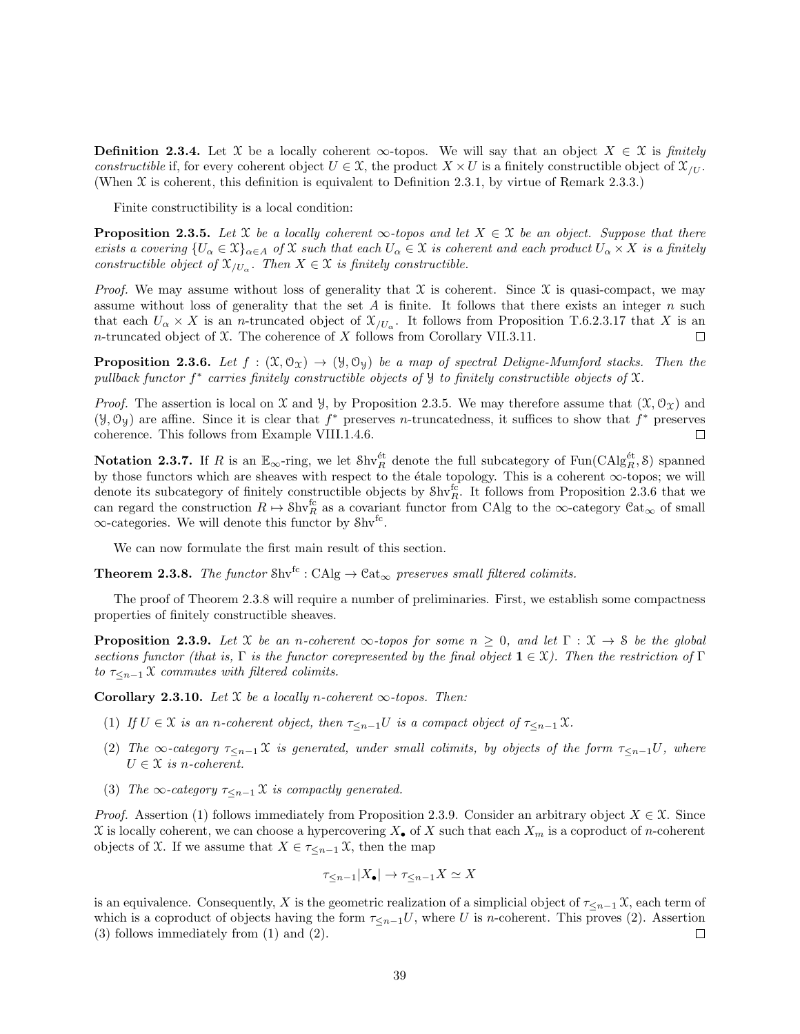**Definition 2.3.4.** Let X be a locally coherent  $\infty$ -topos. We will say that an object  $X \in \mathcal{X}$  is finitely constructible if, for every coherent object  $U \in \mathcal{X}$ , the product  $X \times U$  is a finitely constructible object of  $\mathcal{X}_{U}$ . (When X is coherent, this definition is equivalent to Definition 2.3.1, by virtue of Remark 2.3.3.)

Finite constructibility is a local condition:

**Proposition 2.3.5.** Let X be a locally coherent  $\infty$ -topos and let  $X \in \mathcal{X}$  be an object. Suppose that there exists a covering  $\{U_{\alpha} \in \mathfrak{X}\}_{{\alpha \in A}}$  of  $\mathfrak{X}$  such that each  $U_{\alpha} \in \mathfrak{X}$  is coherent and each product  $U_{\alpha} \times X$  is a finitely constructible object of  $\mathfrak{X}_{/U_{\alpha}}$ . Then  $X \in \mathfrak{X}$  is finitely constructible.

*Proof.* We may assume without loss of generality that  $\mathfrak X$  is coherent. Since  $\mathfrak X$  is quasi-compact, we may assume without loss of generality that the set  $A$  is finite. It follows that there exists an integer  $n$  such that each  $U_{\alpha} \times X$  is an *n*-truncated object of  $\mathfrak{X}_{/U_{\alpha}}$ . It follows from Proposition T.6.2.3.17 that X is an n-truncated object of  $X$ . The coherence of  $X$  follows from Corollary VII.3.11.  $\Box$ 

**Proposition 2.3.6.** Let  $f : (\mathfrak{X}, \mathfrak{O}_{\mathfrak{X}}) \to (\mathfrak{Y}, \mathfrak{O}_{\mathfrak{Y}})$  be a map of spectral Deligne-Mumford stacks. Then the pullback functor f<sup>\*</sup> carries finitely constructible objects of  $\mathcal Y$  to finitely constructible objects of  $\mathcal X$ .

*Proof.* The assertion is local on  $\mathfrak X$  and  $\mathfrak Y$ , by Proposition 2.3.5. We may therefore assume that  $(\mathfrak X, \mathcal O_{\mathfrak X})$  and  $(\mathcal{Y}, \mathcal{O}_{\mathcal{Y}})$  are affine. Since it is clear that  $f^*$  preserves *n*-truncatedness, it suffices to show that  $f^*$  preserves coherence. This follows from Example VIII.1.4.6.  $\Box$ 

Notation 2.3.7. If R is an  $\mathbb{E}_{\infty}$ -ring, we let  $\text{Shv}_R^{\text{\'et}}$  denote the full subcategory of Fun(CAlg $_R^{\text{\'et}}$ , S) spanned by those functors which are sheaves with respect to the étale topology. This is a coherent  $\infty$ -topos; we will denote its subcategory of finitely constructible objects by  $\text{Shv}_R^{\text{fc}}$ . It follows from Proposition 2.3.6 that we can regard the construction  $R \to \text{Shv}_R^{\text{fc}}$  as a covariant functor from CAlg to the  $\infty$ -category  $\text{Cat}_{\infty}$  of small  $\infty$ -categories. We will denote this functor by Shv<sup>fc</sup>.

We can now formulate the first main result of this section.

**Theorem 2.3.8.** The functor Shv<sup>fc</sup> : CAlg  $\rightarrow$  Cat<sub>∞</sub> preserves small filtered colimits.

The proof of Theorem 2.3.8 will require a number of preliminaries. First, we establish some compactness properties of finitely constructible sheaves.

**Proposition 2.3.9.** Let X be an n-coherent  $\infty$ -topos for some  $n \geq 0$ , and let  $\Gamma : \mathcal{X} \to \mathcal{S}$  be the global sections functor (that is, Γ is the functor corepresented by the final object  $\mathbf{1} \in \mathcal{X}$ ). Then the restriction of Γ to  $\tau_{\leq n-1}$  X commutes with filtered colimits.

Corollary 2.3.10. Let  $X$  be a locally n-coherent  $\infty$ -topos. Then:

- (1) If  $U \in \mathfrak{X}$  is an n-coherent object, then  $\tau_{\leq n-1}U$  is a compact object of  $\tau_{\leq n-1}\mathfrak{X}$ .
- (2) The  $\infty$ -category  $\tau_{\leq n-1}$  X is generated, under small colimits, by objects of the form  $\tau_{\leq n-1}U$ , where  $U \in \mathcal{X}$  is n-coherent.
- (3) The  $\infty$ -category  $\tau_{\leq n-1}$  X is compactly generated.

*Proof.* Assertion (1) follows immediately from Proposition 2.3.9. Consider an arbitrary object  $X \in \mathcal{X}$ . Since X is locally coherent, we can choose a hypercovering  $X_{\bullet}$  of X such that each  $X_m$  is a coproduct of n-coherent objects of X. If we assume that  $X \in \tau \leq n-1$ ,  $\mathfrak{X}$ , then the map

$$
\tau_{\leq n-1}|X_{\bullet}| \to \tau_{\leq n-1}X \simeq X
$$

is an equivalence. Consequently, X is the geometric realization of a simplicial object of  $\tau \leq n-1$  X, each term of which is a coproduct of objects having the form  $\tau_{\leq n-1}U$ , where U is n-coherent. This proves (2). Assertion (3) follows immediately from (1) and (2).  $\Box$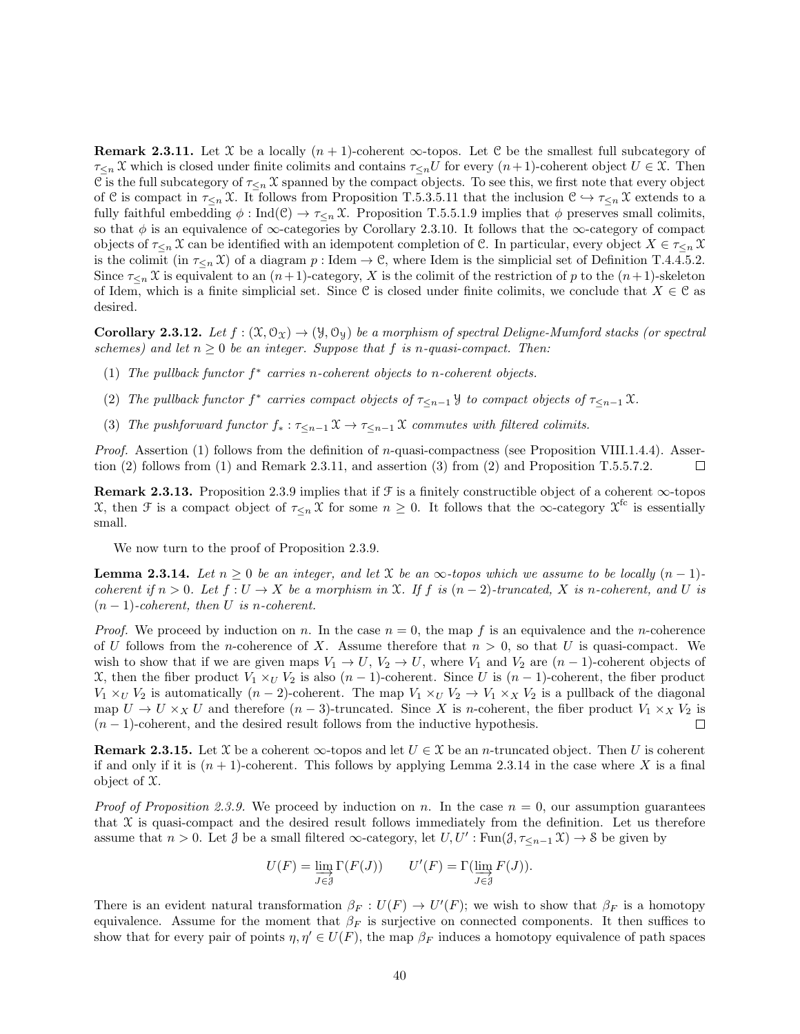**Remark 2.3.11.** Let X be a locally  $(n + 1)$ -coherent  $\infty$ -topos. Let C be the smallest full subcategory of  $\tau_{\leq n} \mathfrak{X}$  which is closed under finite colimits and contains  $\tau_{\leq n}U$  for every  $(n+1)$ -coherent object  $U \in \mathfrak{X}$ . Then C is the full subcategory of  $\tau_{\leq n}$  X spanned by the compact objects. To see this, we first note that every object of C is compact in  $\tau_{\leq n} \mathfrak{X}$ . It follows from Proposition T.5.3.5.11 that the inclusion  $C \hookrightarrow \tau_{\leq n} \mathfrak{X}$  extends to a fully faithful embedding  $\phi : \text{Ind}(\mathcal{C}) \to \tau_{\leq n} \mathcal{X}$ . Proposition T.5.5.1.9 implies that  $\phi$  preserves small colimits, so that  $\phi$  is an equivalence of  $\infty$ -categories by Corollary 2.3.10. It follows that the  $\infty$ -category of compact objects of  $\tau_{\leq n}$  X can be identified with an idempotent completion of C. In particular, every object  $X \in \tau_{\leq n}$  X is the colimit (in  $\tau_{\leq n}(\mathcal{X})$  of a diagram p : Idem  $\to \mathcal{C}$ , where Idem is the simplicial set of Definition T.4.4.5.2. Since  $\tau_{\leq n}$  X is equivalent to an  $(n+1)$ -category, X is the colimit of the restriction of p to the  $(n+1)$ -skeleton of Idem, which is a finite simplicial set. Since C is closed under finite colimits, we conclude that  $X \in \mathcal{C}$  as desired.

**Corollary 2.3.12.** Let  $f : (\mathfrak{X}, \mathfrak{O}_{\mathfrak{X}}) \to (\mathfrak{Y}, \mathfrak{O}_{\mathfrak{Y}})$  be a morphism of spectral Deligne-Mumford stacks (or spectral schemes) and let  $n \geq 0$  be an integer. Suppose that f is n-quasi-compact. Then:

- (1) The pullback functor  $f^*$  carries n-coherent objects to n-coherent objects.
- (2) The pullback functor  $f^*$  carries compact objects of  $\tau_{\leq n-1}$  y to compact objects of  $\tau_{\leq n-1}$  X.
- (3) The pushforward functor  $f_* : \tau \leq_{n-1} \mathfrak{X} \to \tau \leq_{n-1} \mathfrak{X}$  commutes with filtered colimits.

*Proof.* Assertion (1) follows from the definition of n-quasi-compactness (see Proposition VIII.1.4.4). Assertion (2) follows from (1) and Remark 2.3.11, and assertion (3) from (2) and Proposition T.5.5.7.2.  $\Box$ 

Remark 2.3.13. Proposition 2.3.9 implies that if  $\mathcal F$  is a finitely constructible object of a coherent  $\infty$ -topos X, then F is a compact object of  $\tau_{\leq n} \chi$  for some  $n \geq 0$ . It follows that the  $\infty$ -category  $\chi^{\text{fc}}$  is essentially small.

We now turn to the proof of Proposition 2.3.9.

**Lemma 2.3.14.** Let  $n \geq 0$  be an integer, and let X be an  $\infty$ -topos which we assume to be locally  $(n-1)$ coherent if  $n > 0$ . Let  $f: U \to X$  be a morphism in X. If f is  $(n-2)$ -truncated, X is n-coherent, and U is  $(n-1)$ -coherent, then U is n-coherent.

*Proof.* We proceed by induction on n. In the case  $n = 0$ , the map f is an equivalence and the n-coherence of U follows from the *n*-coherence of X. Assume therefore that  $n > 0$ , so that U is quasi-compact. We wish to show that if we are given maps  $V_1 \rightarrow U$ ,  $V_2 \rightarrow U$ , where  $V_1$  and  $V_2$  are  $(n-1)$ -coherent objects of X, then the fiber product  $V_1 \times_U V_2$  is also  $(n-1)$ -coherent. Since U is  $(n-1)$ -coherent, the fiber product  $V_1 \times_U V_2$  is automatically  $(n-2)$ -coherent. The map  $V_1 \times_U V_2 \to V_1 \times_X V_2$  is a pullback of the diagonal map  $U \to U \times_X U$  and therefore  $(n-3)$ -truncated. Since X is n-coherent, the fiber product  $V_1 \times_X V_2$  is  $(n-1)$ -coherent, and the desired result follows from the inductive hypothesis.  $(n-1)$ -coherent, and the desired result follows from the inductive hypothesis.

**Remark 2.3.15.** Let X be a coherent  $\infty$ -topos and let  $U \in \mathcal{X}$  be an *n*-truncated object. Then U is coherent if and only if it is  $(n + 1)$ -coherent. This follows by applying Lemma 2.3.14 in the case where X is a final object of X.

*Proof of Proposition 2.3.9.* We proceed by induction on n. In the case  $n = 0$ , our assumption guarantees that  $X$  is quasi-compact and the desired result follows immediately from the definition. Let us therefore assume that  $n > 0$ . Let  $\mathcal J$  be a small filtered  $\infty$ -category, let  $U, U' : \text{Fun}(\mathcal J, \tau_{\leq n-1} \mathfrak X) \to \mathfrak{F}$  be given by

$$
U(F) = \varinjlim_{J \in \mathcal{J}} \Gamma(F(J)) \qquad U'(F) = \Gamma(\varinjlim_{J \in \mathcal{J}} F(J)).
$$

There is an evident natural transformation  $\beta_F : U(F) \to U'(F)$ ; we wish to show that  $\beta_F$  is a homotopy equivalence. Assume for the moment that  $\beta_F$  is surjective on connected components. It then suffices to show that for every pair of points  $\eta, \eta' \in U(F)$ , the map  $\beta_F$  induces a homotopy equivalence of path spaces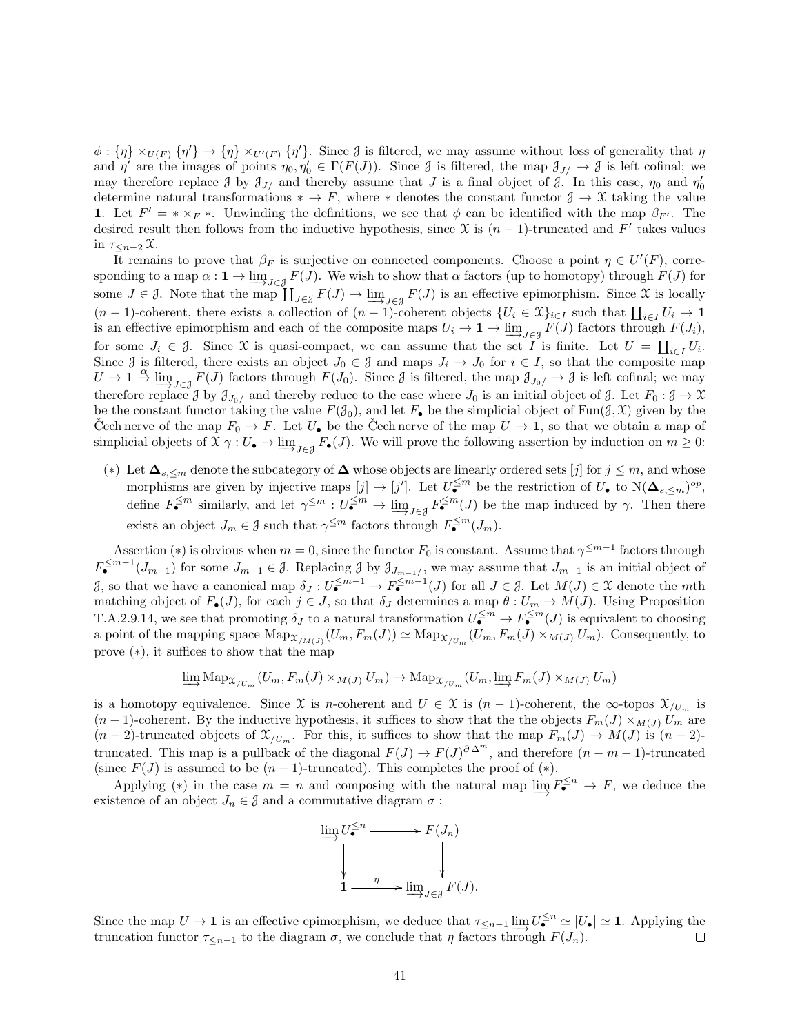$\phi: \{\eta\} \times_{U(F)} \{\eta'\} \to \{\eta\} \times_{U'(F)} \{\eta'\}.$  Since  $\mathcal J$  is filtered, we may assume without loss of generality that  $\eta$ and  $\eta'$  are the images of points  $\eta_0, \eta'_0 \in \Gamma(F(J))$ . Since  $\mathcal J$  is filtered, the map  $\mathcal J_{J'} \to \mathcal J$  is left cofinal; we may therefore replace  $\beta$  by  $\beta_{J/}$  and thereby assume that  $J$  is a final object of  $\beta$ . In this case,  $\eta_0$  and  $\eta'_0$ determine natural transformations  $* \to F$ , where  $*$  denotes the constant functor  $\mathcal{J} \to \mathcal{X}$  taking the value 1. Let  $F' = * \times_F *$ . Unwinding the definitions, we see that  $\phi$  can be identified with the map  $\beta_{F'}$ . The desired result then follows from the inductive hypothesis, since  $\mathfrak X$  is  $(n-1)$ -truncated and F' takes values in  $\tau_{\leq n-2}\,\mathfrak{X}$ .

It remains to prove that  $\beta_F$  is surjective on connected components. Choose a point  $\eta \in U'(F)$ , corresponding to a map  $\alpha: \mathbf{1} \to \lim_{J \in \mathcal{J}} F(J)$ . We wish to show that  $\alpha$  factors (up to homotopy) through  $F(J)$  for some  $J \in \mathcal{J}$ . Note that the map  $\coprod_{J \in \mathcal{J}} F(J) \to \varinjlim_{J \in \mathcal{J}} F(J)$  is an effective epimorphism. Since X is locally  $(n-1)$ -coherent, there exists a collection of  $(n-1)$ -coherent objects  $\{U_i \in \mathfrak{X}\}_{i\in I}$  such that  $\prod_{i\in I} U_i \to \mathbf{1}$ is an effective epimorphism and each of the composite maps  $U_i \to \mathbf{1} \to \varinjlim_{J \in \mathcal{J}} F(J)$  factors through  $F(J_i)$ , for some  $J_i \in \mathcal{J}$ . Since X is quasi-compact, we can assume that the set I is finite. Let  $U = \coprod_{i \in I} U_i$ . Since  $\mathcal J$  is filtered, there exists an object  $J_0 \in \mathcal J$  and maps  $J_i \to J_0$  for  $i \in I$ , so that the composite map  $U \to \mathbf{1} \xrightarrow{\alpha} \lim_{J \in \mathcal{J}} F(J)$  factors through  $F(J_0)$ . Since  $\mathcal{J}$  is filtered, the map  $\mathcal{J}_{J_0}/\to \mathcal{J}$  is left cofinal; we may therefore replace  $\partial$  by  $\partial_{J_0/}$  and thereby reduce to the case where  $J_0$  is an initial object of  $\partial$ . Let  $F_0 : \partial \to \mathfrak{X}$ be the constant functor taking the value  $F(\mathcal{J}_0)$ , and let  $F_{\bullet}$  be the simplicial object of Fun( $\mathcal{J}, \mathcal{X}$ ) given by the Cech nerve of the map  $F_0 \to F$ . Let  $U_{\bullet}$  be the Cech nerve of the map  $U \to \mathbf{1}$ , so that we obtain a map of simplicial objects of  $\mathfrak{X} \gamma : U_{\bullet} \to \varinjlim_{J \in \mathcal{J}} F_{\bullet}(J)$ . We will prove the following assertion by induction on  $m \geq 0$ :

(\*) Let  $\Delta_{s,\leq m}$  denote the subcategory of  $\Delta$  whose objects are linearly ordered sets [j] for  $j \leq m$ , and whose morphisms are given by injective maps  $[j] \to [j']$ . Let  $U_{\bullet}^{\leq m}$  be the restriction of  $U_{\bullet}$  to  $N(\Delta_{s,\leq m})^{op}$ , define  $F_{\bullet}^{\leq m}$  similarly, and let  $\gamma^{\leq m}: U_{\bullet}^{\leq m} \to \underline{\lim}_{J \in \mathcal{J}} F_{\bullet}^{\leq m}(J)$  be the map induced by  $\gamma$ . Then there exists an object  $J_m \in \mathcal{J}$  such that  $\gamma^{\leq m}$  factors through  $F_{\bullet}^{\leq m}(J_m)$ .

Assertion (\*) is obvious when  $m = 0$ , since the functor  $F_0$  is constant. Assume that  $\gamma^{\leq m-1}$  factors through  $F_{\bullet}^{\leq m-1}(J_{m-1})$  for some  $J_{m-1} \in \mathcal{J}$ . Replacing  $\mathcal{J}$  by  $\mathcal{J}_{J_{m-1}/},$  we may assume that  $J_{m-1}$  is an initial object of  $\mathcal{J}$ , so that we have a canonical map  $\delta_J: U^{\leq m-1}_{\bullet} \to F^{\leq m-1}_{\bullet}(J)$  for all  $J \in \mathcal{J}$ . Let  $M(J) \in \mathcal{X}$  denote the mth matching object of  $F_{\bullet}(J)$ , for each  $j \in J$ , so that  $\delta_{J}$  determines a map  $\theta: U_{m} \to M(J)$ . Using Proposition T.A.2.9.14, we see that promoting  $\delta_J$  to a natural transformation  $U_{\bullet}^{\leq m} \to F_{\bullet}^{\leq m}(J)$  is equivalent to choosing a point of the mapping space  $\operatorname{Map}_{\mathfrak{X}_{/M(J)}}(U_m, F_m(J)) \simeq \operatorname{Map}_{\mathfrak{X}_{/U_m}}(U_m, F_m(J) \times_{M(J)} U_m)$ . Consequently, to prove (∗), it suffices to show that the map

$$
\lim_{m \to \infty} \operatorname{Map}_{\mathcal{X}/U_m}(U_m, F_m(J) \times_{M(J)} U_m) \to \operatorname{Map}_{\mathcal{X}/U_m}(U_m, \varinjlim_{m \to \infty} F_m(J) \times_{M(J)} U_m)
$$

is a homotopy equivalence. Since X is n-coherent and  $U \in \mathfrak{X}$  is  $(n-1)$ -coherent, the  $\infty$ -topos  $\mathfrak{X}_{/U_m}$  is  $(n-1)$ -coherent. By the inductive hypothesis, it suffices to show that the the objects  $F_m(J) \times_{M(J)} U_m$  are  $(n-2)$ -truncated objects of  $\mathfrak{X}_{/U_m}$ . For this, it suffices to show that the map  $F_m(J) \to M(J)$  is  $(n-2)$ truncated. This map is a pullback of the diagonal  $F(J) \to F(J)^{\partial \Delta^m}$ , and therefore  $(n-m-1)$ -truncated (since  $F(J)$  is assumed to be  $(n-1)$ -truncated). This completes the proof of  $(*)$ .

Applying (\*) in the case  $m = n$  and composing with the natural map  $\varinjlim_{\epsilon} F_{\bullet}^{\leq n} \to F$ , we deduce the existence of an object  $J_n \in \mathcal{J}$  and a commutative diagram  $\sigma$ :



Since the map  $U \to \mathbf{1}$  is an effective epimorphism, we deduce that  $\tau_{\leq n-1} \varinjlim_{n \to \infty} U_{\bullet}^{\leq n} \simeq |U_{\bullet}| \simeq \mathbf{1}$ . Applying the truncation functor  $\tau_{\leq n-1}$  to the diagram  $\sigma$ , we conclude that η factors through  $F(J_n)$ .  $\Box$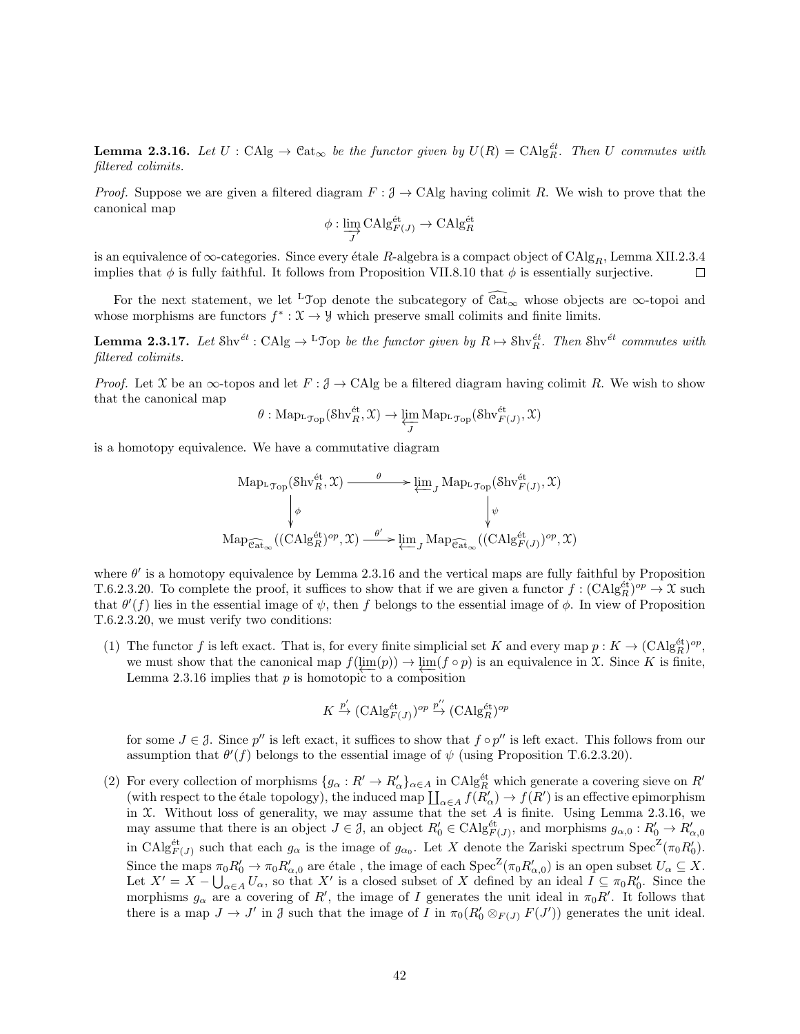**Lemma 2.3.16.** Let  $U : \text{CAlg} \to \text{Cat}_{\infty}$  be the functor given by  $U(R) = \text{CAlg}_{R}^{\text{\'et}}$ . Then U commutes with filtered colimits.

*Proof.* Suppose we are given a filtered diagram  $F : \mathcal{J} \to \text{CAlg}$  having colimit R. We wish to prove that the canonical map

$$
\phi: \varinjlim_{J} \mathrm{CAlg}_{F(J)}^{\text{\'et}} \to \mathrm{CAlg}_R^{\text{\'et}}
$$

is an equivalence of  $\infty$ -categories. Since every étale R-algebra is a compact object of CAlg<sub>R</sub>, Lemma XII.2.3.4<br>implies that  $\phi$  is fully faithful. It follows from Proposition VII.8.10 that  $\phi$  is essentially surject implies that  $\phi$  is fully faithful. It follows from Proposition VII.8.10 that  $\phi$  is essentially surjective.

For the next statement, we let <sup>L</sup>Top denote the subcategory of  $\widehat{\mathcal{C}at}_{\infty}$  whose objects are  $\infty$ -topoi and whose morphisms are functors  $f^* : \mathfrak{X} \to \mathcal{Y}$  which preserve small colimits and finite limits.

**Lemma 2.3.17.** Let  $\text{Shv}^{\text{\'et}}: \text{CAlg} \to {}^{\text{L}}\mathcal{T}$ op be the functor given by  $R \mapsto \text{Shv}_R^{\text{\'et}}$ . Then  $\text{Shv}^{\text{\'et}}$  commutes with filtered colimits.

*Proof.* Let X be an  $\infty$ -topos and let  $F : \mathcal{J} \to \text{CAlg}$  be a filtered diagram having colimit R. We wish to show that the canonical map

$$
\theta: \mathrm{Map}_{{}^{\mathbf{L}}\mathcal{T}\mathrm{op}}(\mathrm{Shv}_R^{\text{\'et}}, \mathfrak{X}) \rightarrow \varprojlim_J \mathrm{Map}_{{}^{\mathbf{L}}\mathcal{T}\mathrm{op}}(\mathrm{Shv}_{F(J)}^{\text{\'et}}, \mathfrak{X})
$$

is a homotopy equivalence. We have a commutative diagram

$$
\mathrm{Map}_{\mathcal{T}_{\mathrm{op}}}(\mathrm{Shv}_R^{\text{\'et}}, \mathfrak{X}) \xrightarrow{\theta} \varprojlim_J \mathrm{Map}_{\mathcal{T}_{\mathrm{op}}}(\mathrm{Shv}_{F(J)}^{\text{\'et}}, \mathfrak{X})
$$
\n
$$
\downarrow \phi \qquad \qquad \downarrow \psi
$$
\n
$$
\mathrm{Map}_{\widehat{\mathrm{Cat}}_{\infty}}((\mathrm{CAlg}_R^{\text{\'et}})^{op}, \mathfrak{X}) \xrightarrow{\theta'} \varprojlim_J \mathrm{Map}_{\widehat{\mathrm{Cat}}_{\infty}}((\mathrm{CAlg}_{F(J)}^{\text{\'et}})^{op}, \mathfrak{X})
$$

where  $\theta'$  is a homotopy equivalence by Lemma 2.3.16 and the vertical maps are fully faithful by Proposition T.6.2.3.20. To complete the proof, it suffices to show that if we are given a functor  $f: (\text{CAlg}_{R}^{\text{\'et}})^{op} \to \mathfrak{X}$  such that  $\theta'(f)$  lies in the essential image of  $\psi$ , then f belongs to the essential image of  $\phi$ . In view of Proposition T.6.2.3.20, we must verify two conditions:

(1) The functor f is left exact. That is, for every finite simplicial set K and every map  $p: K \to (\text{CAlg}_{R}^{\text{\'et}})^{op}$ , we must show that the canonical map  $f(\underline{\lim}(p)) \to \underline{\lim}(f \circ p)$  is an equivalence in X. Since K is finite, Lemma 2.3.16 implies that  $p$  is homotopic to a composition

$$
K \xrightarrow{p'} (\mathrm{CAlg}^{\text{\'et}}_{F(J)})^{op} \xrightarrow{p''} (\mathrm{CAlg}^{\text{\'et}}_R)^{op}
$$

for some  $J \in \mathcal{J}$ . Since  $p''$  is left exact, it suffices to show that  $f \circ p''$  is left exact. This follows from our assumption that  $\theta'(f)$  belongs to the essential image of  $\psi$  (using Proposition T.6.2.3.20).

(2) For every collection of morphisms  $\{g_{\alpha}: R' \to R'_{\alpha}\}_{{\alpha} \in A}$  in  $\text{CAlg}^{\text{\'et}}_R$  which generate a covering sieve on  $R'$ (with respect to the étale topology), the induced map  $\coprod_{\alpha \in A} f(R'_{\alpha}) \to f(R')$  is an effective epimorphism in  $X$ . Without loss of generality, we may assume that the set  $A$  is finite. Using Lemma 2.3.16, we may assume that there is an object  $J \in \mathcal{J}$ , an object  $R'_0 \in \text{CAlg}_{F(J)}^{\text{\'et}}$ , and morphisms  $g_{\alpha,0}: R'_0 \to R'_{\alpha,0}$ in CAlg<sup>ét</sup><sub>(J)</sub> such that each  $g_{\alpha}$  is the image of  $g_{\alpha_0}$ . Let X denote the Zariski spectrum Spec<sup>Z</sup>( $\pi_0 R'_0$ ). Since the maps  $\pi_0 R'_0 \to \pi_0 R'_{\alpha,0}$  are étale, the image of each  $\text{Spec}^{\mathbb{Z}}(\pi_0 R'_{\alpha,0})$  is an open subset  $U_\alpha \subseteq X$ . Let  $X' = X - \bigcup_{\alpha \in A} U_{\alpha}$ , so that X' is a closed subset of X defined by an ideal  $I \subseteq \pi_0 R'_0$ . Since the morphisms  $g_{\alpha}$  are a covering of R', the image of I generates the unit ideal in  $\pi_0 R'$ . It follows that there is a map  $J \to J'$  in  $\mathcal J$  such that the image of I in  $\pi_0(R'_0 \otimes_{F(J)} F(J'))$  generates the unit ideal.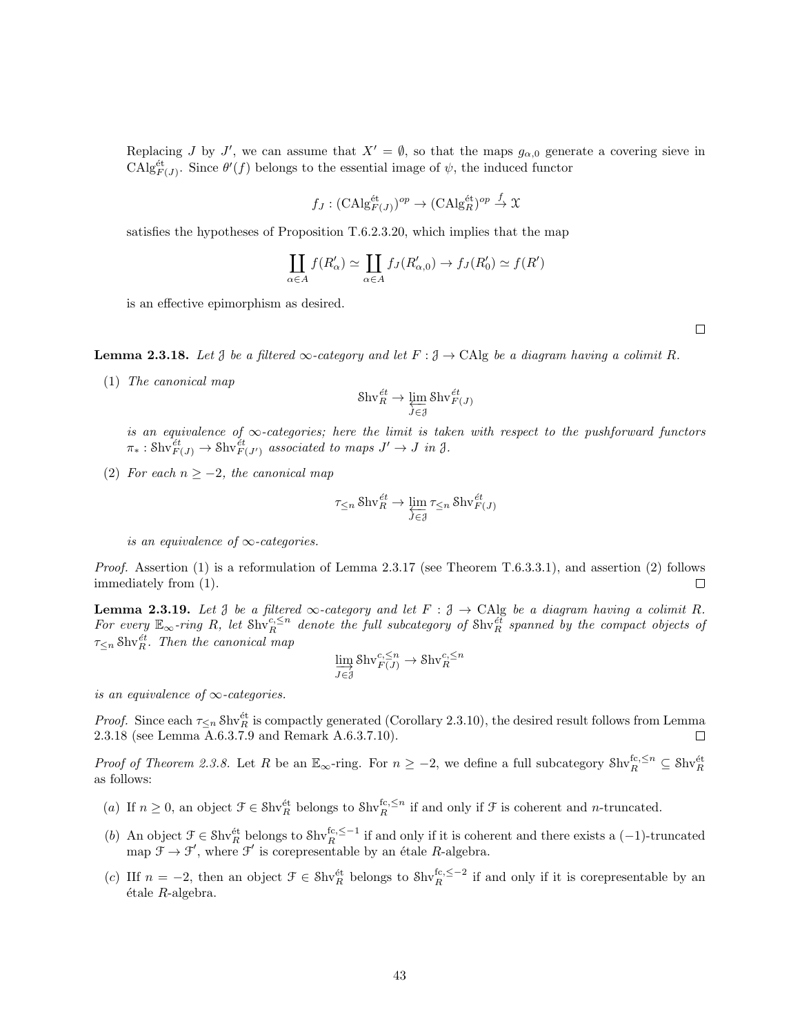Replacing J by J', we can assume that  $X' = \emptyset$ , so that the maps  $g_{\alpha,0}$  generate a covering sieve in CAlg<sup>et</sup><sub> $F(J)$ </sub>. Since  $\theta'(f)$  belongs to the essential image of  $\psi$ , the induced functor

$$
f_J: (\mathrm{CAlg}_{F(J)}^{\mathrm{\acute{e}t}})^{op} \to (\mathrm{CAlg}_R^{\mathrm{\acute{e}t}})^{op} \xrightarrow{f} \mathfrak{X}
$$

satisfies the hypotheses of Proposition T.6.2.3.20, which implies that the map

$$
\coprod_{\alpha \in A} f(R'_\alpha) \simeq \coprod_{\alpha \in A} f_J(R'_{\alpha,0}) \to f_J(R'_0) \simeq f(R')
$$

is an effective epimorphism as desired.

**Lemma 2.3.18.** Let  $\beta$  be a filtered  $\infty$ -category and let  $F : \beta \to \text{CAlg}$  be a diagram having a colimit R.

(1) The canonical map

$$
\mathrm{Shv}_R^{\acute{e}t} \to \varprojlim_{J \in \mathcal{J}} \mathrm{Shv}_{F(J)}^{\acute{e}t}
$$

is an equivalence of  $\infty$ -categories; here the limit is taken with respect to the pushforward functors  $\pi_* : \text{Shv}_{F(J)}^{\text{\'et}} \to \text{Shv}_{F(J')}^{\text{\'et}}$  associated to maps  $J' \to J$  in  $\mathfrak{J}$ .

(2) For each  $n \ge -2$ , the canonical map

$$
\tau_{\leq n}\operatorname{Shv}_R^{\text{\'et}}\to \varprojlim_{J\in\mathcal J}\tau_{\leq n}\operatorname{Shv}_{F(J)}^{\text{\'et}}
$$

is an equivalence of  $\infty$ -categories.

Proof. Assertion (1) is a reformulation of Lemma 2.3.17 (see Theorem T.6.3.3.1), and assertion (2) follows immediately from (1).  $\Box$ 

**Lemma 2.3.19.** Let  $\beta$  be a filtered  $\infty$ -category and let  $F : \beta \to CA$  be a diagram having a colimit R. For every  $\mathbb{E}_{\infty}$ -ring R, let Shv ${}_{R}^{c,\leq n}$  denote the full subcategory of Shv ${}_{R}^{e\bar{t}}$  spanned by the compact objects of  $\tau_{\leq n}$  Shv $_{R}^{\acute{e}t}$ . Then the canonical map

$$
\varinjlim_{J \in \mathcal{J}} \text{Shv}_{F(J)}^{c, \leq n} \to \text{Shv}_R^{c, \leq n}
$$

is an equivalence of  $\infty$ -categories.

*Proof.* Since each  $\tau_{\leq n}$  Shv<sup>et</sup> is compactly generated (Corollary 2.3.10), the desired result follows from Lemma 2.3.18 (see Lemma A.6.3.7.9 and Remark A.6.3.7.10). П

Proof of Theorem 2.3.8. Let R be an  $\mathbb{E}_{\infty}$ -ring. For  $n \geq -2$ , we define a full subcategory  $\text{Shv}_R^{\text{fc},\leq n} \subseteq \text{Shv}_R^{\text{\'et}}$ as follows:

- (a) If  $n \geq 0$ , an object  $\mathcal{F} \in \text{Shv}_R^{\text{\'et}}$  belongs to  $\text{Shv}_R^{\text{fc}, \leq n}$  if and only if  $\mathcal{F}$  is coherent and *n*-truncated.
- (b) An object  $\mathcal{F} \in \text{Shv}_R^{\text{\'et}}$  belongs to  $\text{Shv}_R^{\text{fc},\leq -1}$  if and only if it is coherent and there exists a (-1)-truncated map  $\mathcal{F} \to \mathcal{F}'$ , where  $\mathcal{F}'$  is corepresentable by an étale R-algebra.
- (c) IIf  $n = -2$ , then an object  $\mathcal{F} \in \text{Shv}_R^{\text{\'et}}$  belongs to  $\text{Shv}_R^{\text{fc}, \leq -2}$  if and only if it is corepresentable by an  $étele$   $R$ -algebra.

 $\Box$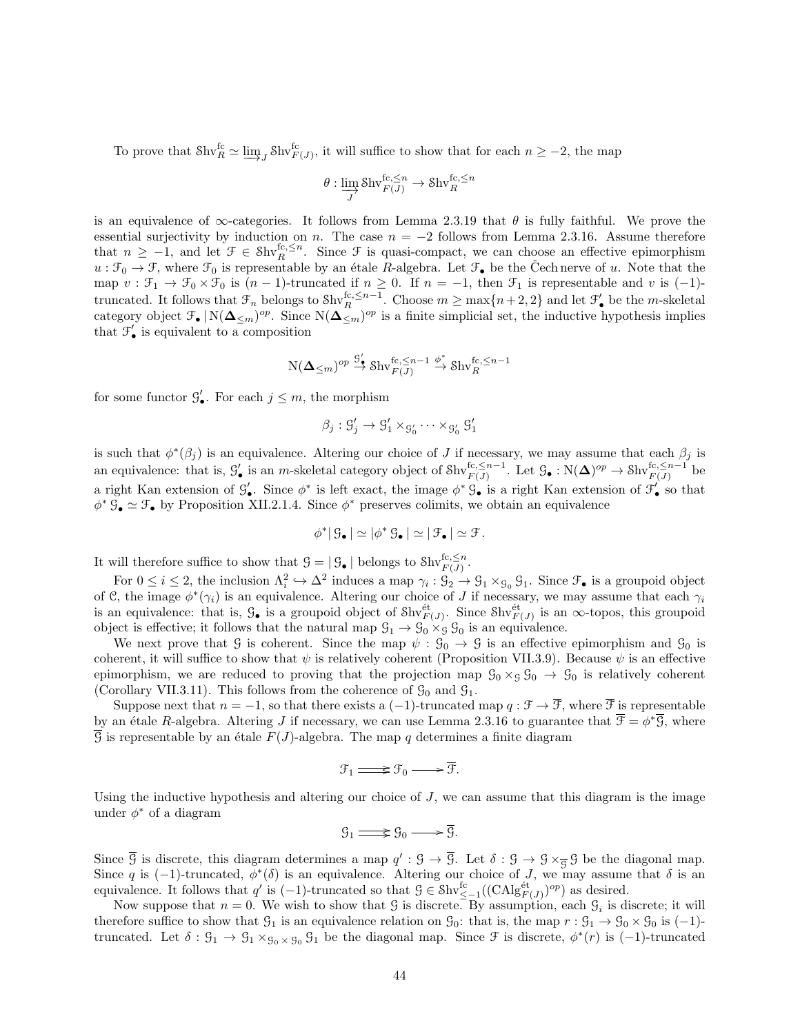To prove that  $\text{Shv}_R^{\text{fc}} \simeq \varinjlim_J \text{Shv}_{F(J)}^{\text{fc}},$  it will suffice to show that for each  $n \geq -2$ , the map

$$
\theta:\varinjlim_{J}\text{Shv}^{\text{fc},\leq n}_{F(J)}\to \text{Shv}^{\text{fc},\leq n}_{R}
$$

is an equivalence of  $\infty$ -categories. It follows from Lemma 2.3.19 that  $\theta$  is fully faithful. We prove the essential surjectivity by induction on n. The case  $n = -2$  follows from Lemma 2.3.16. Assume therefore that  $n \geq -1$ , and let  $\mathcal{F} \in Shv_R^{fc, \leq n}$ . Since  $\mathcal{F}$  is quasi-compact, we can choose an effective epimorphism  $u : \mathcal{F}_0 \to \mathcal{F}$ , where  $\mathcal{F}_0$  is representable by an étale R-algebra. Let  $\mathcal{F}_\bullet$  be the Cech nerve of u. Note that the map  $v : \mathcal{F}_1 \to \mathcal{F}_0 \times \mathcal{F}_0$  is  $(n-1)$ -truncated if  $n \geq 0$ . If  $n = -1$ , then  $\mathcal{F}_1$  is representable and v is  $(-1)$ truncated. It follows that  $\mathcal{F}_n$  belongs to  $\text{Shv}_R^{\text{fc},\leq n-1}$ . Choose  $m \geq \max\{n+2,2\}$  and let  $\mathcal{F}'_{\bullet}$  be the *m*-skeletal category object  $\mathcal{F}_{\bullet} | N(\mathbf{\Delta}_{\leq m})^{op}$ . Since  $N(\mathbf{\Delta}_{\leq m})^{op}$  is a finite simplicial set, the inductive hypothesis implies that  $\mathcal{F}'_{\bullet}$  is equivalent to a composition

$$
\mathrm{N}(\mathbf{\Delta}_{\leq m})^{op}\overset{\mathcal{G}'_{\bullet}}{\to} \mathrm{Shv}_{F(J)}^{\mathrm{fc},\leq n-1}\overset{\phi^*}{\to} \mathrm{Shv}_R^{\mathrm{fc},\leq n-1}
$$

for some functor  $\mathcal{G}'_{\bullet}$ . For each  $j \leq m$ , the morphism

$$
\beta_j: \mathcal{G}'_j \to \mathcal{G}'_1 \times_{\mathcal{G}'_0} \cdots \times_{\mathcal{G}'_0} \mathcal{G}'_1
$$

is such that  $\phi^*(\beta_j)$  is an equivalence. Altering our choice of J if necessary, we may assume that each  $\beta_j$  is an equivalence: that is,  $\mathcal{G}'_{\bullet}$  is an m-skeletal category object of  $\text{Shv}_{F(J)}^{\text{fc},\leq n-1}$ . Let  $\mathcal{G}_{\bullet}: \text{N}(\mathbf{\Delta})^{op} \to \text{Shv}_{F(J)}^{\text{fc},\leq n-1}$  be a right Kan extension of  $\mathcal{G}'_{\bullet}$ . Since  $\phi^*$  is left exact, the image  $\phi^* \mathcal{G}_{\bullet}$  is a right Kan extension of  $\mathcal{F}'_{\bullet}$  so that  $\phi^* \mathcal{G}_\bullet \simeq \mathcal{F}_\bullet$  by Proposition XII.2.1.4. Since  $\phi^*$  preserves colimits, we obtain an equivalence

$$
\phi^* | \mathcal{G}_\bullet | \simeq |\phi^* \mathcal{G}_\bullet| \simeq |\mathcal{F}_\bullet| \simeq \mathcal{F}.
$$

It will therefore suffice to show that  $\mathcal{G} = |\mathcal{G}_{\bullet}|$  belongs to  $\text{Shv}_{F(J)}^{\text{fc},\leq n}$ .

For  $0 \le i \le 2$ , the inclusion  $\Lambda_i^2 \hookrightarrow \Lambda^2$  induces a map  $\gamma_i : \mathcal{G}_2 \to \mathcal{G}_1 \times_{\mathcal{G}_0} \mathcal{G}_1$ . Since  $\mathcal{F}_\bullet$  is a groupoid object of C, the image  $\phi^*(\gamma_i)$  is an equivalence. Altering our choice of J if necessary, we may assume that each  $\gamma_i$ is an equivalence: that is,  $\mathcal{G}_{\bullet}$  is a groupoid object of  $\text{Shv}_{F(J)}^{\text{\'et}}$ . Since  $\text{Shv}_{F(J)}^{\text{\'et}}$  is an  $\infty$ -topos, this groupoid object is effective; it follows that the natural map  $\mathcal{G}_1 \to \mathcal{G}_0 \times_{\mathcal{G}} \mathcal{G}_0$  is an equivalence.

We next prove that G is coherent. Since the map  $\psi$ :  $\mathcal{G}_0 \to \mathcal{G}$  is an effective epimorphism and  $\mathcal{G}_0$  is coherent, it will suffice to show that  $\psi$  is relatively coherent (Proposition VII.3.9). Because  $\psi$  is an effective epimorphism, we are reduced to proving that the projection map  $\mathcal{G}_0 \times_{\mathcal{G}} \mathcal{G}_0 \to \mathcal{G}_0$  is relatively coherent (Corollary VII.3.11). This follows from the coherence of  $\mathcal{G}_0$  and  $\mathcal{G}_1$ .

Suppose next that  $n = -1$ , so that there exists a  $(-1)$ -truncated map  $q : \mathcal{F} \to \overline{\mathcal{F}}$ , where  $\overline{\mathcal{F}}$  is representable by an étale R-algebra. Altering J if necessary, we can use Lemma 2.3.16 to guarantee that  $\overline{\mathcal{F}} = \phi^* \overline{\mathcal{G}}$ , where  $\overline{G}$  is representable by an étale  $F(J)$ -algebra. The map q determines a finite diagram

$$
\mathcal{F}_1 \Longrightarrow \mathcal{F}_0 \longrightarrow \overline{\mathcal{F}}.
$$

Using the inductive hypothesis and altering our choice of  $J$ , we can assume that this diagram is the image under  $\phi^*$  of a diagram

$$
\mathcal{G}_1 \Longrightarrow \mathcal{G}_0 \longrightarrow \overline{\mathcal{G}}.
$$

Since  $\overline{G}$  is discrete, this diagram determines a map  $q': \mathcal{G} \to \overline{\mathcal{G}}$ . Let  $\delta: \mathcal{G} \to \mathcal{G} \times_{\overline{\mathcal{G}}} \mathcal{G}$  be the diagonal map. Since q is (-1)-truncated,  $\phi^*(\delta)$  is an equivalence. Altering our choice of J, we may assume that  $\delta$  is an equivalence. It follows that  $q'$  is  $(-1)$ -truncated so that  $\mathcal{G} \in \mathcal{S}$ hv $_{\leq -1}^{\text{fc}}((\text{CAlg}_{F(J)}^{\text{\'et}})^{op})$  as desired.

Now suppose that  $n = 0$ . We wish to show that G is discrete. By assumption, each  $\mathcal{G}_i$  is discrete; it will therefore suffice to show that  $\mathcal{G}_1$  is an equivalence relation on  $\mathcal{G}_0$ : that is, the map  $r : \mathcal{G}_1 \to \mathcal{G}_0 \times \mathcal{G}_0$  is (-1)truncated. Let  $\delta: \mathcal{G}_1 \to \mathcal{G}_1 \times_{\mathcal{G}_0 \times \mathcal{G}_0} \mathcal{G}_1$  be the diagonal map. Since  $\mathcal{F}$  is discrete,  $\phi^*(r)$  is  $(-1)$ -truncated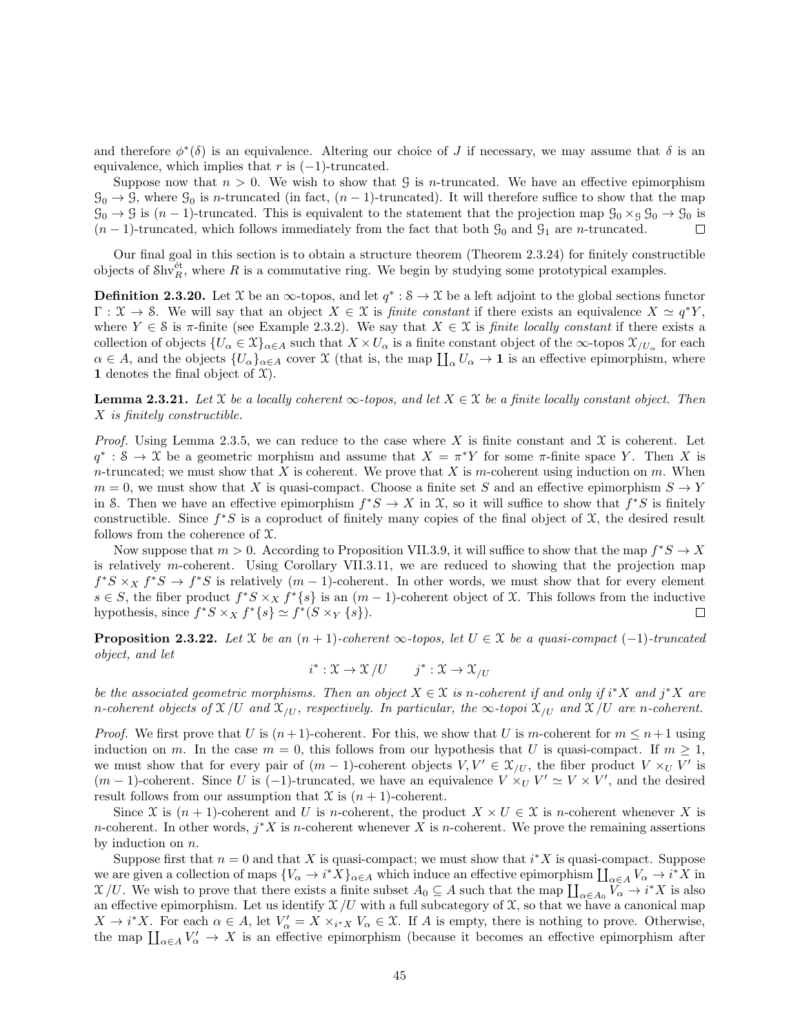and therefore  $\phi^*(\delta)$  is an equivalence. Altering our choice of J if necessary, we may assume that  $\delta$  is an equivalence, which implies that r is  $(-1)$ -truncated.

Suppose now that  $n > 0$ . We wish to show that G is *n*-truncated. We have an effective epimorphism  $\mathcal{G}_0 \to \mathcal{G}$ , where  $\mathcal{G}_0$  is n-truncated (in fact,  $(n-1)$ -truncated). It will therefore suffice to show that the map  $\mathcal{G}_0 \to \mathcal{G}$  is  $(n-1)$ -truncated. This is equivalent to the statement that the projection map  $\mathcal{G}_0 \times_{\mathcal{G}} \mathcal{G}_0 \to \mathcal{G}_0$  is  $(n-1)$ -truncated, which follows immediately from the fact that both  $\mathcal{G}_0$  and  $\mathcal{G}_1$  are *n*-truncated.  $\Box$ 

Our final goal in this section is to obtain a structure theorem (Theorem 2.3.24) for finitely constructible objects of  $\text{Shv}_R^{\text{\'et}}$ , where R is a commutative ring. We begin by studying some prototypical examples.

**Definition 2.3.20.** Let X be an  $\infty$ -topos, and let  $q^*$ :  $\mathcal{S} \to \mathcal{X}$  be a left adjoint to the global sections functor  $\Gamma: \mathfrak{X} \to \mathfrak{S}$ . We will say that an object  $X \in \mathfrak{X}$  is *finite constant* if there exists an equivalence  $X \simeq q^*Y$ , where  $Y \in \mathcal{S}$  is  $\pi$ -finite (see Example 2.3.2). We say that  $X \in \mathcal{X}$  is *finite locally constant* if there exists a collection of objects  $\{U_\alpha \in \mathfrak{X}\}_{{\alpha \in A}}$  such that  $X \times U_\alpha$  is a finite constant object of the  $\infty$ -topos  $\mathfrak{X}_{/U_\alpha}$  for each  $\alpha \in A$ , and the objects  $\{U_{\alpha}\}_{{\alpha \in A}}$  cover X (that is, the map  $\prod_{\alpha} U_{\alpha} \to \mathbf{1}$  is an effective epimorphism, where 1 denotes the final object of  $\mathfrak{X}$ ).

**Lemma 2.3.21.** Let X be a locally coherent  $\infty$ -topos, and let  $X \in \mathcal{X}$  be a finite locally constant object. Then X is finitely constructible.

*Proof.* Using Lemma 2.3.5, we can reduce to the case where X is finite constant and  $\mathfrak X$  is coherent. Let  $q^* : S \to X$  be a geometric morphism and assume that  $X = \pi^* Y$  for some  $\pi$ -finite space Y. Then X is n-truncated; we must show that X is coherent. We prove that X is m-coherent using induction on m. When  $m = 0$ , we must show that X is quasi-compact. Choose a finite set S and an effective epimorphism  $S \to Y$ in S. Then we have an effective epimorphism  $f^*S \to X$  in  $\mathfrak{X}$ , so it will suffice to show that  $f^*S$  is finitely constructible. Since  $f^*S$  is a coproduct of finitely many copies of the final object of  $\mathfrak X$ , the desired result follows from the coherence of  $\mathfrak{X}$ .

Now suppose that  $m > 0$ . According to Proposition VII.3.9, it will suffice to show that the map  $f^*S \to X$ is relatively m-coherent. Using Corollary VII.3.11, we are reduced to showing that the projection map  $f^*S \times_X f^*S \to f^*S$  is relatively  $(m-1)$ -coherent. In other words, we must show that for every element  $s \in S$ , the fiber product  $f^*S \times_X f^*\{s\}$  is an  $(m-1)$ -coherent object of X. This follows from the inductive hypothesis, since  $f^*S \times_X f^*\{s\} \simeq f^*(S \times_Y \{s\}).$  $\Box$ 

**Proposition 2.3.22.** Let  $\mathfrak X$  be an  $(n + 1)$ -coherent  $\infty$ -topos, let  $U \in \mathfrak X$  be a quasi-compact  $(-1)$ -truncated object, and let

$$
i^* : \mathfrak{X} \to \mathfrak{X}/U \qquad j^* : \mathfrak{X} \to \mathfrak{X}/U
$$

be the associated geometric morphisms. Then an object  $X \in \mathcal{X}$  is n-coherent if and only if  $i^*X$  and  $j^*X$  are n-coherent objects of  $\mathfrak{X}/U$  and  $\mathfrak{X}/U$ , respectively. In particular, the  $\infty$ -topoi  $\mathfrak{X}/U$  and  $\mathfrak{X}/U$  are n-coherent.

*Proof.* We first prove that U is  $(n+1)$ -coherent. For this, we show that U is m-coherent for  $m \leq n+1$  using induction on m. In the case  $m = 0$ , this follows from our hypothesis that U is quasi-compact. If  $m \ge 1$ , we must show that for every pair of  $(m-1)$ -coherent objects  $V, V' \in \mathcal{X}_{/U}$ , the fiber product  $V \times_U V'$  is  $(m-1)$ -coherent. Since U is  $(-1)$ -truncated, we have an equivalence  $V \times_U V' \simeq V \times V'$ , and the desired result follows from our assumption that  $\mathfrak X$  is  $(n + 1)$ -coherent.

Since X is  $(n + 1)$ -coherent and U is n-coherent, the product  $X \times U \in \mathcal{X}$  is n-coherent whenever X is *n*-coherent. In other words,  $j^*X$  is *n*-coherent whenever X is *n*-coherent. We prove the remaining assertions by induction on  $n$ .

Suppose first that  $n = 0$  and that X is quasi-compact; we must show that  $i^*X$  is quasi-compact. Suppose we are given a collection of maps  ${V_\alpha \to i^*X}_{\alpha \in A}$  which induce an effective epimorphism  $\prod_{\alpha \in A} V_\alpha \to i^*X$  in  $X/U$ . We wish to prove that there exists a finite subset  $A_0 \subseteq A$  such that the map  $\prod_{\alpha \in A_0} V_\alpha \to i^*X$  is also an effective epimorphism. Let us identify  $\mathcal{X}/U$  with a full subcategory of  $\mathcal{X}$ , so that we have a canonical map  $X \to i^*X$ . For each  $\alpha \in A$ , let  $V'_\alpha = X \times_{i^*X} V_\alpha \in \mathfrak{X}$ . If A is empty, there is nothing to prove. Otherwise, the map  $\prod_{\alpha\in A} V'_{\alpha} \to X$  is an effective epimorphism (because it becomes an effective epimorphism after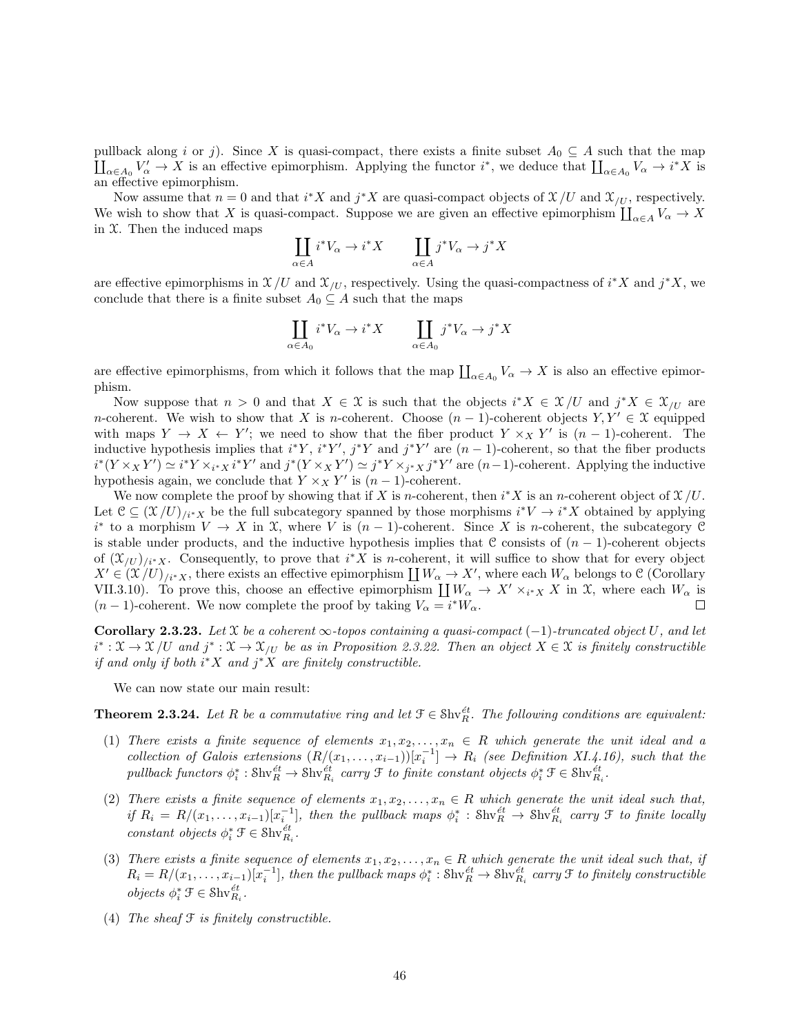pullback along i or j). Since X is quasi-compact, there exists a finite subset  $A_0 \subseteq A$  such that the map  $\prod_{\alpha\in A_0} V'_\alpha \to X$  is an effective epimorphism. Applying the functor  $i^*$ , we deduce that  $\prod_{\alpha\in A_0} V_\alpha \to i^*X$  is an effective epimorphism.

Now assume that  $n = 0$  and that  $i^*X$  and  $j^*X$  are quasi-compact objects of  $\mathfrak{X}/U$  and  $\mathfrak{X}/U$ , respectively. We wish to show that X is quasi-compact. Suppose we are given an effective epimorphism  $\coprod_{\alpha\in A} V_{\alpha} \to X$ in  $X$ . Then the induced maps

$$
\coprod_{\alpha \in A} i^* V_{\alpha} \to i^* X \qquad \coprod_{\alpha \in A} j^* V_{\alpha} \to j^* X
$$

are effective epimorphisms in  $\mathfrak{X}/U$  and  $\mathfrak{X}/U$ , respectively. Using the quasi-compactness of  $i^*X$  and  $j^*X$ , we conclude that there is a finite subset  $A_0 \subseteq A$  such that the maps

$$
\coprod_{\alpha \in A_0} i^*V_{\alpha} \to i^*X \qquad \coprod_{\alpha \in A_0} j^*V_{\alpha} \to j^*X
$$

are effective epimorphisms, from which it follows that the map  $\prod_{\alpha \in A_0} V_\alpha \to X$  is also an effective epimorphism.

Now suppose that  $n > 0$  and that  $X \in \mathcal{X}$  is such that the objects  $i^*X \in \mathcal{X}/U$  and  $j^*X \in \mathcal{X}/U$  are n-coherent. We wish to show that X is n-coherent. Choose  $(n-1)$ -coherent objects  $Y, Y' \in \mathcal{X}$  equipped with maps  $Y \to X \leftarrow Y'$ ; we need to show that the fiber product  $Y \times_X Y'$  is  $(n-1)$ -coherent. The inductive hypothesis implies that  $i^*Y$ ,  $i^*Y'$ ,  $j^*Y$  and  $j^*Y'$  are  $(n-1)$ -coherent, so that the fiber products  $i^*(Y \times_X Y') \simeq i^*Y \times_{i^*X} i^*Y'$  and  $j^*(Y \times_X Y') \simeq j^*Y \times_{j^*X} j^*Y'$  are  $(n-1)$ -coherent. Applying the inductive hypothesis again, we conclude that  $Y \times_X Y'$  is  $(n-1)$ -coherent.

We now complete the proof by showing that if X is n-coherent, then  $i^*X$  is an n-coherent object of  $\mathfrak{X}/U$ . Let  $\mathcal{C} \subseteq (\mathcal{X}/U)_{i^*X}$  be the full subcategory spanned by those morphisms  $i^*V \to i^*X$  obtained by applying  $i^*$  to a morphism  $V \to X$  in X, where V is  $(n-1)$ -coherent. Since X is *n*-coherent, the subcategory C is stable under products, and the inductive hypothesis implies that C consists of  $(n - 1)$ -coherent objects of  $(\mathfrak{X}_{/U})_{i^*X}$ . Consequently, to prove that  $i^*X$  is *n*-coherent, it will suffice to show that for every object  $X' \in (\mathfrak{X}/U)_{i^*X}$ , there exists an effective epimorphism  $\coprod W_\alpha \to X'$ , where each  $W_\alpha$  belongs to C (Corollary VII.3.10). To prove this, choose an effective epimorphism  $\coprod W_{\alpha} \to X' \times_{i^*X} X$  in X, where each  $W_{\alpha}$  is  $(n-1)$ -coherent. We now complete the proof by taking  $V_{\alpha} = i^* W_{\alpha}$ .  $\Box$ 

Corollary 2.3.23. Let X be a coherent  $\infty$ -topos containing a quasi-compact (-1)-truncated object U, and let  $i^*: \mathfrak{X} \to \mathfrak{X}/U$  and  $j^*: \mathfrak{X} \to \mathfrak{X}/U$  be as in Proposition 2.3.22. Then an object  $X \in \mathfrak{X}$  is finitely constructible if and only if both  $i^*X$  and  $j^*X$  are finitely constructible.

We can now state our main result:

**Theorem 2.3.24.** Let R be a commutative ring and let  $\mathcal{F} \in Shv_E^{\text{\'et}}$ . The following conditions are equivalent:

- (1) There exists a finite sequence of elements  $x_1, x_2, \ldots, x_n \in R$  which generate the unit ideal and a collection of Galois extensions  $(R/(x_1, \ldots, x_{i-1}))[x_i^{-1}] \rightarrow R_i$  (see Definition XI.4.16), such that the pullback functors  $\phi_i^* : \text{Shv}_{R_i}^{\text{\'et}} \to \text{Shv}_{R_i}^{\text{\'et}}$  carry  $\mathfrak F$  to finite constant objects  $\phi_i^* \mathfrak F \in \text{Shv}_{R_i}^{\text{\'et}}$ .
- (2) There exists a finite sequence of elements  $x_1, x_2, \ldots, x_n \in R$  which generate the unit ideal such that, if  $R_i = R/(x_1, \ldots, x_{i-1})[x_i^{-1}]$ , then the pullback maps  $\phi_i^* : \text{Shv}_R^{\text{\'et}} \to \text{Shv}_{R_i}^{\text{\'et}}$  carry  $\mathfrak F$  to finite locally constant objects  $\phi_i^* \mathcal{F} \in \text{Shv}_{R_i}^{\text{\'et}}$ .
- (3) There exists a finite sequence of elements  $x_1, x_2, \ldots, x_n \in R$  which generate the unit ideal such that, if  $R_i = R/(x_1, \ldots, x_{i-1})[x_i^{-1}]$ , then the pullback maps  $\phi_i^* : \text{Shv}_R^{\text{\'et}} \to \text{Shv}_{R_i}^{\text{\'et}}$  carry  $\mathfrak F$  to finitely constructible *objects*  $\phi_i^* \mathcal{F} \in \text{Shv}_{R_i}^{\text{\'et}}$ .
- (4) The sheaf  $\mathcal F$  is finitely constructible.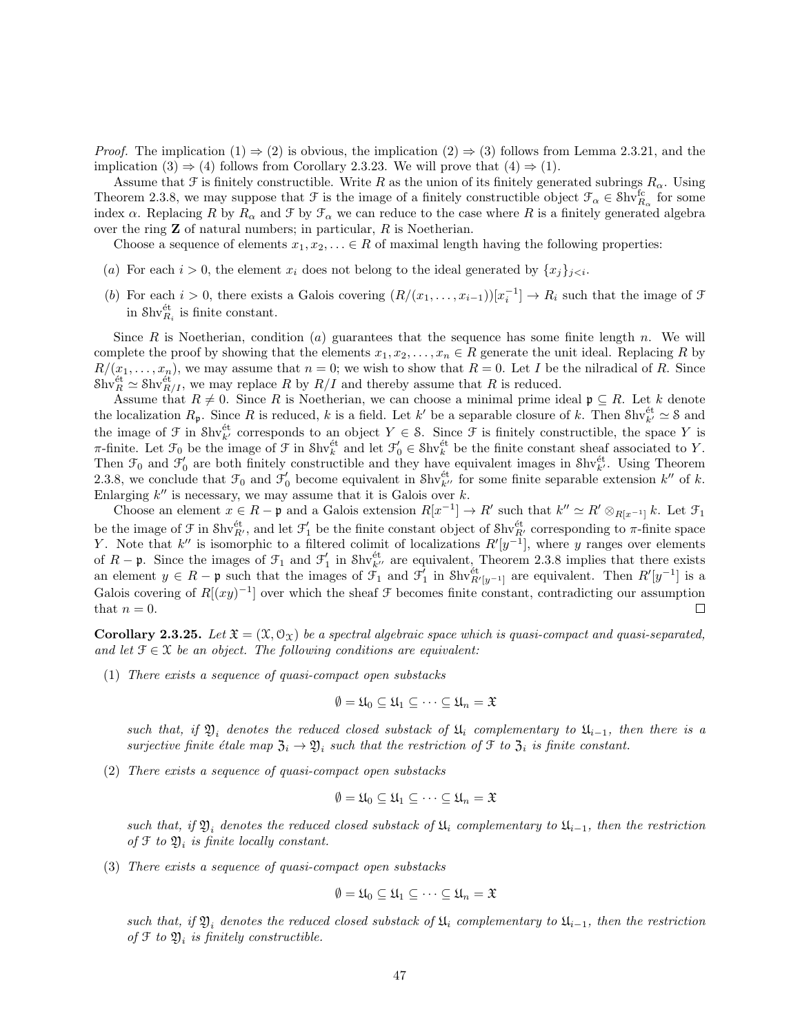*Proof.* The implication  $(1) \Rightarrow (2)$  is obvious, the implication  $(2) \Rightarrow (3)$  follows from Lemma 2.3.21, and the implication (3)  $\Rightarrow$  (4) follows from Corollary 2.3.23. We will prove that (4)  $\Rightarrow$  (1).

Assume that F is finitely constructible. Write R as the union of its finitely generated subrings  $R_{\alpha}$ . Using Theorem 2.3.8, we may suppose that  $\mathcal F$  is the image of a finitely constructible object  $\mathcal F_\alpha \in \mathcal Shv^{\text{fc}}_{R_\alpha}$  for some index  $\alpha$ . Replacing R by  $R_{\alpha}$  and F by  $\mathcal{F}_{\alpha}$  we can reduce to the case where R is a finitely generated algebra over the ring  $Z$  of natural numbers; in particular,  $R$  is Noetherian.

Choose a sequence of elements  $x_1, x_2, \ldots \in R$  of maximal length having the following properties:

- (a) For each  $i > 0$ , the element  $x_i$  does not belong to the ideal generated by  $\{x_j\}_{j \leq i}$ .
- (b) For each  $i > 0$ , there exists a Galois covering  $(R/(x_1, \ldots, x_{i-1}))[x_i^{-1}] \to R_i$  such that the image of  $\mathcal F$ in  $\text{Shv}_{R_i}^{\text{\'et}}$  is finite constant.

Since  $R$  is Noetherian, condition  $(a)$  guarantees that the sequence has some finite length n. We will complete the proof by showing that the elements  $x_1, x_2, \ldots, x_n \in R$  generate the unit ideal. Replacing R by  $R/(x_1,\ldots,x_n)$ , we may assume that  $n=0$ ; we wish to show that  $R=0$ . Let I be the nilradical of R. Since  $\text{Shv}_R^{\text{\'et}} \simeq \text{Shv}_{R/I}^{\text{\'et}}$ , we may replace R by  $R/I$  and thereby assume that R is reduced.

Assume that  $R \neq 0$ . Since R is Noetherian, we can choose a minimal prime ideal  $\mathfrak{p} \subseteq R$ . Let k denote the localization  $R_p$ . Since R is reduced, k is a field. Let k' be a separable closure of k. Then  $\text{Shv}_{k'}^{\text{\'et}} \simeq \text{S}$  and the image of  $\mathcal F$  in Shv<sup>et</sup> corresponds to an object  $Y \in \mathcal S$ . Since  $\mathcal F$  is finitely constructible, the space Y is  $\pi$ -finite. Let  $\mathcal{F}_0$  be the image of  $\mathcal{F}$  in  $\text{Shv}_k^{\text{\'et}}$  and let  $\mathcal{F}'_0 \in \text{Shv}_k^{\text{\'et}}$  be the finite constant sheaf associated to Y. Then  $\mathcal{F}_0$  and  $\mathcal{F}'_0$  are both finitely constructible and they have equivalent images in Shv<sup>et</sup>. Using Theorem 2.3.8, we conclude that  $\mathcal{F}_0$  and  $\mathcal{F}'_0$  become equivalent in Shv<sup>et</sup> for some finite separable extension k'' of k. Enlarging  $k''$  is necessary, we may assume that it is Galois over  $k$ .

Choose an element  $x \in R - \mathfrak{p}$  and a Galois extension  $R[x^{-1}] \to R'$  such that  $k'' \simeq R' \otimes_{R[x^{-1}]} k$ . Let  $\mathfrak{F}_1$ be the image of  $\mathcal F$  in  $\text{Shv}_{R'}^{\text{\'et}}$ , and let  $\mathcal F'_1$  be the finite constant object of  $\text{Shv}_{R'}^{\text{\'et}}$  corresponding to  $\pi$ -finite space Y. Note that k'' is isomorphic to a filtered colimit of localizations  $R'[y^{-1}]$ , where y ranges over elements of  $R-\mathfrak{p}$ . Since the images of  $\mathfrak{F}_1$  and  $\mathfrak{F}_1'$  in Shv<sup>et</sup> are equivalent, Theorem 2.3.8 implies that there exists an element  $y \in R - \mathfrak{p}$  such that the images of  $\mathcal{F}_1$  and  $\mathcal{F}_1'$  in  $\text{Shv}_{R'[y^{-1}]}^{\text{\'et}}$  are equivalent. Then  $R'[y^{-1}]$  is a Galois covering of  $R[(xy)^{-1}]$  over which the sheaf  $\mathcal F$  becomes finite constant, contradicting our assumption that  $n = 0$ .  $\Box$ 

**Corollary 2.3.25.** Let  $\mathfrak{X} = (\mathfrak{X}, \mathfrak{O}_{\mathfrak{X}})$  be a spectral algebraic space which is quasi-compact and quasi-separated, and let  $\mathcal{F} \in \mathcal{X}$  be an object. The following conditions are equivalent:

(1) There exists a sequence of quasi-compact open substacks

$$
\emptyset = \mathfrak{U}_0 \subseteq \mathfrak{U}_1 \subseteq \cdots \subseteq \mathfrak{U}_n = \mathfrak{X}
$$

such that, if  $\mathfrak{Y}_i$  denotes the reduced closed substack of  $\mathfrak{U}_i$  complementary to  $\mathfrak{U}_{i-1}$ , then there is a surjective finite étale map  $\mathfrak{Z}_i \to \mathfrak{Y}_i$  such that the restriction of  $\mathfrak{F}$  to  $\mathfrak{Z}_i$  is finite constant.

(2) There exists a sequence of quasi-compact open substacks

$$
\emptyset = \mathfrak{U}_0 \subseteq \mathfrak{U}_1 \subseteq \cdots \subseteq \mathfrak{U}_n = \mathfrak{X}
$$

such that, if  $\mathfrak{Y}_i$  denotes the reduced closed substack of  $\mathfrak{U}_i$  complementary to  $\mathfrak{U}_{i-1}$ , then the restriction of  $\mathfrak F$  to  $\mathfrak Y_i$  is finite locally constant.

(3) There exists a sequence of quasi-compact open substacks

$$
\emptyset = \mathfrak{U}_0 \subseteq \mathfrak{U}_1 \subseteq \cdots \subseteq \mathfrak{U}_n = \mathfrak{X}
$$

such that, if  $\mathfrak{Y}_i$  denotes the reduced closed substack of  $\mathfrak{U}_i$  complementary to  $\mathfrak{U}_{i-1}$ , then the restriction of  $\mathfrak F$  to  $\mathfrak Y_i$  is finitely constructible.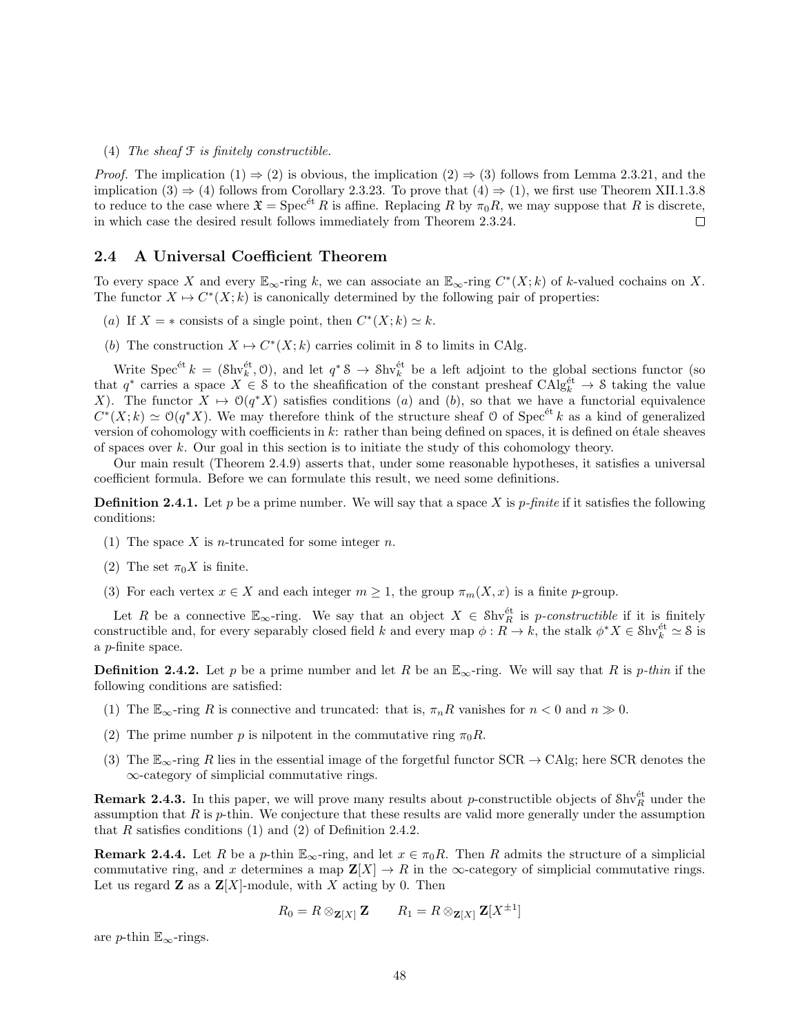(4) The sheaf  $\mathcal F$  is finitely constructible.

*Proof.* The implication  $(1) \Rightarrow (2)$  is obvious, the implication  $(2) \Rightarrow (3)$  follows from Lemma 2.3.21, and the implication (3)  $\Rightarrow$  (4) follows from Corollary 2.3.23. To prove that (4)  $\Rightarrow$  (1), we first use Theorem XII.1.3.8 to reduce to the case where  $\mathfrak{X} = \mathrm{Spec}^{\text{\'et}} R$  is affine. Replacing R by  $\pi_0 R$ , we may suppose that R is discrete, in which case the desired result follows immediately from Theorem 2.3.24.  $\Box$ 

#### 2.4 A Universal Coefficient Theorem

To every space X and every  $\mathbb{E}_{\infty}$ -ring k, we can associate an  $\mathbb{E}_{\infty}$ -ring  $C^*(X;k)$  of k-valued cochains on X. The functor  $X \mapsto C^*(X; k)$  is canonically determined by the following pair of properties:

- (a) If  $X = *$  consists of a single point, then  $C^*(X; k) \simeq k$ .
- (b) The construction  $X \mapsto C^*(X; k)$  carries colimit in S to limits in CAlg.

Write  $Spec^{\'et} k = (\text{Shv}_k^{\'et}, 0)$ , and let  $q^* S \to Shv_k^{\'et}$  be a left adjoint to the global sections functor (so that  $q^*$  carries a space  $X \in \mathcal{S}$  to the sheafification of the constant presheaf  $\text{CAlg}_{k}^{\text{\'et}} \to \mathcal{S}$  taking the value X). The functor  $X \mapsto \mathcal{O}(q^*X)$  satisfies conditions (a) and (b), so that we have a functorial equivalence  $C^*(X;k) \simeq \mathcal{O}(q^*X)$ . We may therefore think of the structure sheaf O of Spec<sup>et</sup> k as a kind of generalized version of cohomology with coefficients in  $k$ : rather than being defined on spaces, it is defined on étale sheaves of spaces over  $k$ . Our goal in this section is to initiate the study of this cohomology theory.

Our main result (Theorem 2.4.9) asserts that, under some reasonable hypotheses, it satisfies a universal coefficient formula. Before we can formulate this result, we need some definitions.

**Definition 2.4.1.** Let p be a prime number. We will say that a space X is p-finite if it satisfies the following conditions:

- (1) The space X is *n*-truncated for some integer *n*.
- (2) The set  $\pi_0 X$  is finite.
- (3) For each vertex  $x \in X$  and each integer  $m \geq 1$ , the group  $\pi_m(X, x)$  is a finite p-group.

Let R be a connective  $\mathbb{E}_{\infty}$ -ring. We say that an object  $X \in Shv_R^{\text{\'et}}$  is p-constructible if it is finitely constructible and, for every separably closed field k and every map  $\phi: R \to k$ , the stalk  $\phi^* X \in \mathcal{S}$ hv $\phi^{\text{\'et}}$   $\simeq$  8 is a p-finite space.

**Definition 2.4.2.** Let p be a prime number and let R be an  $\mathbb{E}_{\infty}$ -ring. We will say that R is p-thin if the following conditions are satisfied:

- (1) The  $\mathbb{E}_{\infty}$ -ring R is connective and truncated: that is,  $\pi_n R$  vanishes for  $n < 0$  and  $n \gg 0$ .
- (2) The prime number p is nilpotent in the commutative ring  $\pi_0 R$ .
- (3) The  $\mathbb{E}_{\infty}$ -ring R lies in the essential image of the forgetful functor SCR  $\rightarrow$  CAlg; here SCR denotes the ∞-category of simplicial commutative rings.

**Remark 2.4.3.** In this paper, we will prove many results about p-constructible objects of  $\text{Shv}_R^{\text{\'et}}$  under the assumption that  $R$  is  $p$ -thin. We conjecture that these results are valid more generally under the assumption that R satisfies conditions  $(1)$  and  $(2)$  of Definition 2.4.2.

**Remark 2.4.4.** Let R be a p-thin  $\mathbb{E}_{\infty}$ -ring, and let  $x \in \pi_0 R$ . Then R admits the structure of a simplicial commutative ring, and x determines a map  $\mathbf{Z}[X] \to R$  in the  $\infty$ -category of simplicial commutative rings. Let us regard **Z** as a  $\mathbf{Z}[X]$ -module, with X acting by 0. Then

$$
R_0 = R \otimes_{\mathbf{Z}[X]} \mathbf{Z} \qquad R_1 = R \otimes_{\mathbf{Z}[X]} \mathbf{Z}[X^{\pm 1}]
$$

are p-thin  $\mathbb{E}_{\infty}$ -rings.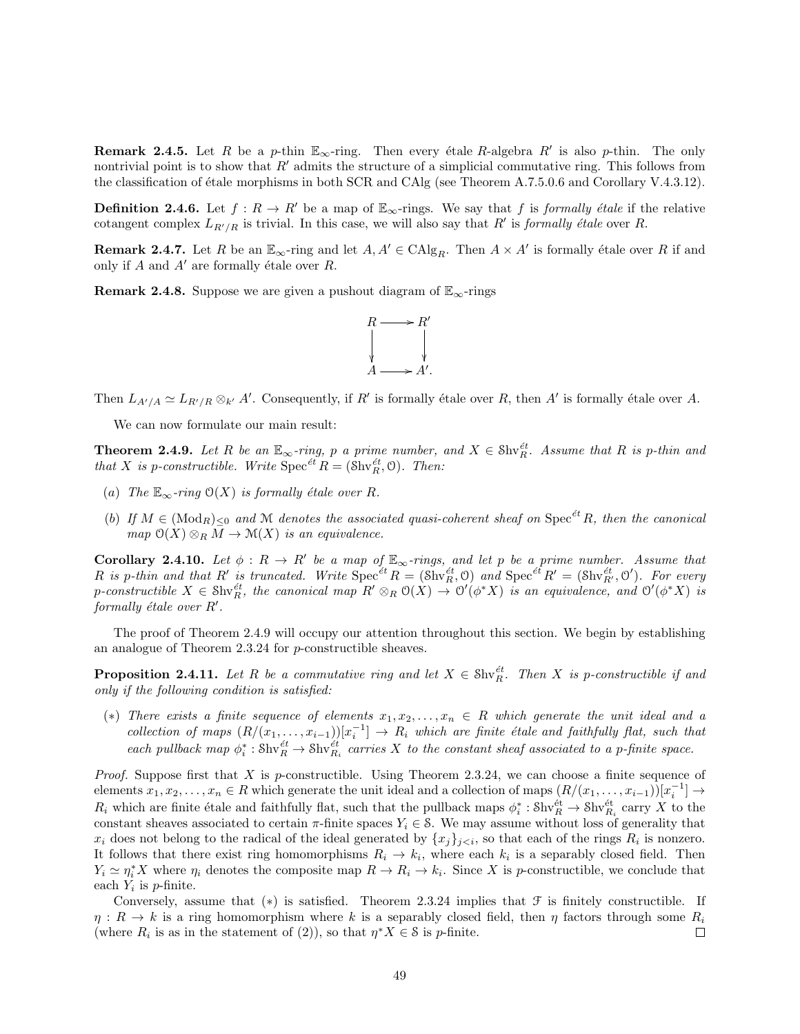**Remark 2.4.5.** Let R be a p-thin  $\mathbb{E}_{\infty}$ -ring. Then every étale R-algebra R' is also p-thin. The only nontrivial point is to show that  $R'$  admits the structure of a simplicial commutative ring. This follows from the classification of étale morphisms in both SCR and CAlg (see Theorem A.7.5.0.6 and Corollary V.4.3.12).

**Definition 2.4.6.** Let  $f : R \to R'$  be a map of  $\mathbb{E}_{\infty}$ -rings. We say that f is formally étale if the relative cotangent complex  $L_{R'/R}$  is trivial. In this case, we will also say that R' is formally étale over R.

**Remark 2.4.7.** Let R be an  $\mathbb{E}_{\infty}$ -ring and let  $A, A' \in \text{CAlg}_R$ . Then  $A \times A'$  is formally étale over R if and only if  $A$  and  $A'$  are formally étale over  $R$ .

**Remark 2.4.8.** Suppose we are given a pushout diagram of  $\mathbb{E}_{\infty}$ -rings



Then  $L_{A'/A} \simeq L_{R'/R} \otimes_{k'} A'$ . Consequently, if R' is formally étale over R, then A' is formally étale over A.

We can now formulate our main result:

**Theorem 2.4.9.** Let R be an  $\mathbb{E}_{\infty}$ -ring, p a prime number, and  $X \in Shv_E^{et}$ . Assume that R is p-thin and that X is p-constructible. Write  $\operatorname{Spec}^{\acute{e}t} R = (\operatorname{Shv}_R^{\acute{e}t}, 0)$ . Then:

- (a) The  $\mathbb{E}_{\infty}$ -ring  $\mathcal{O}(X)$  is formally étale over R.
- (b) If  $M \in (Mod_R)_{\leq 0}$  and M denotes the associated quasi-coherent sheaf on Spec<sup> $\acute{e}t$ </sup>R, then the canonical map  $O(X) \otimes_R M \to \mathcal{M}(X)$  is an equivalence.

**Corollary 2.4.10.** Let  $\phi: R \to R'$  be a map of  $\mathbb{E}_{\infty}$ -rings, and let p be a prime number. Assume that R is p-thin and that R' is truncated. Write  $Spec^{et} R = (\text{Shv}_R^{et}, 0)$  and  $Spec^{et} R' = (\text{Shv}_{R'}^{et}, 0')$ . For every p-constructible  $X \in \text{Shv}_R^{\text{\'et}}$ , the canonical map  $R' \otimes_R \mathcal{O}(X) \to \mathcal{O}'(\phi^* X)$  is an equivalence, and  $\mathcal{O}'(\phi^* X)$  is formally étale over  $R'$ .

The proof of Theorem 2.4.9 will occupy our attention throughout this section. We begin by establishing an analogue of Theorem 2.3.24 for p-constructible sheaves.

**Proposition 2.4.11.** Let R be a commutative ring and let  $X \in Shv_R^{\text{\'et}}$ . Then X is p-constructible if and only if the following condition is satisfied:

(\*) There exists a finite sequence of elements  $x_1, x_2, \ldots, x_n \in R$  which generate the unit ideal and a collection of maps  $(R/(x_1,\ldots,x_{i-1}))[x_i^{-1}] \rightarrow R_i$  which are finite étale and faithfully flat, such that each pullback map  $\phi_i^* : \text{Shv}_{R_i}^{\text{\'et}} \to \text{Shv}_{R_i}^{\text{\'et}}$  carries X to the constant sheaf associated to a p-finite space.

*Proof.* Suppose first that X is p-constructible. Using Theorem 2.3.24, we can choose a finite sequence of elements  $x_1, x_2, \ldots, x_n \in R$  which generate the unit ideal and a collection of maps  $(R/(x_1, \ldots, x_{i-1}))[x_i^{-1}] \to$  $R_i$  which are finite étale and faithfully flat, such that the pullback maps  $\phi_i^* : Shv_R^{\text{\'et}} \to Shv_{R_i}^{\text{\'et}}$  carry X to the constant sheaves associated to certain  $\pi$ -finite spaces  $Y_i \in \mathcal{S}$ . We may assume without loss of generality that  $x_i$  does not belong to the radical of the ideal generated by  $\{x_j\}_{j\leq i}$ , so that each of the rings  $R_i$  is nonzero. It follows that there exist ring homomorphisms  $R_i \to k_i$ , where each  $k_i$  is a separably closed field. Then  $Y_i \simeq \eta_i^* X$  where  $\eta_i$  denotes the composite map  $R \to R_i \to k_i$ . Since X is p-constructible, we conclude that each  $Y_i$  is p-finite.

Conversely, assume that  $(*)$  is satisfied. Theorem 2.3.24 implies that  $\mathcal F$  is finitely constructible. If  $\eta: R \to k$  is a ring homomorphism where k is a separably closed field, then  $\eta$  factors through some  $R_i$ (where  $R_i$  is as in the statement of (2)), so that  $\eta^* X \in \mathcal{S}$  is p-finite.  $\Box$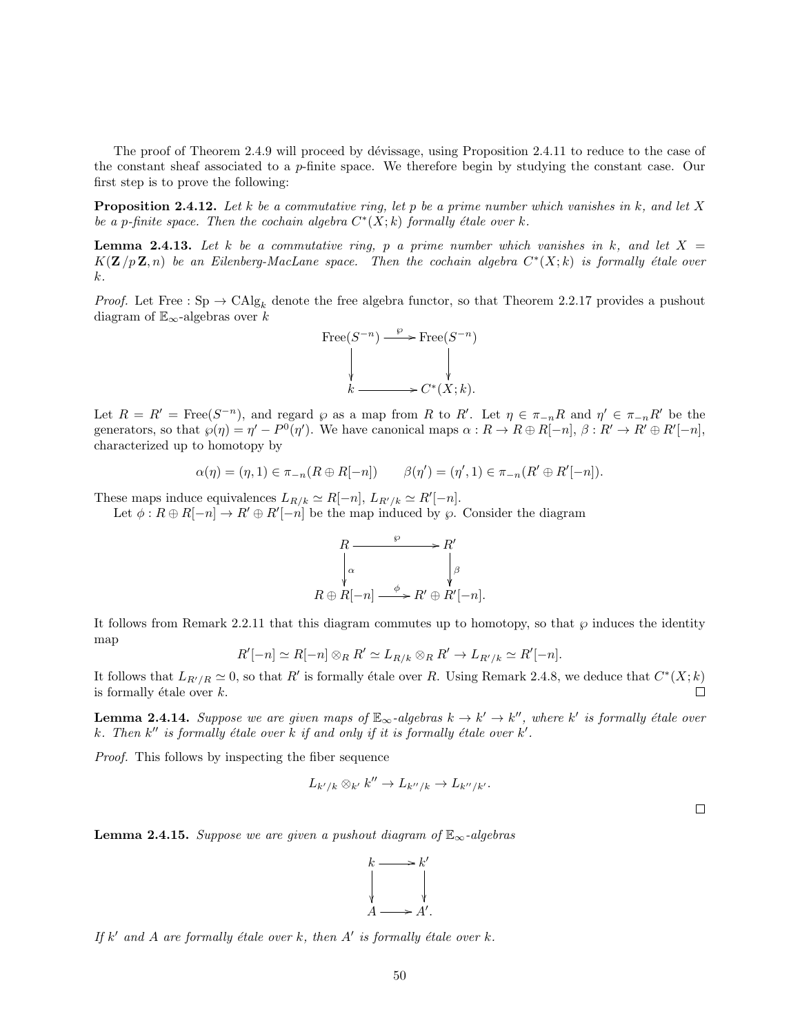The proof of Theorem 2.4.9 will proceed by dévissage, using Proposition 2.4.11 to reduce to the case of the constant sheaf associated to a  $p$ -finite space. We therefore begin by studying the constant case. Our first step is to prove the following:

**Proposition 2.4.12.** Let k be a commutative ring, let p be a prime number which vanishes in k, and let X be a p-finite space. Then the cochain algebra  $C^*(X;k)$  formally étale over k.

**Lemma 2.4.13.** Let k be a commutative ring, p a prime number which vanishes in k, and let  $X =$  $K(\mathbf{Z}/p\mathbf{Z}, n)$  be an Eilenberg-MacLane space. Then the cochain algebra  $C^*(X;k)$  is formally étale over k.

*Proof.* Let Free :  $\text{Sp} \to \text{CAlg}_k$  denote the free algebra functor, so that Theorem 2.2.17 provides a pushout diagram of  $\mathbb{E}_{\infty}$ -algebras over k



Let  $R = R' = \text{Free}(S^{-n})$ , and regard  $\wp$  as a map from R to R'. Let  $\eta \in \pi_{-n}R$  and  $\eta' \in \pi_{-n}R'$  be the generators, so that  $\wp(\eta) = \eta' - P^0(\eta')$ . We have canonical maps  $\alpha : R \to R \oplus R[-n], \beta : R' \to R' \oplus R'[-n],$ characterized up to homotopy by

$$
\alpha(\eta) = (\eta, 1) \in \pi_{-n}(R \oplus R[-n]) \qquad \beta(\eta') = (\eta', 1) \in \pi_{-n}(R' \oplus R'[-n]).
$$

These maps induce equivalences  $L_{R/k} \simeq R[-n], L_{R'/k} \simeq R'[-n]$ .

Let  $\phi: R \oplus R[-n] \to R' \oplus R'[-n]$  be the map induced by  $\wp$ . Consider the diagram

$$
R \xrightarrow{\varphi} R'
$$
  
\n
$$
\downarrow \alpha
$$
  
\n
$$
R \oplus R[-n] \xrightarrow{\phi} R' \oplus R'[-n].
$$

It follows from Remark 2.2.11 that this diagram commutes up to homotopy, so that  $\wp$  induces the identity map

$$
R'[-n] \simeq R[-n] \otimes_R R' \simeq L_{R/k} \otimes_R R' \to L_{R'/k} \simeq R'[-n].
$$

It follows that  $L_{R'/R} \simeq 0$ , so that R' is formally étale over R. Using Remark 2.4.8, we deduce that  $C^*(X; k)$ is formally étale over  $k$ .  $\Box$ 

**Lemma 2.4.14.** Suppose we are given maps of  $\mathbb{E}_{\infty}$ -algebras  $k \to k' \to k''$ , where k' is formally étale over k. Then  $k''$  is formally étale over  $k$  if and only if it is formally étale over  $k'$ .

Proof. This follows by inspecting the fiber sequence

$$
L_{k'/k} \otimes_{k'} k'' \to L_{k''/k} \to L_{k''/k'}.
$$

 $\Box$ 

**Lemma 2.4.15.** Suppose we are given a pushout diagram of  $\mathbb{E}_{\infty}$ -algebras



If  $k'$  and  $A$  are formally étale over  $k$ , then  $A'$  is formally étale over  $k$ .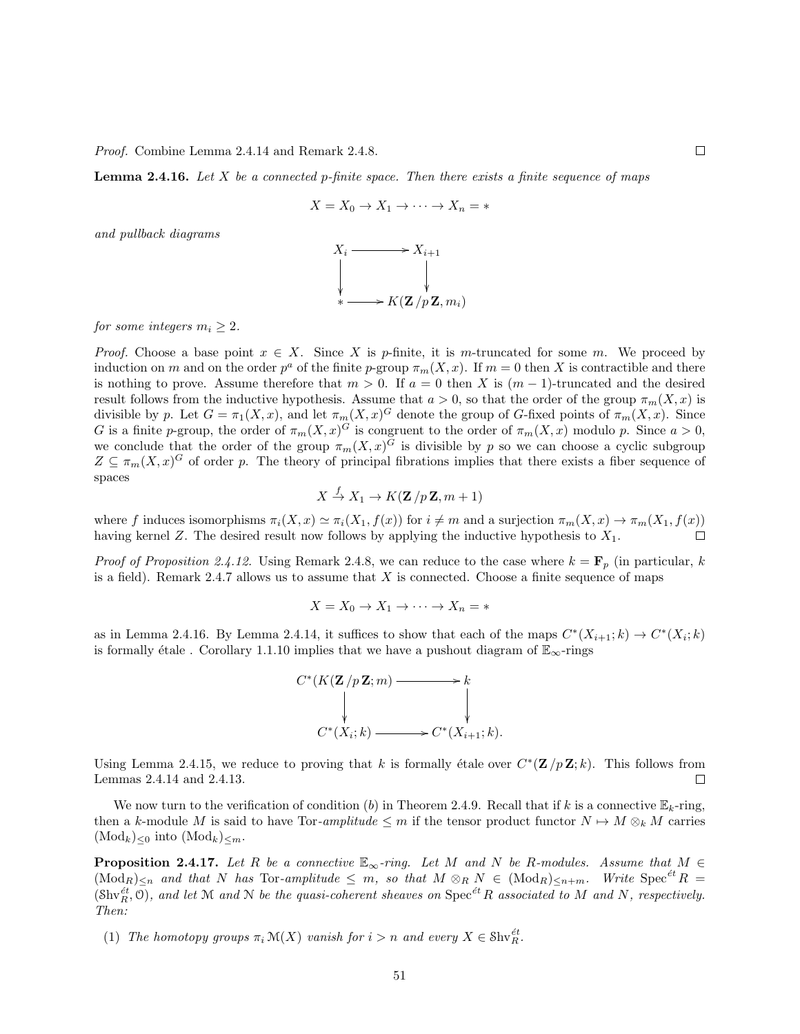Proof. Combine Lemma 2.4.14 and Remark 2.4.8.

**Lemma 2.4.16.** Let  $X$  be a connected p-finite space. Then there exists a finite sequence of maps

$$
X = X_0 \to X_1 \to \cdots \to X_n = *
$$

and pullback diagrams



for some integers  $m_i \geq 2$ .

*Proof.* Choose a base point  $x \in X$ . Since X is p-finite, it is m-truncated for some m. We proceed by induction on m and on the order  $p^a$  of the finite p-group  $\pi_m(X, x)$ . If  $m = 0$  then X is contractible and there is nothing to prove. Assume therefore that  $m > 0$ . If  $a = 0$  then X is  $(m - 1)$ -truncated and the desired result follows from the inductive hypothesis. Assume that  $a > 0$ , so that the order of the group  $\pi_m(X, x)$  is divisible by p. Let  $G = \pi_1(X, x)$ , and let  $\pi_m(X, x)$ <sup>G</sup> denote the group of G-fixed points of  $\pi_m(X, x)$ . Since G is a finite p-group, the order of  $\pi_m(X, x)^G$  is congruent to the order of  $\pi_m(X, x)$  modulo p. Since  $a > 0$ , we conclude that the order of the group  $\pi_m(X, x)^G$  is divisible by p so we can choose a cyclic subgroup  $Z \subseteq \pi_m(X, x)^G$  of order p. The theory of principal fibrations implies that there exists a fiber sequence of spaces

$$
X \xrightarrow{f} X_1 \to K(\mathbf{Z}/p\mathbf{Z}, m+1)
$$

where f induces isomorphisms  $\pi_i(X, x) \simeq \pi_i(X_1, f(x))$  for  $i \neq m$  and a surjection  $\pi_m(X, x) \to \pi_m(X_1, f(x))$ having kernel  $Z$ . The desired result now follows by applying the inductive hypothesis to  $X_1$ .  $\Box$ 

*Proof of Proposition 2.4.12.* Using Remark 2.4.8, we can reduce to the case where  $k = \mathbf{F}_p$  (in particular, k is a field). Remark 2.4.7 allows us to assume that  $X$  is connected. Choose a finite sequence of maps

$$
X = X_0 \to X_1 \to \cdots \to X_n = *
$$

as in Lemma 2.4.16. By Lemma 2.4.14, it suffices to show that each of the maps  $C^*(X_{i+1}; k) \to C^*(X_i; k)$ is formally étale . Corollary 1.1.10 implies that we have a pushout diagram of  $\mathbb{E}_{\infty}$ -rings



Using Lemma 2.4.15, we reduce to proving that k is formally étale over  $C^*(\mathbf{Z}/p\mathbf{Z}; k)$ . This follows from Lemmas 2.4.14 and 2.4.13.  $\Box$ 

We now turn to the verification of condition (b) in Theorem 2.4.9. Recall that if k is a connective  $\mathbb{E}_k$ -ring, then a k-module M is said to have Tor-amplitude  $\leq m$  if the tensor product functor  $N \mapsto M \otimes_k M$  carries  $(\text{Mod}_k)_{\leq 0}$  into  $(\text{Mod}_k)_{\leq m}$ .

**Proposition 2.4.17.** Let R be a connective  $\mathbb{E}_{\infty}$ -ring. Let M and N be R-modules. Assume that  $M \in$  $(\text{Mod}_R)_{\leq n}$  and that N has Tor-amplitude  $\leq m$ , so that  $M \otimes_R N \in (\text{Mod}_R)_{\leq n+m}$ . Write  $\text{Spec}^{\text{\'et}}R =$  $(\text{Shv}_R^{\text{\'et}}, 0)$ , and let M and N be the quasi-coherent sheaves on  $\text{Spec}^{\text{\'et}}R$  associated to M and N, respectively. Then:

(1) The homotopy groups  $\pi_i \mathcal{M}(X)$  vanish for  $i > n$  and every  $X \in \mathcal{Shv}_R^{\text{\'et}}$ .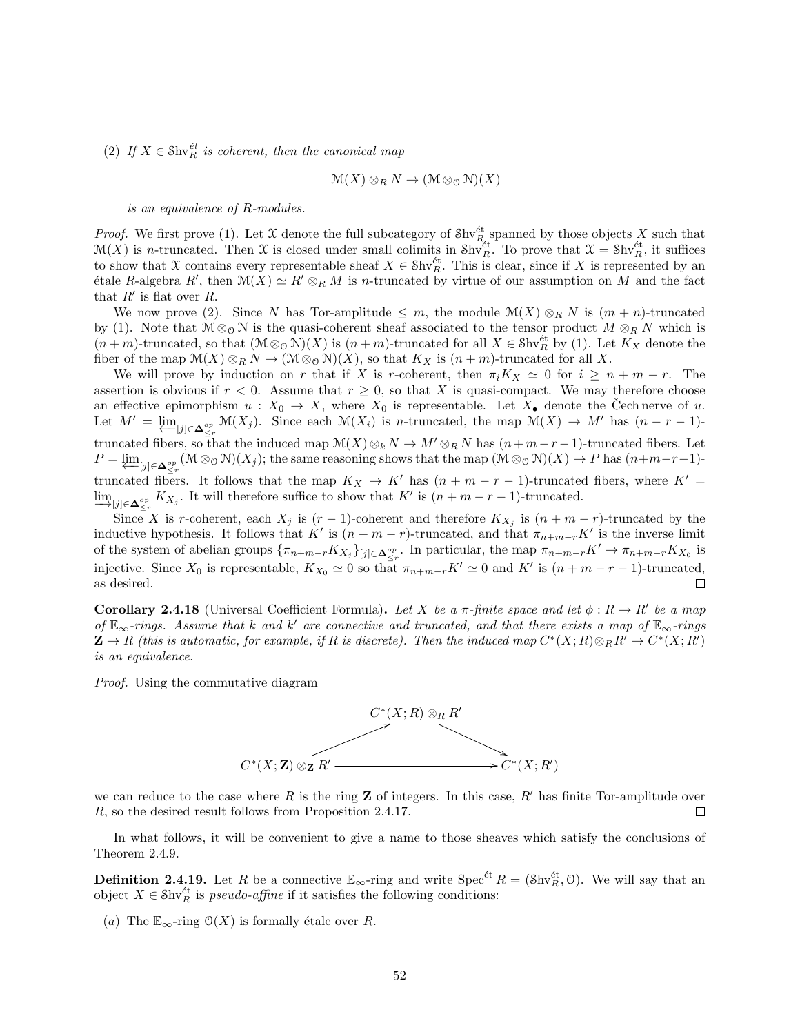(2) If  $X \in \text{Shv}_R^{\text{\'et}}$  is coherent, then the canonical map

$$
\mathcal{M}(X) \otimes_R N \to (\mathcal{M} \otimes_{\mathcal{O}} \mathcal{N})(X)
$$

is an equivalence of R-modules.

*Proof.* We first prove (1). Let X denote the full subcategory of  $\text{Shv}_R^{\text{\'et}}$  spanned by those objects X such that  $\mathcal{M}(X)$  is n-truncated. Then X is closed under small colimits in Shv<sup>et</sup>. To prove that  $\mathcal{X} = \text{Shv}_R^{\text{\'et}}$ , it suffices to show that X contains every representable sheaf  $X \in Shv_R^{\text{\'et}}$ . This is clear, since if X is represented by an étale R-algebra R', then  $\mathcal{M}(X) \simeq R' \otimes_R M$  is n-truncated by virtue of our assumption on M and the fact that  $R'$  is flat over  $R$ .

We now prove (2). Since N has Tor-amplitude  $\leq m$ , the module  $\mathcal{M}(X) \otimes_R N$  is  $(m+n)$ -truncated by (1). Note that  $M \otimes_{\mathcal{O}} N$  is the quasi-coherent sheaf associated to the tensor product  $M \otimes_R N$  which is  $(n+m)$ -truncated, so that  $(\mathcal{M} \otimes_{\mathcal{O}} \mathcal{N})(X)$  is  $(n+m)$ -truncated for all  $X \in \mathcal{S}(\mathcal{M})$  by (1). Let  $K_X$  denote the fiber of the map  $\mathcal{M}(X) \otimes_R N \to (\mathcal{M} \otimes_{\mathcal{O}} \mathcal{N})(X)$ , so that  $K_X$  is  $(n+m)$ -truncated for all X.

We will prove by induction on r that if X is r-coherent, then  $\pi_i K_X \simeq 0$  for  $i \geq n + m - r$ . The assertion is obvious if  $r < 0$ . Assume that  $r \geq 0$ , so that X is quasi-compact. We may therefore choose an effective epimorphism  $u : X_0 \to X$ , where  $X_0$  is representable. Let  $X_{\bullet}$  denote the Cech nerve of u. Let  $M' = \varprojlim_{[j] \in \Delta_{\leq r}^{op}} \mathcal{M}(X_j)$ . Since each  $\mathcal{M}(X_i)$  is *n*-truncated, the map  $\mathcal{M}(X) \to M'$  has  $(n - r - 1)$ truncated fibers, so that the induced map  $\mathcal{M}(X)\otimes_k N \to M'\otimes_R N$  has  $(n+m-r-1)$ -truncated fibers. Let  $P = \varprojlim_{[j] \in \mathbf{\Delta}_{\leq r}^{\circ p}} (\mathcal{M} \otimes_{\mathcal{O}} \mathcal{N})(X_j);$  the same reasoning shows that the map  $(\mathcal{M} \otimes_{\mathcal{O}} \mathcal{N})(X) \to P$  has  $(n+m-r-1)$ truncated fibers. It follows that the map  $K_X \to K'$  has  $(n + m - r - 1)$ -truncated fibers, where  $K' =$  $\lim_{x \to \infty}$   $\lim_{x \to \infty} K_{X_j}$ . It will therefore suffice to show that  $K'$  is  $(n + m - r - 1)$ -truncated.

Since X is r-coherent, each  $X_j$  is  $(r-1)$ -coherent and therefore  $K_{X_j}$  is  $(n+m-r)$ -truncated by the inductive hypothesis. It follows that K' is  $(n + m - r)$ -truncated, and that  $\pi_{n+m-r}K'$  is the inverse limit of the system of abelian groups  $\{\pi_{n+m-r}K_{X_j}\}_{[j]\in\Delta_{\leq r}^{op}}$ . In particular, the map  $\pi_{n+m-r}K'\to\pi_{n+m-r}K_{X_0}$  is injective. Since  $X_0$  is representable,  $K_{X_0} \simeq 0$  so that  $\pi_{n+m-r}K' \simeq 0$  and  $K'$  is  $(n+m-r-1)$ -truncated, as desired.  $\Box$ 

**Corollary 2.4.18** (Universal Coefficient Formula). Let X be a  $\pi$ -finite space and let  $\phi : R \to R'$  be a map of  $\mathbb{E}_{\infty}$ -rings. Assume that k and k' are connective and truncated, and that there exists a map of  $\mathbb{E}_{\infty}$ -rings  $\mathbf{Z} \to R$  (this is automatic, for example, if R is discrete). Then the induced map  $C^*(X;R) \otimes_R R' \to C^*(X;R')$ is an equivalence.

Proof. Using the commutative diagram



we can reduce to the case where R is the ring Z of integers. In this case, R' has finite Tor-amplitude over R, so the desired result follows from Proposition 2.4.17. П

In what follows, it will be convenient to give a name to those sheaves which satisfy the conclusions of Theorem 2.4.9.

**Definition 2.4.19.** Let R be a connective  $\mathbb{E}_{\infty}$ -ring and write  $\text{Spec}^{\text{\'et}} R = (\text{Shv}_R^{\text{\'et}}, 0)$ . We will say that an object  $X \in \text{Shv}_R^{\text{\'et}}$  is *pseudo-affine* if it satisfies the following conditions:

(a) The  $\mathbb{E}_{\infty}$ -ring  $\mathcal{O}(X)$  is formally étale over R.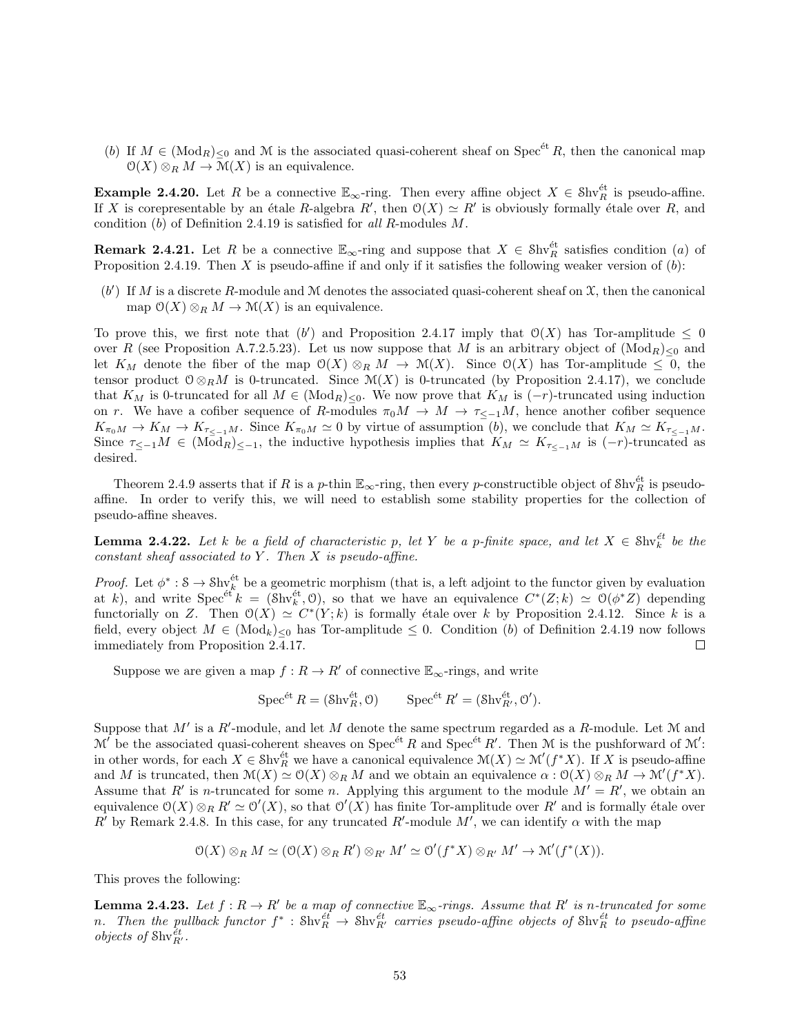(b) If  $M \in (Mod_R)_{\leq 0}$  and M is the associated quasi-coherent sheaf on Spec<sup>et</sup> R, then the canonical map  $\mathcal{O}(X) \otimes_R M \to \mathcal{M}(X)$  is an equivalence.

**Example 2.4.20.** Let R be a connective  $\mathbb{E}_{\infty}$ -ring. Then every affine object  $X \in \text{Shv}_R^{\text{\'et}}$  is pseudo-affine. If X is corepresentable by an étale R-algebra  $R'$ , then  $\mathcal{O}(X) \simeq R'$  is obviously formally étale over R, and condition (b) of Definition 2.4.19 is satisfied for all R-modules M.

**Remark 2.4.21.** Let R be a connective  $\mathbb{E}_{\infty}$ -ring and suppose that  $X \in Shv_R^{\text{\'et}}$  satisfies condition (a) of Proposition 2.4.19. Then X is pseudo-affine if and only if it satisfies the following weaker version of  $(b)$ :

 $(b')$  If M is a discrete R-module and M denotes the associated quasi-coherent sheaf on  $\mathfrak X$ , then the canonical map  $\mathcal{O}(X) \otimes_R M \to \mathcal{M}(X)$  is an equivalence.

To prove this, we first note that  $(b')$  and Proposition 2.4.17 imply that  $O(X)$  has Tor-amplitude  $\leq 0$ over R (see Proposition A.7.2.5.23). Let us now suppose that M is an arbitrary object of  $(\text{Mod}_R)_{\leq 0}$  and let  $K_M$  denote the fiber of the map  $\mathcal{O}(X) \otimes_R M \to \mathcal{M}(X)$ . Since  $\mathcal{O}(X)$  has Tor-amplitude  $\leq 0$ , the tensor product  $0 \otimes_R M$  is 0-truncated. Since  $\mathcal{M}(X)$  is 0-truncated (by Proposition 2.4.17), we conclude that  $K_M$  is 0-truncated for all  $M \in (Mod_R)_{\leq 0}$ . We now prove that  $K_M$  is  $(-r)$ -truncated using induction on r. We have a cofiber sequence of R-modules  $\pi_0 M \to M \to \tau \lt_{-1} M$ , hence another cofiber sequence  $K_{\pi_0M} \to K_M \to K_{\pi_{\le-1}M}$ . Since  $K_{\pi_0M} \simeq 0$  by virtue of assumption  $(b)$ , we conclude that  $K_M \simeq K_{\pi_{\le-1}M}$ . Since  $\tau_{\leq -1}M \in (Mod_R)_{\leq -1}$ , the inductive hypothesis implies that  $K_M \simeq K_{\tau_{\leq -1}M}$  is  $(-r)$ -truncated as desired.

Theorem 2.4.9 asserts that if R is a p-thin  $\mathbb{E}_{\infty}$ -ring, then every p-constructible object of  $\text{Shv}_R^{\text{\'et}}$  is pseudoaffine. In order to verify this, we will need to establish some stability properties for the collection of pseudo-affine sheaves.

**Lemma 2.4.22.** Let k be a field of characteristic p, let Y be a p-finite space, and let  $X \in Shx_k^{\text{\'et}}$  be the constant sheaf associated to  $Y$ . Then  $X$  is pseudo-affine.

*Proof.* Let  $\phi^*: \mathcal{S} \to \mathcal{S} \text{hv}_k^{\text{\'et}}$  be a geometric morphism (that is, a left adjoint to the functor given by evaluation at k), and write  $Spec^{\'{e}t}k = (Shv_k^{\'{e}t}, 0)$ , so that we have an equivalence  $C^*(Z;k) \simeq O(\phi^*Z)$  depending functorially on Z. Then  $\mathcal{O}(X) \simeq C^*(Y; k)$  is formally étale over k by Proposition 2.4.12. Since k is a field, every object  $M \in (Mod_k)_{\leq 0}$  has Tor-amplitude  $\leq 0$ . Condition (b) of Definition 2.4.19 now follows immediately from Proposition 2.4.17.  $\Box$ 

Suppose we are given a map  $f: R \to R'$  of connective  $\mathbb{E}_{\infty}$ -rings, and write

Spec<sup>ét</sup>  $R = (\text{Shv}_R^{\text{\'et}}, 0)$  Spec<sup>ét</sup>  $R' = (\text{Shv}_{R'}^{\text{\'et}}, 0').$ 

Suppose that  $M'$  is a  $R'$ -module, and let M denote the same spectrum regarded as a R-module. Let M and  $\mathcal{M}'$  be the associated quasi-coherent sheaves on Spec<sup>ét</sup> R and Spec<sup>\*</sup>t R'. Then M is the pushforward of M': in other words, for each  $X \in \text{Shv}_R^{\text{\'et}}$  we have a canonical equivalence  $\mathcal{M}(X) \simeq \mathcal{M}'(f^*X)$ . If X is pseudo-affine and M is truncated, then  $\mathcal{M}(X) \simeq \mathcal{O}(X) \otimes_R M$  and we obtain an equivalence  $\alpha : \mathcal{O}(X) \otimes_R M \to \mathcal{M}'(f^*X)$ . Assume that R' is n-truncated for some n. Applying this argument to the module  $M' = R'$ , we obtain an equivalence  $\mathcal{O}(X) \otimes_R R' \simeq \mathcal{O}'(X)$ , so that  $\mathcal{O}'(X)$  has finite Tor-amplitude over  $R'$  and is formally étale over R' by Remark 2.4.8. In this case, for any truncated R'-module M', we can identify  $\alpha$  with the map

$$
\mathcal{O}(X) \otimes_R M \simeq (\mathcal{O}(X) \otimes_R R') \otimes_{R'} M' \simeq \mathcal{O}'(f^*X) \otimes_{R'} M' \to \mathcal{M}'(f^*(X)).
$$

This proves the following:

**Lemma 2.4.23.** Let  $f: R \to R'$  be a map of connective  $\mathbb{E}_{\infty}$ -rings. Assume that  $R'$  is n-truncated for some n. Then the pullback functor  $f^*$  : Shv $_R^{\text{\'et}}$   $\to$  Shv $_R^{\text{\'et}}$  carries pseudo-affine objects of Shv $_R^{\text{\'et}}$  to pseudo-affine objects of  $\text{Shv}_{R'}^{\tilde{e}t}$ .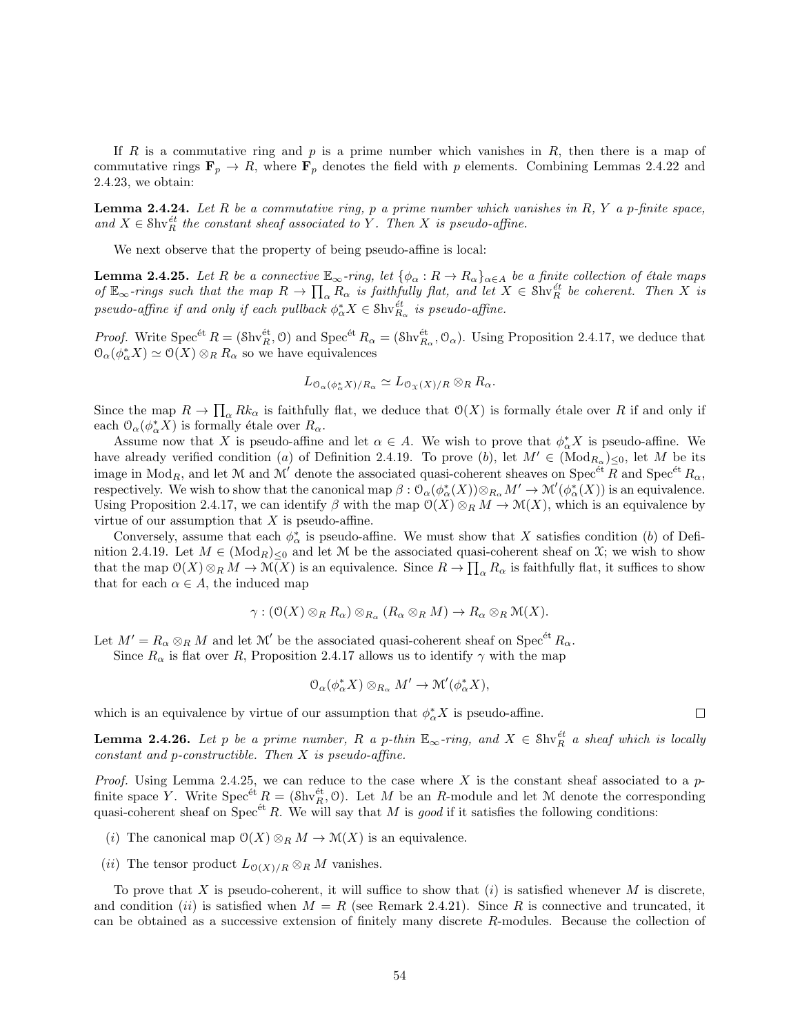If R is a commutative ring and p is a prime number which vanishes in R, then there is a map of commutative rings  $\mathbf{F}_p \to R$ , where  $\mathbf{F}_p$  denotes the field with p elements. Combining Lemmas 2.4.22 and 2.4.23, we obtain:

**Lemma 2.4.24.** Let  $R$  be a commutative ring,  $p$  a prime number which vanishes in  $R$ ,  $Y$  a p-finite space, and  $X \in Shv_R^{et}$  the constant sheaf associated to Y. Then X is pseudo-affine.

We next observe that the property of being pseudo-affine is local:

**Lemma 2.4.25.** Let R be a connective  $\mathbb{E}_{\infty}$ -ring, let  $\{\phi_{\alpha}: R \to R_{\alpha}\}_{\alpha \in A}$  be a finite collection of étale maps of  $\mathbb{E}_{\infty}$ -rings such that the map  $R \to \prod_{\alpha} R_{\alpha}$  is faithfully flat, and let  $X \in \mathcal{S}\mathrm{hv}_{R}^{\text{\'et}}$  be coherent. Then X is pseudo-affine if and only if each pullback  $\phi_{\alpha}^* X \in \text{Shv}_{R_{\alpha}}^{\text{\'et}}$  is pseudo-affine.

*Proof.* Write  $Spec^{\'{e}t}R = (\delta\text{hv}_R^{\'{e}t}, \mathcal{O})$  and  $Spec^{\'{e}t}R_\alpha = (\delta\text{hv}_{R_\alpha}^{\'{e}t}, \mathcal{O}_\alpha)$ . Using Proposition 2.4.17, we deduce that  $\mathcal{O}_{\alpha}(\phi_{\alpha}^* X) \simeq \mathcal{O}(X) \otimes_R R_{\alpha}$  so we have equivalences

$$
L_{\mathcal{O}_{\alpha}(\phi_{\alpha}^*X)/R_{\alpha}} \simeq L_{\mathcal{O}_{\mathfrak{X}}(X)/R} \otimes_R R_{\alpha}.
$$

Since the map  $R \to \prod_{\alpha} R k_{\alpha}$  is faithfully flat, we deduce that  $O(X)$  is formally étale over R if and only if each  $\mathcal{O}_{\alpha}(\phi_{\alpha}^* X)$  is formally étale over  $R_{\alpha}$ .

Assume now that X is pseudo-affine and let  $\alpha \in A$ . We wish to prove that  $\phi_{\alpha}^* X$  is pseudo-affine. We have already verified condition (a) of Definition 2.4.19. To prove (b), let  $M' \in (\text{Mod}_{R_\alpha})_{\leq 0}$ , let M be its image in  $Mod_R$ , and let M and M' denote the associated quasi-coherent sheaves on Spec<sup>ét</sup> R and Spec<sup>ét</sup> R<sub>a</sub>, respectively. We wish to show that the canonical map  $\beta: \mathcal{O}_{\alpha}(\phi_{\alpha}^*(X)) \otimes_{R_{\alpha}} M' \to \mathcal{M}'(\phi_{\alpha}^*(X))$  is an equivalence. Using Proposition 2.4.17, we can identify  $\beta$  with the map  $\mathcal{O}(X) \otimes_R M \to \mathcal{M}(X)$ , which is an equivalence by virtue of our assumption that  $X$  is pseudo-affine.

Conversely, assume that each  $\phi_{\alpha}^*$  is pseudo-affine. We must show that X satisfies condition (b) of Definition 2.4.19. Let  $M \in (Mod_R)_{\leq 0}$  and let M be the associated quasi-coherent sheaf on X; we wish to show that the map  $O(X) \otimes_R M \to \mathcal{M}(X)$  is an equivalence. Since  $R \to \prod_{\alpha} R_{\alpha}$  is faithfully flat, it suffices to show that for each  $\alpha \in A$ , the induced map

$$
\gamma: (\mathfrak{O}(X)\otimes_R R_\alpha)\otimes_{R_\alpha} (R_\alpha\otimes_R M)\to R_\alpha\otimes_R \mathfrak{M}(X).
$$

Let  $M' = R_{\alpha} \otimes_R M$  and let  $\mathcal{M}'$  be the associated quasi-coherent sheaf on Spec<sup>ét</sup>  $R_{\alpha}$ .

Since  $R_{\alpha}$  is flat over R, Proposition 2.4.17 allows us to identify  $\gamma$  with the map

$$
\mathcal{O}_{\alpha}(\phi_{\alpha}^* X) \otimes_{R_{\alpha}} M' \to \mathcal{M}'(\phi_{\alpha}^* X),
$$

which is an equivalence by virtue of our assumption that  $\phi_{\alpha}^* X$  is pseudo-affine.

**Lemma 2.4.26.** Let p be a prime number, R a p-thin  $\mathbb{E}_{\infty}$ -ring, and  $X \in \text{Shv}_R^{\text{\'et}}$  a sheaf which is locally constant and p-constructible. Then X is pseudo-affine.

*Proof.* Using Lemma 2.4.25, we can reduce to the case where X is the constant sheaf associated to a  $p$ finite space Y. Write  $Spec^{et} R = (\text{Shv}_R^{et}, 0)$ . Let M be an R-module and let M denote the corresponding quasi-coherent sheaf on Spec<sup> $\acute{e}t$ </sup> R. We will say that M is good if it satisfies the following conditions:

- (i) The canonical map  $\mathcal{O}(X) \otimes_R M \to \mathcal{M}(X)$  is an equivalence.
- (ii) The tensor product  $L_{\mathcal{O}(X)/R} \otimes_R M$  vanishes.

To prove that X is pseudo-coherent, it will suffice to show that  $(i)$  is satisfied whenever M is discrete, and condition (ii) is satisfied when  $M = R$  (see Remark 2.4.21). Since R is connective and truncated, it can be obtained as a successive extension of finitely many discrete R-modules. Because the collection of

 $\Box$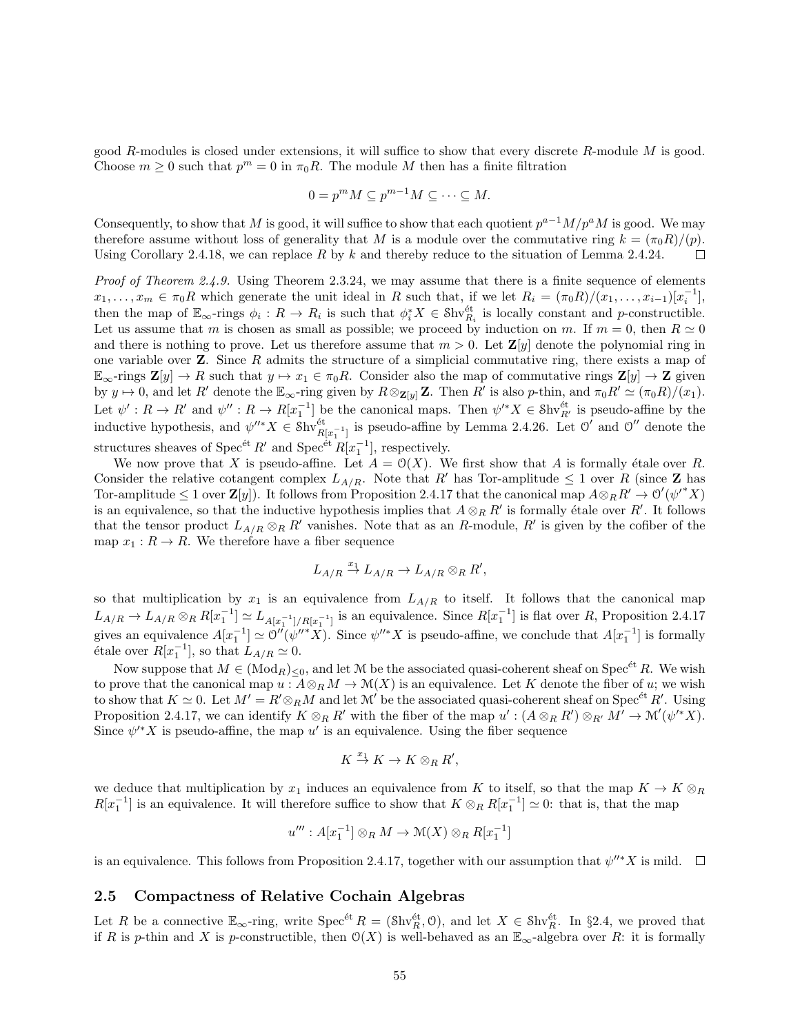good R-modules is closed under extensions, it will suffice to show that every discrete R-module  $M$  is good. Choose  $m \geq 0$  such that  $p^m = 0$  in  $\pi_0 R$ . The module M then has a finite filtration

$$
0 = p^m M \subseteq p^{m-1} M \subseteq \cdots \subseteq M.
$$

Consequently, to show that M is good, it will suffice to show that each quotient  $p^{a-1}M/p^aM$  is good. We may therefore assume without loss of generality that M is a module over the commutative ring  $k = (\pi_0 R)/(\rho)$ . Using Corollary 2.4.18, we can replace R by k and thereby reduce to the situation of Lemma 2.4.24.  $\Box$ 

Proof of Theorem 2.4.9. Using Theorem 2.3.24, we may assume that there is a finite sequence of elements  $x_1, \ldots, x_m \in \pi_0 R$  which generate the unit ideal in R such that, if we let  $R_i = (\pi_0 R)/(x_1, \ldots, x_{i-1})[x_i^{-1}],$ then the map of  $\mathbb{E}_{\infty}$ -rings  $\phi_i : R \to R_i$  is such that  $\phi_i^* X \in \mathcal{S}$ hv $\hat{e}_i^t$  is locally constant and p-constructible. Let us assume that m is chosen as small as possible; we proceed by induction on m. If  $m = 0$ , then  $R \simeq 0$ and there is nothing to prove. Let us therefore assume that  $m > 0$ . Let  $\mathbb{Z}[y]$  denote the polynomial ring in one variable over  $\mathbf{Z}$ . Since R admits the structure of a simplicial commutative ring, there exists a map of  $\mathbb{E}_{\infty}$ -rings  $\mathbf{Z}[y] \to R$  such that  $y \mapsto x_1 \in \pi_0 R$ . Consider also the map of commutative rings  $\mathbf{Z}[y] \to \mathbf{Z}$  given by  $y \mapsto 0$ , and let R' denote the  $\mathbb{E}_{\infty}$ -ring given by  $R \otimes_{\mathbf{Z}[y]} \mathbf{Z}$ . Then R' is also p-thin, and  $\pi_0 R' \simeq (\pi_0 R)/(x_1)$ . Let  $\psi': R \to R'$  and  $\psi'': R \to R[x_1^{-1}]$  be the canonical maps. Then  $\psi'^*X \in \mathcal{S}\mathrm{hv}_{R'}^{\text{\'et}}$  is pseudo-affine by the inductive hypothesis, and  $\psi''^* X \in \text{Shv}_{R[x_1^{-1}]}^{\'et}$  is pseudo-affine by Lemma 2.4.26. Let  $\mathcal{O}'$  and  $\mathcal{O}''$  denote the structures sheaves of Spec<sup>ét</sup>  $R'$  and Spec<sup>ét</sup>  $R[x_1^{-1}]$ , respectively.

We now prove that X is pseudo-affine. Let  $A = \mathcal{O}(X)$ . We first show that A is formally étale over R. Consider the relative cotangent complex  $L_{A/R}$ . Note that R' has Tor-amplitude  $\leq 1$  over R (since Z has Tor-amplitude  $\leq 1$  over  $\mathbf{Z}[y]$ . It follows from Proposition 2.4.17 that the canonical map  $A \otimes_R R' \to \mathcal{O}'(\psi'^* X)$ is an equivalence, so that the inductive hypothesis implies that  $A \otimes_R R'$  is formally étale over R'. It follows that the tensor product  $L_{A/R} \otimes_R R'$  vanishes. Note that as an R-module, R' is given by the cofiber of the map  $x_1 : R \to R$ . We therefore have a fiber sequence

$$
L_{A/R} \stackrel{x_1}{\rightarrow} L_{A/R} \rightarrow L_{A/R} \otimes_R R',
$$

so that multiplication by  $x_1$  is an equivalence from  $L_{A/R}$  to itself. It follows that the canonical map  $L_{A/R} \to L_{A/R} \otimes_R R[x_1^{-1}] \simeq L_{A[x_1^{-1}]/R[x_1^{-1}]}$  is an equivalence. Since  $R[x_1^{-1}]$  is flat over R, Proposition 2.4.17 gives an equivalence  $A[x_1^{-1}] \simeq O''(\psi''^*X)$ . Since  $\psi''^*X$  is pseudo-affine, we conclude that  $A[x_1^{-1}]$  is formally étale over  $R[x_1^{-1}]$ , so that  $L_{A/R} \simeq 0$ .

Now suppose that  $M \in (Mod_R)_{\leq 0}$ , and let M be the associated quasi-coherent sheaf on Spec<sup>et</sup> R. We wish to prove that the canonical map  $u : A \otimes_R M \to \mathcal{M}(X)$  is an equivalence. Let K denote the fiber of u; we wish to show that  $K \simeq 0$ . Let  $M' = R' \otimes_R M$  and let  $\mathcal{M}'$  be the associated quasi-coherent sheaf on Spec<sup>ét</sup> R'. Using Proposition 2.4.17, we can identify  $K \otimes_R R'$  with the fiber of the map  $u' : (A \otimes_R R') \otimes_{R'} M' \to \mathcal{M}'(\psi'^*X)$ . Since  $\psi^* X$  is pseudo-affine, the map u' is an equivalence. Using the fiber sequence

$$
K \stackrel{x_1}{\to} K \to K \otimes_R R',
$$

we deduce that multiplication by  $x_1$  induces an equivalence from K to itself, so that the map  $K \to K \otimes_R$  $R[x_1^{-1}]$  is an equivalence. It will therefore suffice to show that  $K \otimes_R R[x_1^{-1}] \simeq 0$ : that is, that the map

$$
u''': A[x_1^{-1}] \otimes_R M \to \mathcal{M}(X) \otimes_R R[x_1^{-1}]
$$

is an equivalence. This follows from Proposition 2.4.17, together with our assumption that  $\psi''^*X$  is mild.

## 2.5 Compactness of Relative Cochain Algebras

Let R be a connective  $\mathbb{E}_{\infty}$ -ring, write  $\text{Spec}^{\text{\'et}} R = (\text{Shv}_R^{\text{\'et}}, 0)$ , and let  $X \in \text{Shv}_R^{\text{\'et}}$ . In §2.4, we proved that if R is p-thin and X is p-constructible, then  $O(X)$  is well-behaved as an  $\mathbb{E}_{\infty}$ -algebra over R: it is formally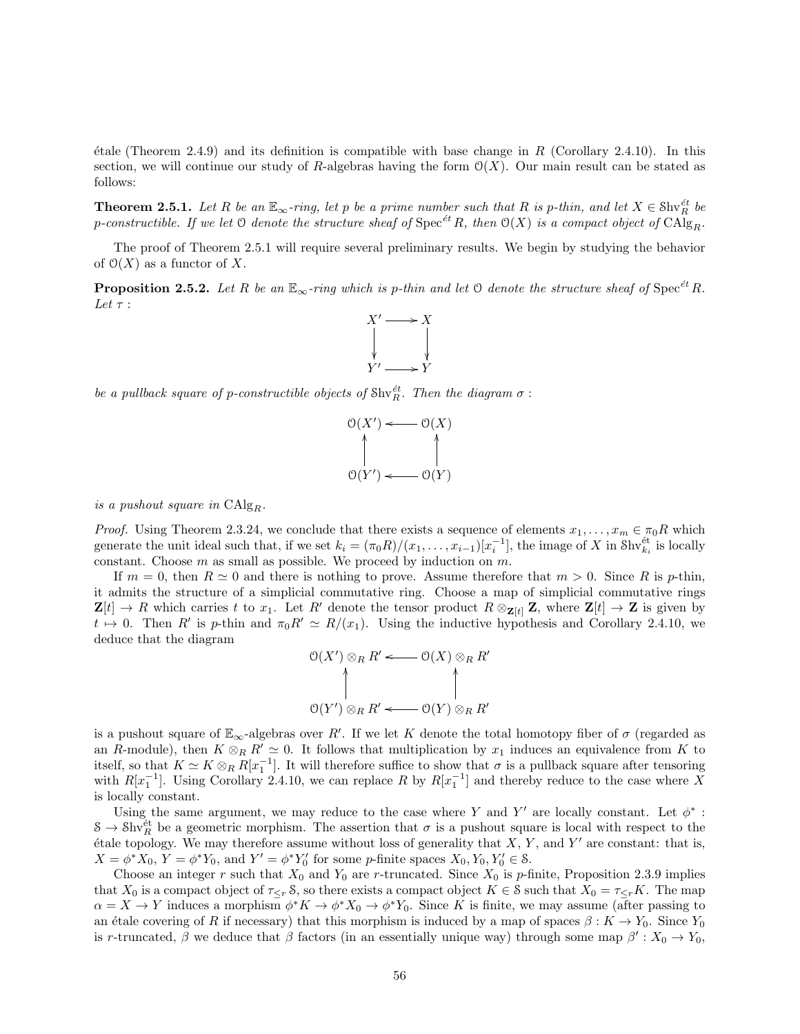$\ell$ tale (Theorem 2.4.9) and its definition is compatible with base change in R (Corollary 2.4.10). In this section, we will continue our study of R-algebras having the form  $\mathcal{O}(X)$ . Our main result can be stated as follows:

**Theorem 2.5.1.** Let R be an  $\mathbb{E}_{\infty}$ -ring, let p be a prime number such that R is p-thin, and let  $X \in \text{Shv}_R^{\text{\'et}}$  be p-constructible. If we let  $\mathfrak O$  denote the structure sheaf of  $\mathrm{Spec}^{\acute{e}t}R$ , then  $\mathfrak O(X)$  is a compact object of  $\mathrm{CAlg}_R$ .

The proof of Theorem 2.5.1 will require several preliminary results. We begin by studying the behavior of  $\mathcal{O}(X)$  as a functor of X.

**Proposition 2.5.2.** Let R be an  $\mathbb{E}_{\infty}$ -ring which is p-thin and let O denote the structure sheaf of Spec<sup> $\acute{e}t$ </sup> R. Let  $\tau$  :



be a pullback square of p-constructible objects of  $\text{Shv}_R^{\text{\'et}}$ . Then the diagram  $\sigma$ :



is a pushout square in  $CAlg_R$ .

*Proof.* Using Theorem 2.3.24, we conclude that there exists a sequence of elements  $x_1, \ldots, x_m \in \pi_0R$  which generate the unit ideal such that, if we set  $k_i = (\pi_0 R)/(x_1, \ldots, x_{i-1})[x_i^{-1}]$ , the image of X in Shv $_{k_i}^{\text{\'et}}$  is locally constant. Choose  $m$  as small as possible. We proceed by induction on  $m$ .

If  $m = 0$ , then  $R \simeq 0$  and there is nothing to prove. Assume therefore that  $m > 0$ . Since R is p-thin, it admits the structure of a simplicial commutative ring. Choose a map of simplicial commutative rings  $\mathbf{Z}[t] \to R$  which carries t to  $x_1$ . Let R' denote the tensor product  $R \otimes_{\mathbf{Z}[t]} \mathbf{Z}$ , where  $\mathbf{Z}[t] \to \mathbf{Z}$  is given by  $t \mapsto 0$ . Then R' is p-thin and  $\pi_0 R' \simeq R/(x_1)$ . Using the inductive hypothesis and Corollary 2.4.10, we deduce that the diagram

$$
\bigcirc (X') \otimes_R R' \longleftarrow \bigcirc (X) \otimes_R R'
$$
  

$$
\bigcirc (Y') \otimes_R R' \longleftarrow \bigcirc (Y) \otimes_R R'
$$

is a pushout square of  $\mathbb{E}_{\infty}$ -algebras over R'. If we let K denote the total homotopy fiber of  $\sigma$  (regarded as an R-module), then  $K \otimes_R R' \simeq 0$ . It follows that multiplication by  $x_1$  induces an equivalence from K to itself, so that  $K \simeq K \otimes_R R[x_1^{-1}]$ . It will therefore suffice to show that  $\sigma$  is a pullback square after tensoring with  $R[x_1^{-1}]$ . Using Corollary 2.4.10, we can replace R by  $R[x_1^{-1}]$  and thereby reduce to the case where X is locally constant.

Using the same argument, we may reduce to the case where Y and Y' are locally constant. Let  $\phi^*$ :  $S \to Shv_R^{\text{\'et}}$  be a geometric morphism. The assertion that  $\sigma$  is a pushout square is local with respect to the étale topology. We may therefore assume without loss of generality that  $X, Y$ , and  $Y'$  are constant: that is,  $X = \phi^* X_0$ ,  $Y = \phi^* Y_0$ , and  $Y' = \phi^* Y_0'$  for some *p*-finite spaces  $X_0, Y_0, Y_0' \in \mathcal{S}$ .

Choose an integer r such that  $X_0$  and  $Y_0$  are r-truncated. Since  $X_0$  is p-finite, Proposition 2.3.9 implies that  $X_0$  is a compact object of  $\tau \leq r}$  S, so there exists a compact object  $K \in \mathcal{S}$  such that  $X_0 = \tau \leq rK$ . The map  $\alpha = X \to Y$  induces a morphism  $\phi^* K \to \phi^* X_0 \to \phi^* Y_0$ . Since K is finite, we may assume (after passing to an étale covering of R if necessary) that this morphism is induced by a map of spaces  $\beta : K \to Y_0$ . Since Y<sub>0</sub> is r-truncated,  $\beta$  we deduce that  $\beta$  factors (in an essentially unique way) through some map  $\beta': X_0 \to Y_0$ ,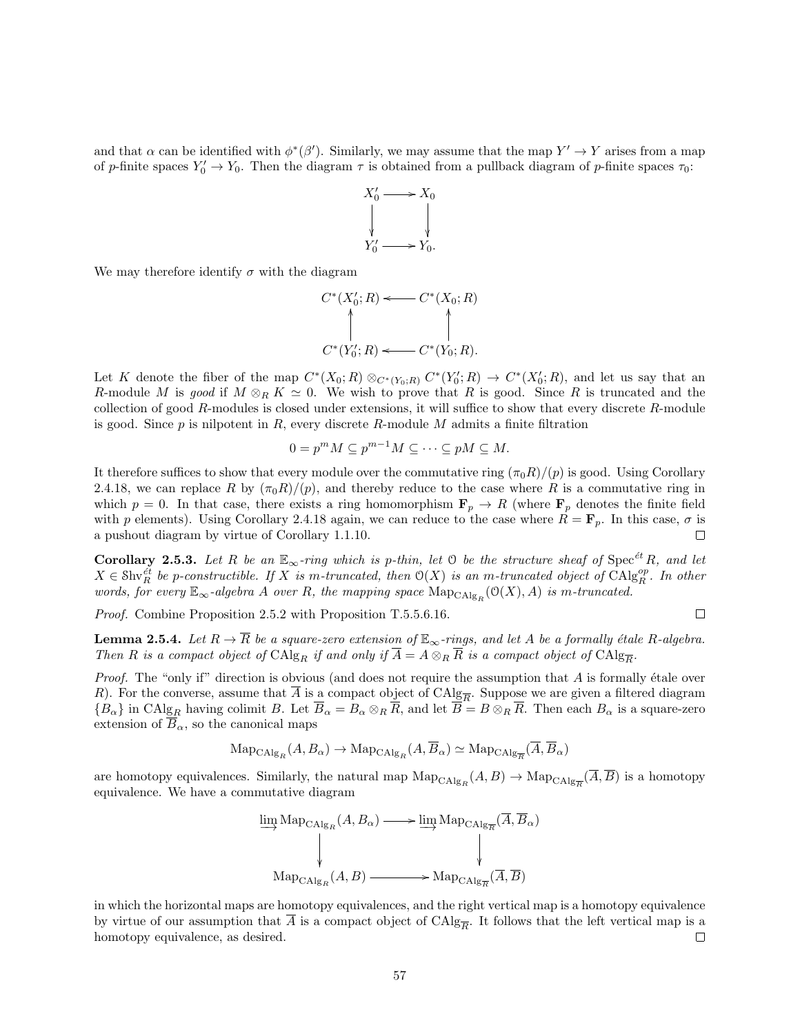and that  $\alpha$  can be identified with  $\phi^*(\beta')$ . Similarly, we may assume that the map  $Y' \to Y$  arises from a map of p-finite spaces  $Y'_0 \to Y_0$ . Then the diagram  $\tau$  is obtained from a pullback diagram of p-finite spaces  $\tau_0$ :



We may therefore identify  $\sigma$  with the diagram

$$
C^*(X'_0; R) \longleftarrow C^*(X_0; R)
$$
  
\n
$$
\uparrow \qquad \qquad \uparrow
$$
  
\n
$$
C^*(Y'_0; R) \longleftarrow C^*(Y_0; R).
$$

Let K denote the fiber of the map  $C^*(X_0;R) \otimes_{C^*(Y_0;R)} C^*(Y'_0;R) \to C^*(X'_0;R)$ , and let us say that an R-module M is good if  $M \otimes_R K \simeq 0$ . We wish to prove that R is good. Since R is truncated and the collection of good R-modules is closed under extensions, it will suffice to show that every discrete R-module is good. Since  $p$  is nilpotent in  $R$ , every discrete  $R$ -module  $M$  admits a finite filtration

$$
0 = p^m M \subseteq p^{m-1} M \subseteq \cdots \subseteq pM \subseteq M.
$$

It therefore suffices to show that every module over the commutative ring  $(\pi_0 R)/(\rho)$  is good. Using Corollary 2.4.18, we can replace R by  $(\pi_0 R)/(p)$ , and thereby reduce to the case where R is a commutative ring in which  $p = 0$ . In that case, there exists a ring homomorphism  $\mathbf{F}_p \to R$  (where  $\mathbf{F}_p$  denotes the finite field with p elements). Using Corollary 2.4.18 again, we can reduce to the case where  $R = \mathbf{F}_p$ . In this case,  $\sigma$  is a pushout diagram by virtue of Corollary 1.1.10.  $\Box$ 

**Corollary 2.5.3.** Let R be an  $\mathbb{E}_{\infty}$ -ring which is p-thin, let O be the structure sheaf of Spec<sup>ét</sup> R, and let  $X \in Shv_R^{\acute{e}t}$  be p-constructible. If X is m-truncated, then  $O(X)$  is an m-truncated object of  $Chlg_R^{op}$ . In other words, for every  $\mathbb{E}_{\infty}$ -algebra A over R, the mapping space  $\mathrm{Map}_{\mathrm{CAlg}_R}(\mathcal{O}(X), A)$  is m-truncated.

Proof. Combine Proposition 2.5.2 with Proposition T.5.5.6.16.

 $\Box$ 

**Lemma 2.5.4.** Let  $R \to \overline{R}$  be a square-zero extension of  $\mathbb{E}_{\infty}$ -rings, and let A be a formally étale R-algebra. Then R is a compact object of  $CAlg_R$  if and only if  $A = A \otimes_R R$  is a compact object of  $CAlg_{\overline{R}}$ .

*Proof.* The "only if" direction is obvious (and does not require the assumption that  $\tilde{A}$  is formally étale over R). For the converse, assume that  $\overline{A}$  is a compact object of  $\text{CAlg}_{\overline{R}}$ . Suppose we are given a filtered diagram  ${B_\alpha}$  in CAlg<sub>R</sub> having colimit B. Let  $\overline{B}_\alpha = B_\alpha \otimes_R \overline{R}$ , and let  $\overline{B} = B \otimes_R \overline{R}$ . Then each  $B_\alpha$  is a square-zero extension of  $\overline{B}_{\alpha}$ , so the canonical maps

$$
\text{Map}_{\text{CAlg}_R}(A, B_{\alpha}) \to \text{Map}_{\text{CAlg}_R}(A, \overline{B}_{\alpha}) \simeq \text{Map}_{\text{CAlg}_{\overline{R}}}(\overline{A}, \overline{B}_{\alpha})
$$

are homotopy equivalences. Similarly, the natural map  $\text{Map}_{\text{CAlg}_R}(A, B) \to \text{Map}_{\text{CAlg}_{\overline{R}}}(A, \overline{B})$  is a homotopy equivalence. We have a commutative diagram

$$
\lim_{\text{Map}_{\text{CAlg}_R}(A, B_{\alpha}) \longrightarrow \text{lim}_{\text{Map}_{\text{CAlg}_{\overline{R}}}(A, B_{\alpha})}
$$
\n
$$
\downarrow \qquad \qquad \downarrow
$$
\n
$$
\text{Map}_{\text{CAlg}_R}(A, B) \longrightarrow \text{Map}_{\text{CAlg}_{\overline{R}}(\overline{A}, \overline{B})}
$$

in which the horizontal maps are homotopy equivalences, and the right vertical map is a homotopy equivalence by virtue of our assumption that A is a compact object of  $CAlg_{\overline{R}}$ . It follows that the left vertical map is a homotopy equivalence, as desired. □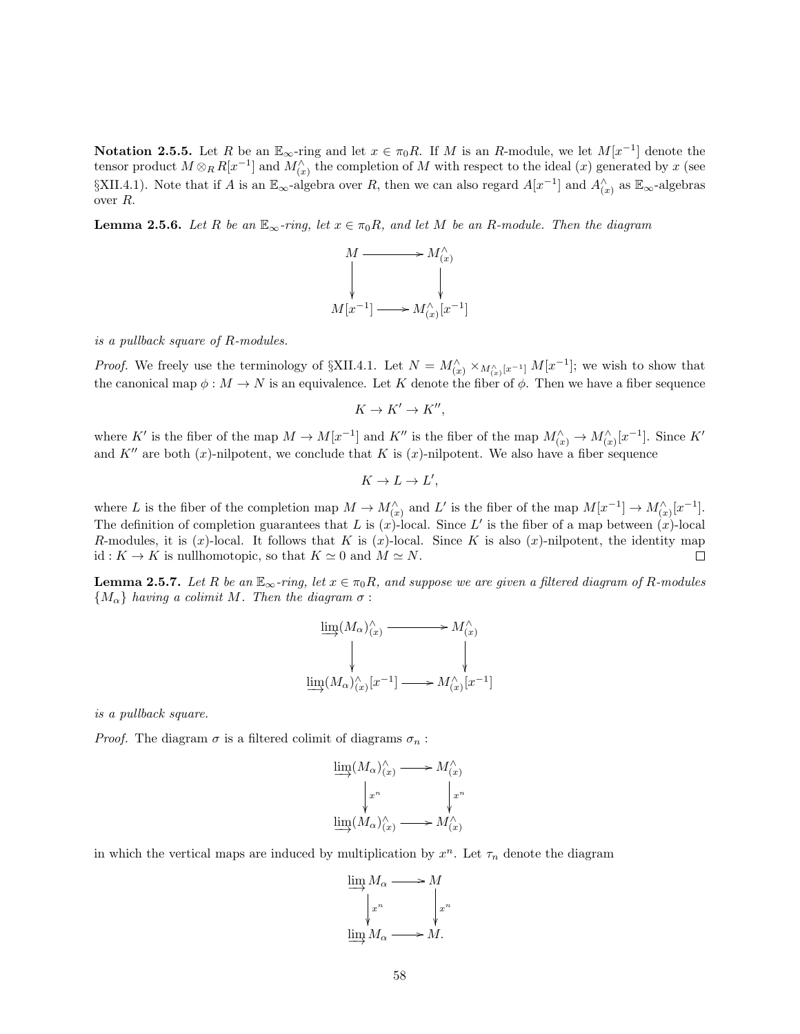Notation 2.5.5. Let R be an  $\mathbb{E}_{\infty}$ -ring and let  $x \in \pi_0 R$ . If M is an R-module, we let  $M[x^{-1}]$  denote the tensor product  $M \otimes_R R[x^{-1}]$  and  $M'_{(x)}$  the completion of M with respect to the ideal  $(x)$  generated by x (see  $\SXII.4.1$ ). Note that if A is an  $\mathbb{E}_{\infty}$ -algebra over R, then we can also regard  $A[x^{-1}]$  and  $A^{\wedge}_{(x)}$  as  $\mathbb{E}_{\infty}$ -algebras over R.

**Lemma 2.5.6.** Let R be an  $\mathbb{E}_{\infty}$ -ring, let  $x \in \pi_0R$ , and let M be an R-module. Then the diagram



is a pullback square of R-modules.

*Proof.* We freely use the terminology of  $\SXII.4.1$ . Let  $N = M_{(x)}^{\wedge} \times_{M_{(x)}^{\wedge}[x^{-1}]} M[x^{-1}]$ ; we wish to show that the canonical map  $\phi : M \to N$  is an equivalence. Let K denote the fiber of  $\phi$ . Then we have a fiber sequence

$$
K \to K' \to K'',
$$

where K' is the fiber of the map  $M \to M[x^{-1}]$  and K'' is the fiber of the map  $M_{(x)}^{\wedge} \to M_{(x)}^{\wedge}[x^{-1}]$ . Since K' and K<sup>n</sup> are both (x)-nilpotent, we conclude that K is (x)-nilpotent. We also have a fiber sequence

$$
K \to L \to L',
$$

where L is the fiber of the completion map  $M \to M_{(x)}^{\wedge}$  and L' is the fiber of the map  $M[x^{-1}] \to M_{(x)}^{\wedge}[x^{-1}]$ . The definition of completion guarantees that L is  $(x)$ -local. Since L' is the fiber of a map between  $(x)$ -local R-modules, it is  $(x)$ -local. It follows that K is  $(x)$ -local. Since K is also  $(x)$ -nilpotent, the identity map id :  $K \to K$  is nullhomotopic, so that  $K \simeq 0$  and  $M \simeq N$ .  $\Box$ 

**Lemma 2.5.7.** Let R be an  $\mathbb{E}_{\infty}$ -ring, let  $x \in \pi_0R$ , and suppose we are given a filtered diagram of R-modules  ${M_{\alpha}}$  having a colimit M. Then the diagram  $\sigma$ :

$$
\varinjlim(M_{\alpha})_{(x)}^{\wedge} \longrightarrow M_{(x)}^{\wedge}
$$
\n
$$
\downarrow \qquad \qquad \downarrow
$$
\n
$$
\varinjlim(M_{\alpha})_{(x)}^{\wedge}[x^{-1}] \longrightarrow M_{(x)}^{\wedge}[x^{-1}]
$$

]

is a pullback square.

*Proof.* The diagram  $\sigma$  is a filtered colimit of diagrams  $\sigma_n$ :

$$
\varinjlim(M_{\alpha})_{(x)}^{\wedge} \longrightarrow M_{(x)}^{\wedge} \newline \downarrow x^{n} \qquad \qquad \downarrow x^{n} \newline \varinjlim(M_{\alpha})_{(x)}^{\wedge} \longrightarrow M_{(x)}^{\wedge}
$$

in which the vertical maps are induced by multiplication by  $x^n$ . Let  $\tau_n$  denote the diagram

$$
\varinjlim_{m} M_{\alpha} \longrightarrow M
$$
  

$$
\downarrow x^{n} \qquad \qquad \downarrow x^{n}
$$
  

$$
\varinjlim M_{\alpha} \longrightarrow M.
$$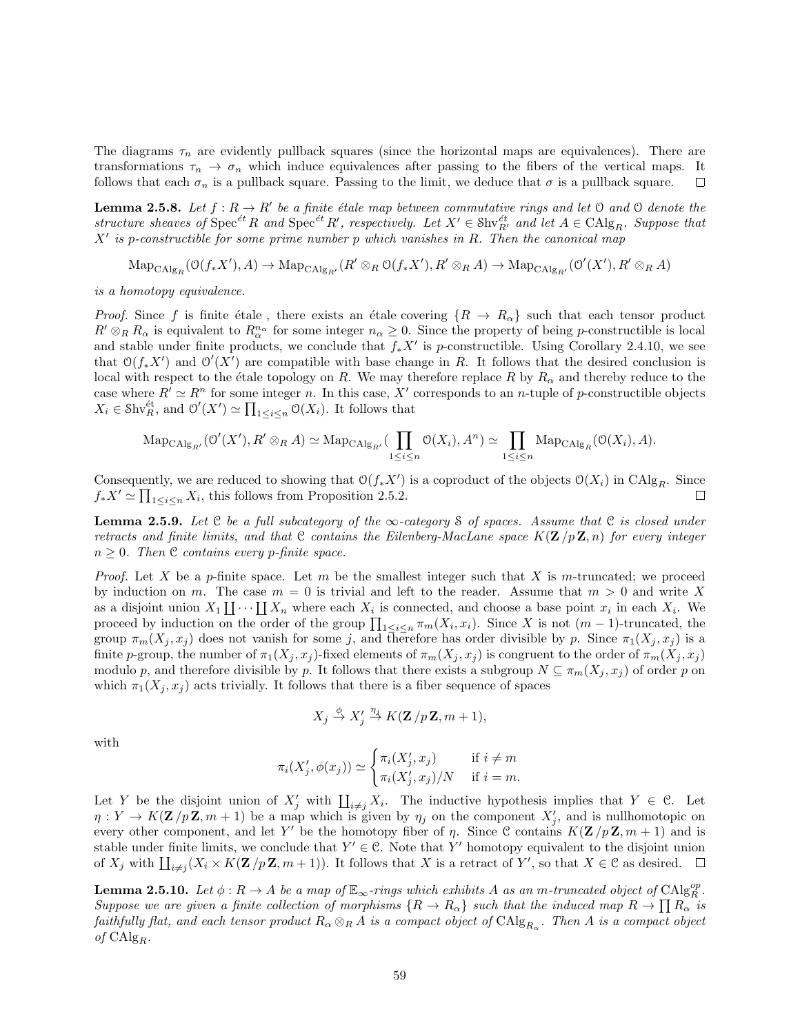The diagrams  $\tau_n$  are evidently pullback squares (since the horizontal maps are equivalences). There are transformations  $\tau_n \to \sigma_n$  which induce equivalences after passing to the fibers of the vertical maps. It follows that each  $\sigma_n$  is a pullback square. Passing to the limit, we deduce that  $\sigma$  is a pullback square.  $\Box$ 

**Lemma 2.5.8.** Let  $f: R \to R'$  be a finite étale map between commutative rings and let 0 and 0 denote the structure sheaves of  $Spec^{et}R$  and  $Spec^{et}R'$ , respectively. Let  $X' \in Skv^{\text{\'et}}_{R'}$  and let  $A \in \text{CAlg}_R$ . Suppose that  $X'$  is p-constructible for some prime number p which vanishes in R. Then the canonical map

 $\mathrm{Map}_{\mathrm{CAlg}_R}(\mathcal{O}(f_*X'), A) \to \mathrm{Map}_{\mathrm{CAlg}_{R'}}(R' \otimes_R \mathcal{O}(f_*X'), R' \otimes_R A) \to \mathrm{Map}_{\mathrm{CAlg}_{R'}}(\mathcal{O}'(X'), R' \otimes_R A)$ 

is a homotopy equivalence.

*Proof.* Since f is finite étale, there exists an étale covering  ${R \to R_\alpha}$  such that each tensor product  $R' \otimes_R R_\alpha$  is equivalent to  $R_\alpha^{n_\alpha}$  for some integer  $n_\alpha \geq 0$ . Since the property of being p-constructible is local and stable under finite products, we conclude that  $f_*X'$  is p-constructible. Using Corollary 2.4.10, we see that  $O(f_*X')$  and  $O'(X')$  are compatible with base change in R. It follows that the desired conclusion is local with respect to the étale topology on R. We may therefore replace R by  $R_{\alpha}$  and thereby reduce to the case where  $R' \simeq R^n$  for some integer n. In this case, X' corresponds to an n-tuple of p-constructible objects  $X_i \in \text{Shv}_R^{\text{\'et}}$ , and  $\mathcal{O}'(X') \simeq \prod_{1 \leq i \leq n} \mathcal{O}(X_i)$ . It follows that

$$
\mathrm{Map}_{\mathrm{CAlg}_{R'}}(\mathcal{O}'(X'), R' \otimes_R A) \simeq \mathrm{Map}_{\mathrm{CAlg}_{R'}}(\prod_{1 \leq i \leq n} \mathcal{O}(X_i), A^n) \simeq \prod_{1 \leq i \leq n} \mathrm{Map}_{\mathrm{CAlg}_R}(\mathcal{O}(X_i), A).
$$

Consequently, we are reduced to showing that  $O(f_*X')$  is a coproduct of the objects  $O(X_i)$  in  $C\text{Alg}_R$ . Since  $f_*X' \simeq \prod_{1 \leq i \leq n} X_i$ , this follows from Proposition 2.5.2.  $\Box$ 

**Lemma 2.5.9.** Let  $C$  be a full subcategory of the  $\infty$ -category S of spaces. Assume that  $C$  is closed under retracts and finite limits, and that C contains the Eilenberg-MacLane space  $K(\mathbf{Z}/p\mathbf{Z}, n)$  for every integer  $n \geq 0$ . Then C contains every p-finite space.

*Proof.* Let X be a p-finite space. Let m be the smallest integer such that X is m-truncated; we proceed by induction on m. The case  $m = 0$  is trivial and left to the reader. Assume that  $m > 0$  and write X as a disjoint union  $X_1 \coprod \cdots \coprod X_n$  where each  $X_i$  is connected, and choose a base point  $x_i$  in each  $X_i$ . We proceed by induction on the order of the group  $\prod_{1 \leq i \leq n} \pi_m(X_i, x_i)$ . Since X is not  $(m-1)$ -truncated, the group  $\pi_m(X_j, x_j)$  does not vanish for some j, and therefore has order divisible by p. Since  $\pi_1(X_j, x_j)$  is a finite p-group, the number of  $\pi_1(X_j, x_j)$ -fixed elements of  $\pi_m(X_j, x_j)$  is congruent to the order of  $\pi_m(X_j, x_j)$ modulo p, and therefore divisible by p. It follows that there exists a subgroup  $N \subseteq \pi_m(X_j, x_j)$  of order p on which  $\pi_1(X_j, x_j)$  acts trivially. It follows that there is a fiber sequence of spaces

$$
X_j \stackrel{\phi}{\to} X'_j \stackrel{\eta_j}{\to} K(\mathbf{Z}/p\mathbf{Z},m+1),
$$

with

$$
\pi_i(X'_j, \phi(x_j)) \simeq \begin{cases} \pi_i(X'_j, x_j) & \text{if } i \neq m \\ \pi_i(X'_j, x_j)/N & \text{if } i = m. \end{cases}
$$

Let Y be the disjoint union of  $X'_j$  with  $\prod_{i\neq j} X_i$ . The inductive hypothesis implies that  $Y \in \mathcal{C}$ . Let  $\eta: Y \to K(\mathbf{Z}/p\mathbf{Z}, m+1)$  be a map which is given by  $\eta_j$  on the component  $X'_j$ , and is nullhomotopic on every other component, and let Y' be the homotopy fiber of  $\eta$ . Since C contains  $K(\mathbf{Z}/p\mathbf{Z}, m+1)$  and is stable under finite limits, we conclude that  $Y' \in \mathcal{C}$ . Note that Y' homotopy equivalent to the disjoint union of  $X_j$  with  $\coprod_{i \neq j} (X_i \times K(\mathbf{Z}/p\mathbf{Z}, m+1))$ . It follows that X is a retract of Y', so that  $X \in \mathcal{C}$  as desired.

**Lemma 2.5.10.** Let  $\phi: R \to A$  be a map of  $\mathbb{E}_{\infty}$ -rings which exhibits A as an m-truncated object of  $\text{CAlg}_{R}^{op}$ . Suppose we are given a finite collection of morphisms  $\{R \to R_\alpha\}$  such that the induced map  $R \to \prod R_\alpha$  is faithfully flat, and each tensor product  $R_\alpha\otimes_R A$  is a compact object of  $\mathrm{CAlg}_{R_\alpha}$ . Then  $A$  is a compact object of  $CAlg_R$ .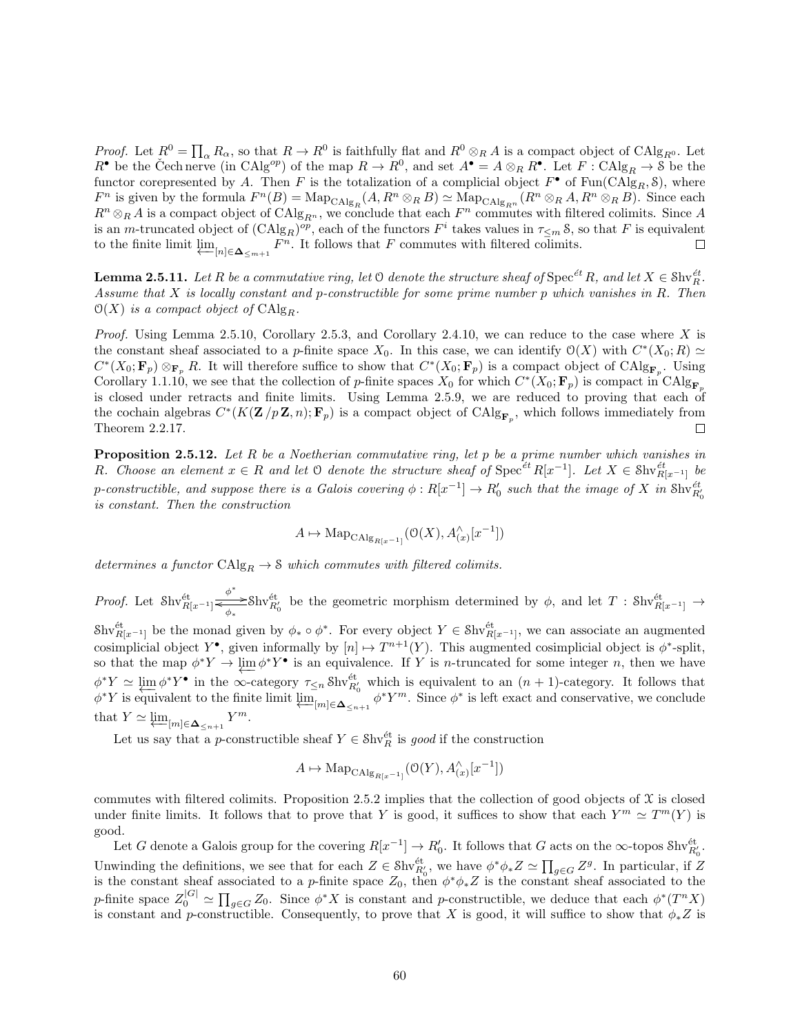*Proof.* Let  $R^0 = \prod_{\alpha} R_{\alpha}$ , so that  $R \to R^0$  is faithfully flat and  $R^0 \otimes_R A$  is a compact object of  $\text{CAlg}_{R^0}$ . Let  $R^{\bullet}$  be the Cech nerve (in CAlg<sup>op</sup>) of the map  $R \to R^0$ , and set  $A^{\bullet} = A \otimes_R R^{\bullet}$ . Let  $F : \text{CAlg}_R \to \mathcal{S}$  be the functor corepresented by A. Then F is the totalization of a complicial object  $F^{\bullet}$  of  $\text{Fun}(\text{CAlg}_R, \mathcal{S})$ , where  $F^n$  is given by the formula  $F^n(B) = \text{Map}_{\text{CAlg}_R}(A, R^n \otimes_R B) \simeq \text{Map}_{\text{CAlg}_{R^n}}(R^n \otimes_R A, R^n \otimes_R B)$ . Since each  $R^n \otimes_R A$  is a compact object of  $\text{CAlg}_{R^n}$ , we conclude that each  $F^n$  commutes with filtered colimits. Since A is an m-truncated object of  $(\text{CAlg}_R)^{op}$ , each of the functors  $F^i$  takes values in  $\tau_{\leq m}$  S, so that F is equivalent to the finite limit  $\varprojlim_{[n]\in \Delta_{\leq m+1}} F^n$ . It follows that F commutes with filtered colimits.  $\Box$ 

**Lemma 2.5.11.** Let R be a commutative ring, let  $\heartsuit$  denote the structure sheaf of  $\text{Spec}^{\text{\'et}}R$ , and let  $X \in \text{Shv}_R^{\text{\'et}}$ . Assume that  $X$  is locally constant and p-constructible for some prime number  $p$  which vanishes in  $R$ . Then  $\mathcal{O}(X)$  is a compact object of  $\mathrm{CAlg}_R$ .

*Proof.* Using Lemma 2.5.10, Corollary 2.5.3, and Corollary 2.4.10, we can reduce to the case where X is the constant sheaf associated to a p-finite space  $X_0$ . In this case, we can identify  $\mathcal{O}(X)$  with  $C^*(X_0; R) \simeq$  $C^*(X_0; \mathbf{F}_p) \otimes_{\mathbf{F}_p} R$ . It will therefore suffice to show that  $C^*(X_0; \mathbf{F}_p)$  is a compact object of  $\text{CAlg}_{\mathbf{F}_p}$ . Using Corollary 1.1.10, we see that the collection of p-finite spaces  $X_0$  for which  $C^*(X_0; \mathbf{F}_p)$  is compact in  $\text{CAlg}_{\mathbf{F}_p}$ is closed under retracts and finite limits. Using Lemma 2.5.9, we are reduced to proving that each of the cochain algebras  $C^*(K(\mathbf{Z}/p\mathbf{Z}, n); \mathbf{F}_p)$  is a compact object of  $\text{CAlg}_{\mathbf{F}_p}$ , which follows immediately from Theorem 2.2.17. П

**Proposition 2.5.12.** Let R be a Noetherian commutative ring, let p be a prime number which vanishes in R. Choose an element  $x \in R$  and let  $\Theta$  denote the structure sheaf of  $Spec^{et} R[x^{-1}]$ . Let  $X \in Shv_{R[x^{-1}]}^{et}$  be p-constructible, and suppose there is a Galois covering  $\phi:R[x^{-1}]\to R'_0$  such that the image of X in  $\text{Shv}_{R'_0}^{\text{\'et}}$ is constant. Then the construction

$$
A \mapsto \mathrm{Map}_{\mathrm{CAlg}_{R[x^{-1}]}}(\mathcal{O}(X), A_{(x)}^{\wedge}[x^{-1}])
$$

determines a functor  $\text{CAlg}_R \to \mathcal{S}$  which commutes with filtered colimits.

*Proof.* Let  $\text{Shv}_{R[x^{-1}]}^{\text{\'et}}$  $\Leftrightarrow^*$  Shv ${}_{R'_0}^{\text{\'et}}$  be the geometric morphism determined by  $\phi$ , and let T : Shv ${}_{R[x^{-1}]}^{\text{\'et}}$  →  $\text{Shv}_{R[x^{-1}]}^{\text{\'et}}$  be the monad given by  $\phi_* \circ \phi^*$ . For every object  $Y \in \text{Shv}_{R[x^{-1}]}^{\text{\'et}}$ , we can associate an augmented cosimplicial object  $Y^{\bullet}$ , given informally by  $[n] \mapsto T^{n+1}(Y)$ . This augmented cosimplicial object is  $\phi^*$ -split, so that the map  $\phi^* Y \to \varprojlim \phi^* Y^{\bullet}$  is an equivalence. If Y is *n*-truncated for some integer *n*, then we have  $\phi^* Y \simeq \lim_{n \to \infty} \phi^* Y^{\bullet}$  in the  $\infty$ -category  $\tau_{\leq n}$  Shv $_{R_0}^{\text{\'et}}$  which is equivalent to an  $(n+1)$ -category. It follows that  $\phi^* Y$  is equivalent to the finite limit  $\varprojlim_{[m]\in \Delta_{\leq n+1}} \phi^* Y^m$ . Since  $\phi^*$  is left exact and conservative, we conclude that  $Y \simeq \varprojlim_{[m] \in \Delta_{\leq n+1}} Y^m$ .

Let us say that a *p*-constructible sheaf  $Y \in \text{Shv}_R^{\text{\'et}}$  is good if the construction

$$
A \mapsto \mathrm{Map}_{\mathrm{CAlg}_{R[x^{-1}]}}(\mathcal{O}(Y), A_{(x)}^{\wedge}[x^{-1}])
$$

commutes with filtered colimits. Proposition 2.5.2 implies that the collection of good objects of  $\mathfrak X$  is closed under finite limits. It follows that to prove that Y is good, it suffices to show that each  $Y^m \simeq T^m(Y)$  is good.

Let G denote a Galois group for the covering  $R[x^{-1}] \to R'_0$ . It follows that G acts on the  $\infty$ -topos  $\text{Shv}_{R'_0}^{\text{\'et}}$ . Unwinding the definitions, we see that for each  $Z \in Shv_{R'_0}^{\text{\'et}}$ , we have  $\phi^*\phi_*Z \simeq \prod_{g \in G} Z^g$ . In particular, if Z is the constant sheaf associated to a p-finite space  $Z_0$ , then  $\phi^*\phi_*Z$  is the constant sheaf associated to the p-finite space  $Z_0^{|G|} \simeq \prod_{g \in G} Z_0$ . Since  $\phi^* X$  is constant and p-constructible, we deduce that each  $\phi^*(T^n X)$ is constant and p-constructible. Consequently, to prove that X is good, it will suffice to show that  $\phi_* Z$  is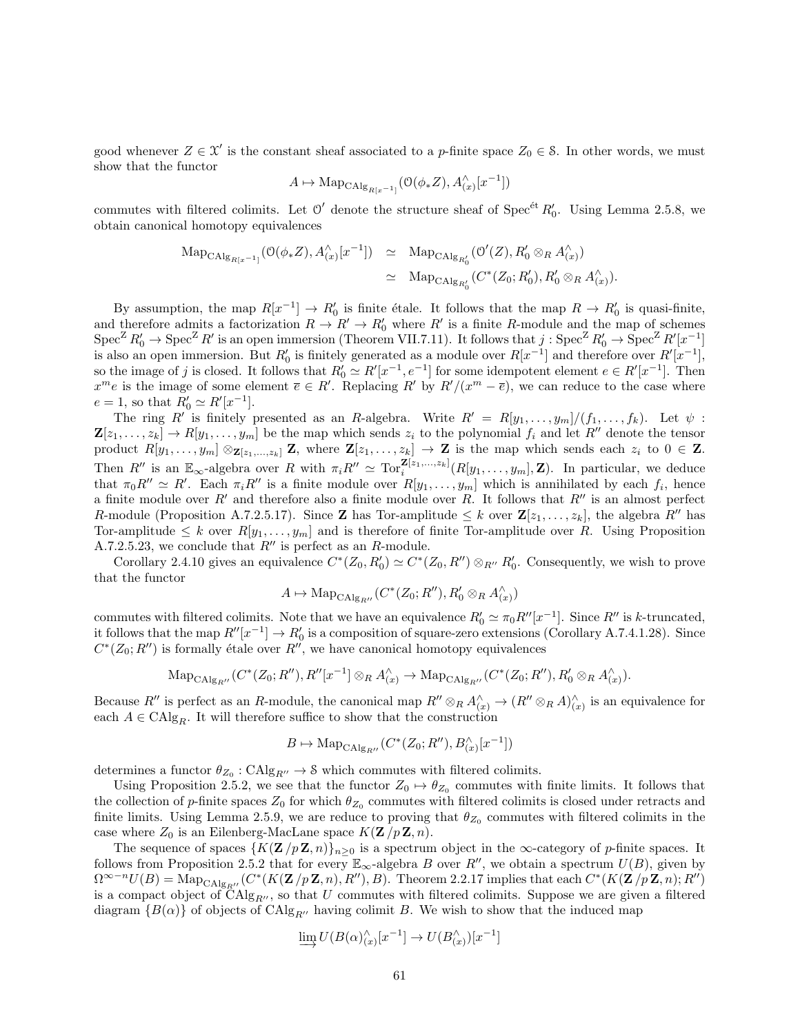good whenever  $Z \in \mathcal{X}'$  is the constant sheaf associated to a p-finite space  $Z_0 \in \mathcal{S}$ . In other words, we must show that the functor

$$
A\mapsto \mathrm{Map}_{\mathrm{CAlg}_{R[x^{-1}]}}(\mathbb{O}(\phi_*Z),A^{\wedge}_{(x)}[x^{-1}])
$$

commutes with filtered colimits. Let  $\mathcal{O}'$  denote the structure sheaf of Spec<sup>ét</sup>  $R'_0$ . Using Lemma 2.5.8, we obtain canonical homotopy equivalences

$$
\begin{array}{rcl}\n\mathrm{Map}_{\mathrm{CAlg}_{R[x^{-1}]}}(\mathcal{O}(\phi_* Z), A_{(x)}^{\wedge}[x^{-1}]) & \simeq & \mathrm{Map}_{\mathrm{CAlg}_{R'_0}}(\mathcal{O}'(Z), R'_0 \otimes_R A_{(x)}^{\wedge}) \\
& \simeq & \mathrm{Map}_{\mathrm{CAlg}_{R'_0}}(C^*(Z_0; R'_0), R'_0 \otimes_R A_{(x)}^{\wedge}).\n\end{array}
$$

By assumption, the map  $R[x^{-1}] \to R'_0$  is finite étale. It follows that the map  $R \to R'_0$  is quasi-finite, and therefore admits a factorization  $R \to R' \to R'_0$  where R' is a finite R-module and the map of schemes  $\text{Spec}^Z R'_0 \to \text{Spec}^Z R'$  is an open immersion (Theorem VII.7.11). It follows that  $j: \text{Spec}^Z R'_0 \to \text{Spec}^Z R'[x^{-1}]$ is also an open immersion. But  $R'_0$  is finitely generated as a module over  $R[x^{-1}]$  and therefore over  $R'[x^{-1}]$ , so the image of j is closed. It follows that  $R'_0 \simeq R'[x^{-1}, e^{-1}]$  for some idempotent element  $e \in R'[x^{-1}]$ . Then  $x^m e$  is the image of some element  $\overline{e} \in R'$ . Replacing R' by  $R'/(x^m - \overline{e})$ , we can reduce to the case where  $e = 1$ , so that  $R'_0 \simeq R'[x^{-1}].$ 

The ring R' is finitely presented as an R-algebra. Write  $R' = R[y_1, \ldots, y_m]/(f_1, \ldots, f_k)$ . Let  $\psi$ :  $\mathbf{Z}[z_1,\ldots,z_k] \to R[y_1,\ldots,y_m]$  be the map which sends  $z_i$  to the polynomial  $f_i$  and let  $R''$  denote the tensor product  $R[y_1, \ldots, y_m] \otimes_{\mathbf{Z}[z_1,\ldots,z_k]} \mathbf{Z}$ , where  $\mathbf{Z}[z_1,\ldots,z_k] \to \mathbf{Z}$  is the map which sends each  $z_i$  to  $0 \in \mathbf{Z}$ . Then  $R''$  is an  $\mathbb{E}_{\infty}$ -algebra over R with  $\pi_i R'' \simeq \text{Tor}_{i}^{\mathbf{Z}[z_1,...,z_k]}(R[y_1,...,y_m],\mathbf{Z})$ . In particular, we deduce that  $\pi_0 R'' \simeq R'$ . Each  $\pi_i R''$  is a finite module over  $R[y_1, \ldots, y_m]$  which is annihilated by each  $f_i$ , hence a finite module over  $R'$  and therefore also a finite module over R. It follows that  $R''$  is an almost perfect R-module (Proposition A.7.2.5.17). Since **Z** has Tor-amplitude  $\leq k$  over  $\mathbf{Z}[z_1, \ldots, z_k]$ , the algebra  $R''$  has Tor-amplitude  $\leq k$  over  $R[y_1, \ldots, y_m]$  and is therefore of finite Tor-amplitude over R. Using Proposition A.7.2.5.23, we conclude that  $R''$  is perfect as an R-module.

Corollary 2.4.10 gives an equivalence  $C^*(Z_0, R'_0) \simeq C^*(Z_0, R'') \otimes_{R''} R'_0$ . Consequently, we wish to prove that the functor

$$
A \mapsto \mathrm{Map}_{\mathrm{CAlg}_{R''}}(C^*(Z_0; R''), R'_0 \otimes_R A_{(x)}^{\wedge})
$$

commutes with filtered colimits. Note that we have an equivalence  $R'_0 \simeq \pi_0 R''[x^{-1}]$ . Since  $R''$  is k-truncated, it follows that the map  $R''[x^{-1}] \to R'_0$  is a composition of square-zero extensions (Corollary A.7.4.1.28). Since  $C^*(Z_0; R'')$  is formally étale over  $R''$ , we have canonical homotopy equivalences

$$
\operatorname{Map}_{\operatorname{CAlg}_{R''}}(C^*(Z_0;R''),R''[x^{-1}]\otimes_R A_{(x)}^{\wedge}\to \operatorname{Map}_{\operatorname{CAlg}_{R''}}(C^*(Z_0;R''),R'_0\otimes_R A_{(x)}^{\wedge}).
$$

Because R'' is perfect as an R-module, the canonical map  $R'' \otimes_R A_{(x)}^{\wedge} \to (R'' \otimes_R A)_{(x)}^{\wedge}$  is an equivalence for each  $A \in \text{CAlg}_R$ . It will therefore suffice to show that the construction

$$
B\mapsto \mathrm{Map}_{\mathrm{CAlg}_{R''}}(C^*(Z_0;R''),B_{(x)}^\wedge[x^{-1}])
$$

determines a functor  $\theta_{Z_0} : \mathrm{CAlg}_{R''} \to \mathcal{S}$  which commutes with filtered colimits.

Using Proposition 2.5.2, we see that the functor  $Z_0 \mapsto \theta_{Z_0}$  commutes with finite limits. It follows that the collection of p-finite spaces  $Z_0$  for which  $\theta_{Z_0}$  commutes with filtered colimits is closed under retracts and finite limits. Using Lemma 2.5.9, we are reduce to proving that  $\theta_{Z_0}$  commutes with filtered colimits in the case where  $Z_0$  is an Eilenberg-MacLane space  $K(\mathbf{Z}/p\mathbf{Z}, n)$ .

The sequence of spaces  ${K(\mathbf{Z}/p\mathbf{Z},n)}_{n>0}$  is a spectrum object in the  $\infty$ -category of p-finite spaces. It follows from Proposition 2.5.2 that for every  $\mathbb{E}_{\infty}$ -algebra B over R'', we obtain a spectrum  $U(B)$ , given by  $\Omega^{\infty-n}U(B) = \text{Map}_{\text{CAlg}_{R''}}(C^*(K(\mathbf{Z}/p\mathbf{Z}, n), R''), B)$ . Theorem 2.2.17 implies that each  $C^*(K(\mathbf{Z}/p\mathbf{Z}, n); R'')$ is a compact object of  $\operatorname{CAlg}_{R''}$ , so that U commutes with filtered colimits. Suppose we are given a filtered diagram  $\{B(\alpha)\}\$  of objects of CAlg<sub>R<sup>0</sub></sub>, having colimit B. We wish to show that the induced map</sub></sup>

$$
\varinjlim U(B(\alpha)_{(x)}^{\wedge}[x^{-1}]\to U(B_{(x)}^{\wedge})[x^{-1}]
$$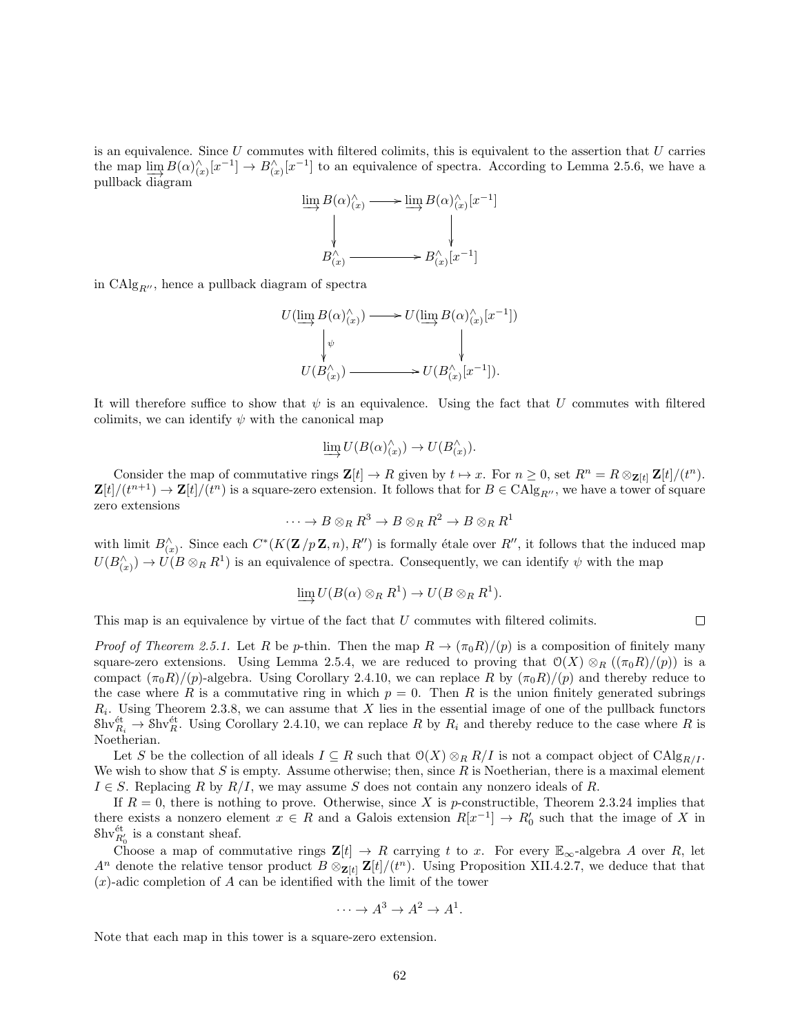is an equivalence. Since  $U$  commutes with filtered colimits, this is equivalent to the assertion that  $U$  carries the map  $\lim_{x \to 0} B(\alpha)_{(x)}^{\wedge} [x^{-1}] \to B_{(x)}^{\wedge} [x^{-1}]$  to an equivalence of spectra. According to Lemma 2.5.6, we have a pullback diagram

$$
\lim_{x \to a} B(\alpha)_{(x)}^{\wedge} \longrightarrow \lim_{x \to a} B(\alpha)_{(x)}^{\wedge}[x^{-1}]
$$
\n
$$
B_{(x)}^{\wedge} \longrightarrow B_{(x)}^{\wedge}[x^{-1}]
$$

in  $\text{CAlg}_{R^{\prime\prime}}$ , hence a pullback diagram of spectra

$$
U(\varinjlim B(\alpha)_{(x)}^{\wedge}) \longrightarrow U(\varinjlim B(\alpha)_{(x)}^{\wedge}[x^{-1}])
$$

$$
\downarrow \psi \qquad \qquad \downarrow
$$

$$
U(B_{(x)}^{\wedge}) \longrightarrow U(B_{(x)}^{\wedge}[x^{-1}]).
$$

It will therefore suffice to show that  $\psi$  is an equivalence. Using the fact that U commutes with filtered colimits, we can identify  $\psi$  with the canonical map

$$
\varinjlim U(B(\alpha)_{(x)}^\wedge)\to U(B_{(x)}^\wedge).
$$

Consider the map of commutative rings  $\mathbf{Z}[t] \to R$  given by  $t \to x$ . For  $n \geq 0$ , set  $R^n = R \otimes_{\mathbf{Z}[t]} \mathbf{Z}[t]/(t^n)$ .  $\mathbf{Z}[t]/(t^{n+1}) \to \mathbf{Z}[t]/(t^n)$  is a square-zero extension. It follows that for  $B \in \mathrm{CAlg}_{R''}$ , we have a tower of square zero extensions

$$
\cdots \to B \otimes_R R^3 \to B \otimes_R R^2 \to B \otimes_R R^1
$$

with limit  $B_{(x)}^{\wedge}$ . Since each  $C^*(K(\mathbf{Z}/p\mathbf{Z}, n), R'')$  is formally étale over  $R''$ , it follows that the induced map  $U(B_{(x)}^{\wedge}) \to U(B \otimes_R R^1)$  is an equivalence of spectra. Consequently, we can identify  $\psi$  with the map

$$
\varinjlim U(B(\alpha)\otimes_R R^1) \to U(B\otimes_R R^1).
$$

This map is an equivalence by virtue of the fact that U commutes with filtered colimits.

*Proof of Theorem 2.5.1.* Let R be p-thin. Then the map  $R \to (\pi_0 R)/(p)$  is a composition of finitely many square-zero extensions. Using Lemma 2.5.4, we are reduced to proving that  $\mathcal{O}(X) \otimes_R ((\pi_0 R)/(\rho))$  is a compact  $(\pi_0 R)/(p)$ -algebra. Using Corollary 2.4.10, we can replace R by  $(\pi_0 R)/(p)$  and thereby reduce to the case where R is a commutative ring in which  $p = 0$ . Then R is the union finitely generated subrings  $R_i$ . Using Theorem 2.3.8, we can assume that X lies in the essential image of one of the pullback functors  $\text{Shv}_{R_i}^{\text{\'et}} \to \text{Shv}_R^{\text{\'et}}$ . Using Corollary 2.4.10, we can replace R by  $R_i$  and thereby reduce to the case where R is Noetherian.

Let S be the collection of all ideals  $I \subseteq R$  such that  $\mathcal{O}(X) \otimes_R R/I$  is not a compact object of  $\mathrm{CAlg}_{R/I}$ . We wish to show that S is empty. Assume otherwise; then, since R is Noetherian, there is a maximal element  $I \in S$ . Replacing R by  $R/I$ , we may assume S does not contain any nonzero ideals of R.

If  $R = 0$ , there is nothing to prove. Otherwise, since X is p-constructible, Theorem 2.3.24 implies that there exists a nonzero element  $x \in R$  and a Galois extension  $R[x^{-1}] \to R'_0$  such that the image of X in  $\mathrm{Shv}_{R_0'}^{\mathrm{\acute{e}t}}$  is a constant sheaf.

Choose a map of commutative rings  $\mathbf{Z}[t] \to R$  carrying t to x. For every  $\mathbb{E}_{\infty}$ -algebra A over R, let  $A^n$  denote the relative tensor product  $B \otimes_{\mathbf{Z}[t]} \mathbf{Z}[t]/(t^n)$ . Using Proposition XII.4.2.7, we deduce that that  $(x)$ -adic completion of A can be identified with the limit of the tower

$$
\cdots \to A^3 \to A^2 \to A^1.
$$

Note that each map in this tower is a square-zero extension.

 $\Box$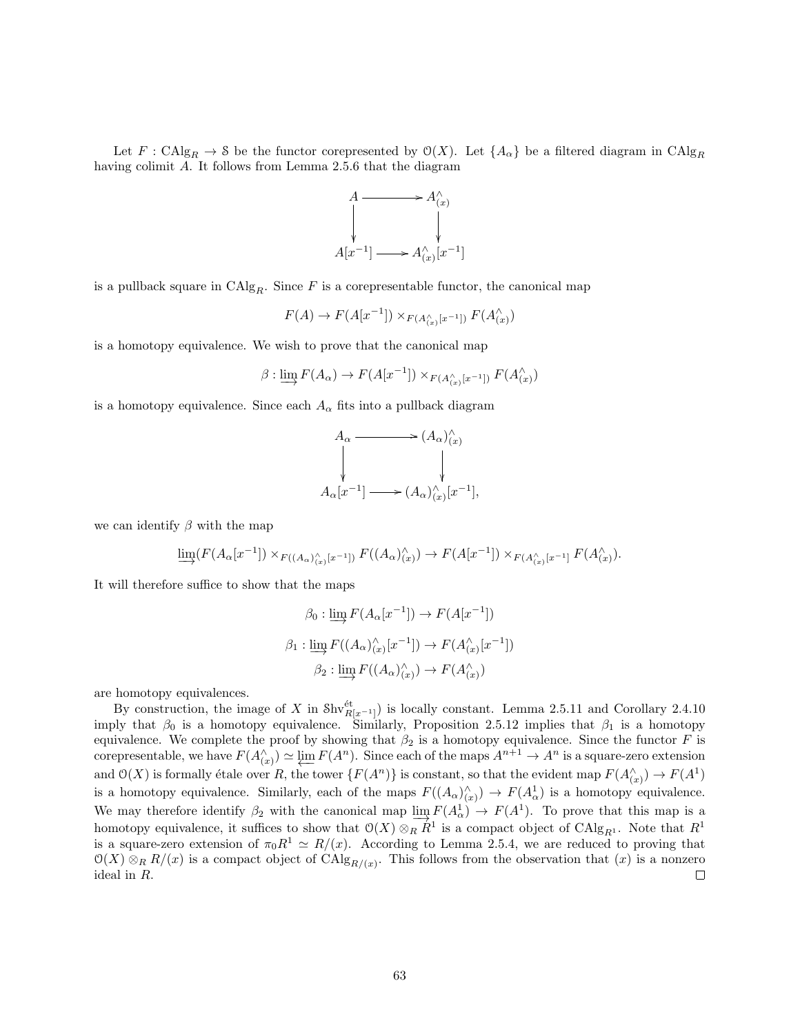Let  $F : \text{CAlg}_R \to \mathcal{S}$  be the functor corepresented by  $\mathcal{O}(X)$ . Let  $\{A_\alpha\}$  be a filtered diagram in  $\text{CAlg}_R$ having colimit A. It follows from Lemma 2.5.6 that the diagram



is a pullback square in  $CAlg_R$ . Since F is a corepresentable functor, the canonical map

$$
F(A) \to F(A[x^{-1}]) \times_{F(A_{(x)}^{\wedge}[x^{-1}])} F(A_{(x)}^{\wedge})
$$

is a homotopy equivalence. We wish to prove that the canonical map

$$
\beta: \varinjlim F(A_{\alpha}) \to F(A[x^{-1}]) \times_{F(A_{(x)}^{\wedge}[x^{-1}])} F(A_{(x)}^{\wedge})
$$

is a homotopy equivalence. Since each  $A_{\alpha}$  fits into a pullback diagram



we can identify  $\beta$  with the map

$$
\varinjlim (F(A_{\alpha}[x^{-1}]) \times_{F((A_{\alpha})_{(x)}^{\wedge}[x^{-1}])} F((A_{\alpha})_{(x)}^{\wedge}) \to F(A[x^{-1}]) \times_{F(A_{(x)}^{\wedge}[x^{-1}]} F(A_{(x)}^{\wedge}).
$$

It will therefore suffice to show that the maps

$$
\beta_0 : \varinjlim F(A_\alpha[x^{-1}]) \to F(A[x^{-1}])
$$

$$
\beta_1 : \varinjlim F((A_\alpha)_{(x)}^\wedge[x^{-1}]) \to F(A_{(x)}^\wedge[x^{-1}])
$$

$$
\beta_2 : \varinjlim F((A_\alpha)_{(x)}^\wedge) \to F(A_{(x)}^\wedge)
$$

are homotopy equivalences.

By construction, the image of X in  $\text{Shv}_{R[x-1]}^{\text{\'et}}$  is locally constant. Lemma 2.5.11 and Corollary 2.4.10 imply that  $\beta_0$  is a homotopy equivalence. Similarly, Proposition 2.5.12 implies that  $\beta_1$  is a homotopy equivalence. We complete the proof by showing that  $\beta_2$  is a homotopy equivalence. Since the functor F is corepresentable, we have  $F(A_{(x)}^{\wedge}) \simeq \varprojlim F(A^n)$ . Since each of the maps  $A^{n+1} \to A^n$  is a square-zero extension and  $\mathcal{O}(X)$  is formally étale over R, the tower  ${F(A^n)}$  is constant, so that the evident map  $F(A_{(x)}^{\wedge}) \to F(A^1)$ is a homotopy equivalence. Similarly, each of the maps  $F((A_{\alpha})_{(x)}^{\wedge}) \to F(A_{\alpha}^{1})$  is a homotopy equivalence. We may therefore identify  $\beta_2$  with the canonical map  $\lim_{\Delta} F(A_\alpha^1) \to F(A^1)$ . To prove that this map is a homotopy equivalence, it suffices to show that  $O(X) \otimes_R R^1$  is a compact object of  $\text{CAlg}_{R^1}$ . Note that  $R^1$ is a square-zero extension of  $\pi_0 R^1 \simeq R/(x)$ . According to Lemma 2.5.4, we are reduced to proving that  $\mathcal{O}(X) \otimes_R R/(x)$  is a compact object of  $\text{CAlg}_{R/(x)}$ . This follows from the observation that  $(x)$  is a nonzero ideal in R.  $\Box$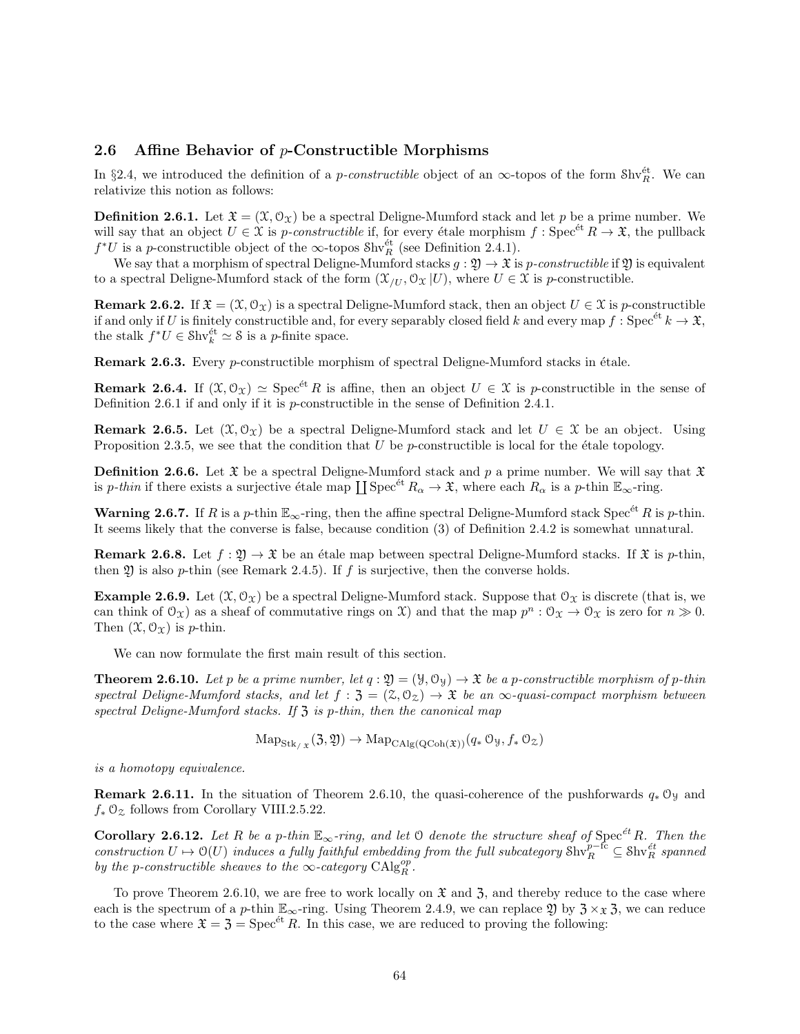#### 2.6 Affine Behavior of p-Constructible Morphisms

In §2.4, we introduced the definition of a *p-constructible* object of an  $\infty$ -topos of the form Shv $_{R}^{\text{\'et}}$ . We can relativize this notion as follows:

**Definition 2.6.1.** Let  $\mathfrak{X} = (\mathfrak{X}, \mathfrak{O}_{\mathfrak{X}})$  be a spectral Deligne-Mumford stack and let p be a prime number. We will say that an object  $U \in \mathcal{X}$  is p-constructible if, for every étale morphism f: Spec<sup>et</sup>  $R \to \mathcal{X}$ , the pullback  $f^*U$  is a p-constructible object of the  $\infty$ -topos  $\text{Shv}_R^{\text{\'et}}$  (see Definition 2.4.1).

We say that a morphism of spectral Deligne-Mumford stacks  $g: \mathfrak{Y} \to \mathfrak{X}$  is p-constructible if  $\mathfrak{Y}$  is equivalent to a spectral Deligne-Mumford stack of the form  $(\mathcal{X}_{/U}, \mathcal{O}_{\mathcal{X}} | U)$ , where  $U \in \mathcal{X}$  is p-constructible.

**Remark 2.6.2.** If  $\mathfrak{X} = (\mathfrak{X}, \mathfrak{O}_{\mathfrak{X}})$  is a spectral Deligne-Mumford stack, then an object  $U \in \mathfrak{X}$  is p-constructible if and only if U is finitely constructible and, for every separably closed field k and every map  $f: \text{Spec}^{\text{\'et}} k \to \mathfrak{X}$ , the stalk  $f^*U \in \text{Shv}_k^{\text{\'et}} \simeq \mathcal{S}$  is a *p*-finite space.

**Remark 2.6.3.** Every *p*-constructible morphism of spectral Deligne-Mumford stacks in étale.

**Remark 2.6.4.** If  $(\mathfrak{X}, \mathfrak{O}_{\mathfrak{X}}) \simeq \text{Spec}^{\text{\'et}} R$  is affine, then an object  $U \in \mathfrak{X}$  is p-constructible in the sense of Definition 2.6.1 if and only if it is  $p$ -constructible in the sense of Definition 2.4.1.

**Remark 2.6.5.** Let  $(\mathcal{X}, \mathcal{O}_{\mathcal{X}})$  be a spectral Deligne-Mumford stack and let  $U \in \mathcal{X}$  be an object. Using Proposition 2.3.5, we see that the condition that  $U$  be p-constructible is local for the étale topology.

**Definition 2.6.6.** Let  $\mathfrak{X}$  be a spectral Deligne-Mumford stack and p a prime number. We will say that  $\mathfrak{X}$ is p-thin if there exists a surjective étale map  $\coprod \text{Spec}^{\text{\'et}} R_\alpha \to \mathfrak{X}$ , where each  $R_\alpha$  is a p-thin  $\mathbb{E}_\infty$ -ring.

**Warning 2.6.7.** If R is a p-thin  $\mathbb{E}_{\infty}$ -ring, then the affine spectral Deligne-Mumford stack Spec<sup>et</sup> R is p-thin. It seems likely that the converse is false, because condition (3) of Definition 2.4.2 is somewhat unnatural.

**Remark 2.6.8.** Let  $f : \mathfrak{Y} \to \mathfrak{X}$  be an étale map between spectral Deligne-Mumford stacks. If  $\mathfrak{X}$  is p-thin, then  $\mathfrak V$  is also p-thin (see Remark 2.4.5). If f is surjective, then the converse holds.

**Example 2.6.9.** Let  $(\mathcal{X}, \mathcal{O}_{\mathcal{X}})$  be a spectral Deligne-Mumford stack. Suppose that  $\mathcal{O}_{\mathcal{X}}$  is discrete (that is, we can think of  $\mathcal{O}_{\mathfrak{X}}$  as a sheaf of commutative rings on X) and that the map  $p^n : \mathcal{O}_{\mathfrak{X}} \to \mathcal{O}_{\mathfrak{X}}$  is zero for  $n \gg 0$ . Then  $(\mathfrak{X}, \mathfrak{O}_{\Upsilon})$  is *p*-thin.

We can now formulate the first main result of this section.

**Theorem 2.6.10.** Let p be a prime number, let  $q : \mathfrak{Y} = (\mathcal{Y}, \mathcal{O}_{\mathcal{Y}}) \to \mathfrak{X}$  be a p-constructible morphism of p-thin spectral Deligne-Mumford stacks, and let  $f : \mathfrak{Z} = (\mathfrak{Z}, \mathfrak{O}_{\mathfrak{Z}}) \to \mathfrak{X}$  be an  $\infty$ -quasi-compact morphism between spectral Deligne-Mumford stacks. If  $\mathfrak z$  is p-thin, then the canonical map

$$
\mathrm{Map}_{\mathrm{Stk}_{/X}}(\mathfrak{Z}, \mathfrak{Y}) \to \mathrm{Map}_{\mathrm{CAlg}(\mathrm{QCoh}(\mathfrak{X}))}(q_* \mathfrak{O}_{\mathfrak{Y}}, f_* \mathfrak{O}_{\mathfrak{Z}})
$$

is a homotopy equivalence.

**Remark 2.6.11.** In the situation of Theorem 2.6.10, the quasi-coherence of the pushforwards  $q_* \mathcal{O}_y$  and  $f_* \mathcal{O}_\mathcal{Z}$  follows from Corollary VIII.2.5.22.

**Corollary 2.6.12.** Let R be a p-thin  $\mathbb{E}_{\infty}$ -ring, and let 0 denote the structure sheaf of Spec<sup>ét</sup> R. Then the construction  $U \mapsto \mathcal{O}(U)$  induces a fully faithful embedding from the full subcategory  $\text{Shv}_R^{\text{p}-\text{fc}} \subseteq \text{Shv}_R^{\text{\'et}}$  spanned by the p-constructible sheaves to the  $\infty$ -category  $\mathrm{CAlg}_{R}^{op}$ .

To prove Theorem 2.6.10, we are free to work locally on  $\mathfrak{X}$  and  $\mathfrak{Z}$ , and thereby reduce to the case where each is the spectrum of a p-thin  $\mathbb{E}_{\infty}$ -ring. Using Theorem 2.4.9, we can replace 20 by  $3 \times \infty 3$ , we can reduce to the case where  $\mathfrak{X} = \mathfrak{Z} = \mathrm{Spec}^{\text{\'et}} R$ . In this case, we are reduced to proving the following: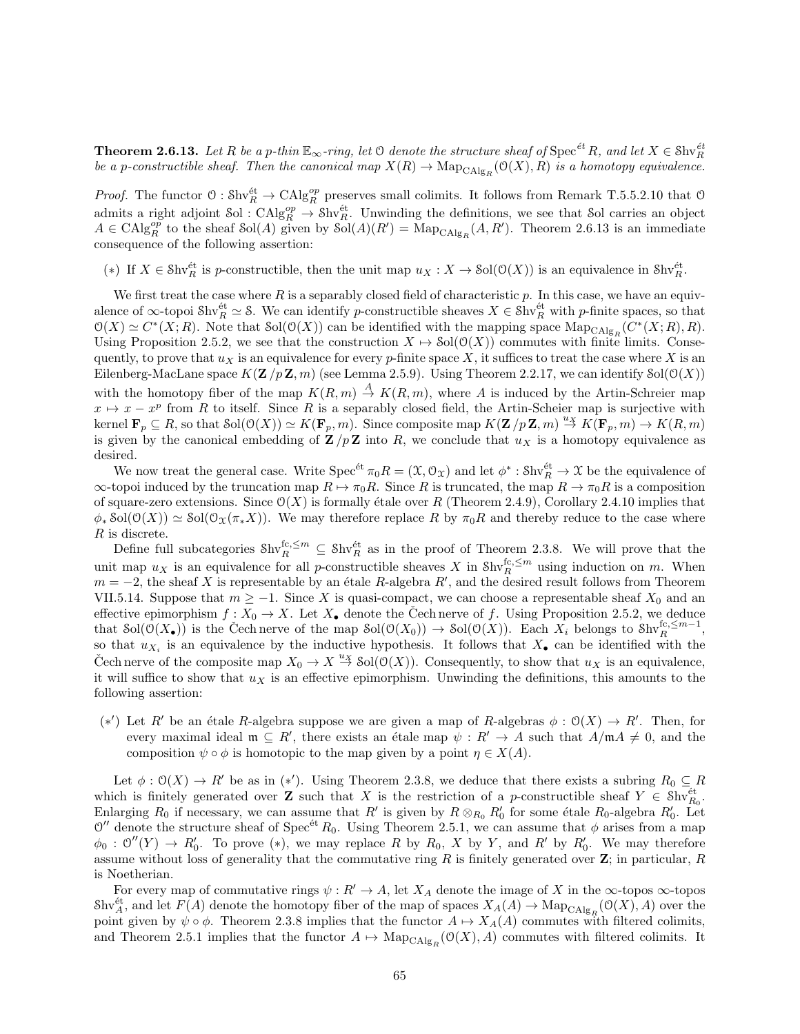**Theorem 2.6.13.** Let R be a p-thin  $\mathbb{E}_{\infty}$ -ring, let  $\mathbb O$  denote the structure sheaf of  $\mathrm{Spec}^{\mathrm{\acute{e}t}}R$ , and let  $X\in\mathrm{Shv}_R^{\mathrm{\acute{e}t}}$ be a p-constructible sheaf. Then the canonical map  $X(R) \to \text{Map}_{\text{CAlg}_R}(\mathcal{O}(X), R)$  is a homotopy equivalence.

*Proof.* The functor  $\varnothing: \text{Shv}_R^{\text{\'et}} \to \text{CAlg}_R^{\text{op}}$  preserves small colimits. It follows from Remark T.5.5.2.10 that  $\varnothing$ admits a right adjoint Sol :  $CAlg_R^{op} \to Shv_R^{\text{\'et}}$ . Unwinding the definitions, we see that Sol carries an object  $A \in \text{CAlg}_{R}^{op}$  to the sheaf  $\text{Sol}(A)$  given by  $\text{Sol}(A)(R') = \text{Map}_{\text{CAlg}_{R}}(A, R')$ . Theorem 2.6.13 is an immediate consequence of the following assertion:

(\*) If  $X \in \text{Shv}_R^{\text{\'et}}$  is p-constructible, then the unit map  $u_X : X \to \text{Sol}(\mathcal{O}(X))$  is an equivalence in  $\text{Shv}_R^{\text{\'et}}$ .

We first treat the case where  $R$  is a separably closed field of characteristic  $p$ . In this case, we have an equivalence of  $\infty$ -topoi Shv $_R^{\text{\'et}} \simeq$  S. We can identify p-constructible sheaves  $X \in \text{Shv}_R^{\text{\'et}}$  with p-finite spaces, so that  $\mathcal{O}(X) \simeq C^*(X;R)$ . Note that  $\mathcal{S}ol(\mathcal{O}(X))$  can be identified with the mapping space  $\mathrm{Map}_{\mathrm{CAlg}_R}(C^*(X;R),R)$ . Using Proposition 2.5.2, we see that the construction  $X \mapsto \text{Sol}(\mathcal{O}(X))$  commutes with finite limits. Consequently, to prove that  $u_X$  is an equivalence for every p-finite space X, it suffices to treat the case where X is an Eilenberg-MacLane space  $K(\mathbf{Z}/p\mathbf{Z}, m)$  (see Lemma 2.5.9). Using Theorem 2.2.17, we can identify  $\text{Sol}(\mathcal{O}(X))$ with the homotopy fiber of the map  $K(R, m) \stackrel{A}{\to} K(R, m)$ , where A is induced by the Artin-Schreier map  $x \mapsto x - x^p$  from R to itself. Since R is a separably closed field, the Artin-Scheier map is surjective with  $\text{Kernel }\mathbf{F}_p\subseteq R, \text{ so that } \text{Sol}(\mathcal{O}(X))\simeq K(\mathbf{F}_p,m). \text{ Since composite map } K(\mathbf{Z}/p\mathbf{Z},m)\stackrel{ux}{\rightarrow} K(\mathbf{F}_p,m)\stackrel{u}{\rightarrow} K(R,m)$ is given by the canonical embedding of  $\mathbf{Z}/p\mathbf{Z}$  into R, we conclude that  $u_X$  is a homotopy equivalence as desired.

We now treat the general case. Write  $Spec^{\text{\'et}} \pi_0 R = (\mathfrak{X}, \mathfrak{O}_{\mathfrak{X}})$  and let  $\phi^* : \mathfrak{Shv}_R^{\text{\'et}} \to \mathfrak{X}$  be the equivalence of  $\infty$ -topoi induced by the truncation map  $R \mapsto \pi_0 R$ . Since R is truncated, the map  $R \to \pi_0 R$  is a composition of square-zero extensions. Since  $\mathcal{O}(X)$  is formally étale over R (Theorem 2.4.9), Corollary 2.4.10 implies that  $\phi_*$  Sol $(\mathcal{O}(X)) \simeq$  Sol $(\mathcal{O}_X(\pi_* X))$ . We may therefore replace R by  $\pi_0R$  and thereby reduce to the case where R is discrete.

Define full subcategories  $\text{Shv}_R^{\text{fc},\leq m} \subseteq \text{Shv}_R^{\text{ét}}$  as in the proof of Theorem 2.3.8. We will prove that the unit map  $u_X$  is an equivalence for all p-constructible sheaves X in  $\text{Shv}_R^{\text{fc},\leq m}$  using induction on m. When  $m = -2$ , the sheaf X is representable by an étale R-algebra R', and the desired result follows from Theorem VII.5.14. Suppose that  $m \ge -1$ . Since X is quasi-compact, we can choose a representable sheaf  $X_0$  and an effective epimorphism  $f: X_0 \to X$ . Let  $X_{\bullet}$  denote the Cech nerve of f. Using Proposition 2.5.2, we deduce that  $\text{Sol}(\mathcal{O}(X_{\bullet}))$  is the Cech nerve of the map  $\text{Sol}(\mathcal{O}(X_{0})) \to \text{Sol}(\mathcal{O}(X))$ . Each  $X_{i}$  belongs to  $\text{Shv}_{R}^{\text{fc},\leq m-1}$ , so that  $u_{X_i}$  is an equivalence by the inductive hypothesis. It follows that  $X_{\bullet}$  can be identified with the Cech nerve of the composite map  $X_0 \to X \stackrel{ux}{\to} \text{Sol}(\mathcal{O}(X))$ . Consequently, to show that  $u_X$  is an equivalence, it will suffice to show that  $u<sub>X</sub>$  is an effective epimorphism. Unwinding the definitions, this amounts to the following assertion:

(\*') Let R' be an étale R-algebra suppose we are given a map of R-algebras  $\phi$  :  $\mathcal{O}(X)$  → R'. Then, for every maximal ideal  $\mathfrak{m} \subseteq R'$ , there exists an étale map  $\psi : R' \to A$  such that  $A/\mathfrak{m}A \neq 0$ , and the composition  $\psi \circ \phi$  is homotopic to the map given by a point  $\eta \in X(A)$ .

Let  $\phi: \mathcal{O}(X) \to R'$  be as in (\*'). Using Theorem 2.3.8, we deduce that there exists a subring  $R_0 \subseteq R$ which is finitely generated over **Z** such that X is the restriction of a p-constructible sheaf  $Y \in Shv^{\text{\'et}}_{R_0}$ . Enlarging  $R_0$  if necessary, we can assume that R' is given by  $R \otimes_{R_0} R'_0$  for some étale  $R_0$ -algebra  $R'_0$ . Let  $\mathcal{O}''$  denote the structure sheaf of Spec<sup>et</sup> R<sub>0</sub>. Using Theorem 2.5.1, we can assume that  $\phi$  arises from a map  $\phi_0: \mathcal{O}''(Y) \to R'_0$ . To prove (\*), we may replace R by  $R_0$ , X by Y, and R' by  $R'_0$ . We may therefore assume without loss of generality that the commutative ring  $R$  is finitely generated over  $\mathbf{Z}$ ; in particular,  $R$ is Noetherian.

For every map of commutative rings  $\psi : R' \to A$ , let  $X_A$  denote the image of X in the  $\infty$ -topos  $\infty$ -topos  $\text{Shv}_A^{\text{\'et}}$ , and let  $F(A)$  denote the homotopy fiber of the map of spaces  $X_A(A) \to \text{Map}_{\text{CAlg}_R}(\mathcal{O}(X), A)$  over the point given by  $\psi \circ \phi$ . Theorem 2.3.8 implies that the functor  $A \mapsto X_A(A)$  commutes with filtered colimits, and Theorem 2.5.1 implies that the functor  $A \mapsto \mathrm{Map}_{\mathrm{CAlg}_R}(\mathcal{O}(X), A)$  commutes with filtered colimits. It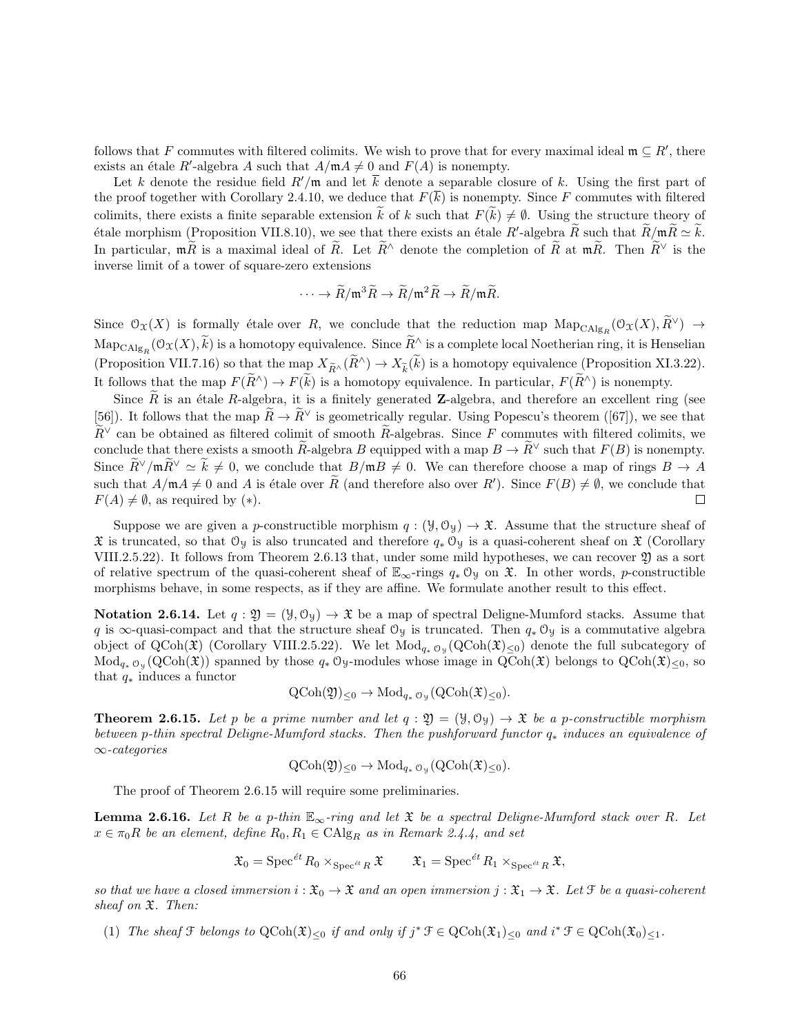follows that F commutes with filtered colimits. We wish to prove that for every maximal ideal  $\mathfrak{m} \subseteq R'$ , there exists an étale R'-algebra A such that  $A/\mathfrak{m}A \neq 0$  and  $F(A)$  is nonempty.

Let k denote the residue field  $R'/\mathfrak{m}$  and let  $\overline{k}$  denote a separable closure of k. Using the first part of the proof together with Corollary 2.4.10, we deduce that  $F(\overline{k})$  is nonempty. Since F commutes with filtered colimits, there exists a finite separable extension  $\widetilde{k}$  of k such that  $F(\widetilde{k})\neq\emptyset$ . Using the structure theory of Etale morphism (Proposition VII.8.10), we see that there exists an étale  $R'$ -algebra  $\widetilde{R}$  such that  $\widetilde{R}/m\widetilde{R} \simeq k$ . In particular,  $m\tilde{R}$  is a maximal ideal of  $\tilde{R}$ . Let  $\tilde{R}^{\wedge}$  denote the completion of  $\tilde{R}$  at  $m\tilde{R}$ . Then  $\tilde{R}^{\vee}$  is the inverse limit of a tower of square-zero extensions

$$
\cdots \to \widetilde{R}/\mathfrak{m}^3 \widetilde{R} \to \widetilde{R}/\mathfrak{m}^2 \widetilde{R} \to \widetilde{R}/\mathfrak{m} \widetilde{R}.
$$

Since  $\mathcal{O}_{\mathfrak{X}}(X)$  is formally étale over R, we conclude that the reduction map  $\text{Map}_{\text{CAlg}_R}(\mathcal{O}_{\mathfrak{X}}(X), \widetilde{R}^{\vee}) \to$  $\text{Map}_{\text{CAlg}_R}(\mathcal{O}_{\mathfrak{X}}(X), \tilde{k})$  is a homotopy equivalence. Since  $R^{\wedge}$  is a complete local Noetherian ring, it is Henselian (Proposition VII.7.16) so that the map  $X_{\tilde{R}^{\wedge}}(\tilde{R}^{\wedge}) \to X_{\tilde{k}}(\tilde{k})$  is a homotopy equivalence (Proposition XI.3.22). It follows that the map  $F(\widetilde{R}^n) \to F(\widetilde{k})$  is a homotopy equivalence. In particular,  $F(\widetilde{R}^n)$  is nonempty.

Since  $\tilde{R}$  is an étale R-algebra, it is a finitely generated **Z**-algebra, and therefore an excellent ring (see [56]). It follows that the map  $\widetilde{R} \to \widetilde{R}^{\vee}$  is geometrically regular. Using Popescu's theorem ([67]), we see that  $\widetilde{R}^{\vee}$  can be obtained as filtered colimit of smooth  $\widetilde{R}$ -algebras. Since F commutes with filtered colimits, we conclude that there exists a smooth R-algebra B equipped with a map  $B \to \tilde{R}^{\vee}$  such that  $F(B)$  is nonempty. Since  $\widetilde{R}^{\vee}/m\widetilde{R}^{\vee} \simeq \widetilde{k} \neq 0$ , we conclude that  $B/mB \neq 0$ . We can therefore choose a map of rings  $B \to A$ such that  $A/\mathfrak{m}A \neq 0$  and A is étale over  $\widetilde{R}$  (and therefore also over  $R'$ ). Since  $F(B) \neq \emptyset$ , we conclude that  $F(A) \neq \emptyset$ , as required by (\*).  $\Box$ 

Suppose we are given a p-constructible morphism  $q : (\mathcal{Y}, \mathcal{O}_{\mathcal{Y}}) \to \mathcal{X}$ . Assume that the structure sheaf of  $\mathfrak X$  is truncated, so that Oy is also truncated and therefore  $q_*$  Oy is a quasi-coherent sheaf on  $\mathfrak X$  (Corollary VIII.2.5.22). It follows from Theorem 2.6.13 that, under some mild hypotheses, we can recover 20 as a sort of relative spectrum of the quasi-coherent sheaf of  $\mathbb{E}_{\infty}$ -rings  $q_* \mathcal{O}_y$  on  $\mathfrak{X}$ . In other words, p-constructible morphisms behave, in some respects, as if they are affine. We formulate another result to this effect.

**Notation 2.6.14.** Let  $q : \mathfrak{Y} = (\mathfrak{Y}, \mathfrak{O}_{\mathfrak{Y}}) \to \mathfrak{X}$  be a map of spectral Deligne-Mumford stacks. Assume that q is ∞-quasi-compact and that the structure sheaf  $\mathcal{O}_y$  is truncated. Then  $q_* \mathcal{O}_y$  is a commutative algebra object of QCoh( $\mathfrak{X}$ ) (Corollary VIII.2.5.22). We let  $Mod_{q_*} \circ_{y} (QCoh(\mathfrak{X})_{\leq 0})$  denote the full subcategory of  $\text{Mod}_{q_* \mathcal{O}_\mathcal{Y}}(\text{QCoh}(\mathfrak{X}))$  spanned by those  $q_* \mathcal{O}_\mathcal{Y}$ -modules whose image in  $\text{QCoh}(\mathfrak{X})$  belongs to  $\text{QCoh}(\mathfrak{X})_{\leq 0}$ , so that  $q_*$  induces a functor

$$
\text{QCoh}(\mathfrak{Y})_{\leq 0} \to \text{Mod}_{q_* \mathfrak{O}_{\mathfrak{Y}}}(\text{QCoh}(\mathfrak{X})_{\leq 0}).
$$

**Theorem 2.6.15.** Let p be a prime number and let  $q : \mathfrak{Y} = (\mathfrak{Y}, \mathfrak{O}_{\mathfrak{Y}}) \to \mathfrak{X}$  be a p-constructible morphism between p-thin spectral Deligne-Mumford stacks. Then the pushforward functor q<sup>∗</sup> induces an equivalence of ∞-categories

$$
\mathrm{QCoh}(\mathfrak{Y})_{\leq 0} \to \mathrm{Mod}_{q_* \mathfrak{O}_{\mathfrak{Y}}}(\mathrm{QCoh}(\mathfrak{X})_{\leq 0}).
$$

The proof of Theorem 2.6.15 will require some preliminaries.

**Lemma 2.6.16.** Let R be a p-thin  $\mathbb{E}_{\infty}$ -ring and let X be a spectral Deligne-Mumford stack over R. Let  $x \in \pi_0 R$  be an element, define  $R_0, R_1 \in \text{CAlg}_R$  as in Remark 2.4.4, and set

$$
\mathfrak{X}_0 = \operatorname{Spec}^{\acute{e}t} R_0 \times_{\operatorname{Spec}^{\acute{e}t} R} \mathfrak{X} \qquad \mathfrak{X}_1 = \operatorname{Spec}^{\acute{e}t} R_1 \times_{\operatorname{Spec}^{\acute{e}t} R} \mathfrak{X},
$$

so that we have a closed immersion  $i: \mathfrak{X}_0 \to \mathfrak{X}$  and an open immersion  $j: \mathfrak{X}_1 \to \mathfrak{X}$ . Let  $\mathfrak{F}$  be a quasi-coherent sheaf on  $\mathfrak{X}$ . Then:

(1) The sheaf  $\mathcal F$  belongs to  $Q\text{Coh}(\mathfrak X)_{\leq 0}$  if and only if  $j^* \mathcal F \in Q\text{Coh}(\mathfrak X_1)_{\leq 0}$  and  $i^* \mathcal F \in Q\text{Coh}(\mathfrak X_0)_{\leq 1}$ .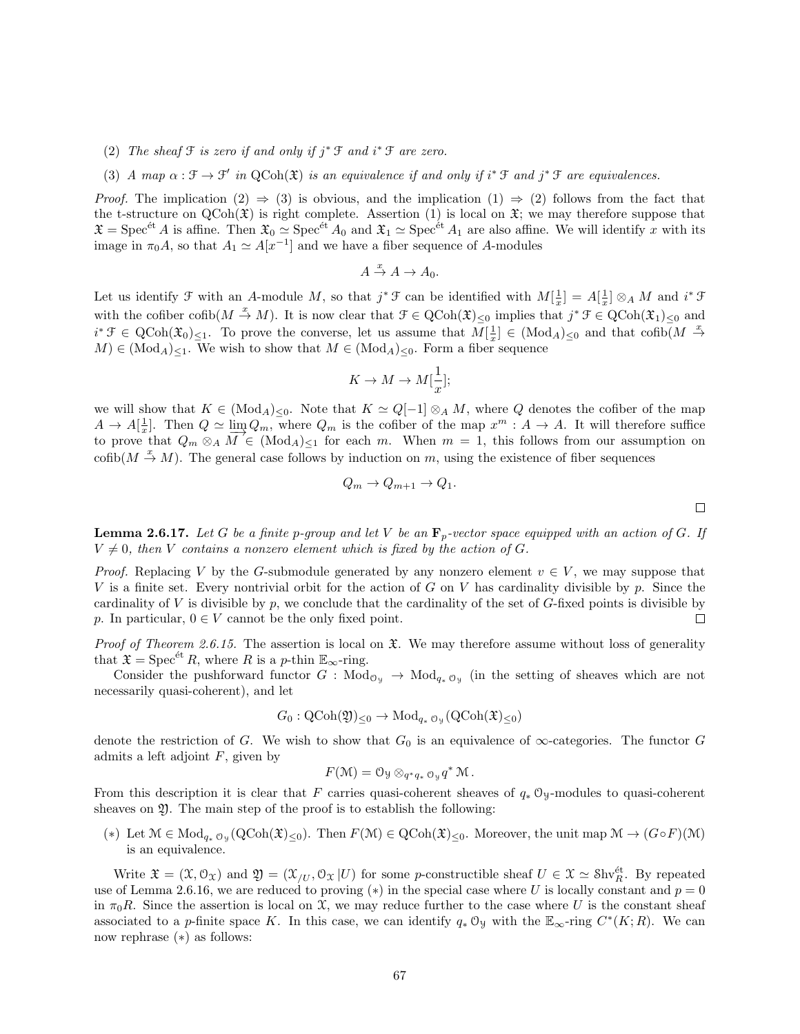- (2) The sheaf  $\mathcal F$  is zero if and only if  $j^* \mathcal F$  and  $i^* \mathcal F$  are zero.
- (3) A map  $\alpha : \mathcal{F} \to \mathcal{F}'$  in QCoh( $\mathfrak{X}$ ) is an equivalence if and only if  $i^* \mathcal{F}$  and  $j^* \mathcal{F}$  are equivalences.

*Proof.* The implication  $(2) \Rightarrow (3)$  is obvious, and the implication  $(1) \Rightarrow (2)$  follows from the fact that the t-structure on  $QCoh(\mathfrak{X})$  is right complete. Assertion (1) is local on  $\mathfrak{X}$ ; we may therefore suppose that  $\mathfrak{X} = \mathrm{Spec}^{\mathrm{\acute{e}t}} A$  is affine. Then  $\mathfrak{X}_0 \simeq \mathrm{Spec}^{\mathrm{\acute{e}t}} A_0$  and  $\mathfrak{X}_1 \simeq \mathrm{Spec}^{\mathrm{\acute{e}t}} A_1$  are also affine. We will identify x with its image in  $\pi_0 A$ , so that  $A_1 \simeq A[x^{-1}]$  and we have a fiber sequence of A-modules

$$
A \stackrel{x}{\to} A \to A_0.
$$

Let us identify  $\mathcal F$  with an A-module M, so that  $j^* \mathcal F$  can be identified with  $M[\frac{1}{x}] = A[\frac{1}{x}] \otimes_A M$  and  $i^* \mathcal F$ with the cofiber cofib $(M \stackrel{x}{\to} M)$ . It is now clear that  $\mathcal{F} \in \mathrm{QCoh}(\mathfrak{X})_{\leq 0}$  implies that  $j^* \mathcal{F} \in \mathrm{QCoh}(\mathfrak{X}_1)_{\leq 0}$  and  $i^* \mathcal{F} \in \text{QCoh}(\mathfrak{X}_0)_{\leq 1}$ . To prove the converse, let us assume that  $M[\frac{1}{x}] \in (\text{Mod}_A)_{\leq 0}$  and that  $\text{cofib}(M \stackrel{x}{\to} \mathbb{R})$  $M \in (Mod_A)_{\leq 1}$ . We wish to show that  $M \in (Mod_A)_{\leq 0}$ . Form a fiber sequence

$$
K \to M \to M[\frac{1}{x}];
$$

we will show that  $K \in (Mod_A)_{\leq 0}$ . Note that  $K \simeq Q[-1] \otimes_A M$ , where Q denotes the cofiber of the map  $A \to A[\frac{1}{x}]$ . Then  $Q \simeq \lim_{M \to \infty} Q_m$ , where  $Q_m$  is the cofiber of the map  $x^m : A \to A$ . It will therefore suffice to prove that  $Q_m \otimes_A M \in (Mod_A)_{\leq 1}$  for each m. When  $m = 1$ , this follows from our assumption on cofib $(M \stackrel{x}{\to} M)$ . The general case follows by induction on m, using the existence of fiber sequences

$$
Q_m \to Q_{m+1} \to Q_1.
$$

**Lemma 2.6.17.** Let G be a finite p-group and let V be an  $\mathbf{F}_p$ -vector space equipped with an action of G. If  $V \neq 0$ , then V contains a nonzero element which is fixed by the action of G.

*Proof.* Replacing V by the G-submodule generated by any nonzero element  $v \in V$ , we may suppose that V is a finite set. Every nontrivial orbit for the action of G on V has cardinality divisible by p. Since the cardinality of V is divisible by  $p$ , we conclude that the cardinality of the set of G-fixed points is divisible by p. In particular,  $0 \in V$  cannot be the only fixed point.  $\Box$ 

*Proof of Theorem 2.6.15.* The assertion is local on  $\mathfrak{X}$ . We may therefore assume without loss of generality that  $\mathfrak{X} = \mathrm{Spec}^{\text{\'et}} R$ , where R is a p-thin  $\mathbb{E}_{\infty}$ -ring.

Consider the pushforward functor  $G: Mod_{\mathcal{O}_\mathcal{Y}} \to Mod_{q_*\mathcal{O}_\mathcal{Y}}$  (in the setting of sheaves which are not necessarily quasi-coherent), and let

$$
G_0: \mathrm{QCoh}(\mathfrak{Y})_{\leq 0} \to \mathrm{Mod}_{q_* \mathfrak{O}_{\mathfrak{Y}}}(\mathrm{QCoh}(\mathfrak{X})_{\leq 0})
$$

denote the restriction of G. We wish to show that  $G_0$  is an equivalence of  $\infty$ -categories. The functor G admits a left adjoint  $F$ , given by

$$
F(\mathcal{M}) = \mathcal{O}_{\mathcal{Y}} \otimes_{q^*q_* \mathcal{O}_{\mathcal{Y}}} q^* \mathcal{M}.
$$

From this description it is clear that F carries quasi-coherent sheaves of  $q_* \mathcal{O}_y$ -modules to quasi-coherent sheaves on  $\mathfrak{Y}$ . The main step of the proof is to establish the following:

(\*) Let  $\mathcal{M} \in Mod_{q_* \mathcal{O}_\mathcal{Y}}(Q\text{Coh}(\mathfrak{X})_{\leq 0})$ . Then  $F(\mathcal{M}) \in QCoh(\mathfrak{X})_{\leq 0}$ . Moreover, the unit map  $\mathcal{M} \to (G \circ F)(\mathcal{M})$ is an equivalence.

Write  $\mathfrak{X} = (\mathfrak{X}, \mathfrak{O}_{\mathfrak{X}})$  and  $\mathfrak{Y} = (\mathfrak{X}_{/U}, \mathfrak{O}_{\mathfrak{X}} | U)$  for some p-constructible sheaf  $U \in \mathfrak{X} \simeq$  Shv $_{R}^{\text{\'et}}$ . By repeated use of Lemma 2.6.16, we are reduced to proving (\*) in the special case where U is locally constant and  $p = 0$ in  $\pi_0R$ . Since the assertion is local on X, we may reduce further to the case where U is the constant sheaf associated to a p-finite space K. In this case, we can identify  $q_* \mathfrak{O}_y$  with the  $\mathbb{E}_{\infty}$ -ring  $C^*(K;R)$ . We can now rephrase (∗) as follows: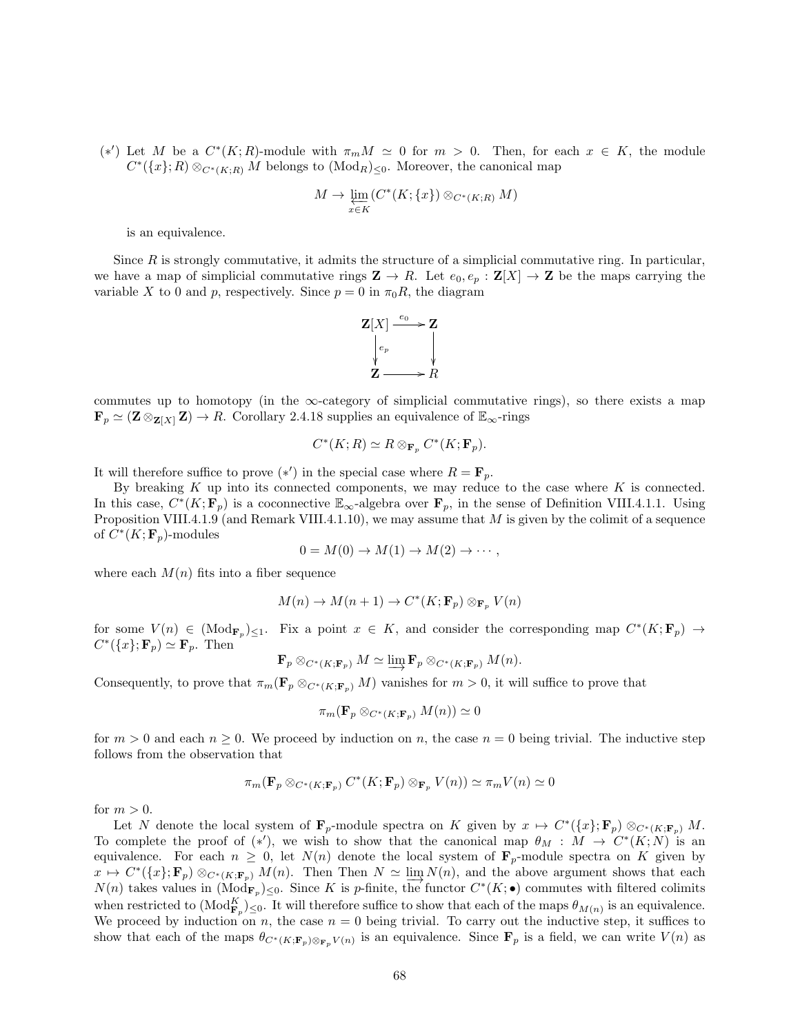(\*') Let M be a  $C^*(K;R)$ -module with  $\pi_m M \simeq 0$  for  $m > 0$ . Then, for each  $x \in K$ , the module  $C^*(\lbrace x \rbrace; R) \otimes_{C^*(K;R)} M$  belongs to  $(\text{Mod}_R)_{\leq 0}$ . Moreover, the canonical map

$$
M \to \varprojlim_{x \in K} (C^*(K; \{x\}) \otimes_{C^*(K; R)} M)
$$

is an equivalence.

Since  $R$  is strongly commutative, it admits the structure of a simplicial commutative ring. In particular, we have a map of simplicial commutative rings  $\mathbf{Z} \to R$ . Let  $e_0, e_p : \mathbf{Z}[X] \to \mathbf{Z}$  be the maps carrying the variable X to 0 and p, respectively. Since  $p = 0$  in  $\pi_0 R$ , the diagram



commutes up to homotopy (in the  $\infty$ -category of simplicial commutative rings), so there exists a map  $\mathbf{F}_p \simeq (\mathbf{Z} \otimes_{\mathbf{Z}[X]} \mathbf{Z}) \to R$ . Corollary 2.4.18 supplies an equivalence of  $\mathbb{E}_{\infty}$ -rings

$$
C^*(K;R)\simeq R\otimes_{\mathbf{F}_p} C^*(K;\mathbf{F}_p).
$$

It will therefore suffice to prove  $(*')$  in the special case where  $R = \mathbf{F}_p$ .

By breaking  $K$  up into its connected components, we may reduce to the case where  $K$  is connected. In this case,  $C^*(K; \mathbf{F}_p)$  is a coconnective  $\mathbb{E}_{\infty}$ -algebra over  $\mathbf{F}_p$ , in the sense of Definition VIII.4.1.1. Using Proposition VIII.4.1.9 (and Remark VIII.4.1.10), we may assume that M is given by the colimit of a sequence of  $C^*(K; \mathbf{F}_p)$ -modules

$$
0 = M(0) \to M(1) \to M(2) \to \cdots,
$$

where each  $M(n)$  fits into a fiber sequence

$$
M(n) \to M(n+1) \to C^*(K; \mathbf{F}_p) \otimes_{\mathbf{F}_p} V(n)
$$

for some  $V(n) \in (Mod_{\mathbf{F}_p})_{\leq 1}$ . Fix a point  $x \in K$ , and consider the corresponding map  $C^*(K; \mathbf{F}_p) \to$  $C^*(\lbrace x \rbrace; \mathbf{F}_p) \simeq \mathbf{F}_p$ . Then

$$
\mathbf{F}_p \otimes_{C^*(K;\mathbf{F}_p)} M \simeq \varinjlim \mathbf{F}_p \otimes_{C^*(K;\mathbf{F}_p)} M(n).
$$

Consequently, to prove that  $\pi_m(\mathbf{F}_p \otimes_{C^*(K;\mathbf{F}_p)} M)$  vanishes for  $m > 0$ , it will suffice to prove that

$$
\pi_m(\mathbf{F}_p \otimes_{C^*(K;\mathbf{F}_p)} M(n)) \simeq 0
$$

for  $m > 0$  and each  $n \ge 0$ . We proceed by induction on n, the case  $n = 0$  being trivial. The inductive step follows from the observation that

$$
\pi_m(\mathbf{F}_p \otimes_{C^*(K;\mathbf{F}_p)} C^*(K;\mathbf{F}_p) \otimes_{\mathbf{F}_p} V(n)) \simeq \pi_m V(n) \simeq 0
$$

for  $m > 0$ .

Let N denote the local system of  $\mathbf{F}_p$ -module spectra on K given by  $x \mapsto C^*(\{x\}; \mathbf{F}_p) \otimes_{C^*(K; \mathbf{F}_p)} M$ . To complete the proof of  $(*')$ , we wish to show that the canonical map  $\theta_M : M \to C^*(K;N)$  is an equivalence. For each  $n \geq 0$ , let  $N(n)$  denote the local system of  $\mathbf{F}_p$ -module spectra on K given by  $x \mapsto C^*(\{x\}; \mathbf{F}_p) \otimes_{C^*(K; \mathbf{F}_p)} M(n)$ . Then Then  $N \simeq \lim_{n \to \infty} N(n)$ , and the above argument shows that each  $N(n)$  takes values in  $(\text{Mod}_{\mathbf{F}_p})_{\leq 0}$ . Since K is p-finite, the functor  $C^*(K; \bullet)$  commutes with filtered colimits when restricted to  $(\text{Mod}_{\mathbf{F}_p}^K)_{\leq 0}$ . It will therefore suffice to show that each of the maps  $\theta_{M(n)}$  is an equivalence. We proceed by induction on n, the case  $n = 0$  being trivial. To carry out the inductive step, it suffices to show that each of the maps  $\theta_{C^*(K; \mathbf{F}_p) \otimes_{\mathbf{F}_p} V(n)}$  is an equivalence. Since  $\mathbf{F}_p$  is a field, we can write  $V(n)$  as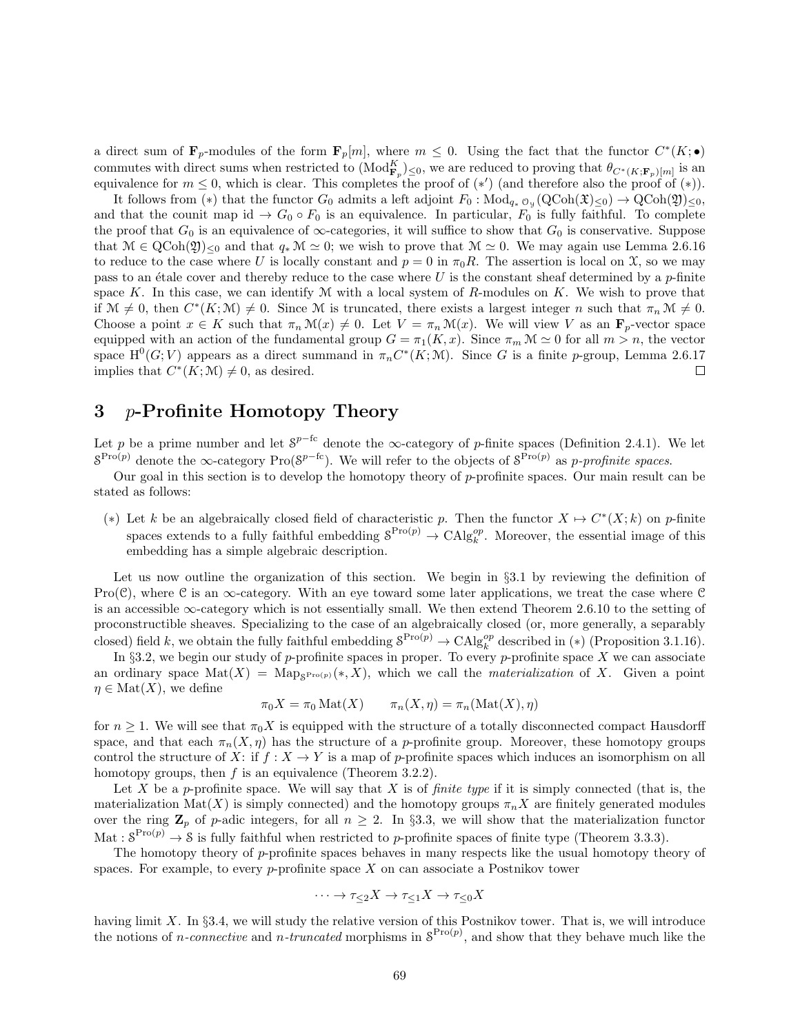a direct sum of  $\mathbf{F}_p$ -modules of the form  $\mathbf{F}_p[m]$ , where  $m \leq 0$ . Using the fact that the functor  $C^*(K; \bullet)$ commutes with direct sums when restricted to  $(\text{Mod}_{\mathbf{F}_p}^K)_{\leq 0}$ , we are reduced to proving that  $\theta_{C^*(K;\mathbf{F}_p)[m]}$  is an equivalence for  $m \leq 0$ , which is clear. This completes the proof of  $(*)$  (and therefore also the proof of  $(*)$ ).

It follows from (\*) that the functor  $G_0$  admits a left adjoint  $F_0$ :  $Mod_{q_*}$   $_{0y}$  ( $QCoh(\mathfrak{X})_{\leq 0}$ )  $\rightarrow$   $QCoh(\mathfrak{Y})_{\leq 0}$ , and that the counit map id  $\rightarrow G_0 \circ F_0$  is an equivalence. In particular,  $F_0$  is fully faithful. To complete the proof that  $G_0$  is an equivalence of  $\infty$ -categories, it will suffice to show that  $G_0$  is conservative. Suppose that  $\mathcal{M} \in \text{QCoh}(2)_{\leq 0}$  and that  $q_* \mathcal{M} \simeq 0$ ; we wish to prove that  $\mathcal{M} \simeq 0$ . We may again use Lemma 2.6.16 to reduce to the case where U is locally constant and  $p = 0$  in  $\pi_0 R$ . The assertion is local on X, so we may pass to an étale cover and thereby reduce to the case where U is the constant sheaf determined by a p-finite space K. In this case, we can identify  $M$  with a local system of R-modules on K. We wish to prove that if  $\mathcal{M} \neq 0$ , then  $C^*(K; \mathcal{M}) \neq 0$ . Since M is truncated, there exists a largest integer n such that  $\pi_n \mathcal{M} \neq 0$ . Choose a point  $x \in K$  such that  $\pi_n \mathcal{M}(x) \neq 0$ . Let  $V = \pi_n \mathcal{M}(x)$ . We will view V as an  $\mathbf{F}_p$ -vector space equipped with an action of the fundamental group  $G = \pi_1(K, x)$ . Since  $\pi_m \mathcal{M} \simeq 0$  for all  $m > n$ , the vector space  $H^0(G; V)$  appears as a direct summand in  $\pi_n C^*(K; M)$ . Since G is a finite p-group, Lemma 2.6.17 implies that  $C^*(K; \mathcal{M}) \neq 0$ , as desired.  $\Box$ 

# 3 p-Profinite Homotopy Theory

Let p be a prime number and let  $S^{p-fe}$  denote the  $\infty$ -category of p-finite spaces (Definition 2.4.1). We let  $S^{\text{Pro}(p)}$  denote the  $\infty$ -category  $\text{Pro}(S^{p-fc})$ . We will refer to the objects of  $S^{\text{Pro}(p)}$  as p-profinite spaces.

Our goal in this section is to develop the homotopy theory of  $p$ -profinite spaces. Our main result can be stated as follows:

(\*) Let k be an algebraically closed field of characteristic p. Then the functor  $X \mapsto C^*(X; k)$  on p-finite spaces extends to a fully faithful embedding  $S^{Pro(p)} \to \text{CAlg}_k^{op}$ . Moreover, the essential image of this embedding has a simple algebraic description.

Let us now outline the organization of this section. We begin in §3.1 by reviewing the definition of Pro( $\mathcal{C}$ ), where  $\mathcal{C}$  is an  $\infty$ -category. With an eye toward some later applications, we treat the case where  $\mathcal{C}$ is an accessible ∞-category which is not essentially small. We then extend Theorem 2.6.10 to the setting of proconstructible sheaves. Specializing to the case of an algebraically closed (or, more generally, a separably closed) field k, we obtain the fully faithful embedding  $S^{Pro(p)} \to \text{CAlg}_k^{op}$  described in (\*) (Proposition 3.1.16).

In §3.2, we begin our study of p-profinite spaces in proper. To every p-profinite space  $X$  we can associate an ordinary space  $\text{Mat}(X) = \text{Map}_{S^{\text{Pro}(p)}}(*, X)$ , which we call the *materialization* of X. Given a point  $\eta \in Mat(X)$ , we define

$$
\pi_0 X = \pi_0 \text{Mat}(X) \qquad \pi_n(X, \eta) = \pi_n(\text{Mat}(X), \eta)
$$

for  $n \geq 1$ . We will see that  $\pi_0 X$  is equipped with the structure of a totally disconnected compact Hausdorff space, and that each  $\pi_n(X, \eta)$  has the structure of a p-profinite group. Moreover, these homotopy groups control the structure of X: if  $f: X \to Y$  is a map of p-profinite spaces which induces an isomorphism on all homotopy groups, then  $f$  is an equivalence (Theorem 3.2.2).

Let X be a p-profinite space. We will say that X is of *finite type* if it is simply connected (that is, the materialization Mat(X) is simply connected) and the homotopy groups  $\pi_n X$  are finitely generated modules over the ring  $\mathbf{Z}_p$  of p-adic integers, for all  $n \geq 2$ . In §3.3, we will show that the materialization functor Mat :  $S^{\text{Pro}(p)} \to S$  is fully faithful when restricted to p-profinite spaces of finite type (Theorem 3.3.3).

The homotopy theory of p-profinite spaces behaves in many respects like the usual homotopy theory of spaces. For example, to every  $p$ -profinite space  $X$  on can associate a Postnikov tower

$$
\cdots \to \tau_{\leq 2} X \to \tau_{\leq 1} X \to \tau_{\leq 0} X
$$

having limit X. In §3.4, we will study the relative version of this Postnikov tower. That is, we will introduce the notions of *n*-connective and *n*-truncated morphisms in  $S^{Pro(p)}$ , and show that they behave much like the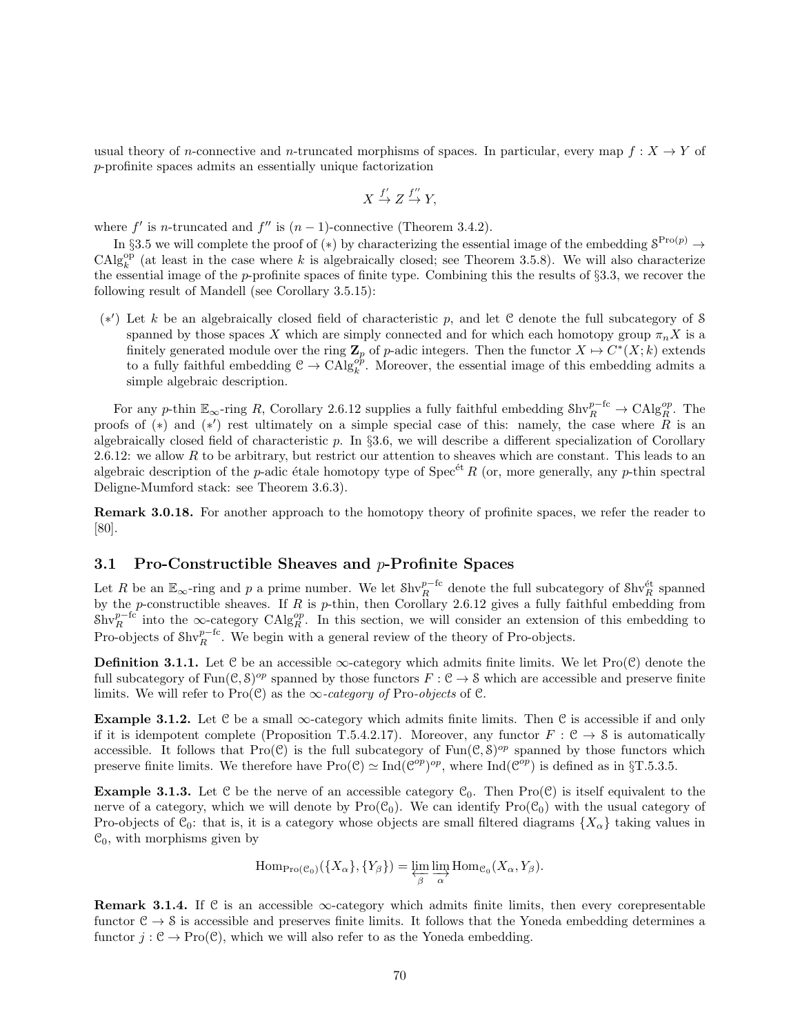usual theory of n-connective and n-truncated morphisms of spaces. In particular, every map  $f: X \to Y$  of p-profinite spaces admits an essentially unique factorization

$$
X \xrightarrow{f'} Z \xrightarrow{f''} Y,
$$

where  $f'$  is n-truncated and  $f''$  is  $(n-1)$ -connective (Theorem 3.4.2).

In §3.5 we will complete the proof of (\*) by characterizing the essential image of the embedding  $S^{\text{Pro}(p)} \to$  $\text{CAlg}_{k}^{\text{op}}$  (at least in the case where k is algebraically closed; see Theorem 3.5.8). We will also characterize the essential image of the p-profinite spaces of finite type. Combining this the results of  $\S 3.3$ , we recover the following result of Mandell (see Corollary 3.5.15):

(\*') Let k be an algebraically closed field of characteristic p, and let  $C$  denote the full subcategory of S spanned by those spaces X which are simply connected and for which each homotopy group  $\pi_n X$  is a finitely generated module over the ring  $\mathbb{Z}_p$  of p-adic integers. Then the functor  $X \mapsto C^*(X; k)$  extends to a fully faithful embedding  $C \to CA \rvert g_k^{op}$ . Moreover, the essential image of this embedding admits a simple algebraic description.

For any p-thin  $\mathbb{E}_{\infty}$ -ring R, Corollary 2.6.12 supplies a fully faithful embedding  $\text{Shv}_R^{p-\text{fc}} \to \text{CAlg}_R^{op}$ . The proofs of (\*) and (\*') rest ultimately on a simple special case of this: namely, the case where  $\tilde{R}$  is an algebraically closed field of characteristic p. In §3.6, we will describe a different specialization of Corollary 2.6.12: we allow R to be arbitrary, but restrict our attention to sheaves which are constant. This leads to an algebraic description of the p-adic étale homotopy type of Spec<sup> $\acute{e}t$ </sup> R (or, more generally, any p-thin spectral Deligne-Mumford stack: see Theorem 3.6.3).

Remark 3.0.18. For another approach to the homotopy theory of profinite spaces, we refer the reader to [80].

## 3.1 Pro-Constructible Sheaves and  $p$ -Profinite Spaces

Let R be an  $\mathbb{E}_{\infty}$ -ring and p a prime number. We let  $\text{Shv}_R^{p-\text{fc}}$  denote the full subcategory of  $\text{Shv}_R^{\text{\'et}}$  spanned by the p-constructible sheaves. If R is p-thin, then Corollary 2.6.12 gives a fully faithful embedding from  $\text{Shv}_R^{p-6}$  into the ∞-category  $\text{CAlg}_R^{op}$ . In this section, we will consider an extension of this embedding to Pro-objects of  $\text{Shv}_R^{p-{\rm fc}}$ . We begin with a general review of the theory of Pro-objects.

**Definition 3.1.1.** Let C be an accessible  $\infty$ -category which admits finite limits. We let Pro(C) denote the full subcategory of  $\text{Fun}(\mathcal{C}, \mathcal{S})^{op}$  spanned by those functors  $F : \mathcal{C} \to \mathcal{S}$  which are accessible and preserve finite limits. We will refer to Pro( $\mathcal{C}$ ) as the  $\infty$ -category of Pro-objects of  $\mathcal{C}$ .

**Example 3.1.2.** Let C be a small  $\infty$ -category which admits finite limits. Then C is accessible if and only if it is idempotent complete (Proposition T.5.4.2.17). Moreover, any functor  $F : \mathcal{C} \to \mathcal{S}$  is automatically accessible. It follows that  $Pro(C)$  is the full subcategory of  $Fun(C, S)^{op}$  spanned by those functors which preserve finite limits. We therefore have  $\text{Pro}(\mathcal{C}) \simeq \text{Ind}(\mathcal{C}^{op})^{op}$ , where  $\text{Ind}(\mathcal{C}^{op})$  is defined as in §T.5.3.5.

**Example 3.1.3.** Let C be the nerve of an accessible category  $\mathcal{C}_0$ . Then Pro(C) is itself equivalent to the nerve of a category, which we will denote by  $\text{Pro}(\mathcal{C}_0)$ . We can identify  $\text{Pro}(\mathcal{C}_0)$  with the usual category of Pro-objects of  $\mathcal{C}_0$ : that is, it is a category whose objects are small filtered diagrams  $\{X_\alpha\}$  taking values in  $\mathcal{C}_0$ , with morphisms given by

$$
\mathrm{Hom}_{\mathrm{Pro}(\mathcal{C}_0)}(\{X_\alpha\}, \{Y_\beta\}) = \varprojlim_\beta \varinjlim_\alpha \mathrm{Hom}_{\mathcal{C}_0}(X_\alpha, Y_\beta).
$$

**Remark 3.1.4.** If C is an accessible  $\infty$ -category which admits finite limits, then every corepresentable functor  $C \rightarrow S$  is accessible and preserves finite limits. It follows that the Yoneda embedding determines a functor  $j : \mathcal{C} \to \text{Pro}(\mathcal{C})$ , which we will also refer to as the Yoneda embedding.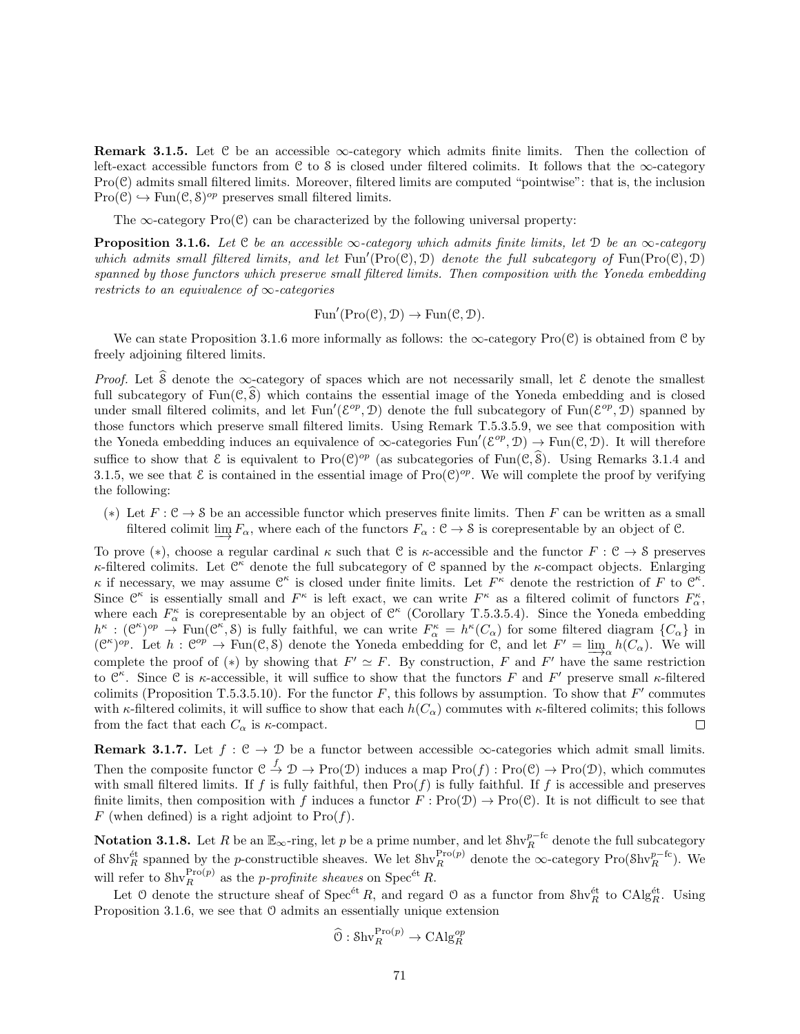**Remark 3.1.5.** Let C be an accessible  $\infty$ -category which admits finite limits. Then the collection of left-exact accessible functors from C to S is closed under filtered colimits. It follows that the  $\infty$ -category  $Pro(\mathcal{C})$  admits small filtered limits. Moreover, filtered limits are computed "pointwise": that is, the inclusion  $Pro(\mathcal{C}) \hookrightarrow Fun(\mathcal{C}, \mathcal{S})^{op}$  preserves small filtered limits.

The  $\infty$ -category Pro(C) can be characterized by the following universal property:

**Proposition 3.1.6.** Let  $C$  be an accessible  $\infty$ -category which admits finite limits, let  $D$  be an  $\infty$ -category which admits small filtered limits, and let  $Fun'(Pro(\mathcal{C}), \mathcal{D})$  denote the full subcategory of  $Fun(Pro(\mathcal{C}), \mathcal{D})$ spanned by those functors which preserve small filtered limits. Then composition with the Yoneda embedding restricts to an equivalence of  $\infty$ -categories

$$
\operatorname{Fun}'(\operatorname{Pro}(\mathcal{C}), \mathcal{D}) \to \operatorname{Fun}(\mathcal{C}, \mathcal{D}).
$$

We can state Proposition 3.1.6 more informally as follows: the  $\infty$ -category Pro(C) is obtained from C by freely adjoining filtered limits.

*Proof.* Let  $\hat{\mathcal{S}}$  denote the ∞-category of spaces which are not necessarily small, let  $\mathcal{E}$  denote the smallest full subcategory of  $Fun(\mathcal{C}, \widehat{\mathcal{S}})$  which contains the essential image of the Yoneda embedding and is closed under small filtered colimits, and let Fun'( $\mathcal{E}^{op}, \mathcal{D}$ ) denote the full subcategory of Fun( $\mathcal{E}^{op}, \mathcal{D}$ ) spanned by those functors which preserve small filtered limits. Using Remark T.5.3.5.9, we see that composition with the Yoneda embedding induces an equivalence of  $\infty$ -categories Fun'( $\mathcal{E}^{op}, \mathcal{D}$ )  $\to$  Fun( $\mathcal{C}, \mathcal{D}$ ). It will therefore suffice to show that  $\mathcal{E}$  is equivalent to Pro $(\mathcal{C})^{op}$  (as subcategories of Fun $(\mathcal{C}, \mathcal{S})$ ). Using Remarks 3.1.4 and 3.1.5, we see that  $\mathcal E$  is contained in the essential image of  $\text{Pro}(\mathcal C)^{op}$ . We will complete the proof by verifying the following:

(\*) Let  $F: \mathcal{C} \to \mathcal{S}$  be an accessible functor which preserves finite limits. Then F can be written as a small filtered colimit  $\underline{\lim}_{\to} F_{\alpha}$ , where each of the functors  $F_{\alpha}: \mathcal{C} \to \mathcal{S}$  is corepresentable by an object of  $\mathcal{C}$ .

To prove (\*), choose a regular cardinal  $\kappa$  such that C is  $\kappa$ -accessible and the functor  $F : \mathcal{C} \to \mathcal{S}$  preserves κ-filtered colimits. Let  $\mathfrak{C}^{\kappa}$  denote the full subcategory of C spanned by the κ-compact objects. Enlarging κ if necessary, we may assume  $\mathcal{C}^{\kappa}$  is closed under finite limits. Let  $F^{\kappa}$  denote the restriction of F to  $\mathcal{C}^{\kappa}$ . Since  $\mathcal{C}^{\kappa}$  is essentially small and  $F^{\kappa}$  is left exact, we can write  $F^{\kappa}$  as a filtered colimit of functors  $F^{\kappa}_{\alpha}$ , where each  $F_{\alpha}^{\kappa}$  is corepresentable by an object of  $\mathcal{C}^{\kappa}$  (Corollary T.5.3.5.4). Since the Yoneda embedding  $h^{\kappa} : (\mathcal{C}^{\kappa})^{op} \to \text{Fun}(\mathcal{C}^{\kappa}, \mathcal{S})$  is fully faithful, we can write  $F^{\kappa}_{\alpha} = h^{\kappa}(C_{\alpha})$  for some filtered diagram  $\{C_{\alpha}\}\$ in  $(\mathcal{C}^{\kappa})^{op}$ . Let  $h : \mathcal{C}^{op} \to \text{Fun}(\mathcal{C}, \mathcal{S})$  denote the Yoneda embedding for  $\mathcal{C}$ , and let  $F' = \lim_{n \to \infty} h(C_{\alpha})$ . We will complete the proof of (\*) by showing that  $F' \simeq F$ . By construction, F and F' have the same restriction to  $\mathcal{C}^{\kappa}$ . Since C is  $\kappa$ -accessible, it will suffice to show that the functors F and F' preserve small  $\kappa$ -filtered colimits (Proposition T.5.3.5.10). For the functor  $F$ , this follows by assumption. To show that  $F'$  commutes with  $\kappa$ -filtered colimits, it will suffice to show that each  $h(C_\alpha)$  commutes with  $\kappa$ -filtered colimits; this follows from the fact that each  $C_{\alpha}$  is  $\kappa$ -compact.  $\Box$ 

Remark 3.1.7. Let  $f : \mathcal{C} \to \mathcal{D}$  be a functor between accessible  $\infty$ -categories which admit small limits. Then the composite functor  $\mathcal{C} \stackrel{f}{\to} \mathcal{D} \to \text{Pro}(\mathcal{D})$  induces a map  $\text{Pro}(f) : \text{Pro}(\mathcal{C}) \to \text{Pro}(\mathcal{D})$ , which commutes with small filtered limits. If f is fully faithful, then  $\text{Pro}(f)$  is fully faithful. If f is accessible and preserves finite limits, then composition with f induces a functor  $F : \text{Pro}(\mathcal{D}) \to \text{Pro}(\mathcal{C})$ . It is not difficult to see that F (when defined) is a right adjoint to  $\text{Pro}(f)$ .

Notation 3.1.8. Let R be an  $\mathbb{E}_{\infty}$ -ring, let p be a prime number, and let  $\mathrm{Shv}_R^{p-{\rm fc}}$  denote the full subcategory of Shv $_R^{\text{\'et}}$  spanned by the p-constructible sheaves. We let Shv $_R^{\text{Pro}(p)}$  denote the  $\infty$ -category Pro(Shv $_R^{p-fc}$ ). We will refer to  $\text{Shv}_R^{\text{Pro}(p)}$  as the *p-profinite sheaves* on Spec<sup>ét</sup> R.

Let 0 denote the structure sheaf of  $Spec^{\text{\'et}}R$ , and regard 0 as a functor from  $\text{Shv}_R^{\text{\'et}}$  to  $\text{CAlg}_R^{\text{\'et}}$ . Using Proposition 3.1.6, we see that  $\mathcal O$  admits an essentially unique extension

$$
\widehat{O}: \mathrm{Shv}_R^{\mathrm{Pro}(p)} \to \mathrm{CAlg}_R^{op}
$$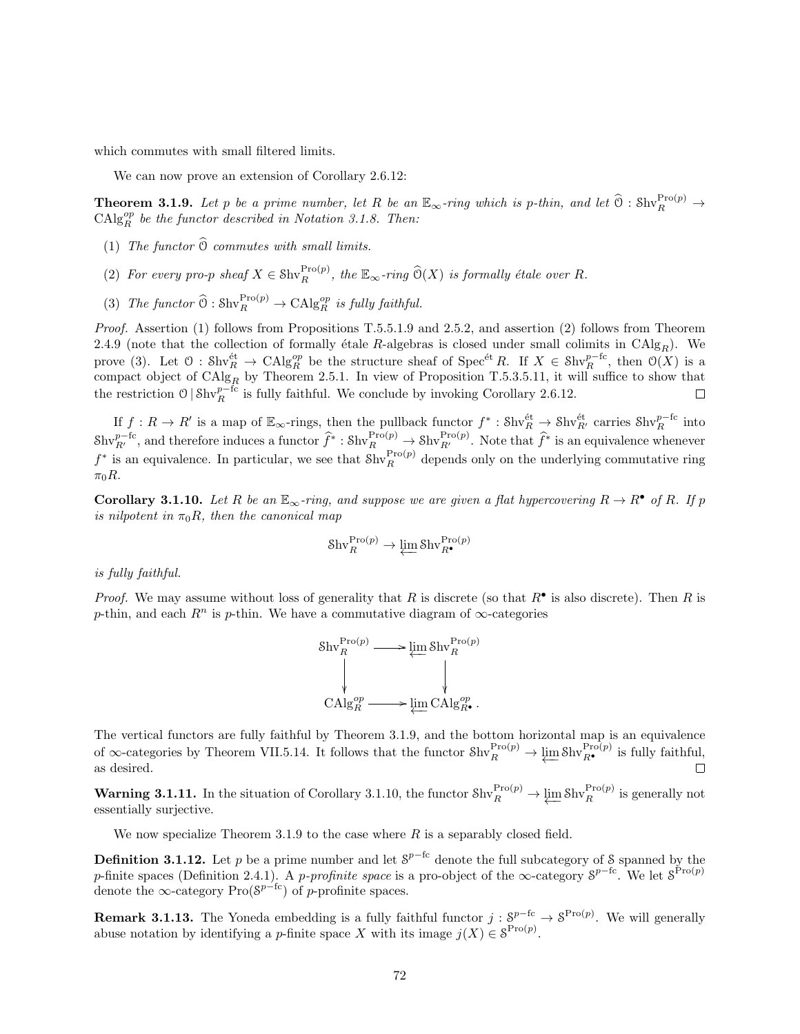which commutes with small filtered limits.

We can now prove an extension of Corollary 2.6.12:

**Theorem 3.1.9.** Let p be a prime number, let R be an  $\mathbb{E}_{\infty}$ -ring which is p-thin, and let  $\widehat{\mathbb{O}}$  : Shv $_R^{\text{Pro}(p)} \rightarrow$  $\mathrm{CAlg}_{R}^{op}$  be the functor described in Notation 3.1.8. Then:

- (1) The functor  $\widehat{O}$  commutes with small limits.
- (2) For every pro-p sheaf  $X \in Shv_R^{\text{Pro}(p)}$ , the  $\mathbb{E}_{\infty}$ -ring  $\widehat{O}(X)$  is formally étale over R.
- (3) The functor  $\widehat{O} : \text{Shv}_R^{\text{Pro}(p)} \to \text{CAlg}_R^{\text{op}}$  is fully faithful.

Proof. Assertion (1) follows from Propositions T.5.5.1.9 and 2.5.2, and assertion (2) follows from Theorem 2.4.9 (note that the collection of formally étale R-algebras is closed under small colimits in  $\text{CAlg}_R$ ). We prove (3). Let  $\mathcal{O}: Shv_R^{\text{\'et}} \to \text{CAlg}_R^{\text{op}}$  be the structure sheaf of  $\text{Spec}^{\text{\'et}}R$ . If  $X \in Shv_R^{p-{\text{\'et}}},$  then  $\mathcal{O}(X)$  is a compact object of  $CAlg_R$  by Theorem 2.5.1. In view of Proposition T.5.3.5.11, it will suffice to show that the restriction  $\mathcal{O} \mid \text{Shv}_R^{p-{\text{fc}}}$  is fully faithful. We conclude by invoking Corollary 2.6.12.  $\Box$ 

If  $f: R \to R'$  is a map of  $\mathbb{E}_{\infty}$ -rings, then the pullback functor  $f^* : Shv_R^{\text{\'et}} \to Shv_{R'}^{\text{\'et}}$  carries  $Shv_R^{\text{\'et}}$  into  $\text{Shv}_{R'}^{p-\text{fc}}$ , and therefore induces a functor  $\hat{f}^* : \text{Shv}_R^{\text{Pro}(p)} \to \text{Shv}_{R'}^{\text{Pro}(p)}$ . Note that  $\hat{f}^*$  is an equivalence whenever  $f^*$  is an equivalence. In particular, we see that  $\text{Shv}_R^{\text{Pro}(p)}$  depends only on the underlying commutative ring  $\pi_0 R$ .

**Corollary 3.1.10.** Let R be an  $\mathbb{E}_{\infty}$ -ring, and suppose we are given a flat hypercovering  $R \to R^{\bullet}$  of R. If p is nilpotent in  $\pi_0 R$ , then the canonical map

$$
\mathrm{Shv}_R^{\mathrm{Pro}(p)} \to \varprojlim \mathrm{Shv}_{R^\bullet}^{\mathrm{Pro}(p)}
$$

is fully faithful.

*Proof.* We may assume without loss of generality that R is discrete (so that  $R^{\bullet}$  is also discrete). Then R is p-thin, and each  $R^n$  is p-thin. We have a commutative diagram of  $\infty$ -categories

$$
\begin{aligned}\n\text{Shv}_R^{\text{Pro}(p)} &\longrightarrow \varprojlim \text{Shv}_R^{\text{Pro}(p)} \\
\downarrow &\downarrow \\
\text{CAlg}_R^{op} &\longrightarrow \varprojlim \text{CAlg}_{R^{\bullet}}^{op}.\n\end{aligned}
$$

The vertical functors are fully faithful by Theorem 3.1.9, and the bottom horizontal map is an equivalence of  $\infty$ -categories by Theorem VII.5.14. It follows that the functor  $\text{Shv}_R^{\text{Pro}(p)} \to \varprojlim \text{Shv}_{R^{\bullet}}^{\text{Pro}(p)}$  is fully faithful, as desired.

**Warning 3.1.11.** In the situation of Corollary 3.1.10, the functor  $\text{Shv}_R^{\text{Pro}(p)} \to \varprojlim \text{Shv}_R^{\text{Pro}(p)}$  is generally not essentially surjective.

We now specialize Theorem 3.1.9 to the case where  $R$  is a separably closed field.

**Definition 3.1.12.** Let p be a prime number and let  $S^{p-fc}$  denote the full subcategory of S spanned by the p-finite spaces (Definition 2.4.1). A p-profinite space is a pro-object of the  $\infty$ -category  $S^{p-{\rm fc}}$ . We let  $S^{\rm Pro(p)}$ denote the  $\infty$ -category Pro( $S^{p-{\rm fc}}$ ) of p-profinite spaces.

**Remark 3.1.13.** The Yoneda embedding is a fully faithful functor  $j: S^{p-{\rm fc}} \to S^{{\rm Pro}(p)}$ . We will generally abuse notation by identifying a *p*-finite space X with its image  $j(X) \in \mathcal{S}^{\text{Pro}(p)}$ .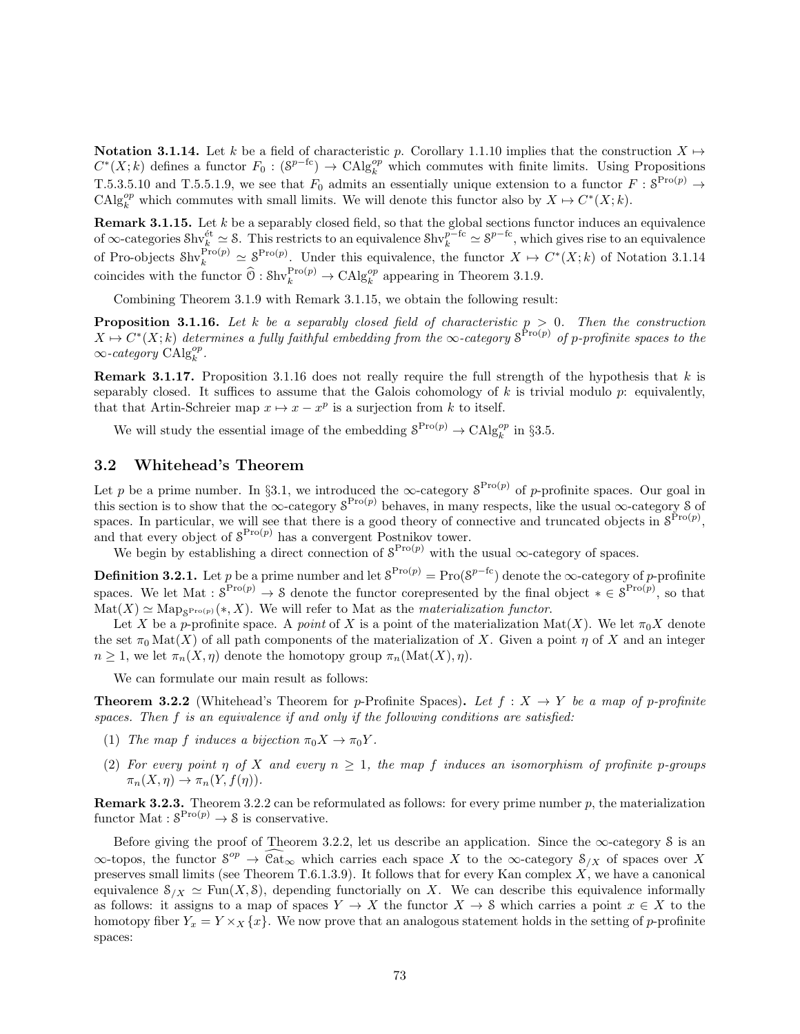Notation 3.1.14. Let k be a field of characteristic p. Corollary 1.1.10 implies that the construction  $X \mapsto$  $C^*(X;k)$  defines a functor  $F_0: (S^{p-fc}) \to \text{CAlg}_{k}^{op}$  which commutes with finite limits. Using Propositions T.5.3.5.10 and T.5.5.1.9, we see that  $F_0$  admits an essentially unique extension to a functor  $F: \mathcal{S}^{\text{Pro}(p)} \to$ CAlg<sup>op</sup> which commutes with small limits. We will denote this functor also by  $X \mapsto C^*(X; k)$ .

**Remark 3.1.15.** Let  $k$  be a separably closed field, so that the global sections functor induces an equivalence of  $\infty$ -categories Shv $_k^{\text{\'et}} \simeq$  S. This restricts to an equivalence Shv $_k^{p-{\rm fc}} \simeq 8^{p-{\rm fc}}$ , which gives rise to an equivalence of Pro-objects  $\text{Shv}_k^{\text{Pro}(p)} \simeq \mathcal{S}^{\text{Pro}(p)}$ . Under this equivalence, the functor  $X \mapsto C^*(X;k)$  of Notation 3.1.14 coincides with the functor  $\widehat{O}: Shv_k^{\text{Pro}(p)} \to Chlg_k^{op}$  appearing in Theorem 3.1.9.

Combining Theorem 3.1.9 with Remark 3.1.15, we obtain the following result:

**Proposition 3.1.16.** Let k be a separably closed field of characteristic  $p > 0$ . Then the construction  $X \mapsto C^*(X; k)$  determines a fully faithful embedding from the  $\infty$ -category  $S^{\text{Pro}(p)}$  of p-profinite spaces to the  $\infty$ -category  $\mathrm{CAlg}_k^{op}$ .

**Remark 3.1.17.** Proposition 3.1.16 does not really require the full strength of the hypothesis that  $k$  is separably closed. It suffices to assume that the Galois cohomology of  $k$  is trivial modulo  $p$ : equivalently, that that Artin-Schreier map  $x \mapsto x - x^p$  is a surjection from k to itself.

We will study the essential image of the embedding  $S^{Pro(p)} \to CAlg_k^{op}$  in §3.5.

### 3.2 Whitehead's Theorem

Let p be a prime number. In §3.1, we introduced the  $\infty$ -category  $S^{Pro(p)}$  of p-profinite spaces. Our goal in this section is to show that the  $\infty$ -category  $S^{Pro(p)}$  behaves, in many respects, like the usual  $\infty$ -category S of spaces. In particular, we will see that there is a good theory of connective and truncated objects in  $S^{Pro(p)}$ , and that every object of  $S^{Pro(p)}$  has a convergent Postnikov tower.

We begin by establishing a direct connection of  $S^{Pro(p)}$  with the usual  $\infty$ -category of spaces.

**Definition 3.2.1.** Let p be a prime number and let  $S^{Pro(p)} = Pro(S^{p-fc})$  denote the  $\infty$ -category of p-profinite spaces. We let Mat :  $S^{\text{Pro}(p)} \to S$  denote the functor corepresented by the final object  $* \in S^{\text{Pro}(p)}$ , so that  $\text{Mat}(X) \simeq \text{Map}_{\mathcal{S}^{\text{Pro}}(\mathcal{P})}(*, X)$ . We will refer to Mat as the *materialization functor*.

Let X be a p-profinite space. A point of X is a point of the materialization Mat(X). We let  $\pi_0 X$  denote the set  $\pi_0 \text{Mat}(X)$  of all path components of the materialization of X. Given a point  $\eta$  of X and an integer  $n \geq 1$ , we let  $\pi_n(X, \eta)$  denote the homotopy group  $\pi_n(\mathrm{Mat}(X), \eta)$ .

We can formulate our main result as follows:

**Theorem 3.2.2** (Whitehead's Theorem for p-Profinite Spaces). Let  $f : X \rightarrow Y$  be a map of p-profinite spaces. Then f is an equivalence if and only if the following conditions are satisfied:

- (1) The map f induces a bijection  $\pi_0 X \to \pi_0 Y$ .
- (2) For every point  $\eta$  of X and every  $n \geq 1$ , the map f induces an isomorphism of profinite p-groups  $\pi_n(X,\eta) \to \pi_n(Y,f(\eta)).$

**Remark 3.2.3.** Theorem 3.2.2 can be reformulated as follows: for every prime number  $p$ , the materialization functor Mat :  $S^{Pro(p)} \to S$  is conservative.

Before giving the proof of Theorem 3.2.2, let us describe an application. Since the  $\infty$ -category S is an  $\infty$ -topos, the functor  $S^{op} \to \widehat{\text{Cat}}_{\infty}$  which carries each space X to the  $\infty$ -category  $S_{/X}$  of spaces over X preserves small limits (see Theorem T.6.1.3.9). It follows that for every Kan complex  $X$ , we have a canonical equivalence  $S_{X} \simeq \text{Fun}(X, \mathcal{S})$ , depending functorially on X. We can describe this equivalence informally as follows: it assigns to a map of spaces  $Y \to X$  the functor  $X \to S$  which carries a point  $x \in X$  to the homotopy fiber  $Y_x = Y \times_X \{x\}$ . We now prove that an analogous statement holds in the setting of p-profinite spaces: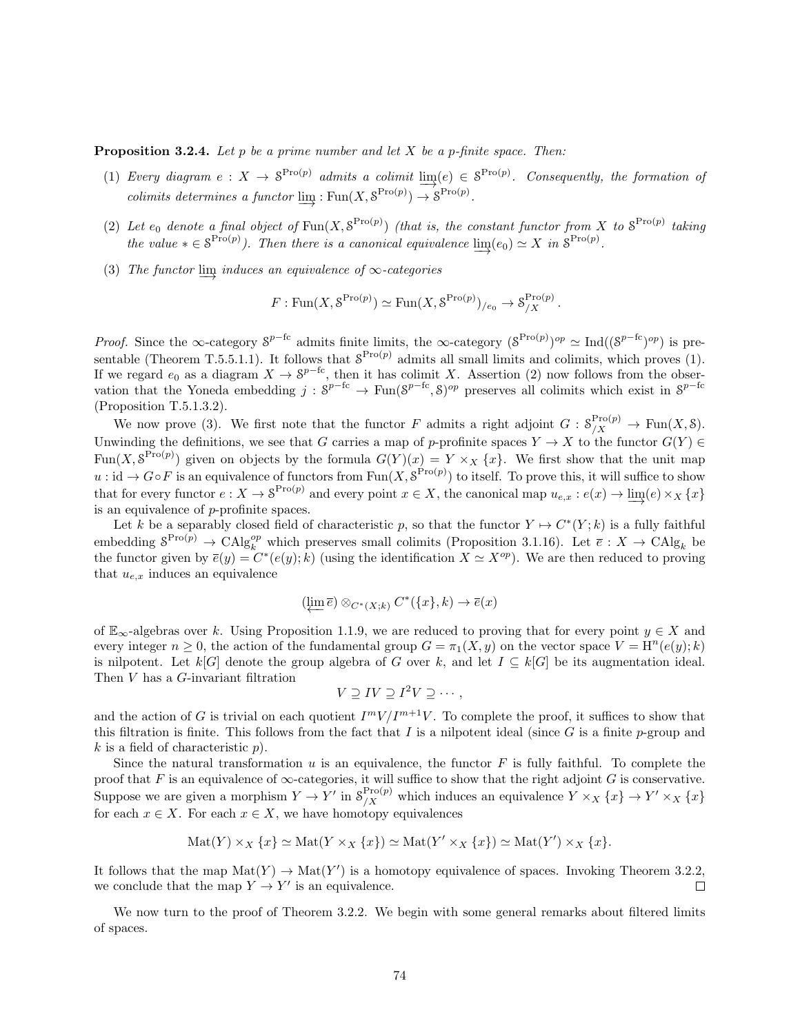**Proposition 3.2.4.** Let p be a prime number and let  $X$  be a p-finite space. Then:

- (1) Every diagram  $e: X \to \mathcal{S}^{\text{Pro}(p)}$  admits a colimit  $\text{lim}(e) \in \mathcal{S}^{\text{Pro}(p)}$ . Consequently, the formation of −→ colimits determines a functor  $\underline{\lim} : \text{Fun}(X, \mathcal{S}^{\text{Pro}(p)}) \to \mathcal{S}^{\text{Pro}(p)}$ .
- (2) Let  $e_0$  denote a final object of  $\text{Fun}(X, \mathcal{S}^{\text{Pro}(p)})$  (that is, the constant functor from X to  $\mathcal{S}^{\text{Pro}(p)}$  taking the value  $* \in \mathcal{S}^{\text{Pro}(p)}$ ). Then there is a canonical equivalence  $\underline{\lim}_{n \to \infty} (e_0) \simeq X$  in  $\mathcal{S}^{\text{Pro}(p)}$ .
- (3) The functor  $\varinjlim$  induces an equivalence of  $\infty$ -categories

$$
F: \text{Fun}(X, \mathcal{S}^{\text{Pro}(p)}) \simeq \text{Fun}(X, \mathcal{S}^{\text{Pro}(p)})_{/e_0} \to \mathcal{S}^{\text{Pro}(p)}_{/X}.
$$

*Proof.* Since the ∞-category  $S^{p-fc}$  admits finite limits, the ∞-category  $(S^{Pro(p)})^{op} \simeq \text{Ind}((S^{p-fc})^{op})$  is presentable (Theorem T.5.5.1.1). It follows that  $S^{Pro(p)}$  admits all small limits and colimits, which proves (1). If we regard  $e_0$  as a diagram  $X \to \mathcal{S}^{p-fe}$ , then it has colimit X. Assertion (2) now follows from the observation that the Yoneda embedding  $j : S^{p-fc} \to \text{Fun}(S^{p-fc}, S)^{op}$  preserves all colimits which exist in  $S^{p-fc}$ (Proposition T.5.1.3.2).

We now prove (3). We first note that the functor F admits a right adjoint  $G: \mathcal{S}^{\text{Pro}(p)}_{/X} \to \text{Fun}(X, \mathcal{S})$ . Unwinding the definitions, we see that G carries a map of p-profinite spaces  $Y \to X$  to the functor  $G(Y) \in$ Fun(X,  $S^{\text{Pro}(p)}$ ) given on objects by the formula  $G(Y)(x) = Y \times_X \{x\}$ . We first show that the unit map  $u : id \to G \circ F$  is an equivalence of functors from  $\text{Fun}(X, \mathcal{S}^{\text{Pro}(p)})$  to itself. To prove this, it will suffice to show that for every functor  $e: X \to \mathcal{S}^{\text{Pro}(p)}$  and every point  $x \in X$ , the canonical map  $u_{e,x}: e(x) \to \varinjlim(e) \times_X \{x\}$ is an equivalence of p-profinite spaces.

Let k be a separably closed field of characteristic p, so that the functor  $Y \mapsto C^*(Y; k)$  is a fully faithful embedding  $S^{\text{Pro}(p)} \to \text{CAlg}_{k}^{\text{op}}$  which preserves small colimits (Proposition 3.1.16). Let  $\bar{e}: X \to \text{CAlg}_{k}$  be the functor given by  $\overline{e}(y) = C^*(e(y); k)$  (using the identification  $X \simeq X^{op}$ ). We are then reduced to proving that  $u_{e,x}$  induces an equivalence

$$
(\varprojlim \overline{e}) \otimes_{C^*(X;k)} C^*(\{x\},k) \to \overline{e}(x)
$$

of  $\mathbb{E}_{\infty}$ -algebras over k. Using Proposition 1.1.9, we are reduced to proving that for every point  $y \in X$  and every integer  $n \geq 0$ , the action of the fundamental group  $G = \pi_1(X, y)$  on the vector space  $V = H^n(e(y); k)$ is nilpotent. Let k[G] denote the group algebra of G over k, and let  $I \subseteq k[G]$  be its augmentation ideal. Then V has a G-invariant filtration

$$
V \supseteq IV \supseteq I^2V \supseteq \cdots,
$$

and the action of G is trivial on each quotient  $I^mV/I^{m+1}V$ . To complete the proof, it suffices to show that this filtration is finite. This follows from the fact that I is a nilpotent ideal (since  $G$  is a finite p-group and  $k$  is a field of characteristic  $p$ ).

Since the natural transformation  $u$  is an equivalence, the functor  $F$  is fully faithful. To complete the proof that F is an equivalence of  $\infty$ -categories, it will suffice to show that the right adjoint G is conservative. Suppose we are given a morphism  $Y \to Y'$  in  $\mathcal{S}_{/X}^{\text{Pro}(p)}$  which induces an equivalence  $Y \times_X \{x\} \to Y' \times_X \{x\}$ for each  $x \in X$ . For each  $x \in X$ , we have homotopy equivalences

$$
Mat(Y) \times_X \{x\} \simeq Mat(Y \times_X \{x\}) \simeq Mat(Y' \times_X \{x\}) \simeq Mat(Y') \times_X \{x\}.
$$

It follows that the map  $\text{Mat}(Y) \to \text{Mat}(Y')$  is a homotopy equivalence of spaces. Invoking Theorem 3.2.2, we conclude that the map  $Y \to Y'$  is an equivalence.  $\Box$ 

We now turn to the proof of Theorem 3.2.2. We begin with some general remarks about filtered limits of spaces.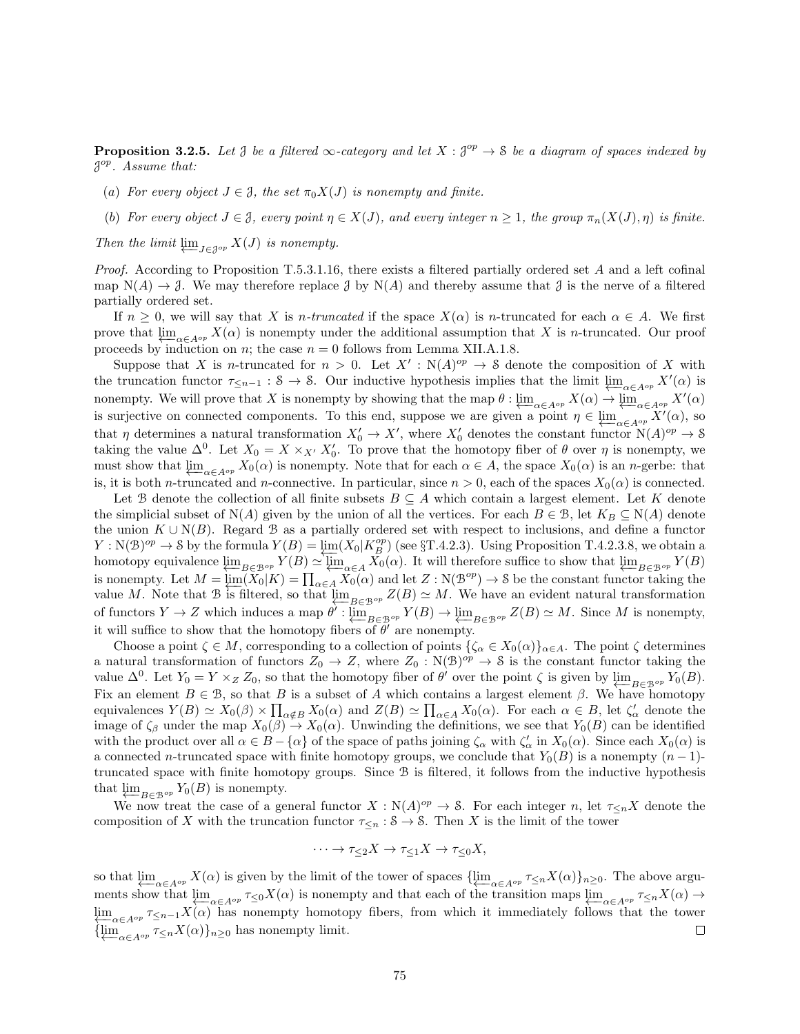**Proposition 3.2.5.** Let  $\mathcal{J}$  be a filtered  $\infty$ -category and let  $X : \mathcal{J}^{op} \to \mathcal{S}$  be a diagram of spaces indexed by  $\mathcal{J}^{op}$ . Assume that:

- (a) For every object  $J \in \mathcal{J}$ , the set  $\pi_0 X(J)$  is nonempty and finite.
- (b) For every object  $J \in \mathcal{J}$ , every point  $\eta \in X(J)$ , and every integer  $n \geq 1$ , the group  $\pi_n(X(J), \eta)$  is finite.

Then the limit  $\varprojlim_{J \in \mathcal{J}^{op}} X(J)$  is nonempty.

Proof. According to Proposition T.5.3.1.16, there exists a filtered partially ordered set A and a left cofinal map  $N(A) \to \mathcal{J}$ . We may therefore replace  $\mathcal{J}$  by  $N(A)$  and thereby assume that  $\mathcal{J}$  is the nerve of a filtered partially ordered set.

If  $n \geq 0$ , we will say that X is *n*-truncated if the space  $X(\alpha)$  is *n*-truncated for each  $\alpha \in A$ . We first prove that  $\varprojlim_{\alpha \in A^{op}} X(\alpha)$  is nonempty under the additional assumption that X is n-truncated. Our proof proceeds by induction on *n*; the case  $n = 0$  follows from Lemma XII.A.1.8.

Suppose that X is n-truncated for  $n > 0$ . Let  $X' : N(A)^{op} \to S$  denote the composition of X with the truncation functor  $\tau_{\leq n-1}: \mathcal{S} \to \mathcal{S}$ . Our inductive hypothesis implies that the limit  $\varprojlim_{\alpha \in A^{op}} X'(\alpha)$  is nonempty. We will prove that X is nonempty by showing that the map  $\theta$  :  $\varprojlim_{\alpha \in A^{op}} X(\alpha) \to \varprojlim_{\alpha \in A^{op}} X'(\alpha)$ is surjective on connected components. To this end, suppose we are given a point  $\eta \in \varprojlim_{\alpha \in A^{op}} X'(\alpha)$ , so that  $\eta$  determines a natural transformation  $X'_0 \to X'$ , where  $X'_0$  denotes the constant functor  $N(A)^{op} \to S$ taking the value  $\Delta^0$ . Let  $X_0 = X \times_{X'} X'_0$ . To prove that the homotopy fiber of  $\theta$  over  $\eta$  is nonempty, we must show that  $\lim_{\alpha \in A^{op}} X_0(\alpha)$  is nonempty. Note that for each  $\alpha \in A$ , the space  $X_0(\alpha)$  is an n-gerbe: that is, it is both *n*-truncated and *n*-connective. In particular, since  $n > 0$ , each of the spaces  $X_0(\alpha)$  is connected.

Let B denote the collection of all finite subsets  $B \subseteq A$  which contain a largest element. Let K denote the simplicial subset of  $N(A)$  given by the union of all the vertices. For each  $B \in \mathcal{B}$ , let  $K_B \subseteq N(A)$  denote the union  $K \cup N(B)$ . Regard B as a partially ordered set with respect to inclusions, and define a functor  $Y : \mathcal{N}(\mathcal{B})^{op} \to \mathcal{S}$  by the formula  $Y(B) = \varprojlim_{\mathcal{M}}(X_0|K_B^{op})$  (see §T.4.2.3). Using Proposition T.4.2.3.8, we obtain a homotopy equivalence  $\varprojlim_{B \in \mathcal{B}^{op}} Y(B) \simeq \varprojlim_{\alpha \in A} X_0(\alpha)$ . It will therefore suffice to show that  $\varprojlim_{B \in \mathcal{B}^{op}} Y(B)$ is nonempty. Let  $M = \lim_{\alpha \in A} (\widetilde{X}_0 | K) = \prod_{\alpha \in A} \widetilde{X}_0(\alpha)$  and let  $Z : N(\mathcal{B}^{op}) \to \mathcal{S}$  be the constant functor taking the value M. Note that B is filtered, so that  $\varprojlim_{B\in\mathcal{B}^{op}} Z(B) \simeq M$ . We have an evident natural transformation of functors  $Y \to Z$  which induces a map  $\theta' : \varprojlim_{B \in \mathcal{B}^{op}} Y(B) \to \varprojlim_{B \in \mathcal{B}^{op}} Z(B) \simeq M$ . Since M is nonempty, it will suffice to show that the homotopy fibers of  $\theta'$  are nonempty.

Choose a point  $\zeta \in M$ , corresponding to a collection of points  $\{\zeta_\alpha \in X_0(\alpha)\}_{\alpha \in A}$ . The point  $\zeta$  determines a natural transformation of functors  $Z_0 \to Z$ , where  $Z_0 : \mathcal{N}(\mathcal{B})^{op} \to \mathcal{S}$  is the constant functor taking the value  $\Delta^0$ . Let  $Y_0 = Y \times_Z Z_0$ , so that the homotopy fiber of  $\theta'$  over the point  $\zeta$  is given by  $\varprojlim_{B \in \mathcal{B}^{op}} Y_0(B)$ . Fix an element  $B \in \mathcal{B}$ , so that B is a subset of A which contains a largest element  $\beta$ . We have homotopy equivalences  $Y(B) \simeq X_0(\beta) \times \prod_{\alpha \notin B} X_0(\alpha)$  and  $Z(B) \simeq \prod_{\alpha \in A} X_0(\alpha)$ . For each  $\alpha \in B$ , let  $\zeta'_\alpha$  denote the image of  $\zeta_\beta$  under the map  $X_0(\beta) \to X_0(\alpha)$ . Unwinding the definitions, we see that  $Y_0(B)$  can be identified with the product over all  $\alpha \in B - \{\alpha\}$  of the space of paths joining  $\zeta_{\alpha}$  with  $\zeta'_{\alpha}$  in  $X_0(\alpha)$ . Since each  $X_0(\alpha)$  is a connected n-truncated space with finite homotopy groups, we conclude that  $Y_0(B)$  is a nonempty  $(n-1)$ truncated space with finite homotopy groups. Since B is filtered, it follows from the inductive hypothesis that  $\varprojlim_{B \in \mathcal{B}^{op}} Y_0(B)$  is nonempty.

We now treat the case of a general functor  $X : N(A)^{op} \to S$ . For each integer n, let  $\tau \leq_n X$  denote the composition of X with the truncation functor  $\tau_{\leq n} : S \to S$ . Then X is the limit of the tower

$$
\cdots \to \tau_{\leq 2} X \to \tau_{\leq 1} X \to \tau_{\leq 0} X,
$$

so that  $\varprojlim_{\alpha \in A^{op}} X(\alpha)$  is given by the limit of the tower of spaces  $\{\varprojlim_{\alpha \in A^{op}} \tau_{\leq n} X(\alpha)\}_{n \geq 0}$ . The above arguments show that  $\varprojlim_{\alpha \in A^{op}} \tau_{\leq 0} X(\alpha)$  is nonempty and that each of the transition maps  $\varprojlim_{\alpha \in A^{op}} \tau_{\leq n} X(\alpha) \to$  $\lim_{\epsilon \to 0} \frac{\epsilon}{\epsilon} \pi \leq n-1} X(\alpha)$  has nonempty homotopy fibers, from which it immediately follows that the tower  $\{\varprojlim_{\alpha \in A^{op}} \tau_{\leq n} X(\alpha)\}_{n\geq 0}$  has nonempty limit.  $\Box$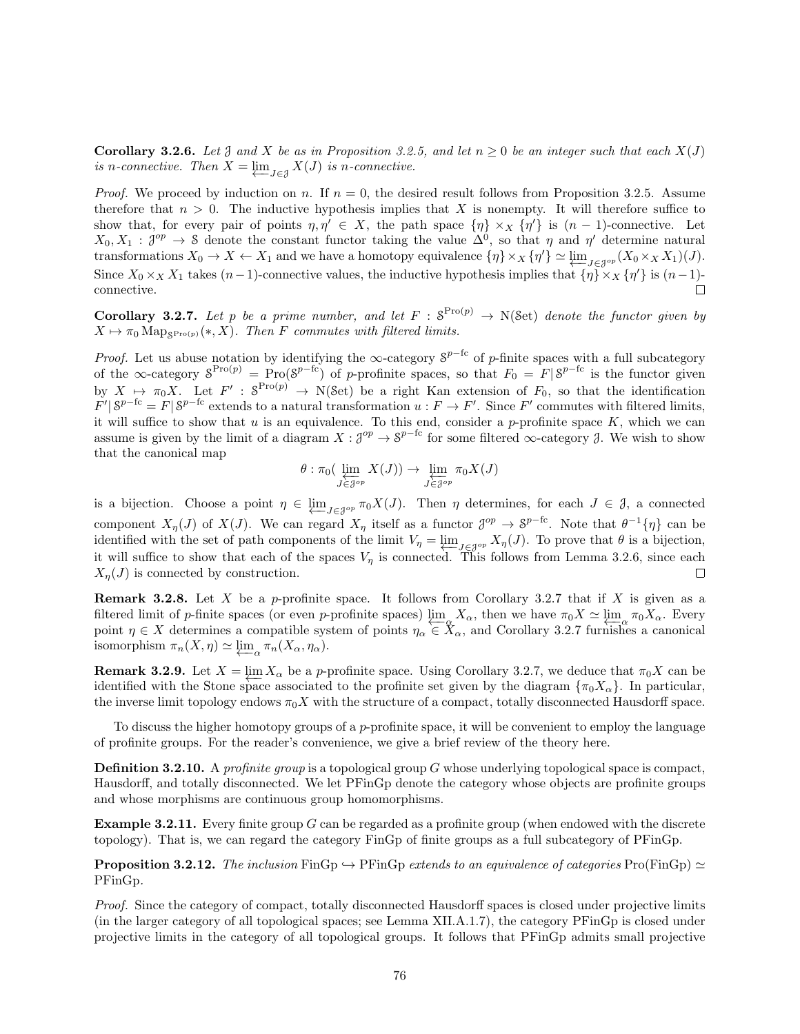**Corollary 3.2.6.** Let J and X be as in Proposition 3.2.5, and let  $n \geq 0$  be an integer such that each  $X(J)$ is n-connective. Then  $X = \varprojlim_{J \in \mathcal{J}} X(J)$  is n-connective.

*Proof.* We proceed by induction on n. If  $n = 0$ , the desired result follows from Proposition 3.2.5. Assume therefore that  $n > 0$ . The inductive hypothesis implies that X is nonempty. It will therefore suffice to show that, for every pair of points  $\eta, \eta' \in X$ , the path space  $\{\eta\} \times_X \{\eta'\}$  is  $(n-1)$ -connective. Let  $X_0, X_1 : \mathcal{J}^{op} \to \mathcal{S}$  denote the constant functor taking the value  $\Delta^0$ , so that  $\eta$  and  $\eta'$  determine natural transformations  $X_0 \to X \leftarrow X_1$  and we have a homotopy equivalence  $\{\eta\} \times_X \{\eta'\} \simeq \varprojlim_{J \in \mathcal{J}^{op}} (X_0 \times_X X_1)(J)$ . Since  $X_0 \times_X X_1$  takes  $(n-1)$ -connective values, the inductive hypothesis implies that  $\{\eta\} \times_X \{\eta'\}$  is  $(n-1)$ connective.  $\Box$ 

**Corollary 3.2.7.** Let p be a prime number, and let  $F : S^{Pro(p)} \to N(\mathcal{S}et)$  denote the functor given by  $X \mapsto \pi_0 \operatorname{Map}_{\mathcal{S}^{\operatorname{Pro}(p)}}(*, X)$ . Then F commutes with filtered limits.

*Proof.* Let us abuse notation by identifying the  $\infty$ -category  $S^{p-{\rm fc}}$  of p-finite spaces with a full subcategory of the  $\infty$ -category  $S^{\text{Pro}(p)} = \text{Pro}(S^{p-fc})$  of p-profinite spaces, so that  $F_0 = F|S^{p-fc}$  is the functor given by  $X \mapsto \pi_0 X$ . Let  $F' : S^{\text{Pro}(p)} \to N(\text{Set})$  be a right Kan extension of  $F_0$ , so that the identification  $F' | S^{p-fc} = F | S^{p-fc}$  extends to a natural transformation  $u : F \to F'$ . Since F' commutes with filtered limits, it will suffice to show that  $u$  is an equivalence. To this end, consider a  $p$ -profinite space  $K$ , which we can assume is given by the limit of a diagram  $X: \mathcal{J}^{op} \to \mathcal{S}^{p-{\rm fc}}$  for some filtered  $\infty$ -category  $\mathcal{J}$ . We wish to show that the canonical map

$$
\theta : \pi_0(\varprojlim_{J \in \mathcal{J}^{op}} X(J)) \to \varprojlim_{J \in \mathcal{J}^{op}} \pi_0 X(J)
$$

is a bijection. Choose a point  $\eta \in \varprojlim_{J \in \mathcal{J}^{op}} \pi_0 X(J)$ . Then  $\eta$  determines, for each  $J \in \mathcal{J}$ , a connected component  $X_{\eta}(J)$  of  $X(J)$ . We can regard  $X_{\eta}$  itself as a functor  $\mathcal{J}^{op} \to \mathcal{S}^{p-{\rm fc}}$ . Note that  $\theta^{-1}\{\eta\}$  can be identified with the set of path components of the limit  $V_{\eta} = \varprojlim_{J \in \mathcal{J}^{op}} X_{\eta}(J)$ . To prove that  $\theta$  is a bijection, it will suffice to show that each of the spaces  $V_{\eta}$  is connected. This follows from Lemma 3.2.6, since each  $X_{\eta}(J)$  is connected by construction.  $\Box$ 

**Remark 3.2.8.** Let X be a p-profinite space. It follows from Corollary 3.2.7 that if X is given as a filtered limit of p-finite spaces (or even p-profinite spaces)  $\varprojlim_{\alpha} X_{\alpha}$ , then we have  $\pi_0 X \simeq \varprojlim_{\alpha} \pi_0 X_{\alpha}$ . Every point  $\eta \in X$  determines a compatible system of points  $\eta_{\alpha} \in X_{\alpha}$ , and Corollary 3.2.7 furnishes a canonical isomorphism  $\pi_n(X, \eta) \simeq \varprojlim_{\alpha} \pi_n(X_{\alpha}, \eta_{\alpha}).$ 

**Remark 3.2.9.** Let  $X = \varprojlim X_\alpha$  be a p-profinite space. Using Corollary 3.2.7, we deduce that  $\pi_0 X$  can be identified with the Stone space associated to the profinite set given by the diagram  $\{\pi_0 X_\alpha\}$ . In particular, the inverse limit topology endows  $\pi_0 X$  with the structure of a compact, totally disconnected Hausdorff space.

To discuss the higher homotopy groups of a p-profinite space, it will be convenient to employ the language of profinite groups. For the reader's convenience, we give a brief review of the theory here.

**Definition 3.2.10.** A profinite group is a topological group G whose underlying topological space is compact, Hausdorff, and totally disconnected. We let PFinGp denote the category whose objects are profinite groups and whose morphisms are continuous group homomorphisms.

Example 3.2.11. Every finite group G can be regarded as a profinite group (when endowed with the discrete topology). That is, we can regard the category FinGp of finite groups as a full subcategory of PFinGp.

**Proposition 3.2.12.** The inclusion FinGp  $\rightarrow$  PFinGp extends to an equivalence of categories Pro(FinGp)  $\simeq$ PFinGp.

Proof. Since the category of compact, totally disconnected Hausdorff spaces is closed under projective limits (in the larger category of all topological spaces; see Lemma XII.A.1.7), the category PFinGp is closed under projective limits in the category of all topological groups. It follows that PFinGp admits small projective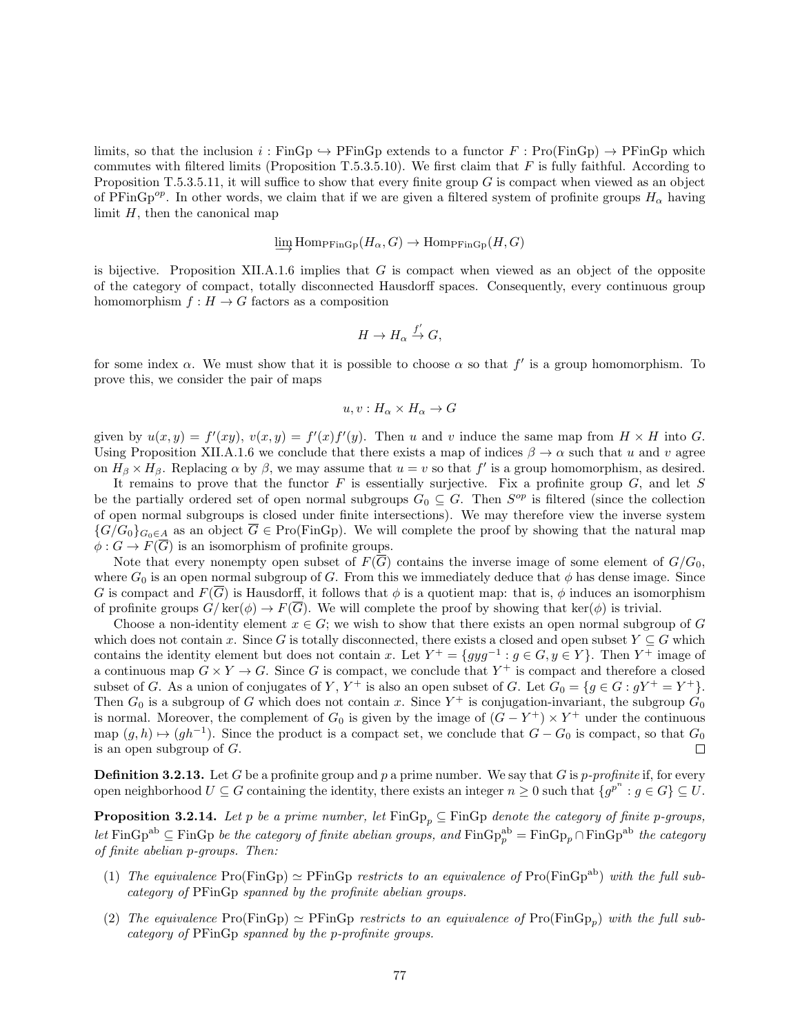limits, so that the inclusion  $i : \text{FinGp} \rightarrow \text{PFinGp}$  extends to a functor  $F : \text{Pro}(\text{FinGp}) \rightarrow \text{PFinGp}$  which commutes with filtered limits (Proposition T.5.3.5.10). We first claim that  $F$  is fully faithful. According to Proposition T.5.3.5.11, it will suffice to show that every finite group  $G$  is compact when viewed as an object of PFinGp<sup>op</sup>. In other words, we claim that if we are given a filtered system of profinite groups  $H_{\alpha}$  having limit  $H$ , then the canonical map

$$
\varinjlim \mathrm{Hom}_{\mathrm{PFinGp}}(H_\alpha, G) \to \mathrm{Hom}_{\mathrm{PFinGp}}(H, G)
$$

is bijective. Proposition XII.A.1.6 implies that  $G$  is compact when viewed as an object of the opposite of the category of compact, totally disconnected Hausdorff spaces. Consequently, every continuous group homomorphism  $f : H \to G$  factors as a composition

$$
H \to H_\alpha \stackrel{f'}{\to} G,
$$

for some index  $\alpha$ . We must show that it is possible to choose  $\alpha$  so that f' is a group homomorphism. To prove this, we consider the pair of maps

$$
u, v: H_{\alpha}\times H_{\alpha}\to G
$$

given by  $u(x, y) = f'(xy)$ ,  $v(x, y) = f'(x)f'(y)$ . Then u and v induce the same map from  $H \times H$  into G. Using Proposition XII.A.1.6 we conclude that there exists a map of indices  $\beta \to \alpha$  such that u and v agree on  $H_\beta \times H_\beta$ . Replacing  $\alpha$  by  $\beta$ , we may assume that  $u = v$  so that  $f'$  is a group homomorphism, as desired.

It remains to prove that the functor  $F$  is essentially surjective. Fix a profinite group  $G$ , and let  $S$ be the partially ordered set of open normal subgroups  $G_0 \subseteq G$ . Then  $S^{op}$  is filtered (since the collection of open normal subgroups is closed under finite intersections). We may therefore view the inverse system  ${G/G_0}_{G_0\in A}$  as an object  $\overline{G} \in \text{Pro}(\text{FinGp})$ . We will complete the proof by showing that the natural map  $\phi: G \to F(\overline{G})$  is an isomorphism of profinite groups.

Note that every nonempty open subset of  $F(\overline{G})$  contains the inverse image of some element of  $G/G_0$ , where  $G_0$  is an open normal subgroup of G. From this we immediately deduce that  $\phi$  has dense image. Since G is compact and  $F(\overline{G})$  is Hausdorff, it follows that  $\phi$  is a quotient map: that is,  $\phi$  induces an isomorphism of profinite groups  $G/\text{ker}(\phi) \to F(\overline{G})$ . We will complete the proof by showing that  $\text{ker}(\phi)$  is trivial.

Choose a non-identity element  $x \in G$ ; we wish to show that there exists an open normal subgroup of G which does not contain x. Since G is totally disconnected, there exists a closed and open subset  $Y \subseteq G$  which contains the identity element but does not contain x. Let  $Y^+ = \{gyg^{-1} : g \in G, y \in Y\}$ . Then  $Y^+$  image of a continuous map  $G \times Y \to G$ . Since G is compact, we conclude that  $Y^+$  is compact and therefore a closed subset of G. As a union of conjugates of Y,  $Y^+$  is also an open subset of G. Let  $G_0 = \{g \in G : gY^+ = Y^+\}$ . Then  $G_0$  is a subgroup of G which does not contain x. Since  $Y^+$  is conjugation-invariant, the subgroup  $G_0$ is normal. Moreover, the complement of  $G_0$  is given by the image of  $(G - Y^+) \times Y^+$  under the continuous map  $(g, h) \mapsto (gh^{-1})$ . Since the product is a compact set, we conclude that  $G - G_0$  is compact, so that  $G_0$ is an open subgroup of G.  $\Box$ 

**Definition 3.2.13.** Let G be a profinite group and p a prime number. We say that G is p-profinite if, for every open neighborhood  $U \subseteq G$  containing the identity, there exists an integer  $n \geq 0$  such that  $\{g^{p^n} : g \in G\} \subseteq U$ .

**Proposition 3.2.14.** Let p be a prime number, let  $\text{FinGp}_p \subseteq \text{FinGp}$  denote the category of finite p-groups, let FinGp<sup>ab</sup>  $\subseteq$  FinGp be the category of finite abelian groups, and  $\text{FinGp}^{\text{ab}}_p = \text{FinGp}_p \cap \text{FinGp}^{\text{ab}}$  the category of finite abelian p-groups. Then:

- (1) The equivalence  $\text{Pro}(\text{FinGp}) \simeq \text{PFinGp}$  restricts to an equivalence of  $\text{Pro}(\text{FinGp}^{ab})$  with the full subcategory of PFinGp spanned by the profinite abelian groups.
- (2) The equivalence  $\text{Pro}(\text{FinGp}) \simeq \text{PFinGp}$  restricts to an equivalence of  $\text{Pro}(\text{FinGp}_p)$  with the full subcategory of PFinGp spanned by the p-profinite groups.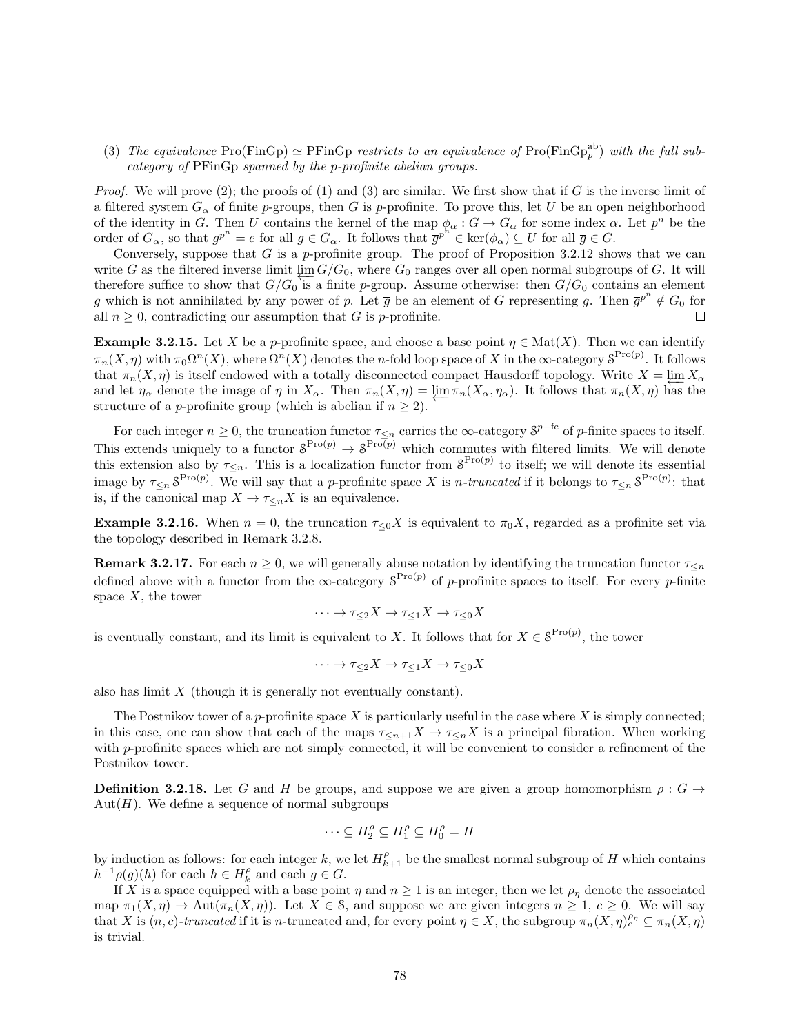(3) The equivalence Pro(FinGp)  $\simeq$  PFinGp restricts to an equivalence of Pro(FinGp<sub>p</sub><sup>ab</sup>) with the full subcategory of PFinGp spanned by the p-profinite abelian groups.

*Proof.* We will prove  $(2)$ ; the proofs of  $(1)$  and  $(3)$  are similar. We first show that if G is the inverse limit of a filtered system  $G_{\alpha}$  of finite p-groups, then G is p-profinite. To prove this, let U be an open neighborhood of the identity in G. Then U contains the kernel of the map  $\phi_{\alpha}: G \to G_{\alpha}$  for some index  $\alpha$ . Let  $p^{n}$  be the order of  $G_{\alpha}$ , so that  $g^{p^n} = e$  for all  $g \in G_{\alpha}$ . It follows that  $\overline{g}^{p^h} \in \text{ker}(\phi_{\alpha}) \subseteq U$  for all  $\overline{g} \in G$ .

Conversely, suppose that G is a p-profinite group. The proof of Proposition  $3.2.12$  shows that we can write G as the filtered inverse limit  $\lim_{\epsilon \to 0} G/G_0$ , where  $G_0$  ranges over all open normal subgroups of G. It will therefore suffice to show that  $G/G_0$  is a finite p-group. Assume otherwise: then  $G/G_0$  contains an element g which is not annihilated by any power of p. Let  $\overline{g}$  be an element of G representing g. Then  $\overline{g}^{p^n} \notin G_0$  for all  $n \geq 0$ , contradicting our assumption that G is p-profinite. П

**Example 3.2.15.** Let X be a p-profinite space, and choose a base point  $\eta \in Mat(X)$ . Then we can identify  $\pi_n(X,\eta)$  with  $\pi_0\Omega^n(X)$ , where  $\Omega^n(X)$  denotes the *n*-fold loop space of X in the  $\infty$ -category  $\mathcal{S}^{\text{Pro}(p)}$ . It follows that  $\pi_n(X, \eta)$  is itself endowed with a totally disconnected compact Hausdorff topology. Write  $X = \varprojlim X_\alpha$ and let  $\eta_{\alpha}$  denote the image of  $\eta$  in  $X_{\alpha}$ . Then  $\pi_n(X, \eta) = \varprojlim \pi_n(X_{\alpha}, \eta_{\alpha})$ . It follows that  $\pi_n(X, \eta)$  has the structure of a *p*-profinite group (which is abelian if  $n \geq 2$ ).

For each integer  $n \geq 0$ , the truncation functor  $\tau_{\leq n}$  carries the  $\infty$ -category  $S^{p-{\rm fc}}$  of p-finite spaces to itself. This extends uniquely to a functor  $S^{\text{Pro}(p)} \to S^{\text{Pro}(p)}$  which commutes with filtered limits. We will denote this extension also by  $\tau_{\leq n}$ . This is a localization functor from  $S^{\text{Pro}(p)}$  to itself; we will denote its essential image by  $\tau_{\leq n} s^{\text{Pro}(p)}$ . We will say that a p-profinite space X is *n*-truncated if it belongs to  $\tau_{\leq n} s^{\text{Pro}(p)}$ : that is, if the canonical map  $X \to \tau_{\le n} X$  is an equivalence.

**Example 3.2.16.** When  $n = 0$ , the truncation  $\tau \leq 0 X$  is equivalent to  $\pi_0 X$ , regarded as a profinite set via the topology described in Remark 3.2.8.

**Remark 3.2.17.** For each  $n \geq 0$ , we will generally abuse notation by identifying the truncation functor  $\tau_{\leq n}$ defined above with a functor from the  $\infty$ -category  $S^{Pro(p)}$  of p-profinite spaces to itself. For every p-finite space  $X$ , the tower

$$
\cdots \to \tau_{\leq 2} X \to \tau_{\leq 1} X \to \tau_{\leq 0} X
$$

is eventually constant, and its limit is equivalent to X. It follows that for  $X \in \mathcal{S}^{\text{Pro}(p)}$ , the tower

$$
\cdots \to \tau_{\leq 2} X \to \tau_{\leq 1} X \to \tau_{\leq 0} X
$$

also has limit  $X$  (though it is generally not eventually constant).

The Postnikov tower of a p-profinite space  $X$  is particularly useful in the case where  $X$  is simply connected; in this case, one can show that each of the maps  $\tau \leq_{n+1} X \to \tau \leq_n X$  is a principal fibration. When working with p-profinite spaces which are not simply connected, it will be convenient to consider a refinement of the Postnikov tower.

**Definition 3.2.18.** Let G and H be groups, and suppose we are given a group homomorphism  $\rho: G \to$ Aut $(H)$ . We define a sequence of normal subgroups

$$
\cdots \subseteq H_2^{\rho} \subseteq H_1^{\rho} \subseteq H_0^{\rho} = H
$$

by induction as follows: for each integer k, we let  $H_{k+1}^{\rho}$  be the smallest normal subgroup of H which contains  $h^{-1}\rho(g)(h)$  for each  $h \in H_k^{\rho}$  and each  $g \in G$ .

If X is a space equipped with a base point  $\eta$  and  $n \geq 1$  is an integer, then we let  $\rho_n$  denote the associated map  $\pi_1(X, \eta) \to \text{Aut}(\pi_n(X, \eta))$ . Let  $X \in \mathcal{S}$ , and suppose we are given integers  $n \geq 1$ ,  $c \geq 0$ . We will say that X is  $(n, c)$ -truncated if it is n-truncated and, for every point  $\eta \in X$ , the subgroup  $\pi_n(X, \eta)$ <sup>o</sup> $\eta \in \pi_n(X, \eta)$ is trivial.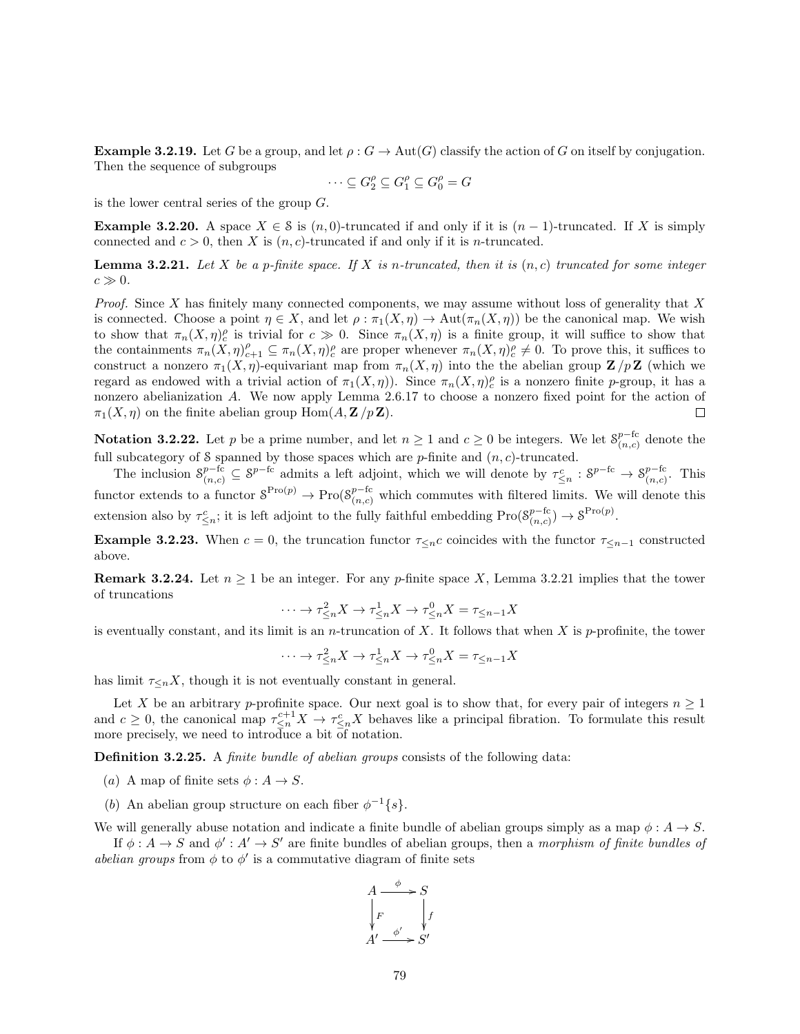**Example 3.2.19.** Let G be a group, and let  $\rho$ :  $G \to \text{Aut}(G)$  classify the action of G on itself by conjugation. Then the sequence of subgroups

$$
\cdots \subseteq G_2^{\rho} \subseteq G_1^{\rho} \subseteq G_0^{\rho} = G
$$

is the lower central series of the group G.

**Example 3.2.20.** A space  $X \in \mathcal{S}$  is  $(n, 0)$ -truncated if and only if it is  $(n - 1)$ -truncated. If X is simply connected and  $c > 0$ , then X is  $(n, c)$ -truncated if and only if it is n-truncated.

**Lemma 3.2.21.** Let X be a p-finite space. If X is n-truncated, then it is  $(n, c)$  truncated for some integer  $c \gg 0$ .

*Proof.* Since X has finitely many connected components, we may assume without loss of generality that X is connected. Choose a point  $\eta \in X$ , and let  $\rho : \pi_1(X, \eta) \to \text{Aut}(\pi_n(X, \eta))$  be the canonical map. We wish to show that  $\pi_n(X,\eta)_c^{\rho}$  is trivial for  $c \gg 0$ . Since  $\pi_n(X,\eta)$  is a finite group, it will suffice to show that the containments  $\pi_n(X,\eta)_{c+1}^{\rho} \subseteq \pi_n(X,\eta)_{c}^{\rho}$  are proper whenever  $\pi_n(X,\eta)_{c}^{\rho} \neq 0$ . To prove this, it suffices to construct a nonzero  $\pi_1(X, \eta)$ -equivariant map from  $\pi_n(X, \eta)$  into the the abelian group  $\mathbf{Z}/p\mathbf{Z}$  (which we regard as endowed with a trivial action of  $\pi_1(X, \eta)$ . Since  $\pi_n(X, \eta)_c^{\rho}$  is a nonzero finite p-group, it has a nonzero abelianization A. We now apply Lemma 2.6.17 to choose a nonzero fixed point for the action of  $\pi_1(X, \eta)$  on the finite abelian group Hom $(A, \mathbf{Z}/p\mathbf{Z})$ .  $\Box$ 

**Notation 3.2.22.** Let p be a prime number, and let  $n \ge 1$  and  $c \ge 0$  be integers. We let  $S_{(n,c)}^{p-{\text{fc}}}$  $_{(n,c)}^{p-\text{rc}}$  denote the full subcategory of S spanned by those spaces which are  $p$ -finite and  $(n, c)$ -truncated.

The inclusion  $S_{(n,c)}^{p-{\rm fc}} \subseteq S^{p-{\rm fc}}$  admits a left adjoint, which we will denote by  $\tau_{\leq n}^c : S^{p-{\rm fc}} \to S_{(n,c)}^{p-{\rm fc}}$  $\frac{p-\text{rc}}{(n,c)}$ . This functor extends to a functor  $S^{Pro(p)} \to Pro(S^{p-fc}_{(n,c)}$  which commutes with filtered limits. We will denote this extension also by  $\tau_{\leq n}^c$ ; it is left adjoint to the fully faithful embedding Pro $(8_{(n,c)}^{p-6c})$  $_{(n,c)}^{p-{\rm fc}}$   $\rightarrow$   $S^{\rm Pro(p)}$ .

**Example 3.2.23.** When  $c = 0$ , the truncation functor  $\tau_{\leq n}c$  coincides with the functor  $\tau_{\leq n-1}$  constructed above.

**Remark 3.2.24.** Let  $n \geq 1$  be an integer. For any p-finite space X, Lemma 3.2.21 implies that the tower of truncations

$$
\cdots \to \tau_{\leq n}^2 X \to \tau_{\leq n}^1 X \to \tau_{\leq n}^0 X = \tau_{\leq n-1} X
$$

is eventually constant, and its limit is an *n*-truncation of X. It follows that when X is p-profinite, the tower

$$
\cdots \to \tau_{\leq n}^2 X \to \tau_{\leq n}^1 X \to \tau_{\leq n}^0 X = \tau_{\leq n-1} X
$$

has limit  $\tau \leq nX$ , though it is not eventually constant in general.

Let X be an arbitrary p-profinite space. Our next goal is to show that, for every pair of integers  $n \geq 1$ and  $c \geq 0$ , the canonical map  $\tau_{\leq n}^{c+1} X \to \tau_{\leq n}^{c} X$  behaves like a principal fibration. To formulate this result more precisely, we need to introduce a bit  $\overline{d}$  notation.

Definition 3.2.25. A *finite bundle of abelian groups* consists of the following data:

- (a) A map of finite sets  $\phi: A \to S$ .
- (b) An abelian group structure on each fiber  $\phi^{-1}\lbrace s \rbrace$ .

We will generally abuse notation and indicate a finite bundle of abelian groups simply as a map  $\phi: A \to S$ .

If  $\phi: A \to S$  and  $\phi': A' \to S'$  are finite bundles of abelian groups, then a morphism of finite bundles of abelian groups from  $\phi$  to  $\phi'$  is a commutative diagram of finite sets

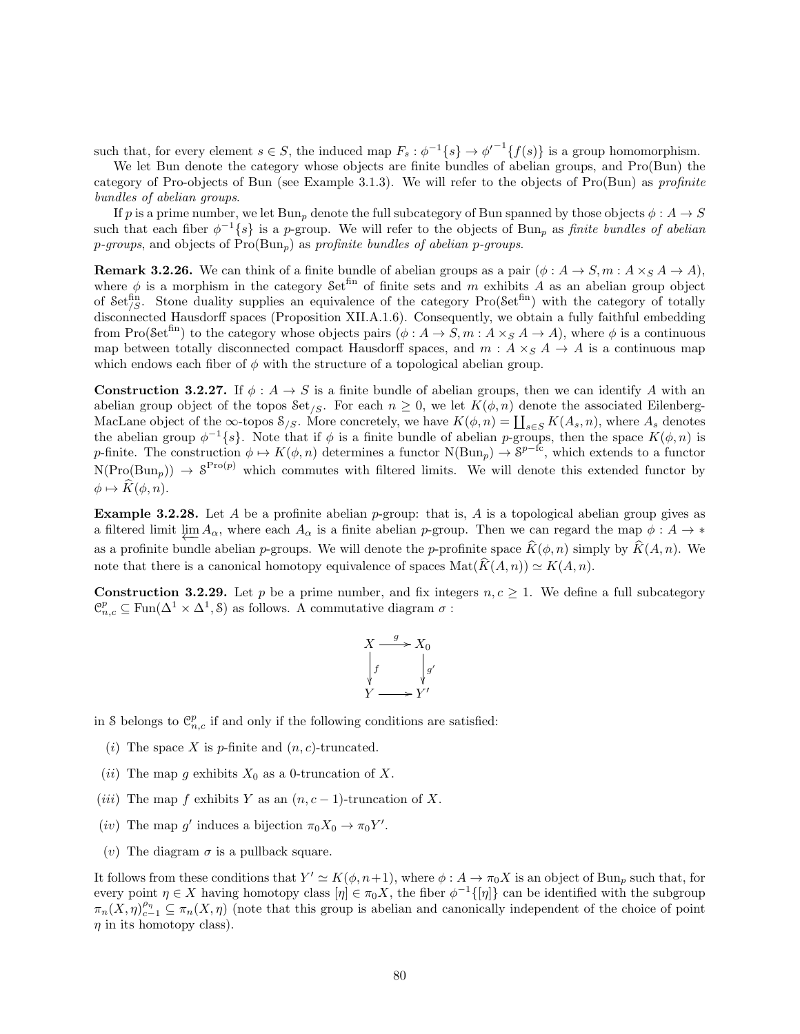such that, for every element  $s \in S$ , the induced map  $F_s : \phi^{-1}{s} \rightarrow {\phi'}^{-1}{f(s)}$  is a group homomorphism.

We let Bun denote the category whose objects are finite bundles of abelian groups, and Pro(Bun) the category of Pro-objects of Bun (see Example 3.1.3). We will refer to the objects of Pro(Bun) as profinite bundles of abelian groups.

If p is a prime number, we let Bun<sub>p</sub> denote the full subcategory of Bun spanned by those objects  $\phi: A \to S$ such that each fiber  $\phi^{-1}\{s\}$  is a p-group. We will refer to the objects of Bun<sub>p</sub> as finite bundles of abelian  $p$ -groups, and objects of  $Pro(Bun<sub>p</sub>)$  as profinite bundles of abelian p-groups.

**Remark 3.2.26.** We can think of a finite bundle of abelian groups as a pair  $(\phi : A \rightarrow S, m : A \times_S A \rightarrow A)$ , where  $\phi$  is a morphism in the category Set<sup>fin</sup> of finite sets and m exhibits A as an abelian group object of Set<sup>fin</sup>, Stone duality supplies an equivalence of the category Pro(Set<sup>fin</sup>) with the category of totally disconnected Hausdorff spaces (Proposition XII.A.1.6). Consequently, we obtain a fully faithful embedding from Pro(Set<sup>fin</sup>) to the category whose objects pairs  $(\phi: A \to S, m: A \times_S A \to A)$ , where  $\phi$  is a continuous map between totally disconnected compact Hausdorff spaces, and  $m : A \times_S A \rightarrow A$  is a continuous map which endows each fiber of  $\phi$  with the structure of a topological abelian group.

**Construction 3.2.27.** If  $\phi: A \to S$  is a finite bundle of abelian groups, then we can identify A with an abelian group object of the topos Set<sub>/S</sub>. For each  $n \geq 0$ , we let  $K(\phi, n)$  denote the associated Eilenberg-MacLane object of the  $\infty$ -topos  $\mathcal{S}_{/S}$ . More concretely, we have  $K(\phi, n) = \coprod_{s \in S} K(A_s, n)$ , where  $A_s$  denotes the abelian group  $\phi^{-1}\{s\}$ . Note that if  $\phi$  is a finite bundle of abelian p-groups, then the space  $K(\phi,n)$  is p-finite. The construction  $\phi \mapsto K(\phi, n)$  determines a functor  $N(\text{Bun}_p) \to \mathcal{S}^{p-fc}$ , which extends to a functor  $N(Pro(Bun_p)) \to \mathcal{S}^{\text{Pro}(p)}$  which commutes with filtered limits. We will denote this extended functor by  $\phi \mapsto \widehat{K}(\phi, n).$ 

**Example 3.2.28.** Let A be a profinite abelian p-group: that is, A is a topological abelian group gives as a filtered limit  $\varprojlim A_{\alpha}$ , where each  $A_{\alpha}$  is a finite abelian p-group. Then we can regard the map  $\phi: A \to *$ as a profinite bundle abelian p-groups. We will denote the p-profinite space  $\widehat{K}(\phi, n)$  simply by  $\widehat{K}(A, n)$ . We note that there is a canonical homotopy equivalence of spaces  $\text{Mat}(\widehat{K}(A, n)) \simeq K(A, n)$ .

**Construction 3.2.29.** Let p be a prime number, and fix integers  $n, c \geq 1$ . We define a full subcategory  $\mathcal{C}_{n,c}^p \subseteq \text{Fun}(\Delta^1 \times \Delta^1, \mathcal{S})$  as follows. A commutative diagram  $\sigma$ :

$$
X \xrightarrow{g} X_0
$$
  
\n
$$
\downarrow f \qquad \qquad \downarrow g'
$$
  
\n
$$
Y \xrightarrow{g} Y'
$$

in S belongs to  $\mathcal{C}_{n,c}^p$  if and only if the following conditions are satisfied:

- (i) The space X is p-finite and  $(n, c)$ -truncated.
- (*ii*) The map g exhibits  $X_0$  as a 0-truncation of X.
- (*iii*) The map f exhibits Y as an  $(n, c 1)$ -truncation of X.
- (*iv*) The map g' induces a bijection  $\pi_0 X_0 \to \pi_0 Y'$ .
- (v) The diagram  $\sigma$  is a pullback square.

It follows from these conditions that  $Y' \simeq K(\phi, n+1)$ , where  $\phi: A \to \pi_0 X$  is an object of Bun<sub>p</sub> such that, for every point  $\eta \in X$  having homotopy class  $[\eta] \in \pi_0 X$ , the fiber  $\phi^{-1}([\eta])$  can be identified with the subgroup  $\pi_n(X,\eta)_{c-1}^{\rho_n} \subseteq \pi_n(X,\eta)$  (note that this group is abelian and canonically independent of the choice of point  $\eta$  in its homotopy class).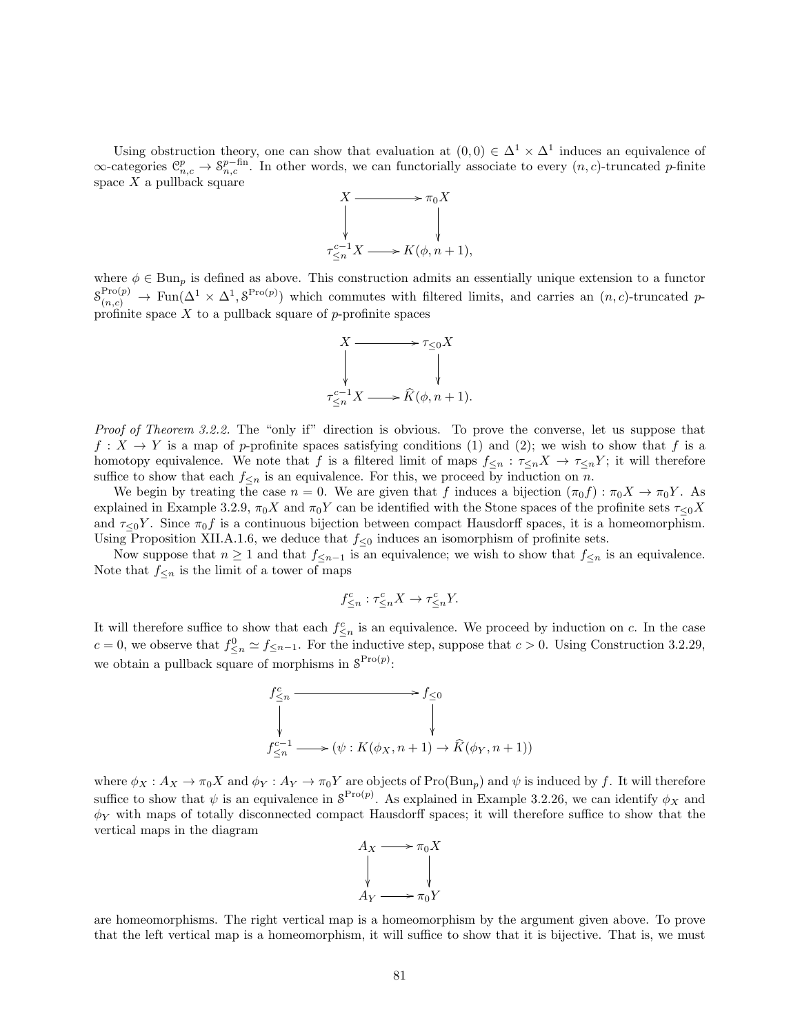Using obstruction theory, one can show that evaluation at  $(0,0) \in \Delta^1 \times \Delta^1$  induces an equivalence of  $\infty$ -categories  $\mathcal{C}_{n,c}^p \to \mathcal{S}_{n,c}^{p-\text{fin}}$ . In other words, we can functorially associate to every  $(n, c)$ -truncated p-finite space  $X$  a pullback square



where  $\phi \in \text{Bun}_p$  is defined as above. This construction admits an essentially unique extension to a functor  $S_{(n,c)}^{\text{Pro}(p)} \to \text{Fun}(\Delta^1 \times \Delta^1, \mathcal{S}^{\text{Pro}(p)})$  which commutes with filtered limits, and carries an  $(n, c)$ -truncated pprofinite space  $X$  to a pullback square of  $p$ -profinite spaces



Proof of Theorem 3.2.2. The "only if" direction is obvious. To prove the converse, let us suppose that  $f: X \to Y$  is a map of p-profinite spaces satisfying conditions (1) and (2); we wish to show that f is a homotopy equivalence. We note that f is a filtered limit of maps  $f_{\leq n} : \tau_{\leq n} X \to \tau_{\leq n} Y$ ; it will therefore suffice to show that each  $f_{\leq n}$  is an equivalence. For this, we proceed by induction on n.

We begin by treating the case  $n = 0$ . We are given that f induces a bijection  $(\pi_0 f) : \pi_0 X \to \pi_0 Y$ . As explained in Example 3.2.9,  $\pi_0 X$  and  $\pi_0 Y$  can be identified with the Stone spaces of the profinite sets  $\tau_{\leq 0} X$ and  $\tau_{\leq 0}Y$ . Since  $\pi_0 f$  is a continuous bijection between compact Hausdorff spaces, it is a homeomorphism. Using Proposition XII.A.1.6, we deduce that  $f_{\leq 0}$  induces an isomorphism of profinite sets.

Now suppose that  $n \geq 1$  and that  $f_{\leq n-1}$  is an equivalence; we wish to show that  $f_{\leq n}$  is an equivalence. Note that  $f_{\leq n}$  is the limit of a tower of maps

$$
f^c_{\leq n}:\tau^c_{\leq n}X\to \tau^c_{\leq n}Y.
$$

It will therefore suffice to show that each  $f_{\leq n}^c$  is an equivalence. We proceed by induction on c. In the case  $c = 0$ , we observe that  $f_{\leq n}^0 \simeq f_{\leq n-1}$ . For the inductive step, suppose that  $c > 0$ . Using Construction 3.2.29, we obtain a pullback square of morphisms in  $S^{Pro(p)}$ :



where  $\phi_X : A_X \to \pi_0 X$  and  $\phi_Y : A_Y \to \pi_0 Y$  are objects of Pro(Bun<sub>p</sub>) and  $\psi$  is induced by f. It will therefore suffice to show that  $\psi$  is an equivalence in  $S^{\text{Pro}(p)}$ . As explained in Example 3.2.26, we can identify  $\phi_X$  and  $\phi_Y$  with maps of totally disconnected compact Hausdorff spaces; it will therefore suffice to show that the vertical maps in the diagram



are homeomorphisms. The right vertical map is a homeomorphism by the argument given above. To prove that the left vertical map is a homeomorphism, it will suffice to show that it is bijective. That is, we must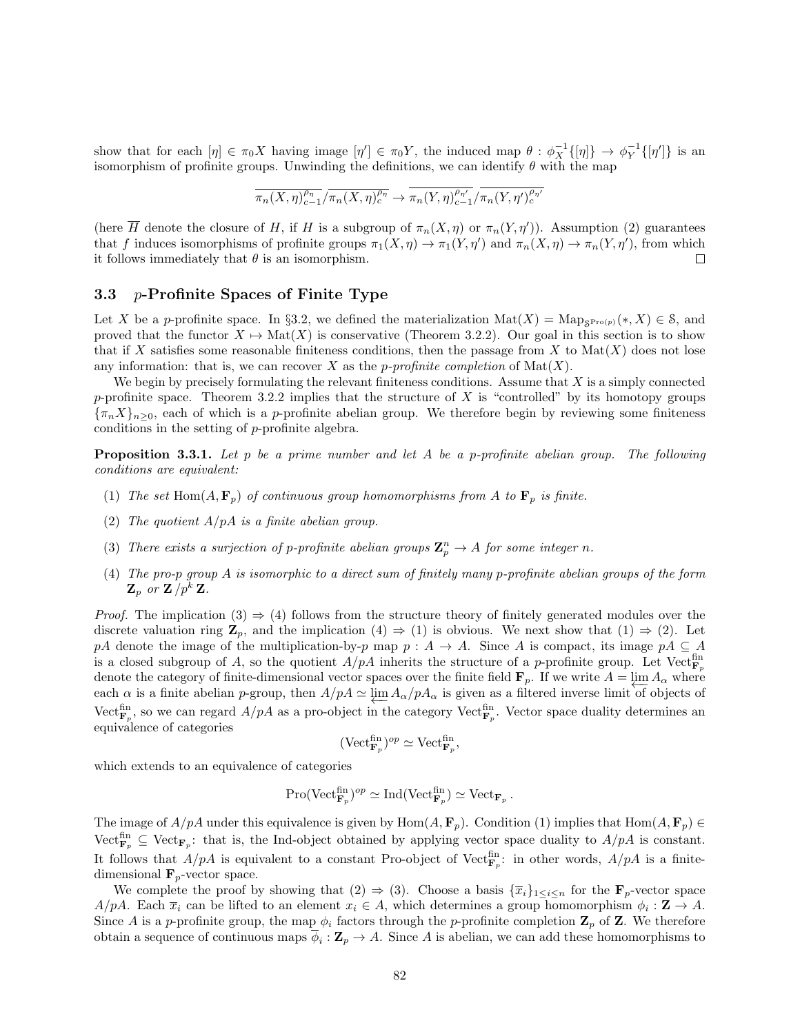show that for each  $[\eta] \in \pi_0 X$  having image  $[\eta'] \in \pi_0 Y$ , the induced map  $\theta : \phi_X^{-1}([\eta]) \to \phi_Y^{-1}([\eta'])$  is an isomorphism of profinite groups. Unwinding the definitions, we can identify  $\theta$  with the map

$$
\overline{\pi_n(X,\eta)_{c-1}^{\rho_\eta}}/\overline{\pi_n(X,\eta)_{c}^{\rho_\eta}} \to \overline{\pi_n(Y,\eta)_{c-1}^{\rho_{\eta'}}}/\overline{\pi_n(Y,\eta')_{c}^{\rho_{\eta'}}}
$$

(here  $\overline{H}$  denote the closure of H, if H is a subgroup of  $\pi_n(X,\eta)$  or  $\pi_n(Y,\eta')$ ). Assumption (2) guarantees that f induces isomorphisms of profinite groups  $\pi_1(X, \eta) \to \pi_1(Y, \eta')$  and  $\pi_n(X, \eta) \to \pi_n(Y, \eta')$ , from which it follows immediately that  $\theta$  is an isomorphism.  $\Box$ 

#### 3.3 p-Profinite Spaces of Finite Type

Let X be a p-profinite space. In §3.2, we defined the materialization  $\text{Mat}(X) = \text{Map}_{\mathcal{S}^{\text{Pro}(p)}}(*, X) \in \mathcal{S}$ , and proved that the functor  $X \mapsto \text{Mat}(X)$  is conservative (Theorem 3.2.2). Our goal in this section is to show that if X satisfies some reasonable finiteness conditions, then the passage from X to  $\text{Mat}(X)$  does not lose any information: that is, we can recover X as the p-profinite completion of  $\text{Mat}(X)$ .

We begin by precisely formulating the relevant finiteness conditions. Assume that  $X$  is a simply connected p-profinite space. Theorem 3.2.2 implies that the structure of X is "controlled" by its homotopy groups  ${\lbrace \pi_n X \rbrace_{n>0}}$ , each of which is a p-profinite abelian group. We therefore begin by reviewing some finiteness conditions in the setting of p-profinite algebra.

**Proposition 3.3.1.** Let p be a prime number and let A be a p-profinite abelian group. The following conditions are equivalent:

- (1) The set Hom $(A, \mathbf{F}_p)$  of continuous group homomorphisms from A to  $\mathbf{F}_p$  is finite.
- (2) The quotient  $A/pA$  is a finite abelian group.
- (3) There exists a surjection of p-profinite abelian groups  $\mathbb{Z}_p^n \to A$  for some integer n.
- (4) The pro-p group A is isomorphic to a direct sum of finitely many p-profinite abelian groups of the form  $\mathbf{Z}_p$  or  $\mathbf{Z}/p^k \mathbf{Z}$ .

*Proof.* The implication  $(3) \Rightarrow (4)$  follows from the structure theory of finitely generated modules over the discrete valuation ring  $\mathbf{Z}_p$ , and the implication  $(4) \Rightarrow (1)$  is obvious. We next show that  $(1) \Rightarrow (2)$ . Let pA denote the image of the multiplication-by-p map  $p : A \to A$ . Since A is compact, its image  $pA \subseteq A$ is a closed subgroup of A, so the quotient  $A/pA$  inherits the structure of a p-profinite group. Let Vector<sub>p</sub> denote the category of finite-dimensional vector spaces over the finite field  $\mathbf{F}_p$ . If we write  $A = \lim_{\epsilon \to 0} A_\alpha$  where each  $\alpha$  is a finite abelian p-group, then  $A/pA \simeq \varprojlim A_{\alpha}/pA_{\alpha}$  is given as a filtered inverse limit of objects of Vect<sup>fin</sup>, so we can regard  $A/pA$  as a pro-object in the category Vect<sup>fin</sup><sub>F<sub>p</sub></sub>. Vector space duality determines an equivalence of categories

$$
(\mathrm{Vect}_{\mathbf{F}_p}^{\mathrm{fin}})^{op} \simeq \mathrm{Vect}_{\mathbf{F}_p}^{\mathrm{fin}},
$$

which extends to an equivalence of categories

$$
\mathrm{Pro}(\mathrm{Vect}_{\mathbf{F}_p}^{\mathrm{fin}})^{op} \simeq \mathrm{Ind}(\mathrm{Vect}_{\mathbf{F}_p}^{\mathrm{fin}}) \simeq \mathrm{Vect}_{\mathbf{F}_p}.
$$

The image of  $A/pA$  under this equivalence is given by  $Hom(A, \mathbf{F}_p)$ . Condition (1) implies that  $Hom(A, \mathbf{F}_p) \in$  $\mathrm{Vect}_{\mathbf{F}_p}^{\text{fin}} \subseteq \mathrm{Vect}_{\mathbf{F}_p}$ : that is, the Ind-object obtained by applying vector space duality to  $A/pA$  is constant. It follows that  $A/pA$  is equivalent to a constant Pro-object of Vect<sup>fin</sup>: in other words,  $A/pA$  is a finitedimensional  $\mathbf{F}_p$ -vector space.

We complete the proof by showing that  $(2) \Rightarrow (3)$ . Choose a basis  $\{\overline{x}_i\}_{1\leq i\leq n}$  for the  $\mathbf{F}_p$ -vector space  $A/pA$ . Each  $\bar{x}_i$  can be lifted to an element  $x_i \in A$ , which determines a group homomorphism  $\phi_i : \mathbf{Z} \to A$ . Since A is a p-profinite group, the map  $\phi_i$  factors through the p-profinite completion  $\mathbf{Z}_p$  of  $\mathbf{Z}$ . We therefore obtain a sequence of continuous maps  $\phi_i : \mathbb{Z}_p \to A$ . Since A is abelian, we can add these homomorphisms to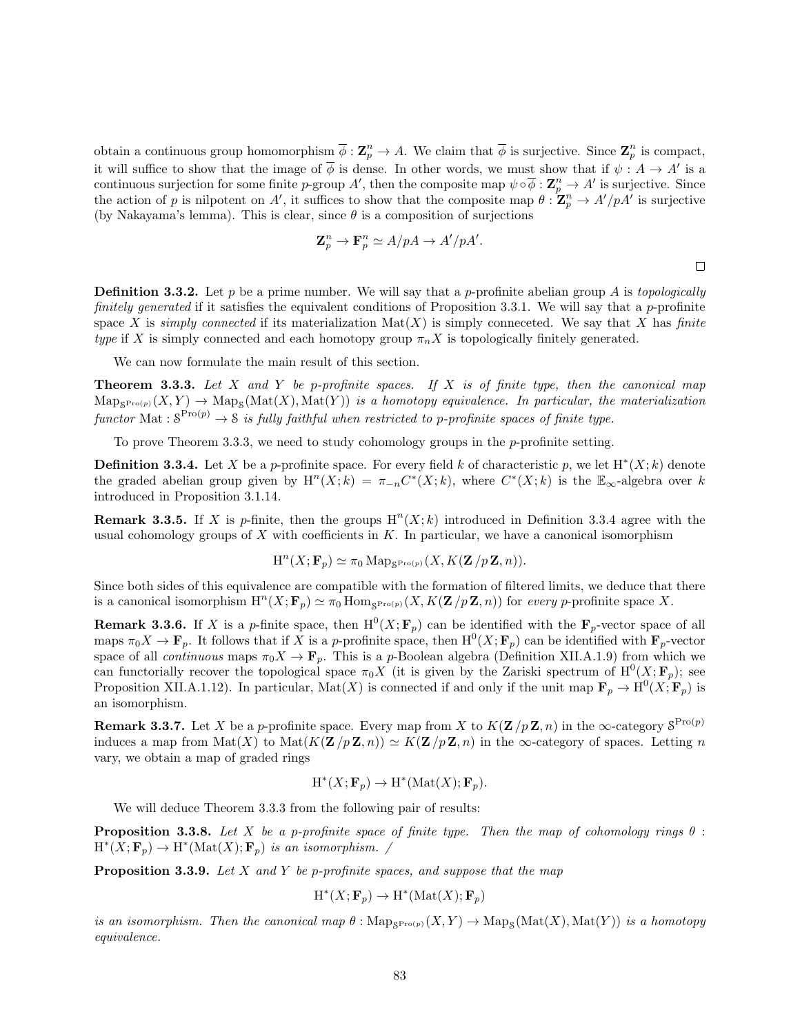obtain a continuous group homomorphism  $\overline{\phi} : \mathbb{Z}_p^n \to A$ . We claim that  $\overline{\phi}$  is surjective. Since  $\mathbb{Z}_p^n$  is compact, it will suffice to show that the image of  $\overline{\phi}$  is dense. In other words, we must show that if  $\psi: A \to A'$  is a continuous surjection for some finite p-group A', then the composite map  $\psi \circ \overline{\phi} : \mathbb{Z}_p^n \to A'$  is surjective. Since the action of p is nilpotent on A', it suffices to show that the composite map  $\theta$ :  $\mathbb{Z}_p^n \to A'/pA'$  is surjective (by Nakayama's lemma). This is clear, since  $\theta$  is a composition of surjections

$$
\mathbf{Z}_p^n \to \mathbf{F}_p^n \simeq A/pA \to A'/pA'.
$$

**Definition 3.3.2.** Let p be a prime number. We will say that a p-profinite abelian group A is topologically finitely generated if it satisfies the equivalent conditions of Proposition 3.3.1. We will say that a p-profinite space X is simply connected if its materialization  $\text{Mat}(X)$  is simply conneceted. We say that X has finite type if X is simply connected and each homotopy group  $\pi_n X$  is topologically finitely generated.

We can now formulate the main result of this section.

**Theorem 3.3.3.** Let  $X$  and  $Y$  be p-profinite spaces. If  $X$  is of finite type, then the canonical map  $\operatorname{Map}_{S^{\operatorname{Pro}(p)}}(X,Y) \to \operatorname{Map}_S(\operatorname{Mat}(X),\operatorname{Mat}(Y))$  is a homotopy equivalence. In particular, the materialization functor Mat :  $S^{\text{Pro}(p)} \rightarrow S$  is fully faithful when restricted to p-profinite spaces of finite type.

To prove Theorem 3.3.3, we need to study cohomology groups in the  $p$ -profinite setting.

**Definition 3.3.4.** Let X be a p-profinite space. For every field k of characteristic p, we let  $H^*(X; k)$  denote the graded abelian group given by  $H^n(X;k) = \pi_{-n}C^*(X;k)$ , where  $C^*(X;k)$  is the  $\mathbb{E}_{\infty}$ -algebra over k introduced in Proposition 3.1.14.

**Remark 3.3.5.** If X is p-finite, then the groups  $H<sup>n</sup>(X; k)$  introduced in Definition 3.3.4 agree with the usual cohomology groups of  $X$  with coefficients in  $K$ . In particular, we have a canonical isomorphism

$$
H^{n}(X; \mathbf{F}_{p}) \simeq \pi_{0} \operatorname{Map}_{\mathcal{S}^{\operatorname{Pro}(p)}}(X, K(\mathbf{Z}/p\mathbf{Z}, n)).
$$

Since both sides of this equivalence are compatible with the formation of filtered limits, we deduce that there is a canonical isomorphism  $H^{n}(X; \mathbf{F}_p) \simeq \pi_0 \text{Hom}_{\mathcal{S}^{\text{Pro}(p)}}(X, K(\mathbf{Z}/p\mathbf{Z}, n))$  for every p-profinite space X.

**Remark 3.3.6.** If X is a p-finite space, then  $H^0(X; \mathbf{F}_p)$  can be identified with the  $\mathbf{F}_p$ -vector space of all maps  $\pi_0 X \to \mathbf{F}_p$ . It follows that if X is a p-profinite space, then  $\mathrm{H}^0(X; \mathbf{F}_p)$  can be identified with  $\mathbf{F}_p$ -vector space of all *continuous* maps  $\pi_0 X \to \mathbf{F}_p$ . This is a p-Boolean algebra (Definition XII.A.1.9) from which we can functorially recover the topological space  $\pi_0 X$  (it is given by the Zariski spectrum of  $\mathrm{H}^0(X; \mathbf{F}_p)$ ; see Proposition XII.A.1.12). In particular, Mat $(X)$  is connected if and only if the unit map  $\mathbf{F}_p \to \mathrm{H}^0(X; \mathbf{F}_p)$  is an isomorphism.

**Remark 3.3.7.** Let X be a p-profinite space. Every map from X to  $K(\mathbf{Z}/p\mathbf{Z}, n)$  in the  $\infty$ -category  $S^{\text{Pro}(p)}$ induces a map from  $\text{Mat}(X)$  to  $\text{Mat}(K(\mathbf{Z}/p\mathbf{Z},n)) \simeq K(\mathbf{Z}/p\mathbf{Z},n)$  in the  $\infty$ -category of spaces. Letting n vary, we obtain a map of graded rings

$$
H^*(X; \mathbf{F}_p) \to H^*(\mathrm{Mat}(X); \mathbf{F}_p).
$$

We will deduce Theorem 3.3.3 from the following pair of results:

**Proposition 3.3.8.** Let X be a p-profinite space of finite type. Then the map of cohomology rings  $\theta$ :  $H^*(X; \mathbf{F}_p) \to H^*(\text{Mat}(X); \mathbf{F}_p)$  is an isomorphism. /

**Proposition 3.3.9.** Let X and Y be p-profinite spaces, and suppose that the map

$$
H^*(X; \mathbf{F}_p) \to H^*(\mathrm{Mat}(X); \mathbf{F}_p)
$$

is an isomorphism. Then the canonical map  $\theta$ :  $\text{Map}_{S^{\text{Pro}(p)}}(X, Y) \to \text{Map}_S(\text{Mat}(X), \text{Mat}(Y))$  is a homotopy equivalence.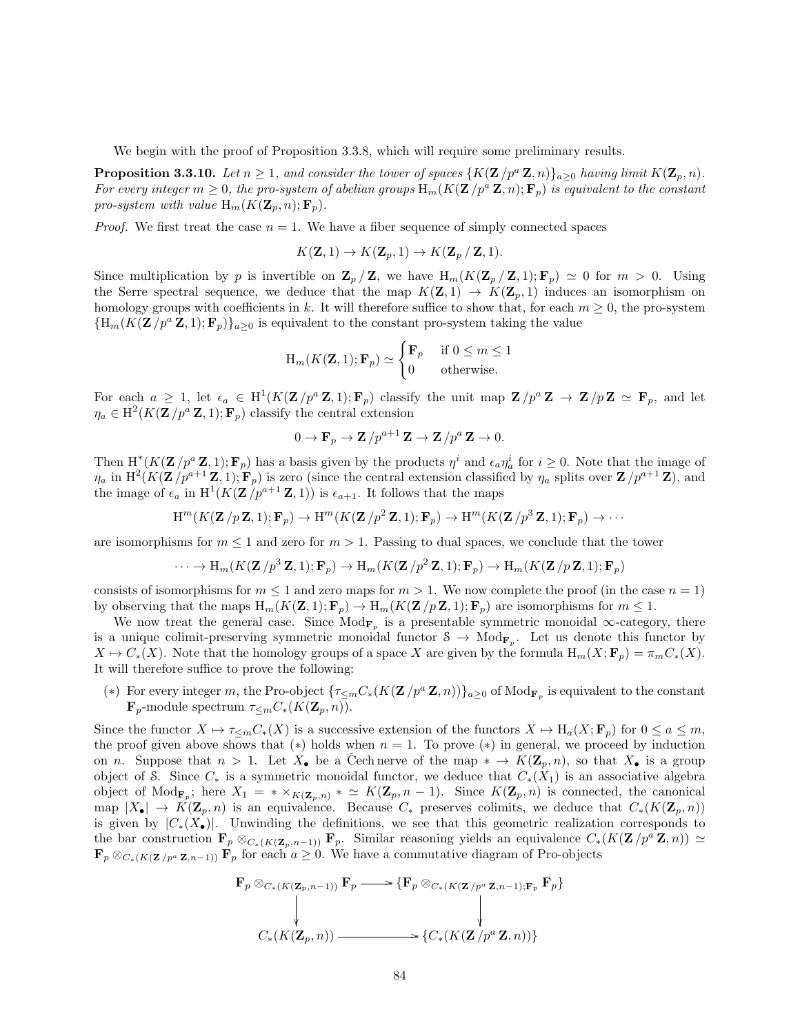We begin with the proof of Proposition 3.3.8, which will require some preliminary results.

**Proposition 3.3.10.** Let  $n \geq 1$ , and consider the tower of spaces  $\{K(\mathbf{Z}/p^a \mathbf{Z}, n)\}_{a \geq 0}$  having limit  $K(\mathbf{Z}_p, n)$ . For every integer  $m \geq 0$ , the pro-system of abelian groups  $H_m(K(\mathbf{Z}/p^a \mathbf{Z}, n); \mathbf{F}_n)$  is equivalent to the constant pro-system with value  $H_m(K(\mathbf{Z}_p, n); \mathbf{F}_p)$ .

*Proof.* We first treat the case  $n = 1$ . We have a fiber sequence of simply connected spaces

$$
K(\mathbf{Z},1) \to K(\mathbf{Z}_p,1) \to K(\mathbf{Z}_p \mathbf{Z},1).
$$

Since multiplication by p is invertible on  $\mathbf{Z}_p / \mathbf{Z}$ , we have  $H_m(K(\mathbf{Z}_p / \mathbf{Z}, 1); \mathbf{F}_p) \simeq 0$  for  $m > 0$ . Using the Serre spectral sequence, we deduce that the map  $K(\mathbf{Z},1) \to K(\mathbf{Z}_n,1)$  induces an isomorphism on homology groups with coefficients in k. It will therefore suffice to show that, for each  $m \geq 0$ , the pro-system  ${H_m(K(\mathbf{Z}/p^a \mathbf{Z},1); \mathbf{F}_p)}_a>0$  is equivalent to the constant pro-system taking the value

$$
H_m(K(\mathbf{Z}, 1); \mathbf{F}_p) \simeq \begin{cases} \mathbf{F}_p & \text{if } 0 \le m \le 1\\ 0 & \text{otherwise.} \end{cases}
$$

For each  $a \geq 1$ , let  $\epsilon_a \in H^1(K(\mathbf{Z}/p^a \mathbf{Z}, 1); \mathbf{F}_p)$  classify the unit map  $\mathbf{Z}/p^a \mathbf{Z} \to \mathbf{Z}/p \mathbf{Z} \simeq \mathbf{F}_p$ , and let  $\eta_a \in \mathrm{H}^2(K(\mathbf{Z}/p^a \mathbf{Z}, 1); \mathbf{F}_p)$  classify the central extension

$$
0 \to \mathbf{F}_p \to \mathbf{Z}/p^{a+1}\mathbf{Z} \to \mathbf{Z}/p^a\mathbf{Z} \to 0.
$$

Then  $H^*(K(\mathbf{Z}/p^a \mathbf{Z}, 1); \mathbf{F}_p)$  has a basis given by the products  $\eta^i$  and  $\epsilon_a \eta^i_a$  for  $i \geq 0$ . Note that the image of  $\eta_a$  in  $\text{H}^2(K(\mathbf{Z}/p^{a+1}\mathbf{Z},1); \mathbf{F}_p)$  is zero (since the central extension classified by  $\eta_a$  splits over  $\mathbf{Z}/p^{a+1}\mathbf{Z}$ ), and the image of  $\epsilon_a$  in  $H^1(K(\mathbf{Z}/p^{a+1}\mathbf{Z},1))$  is  $\epsilon_{a+1}$ . It follows that the maps

$$
H^m(K(\mathbf{Z}/p\mathbf{Z},1);\mathbf{F}_p) \to H^m(K(\mathbf{Z}/p^2\mathbf{Z},1);\mathbf{F}_p) \to H^m(K(\mathbf{Z}/p^3\mathbf{Z},1);\mathbf{F}_p) \to \cdots
$$

are isomorphisms for  $m \leq 1$  and zero for  $m > 1$ . Passing to dual spaces, we conclude that the tower

$$
\cdots \to \mathrm{H}_m(K(\mathbf{Z}/p^3 \mathbf{Z}, 1); \mathbf{F}_p) \to \mathrm{H}_m(K(\mathbf{Z}/p^2 \mathbf{Z}, 1); \mathbf{F}_p) \to \mathrm{H}_m(K(\mathbf{Z}/p \mathbf{Z}, 1); \mathbf{F}_p)
$$

consists of isomorphisms for  $m \leq 1$  and zero maps for  $m > 1$ . We now complete the proof (in the case  $n = 1$ ) by observing that the maps  $H_m(K(\mathbf{Z},1); \mathbf{F}_p) \to H_m(K(\mathbf{Z}/p\mathbf{Z},1); \mathbf{F}_p)$  are isomorphisms for  $m \leq 1$ .

We now treat the general case. Since  $Mod_{\mathbf{F}_p}$  is a presentable symmetric monoidal  $\infty$ -category, there is a unique colimit-preserving symmetric monoidal functor  $S \to \text{Mod}_{\mathbf{F}_p}$ . Let us denote this functor by  $X \mapsto C_*(X)$ . Note that the homology groups of a space X are given by the formula  $H_m(X; \mathbf{F}_p) = \pi_m C_*(X)$ . It will therefore suffice to prove the following:

(\*) For every integer m, the Pro-object  $\{\tau_{\leq m}C_*(K(\mathbf{Z}/p^a\mathbf{Z},n))\}_{a\geq 0}$  of  $\text{Mod}_{\mathbf{F}_p}$  is equivalent to the constant  $\mathbf{F}_p$ -module spectrum  $\tau \lt_{m} C_*(K(\mathbf{Z}_p, n)).$ 

Since the functor  $X \mapsto \tau_{\leq m}C_*(X)$  is a successive extension of the functors  $X \mapsto H_a(X; \mathbf{F}_p)$  for  $0 \leq a \leq m$ , the proof given above shows that  $(*)$  holds when  $n = 1$ . To prove  $(*)$  in general, we proceed by induction on n. Suppose that  $n > 1$ . Let  $X_{\bullet}$  be a Cech nerve of the map  $* \to K(\mathbb{Z}_p, n)$ , so that  $X_{\bullet}$  is a group object of S. Since  $C_*$  is a symmetric monoidal functor, we deduce that  $C_*(X_1)$  is an associative algebra object of  $\text{Mod}_{\mathbf{F}_p}$ ; here  $X_1 = * \times_{K(\mathbf{Z}_p,n)} * \simeq K(\mathbf{Z}_p,n-1)$ . Since  $K(\mathbf{Z}_p,n)$  is connected, the canonical map  $|X_{\bullet}| \to K(\mathbf{Z}_p, n)$  is an equivalence. Because  $C_*$  preserves colimits, we deduce that  $C_*(K(\mathbf{Z}_p, n))$ is given by  $|C_*(X_{\bullet})|$ . Unwinding the definitions, we see that this geometric realization corresponds to the bar construction  $\mathbf{F}_p \otimes_{C_*(K(\mathbf{Z}_p,n-1))} \mathbf{F}_p$ . Similar reasoning yields an equivalence  $C_*(K(\mathbf{Z}/p^a \mathbf{Z}, n)) \simeq$  $\mathbf{F}_p \otimes_{C_{\ast}(K(\mathbf{Z}/p^a \mathbf{Z},n-1))} \mathbf{F}_p$  for each  $a \geq 0$ . We have a commutative diagram of Pro-objects

$$
\mathbf{F}_p \otimes_{C_*(K(\mathbf{Z}_p,n-1))} \mathbf{F}_p \longrightarrow \{ \mathbf{F}_p \otimes_{C_*(K(\mathbf{Z}/p^a \mathbf{Z},n-1); \mathbf{F}_p} \mathbf{F}_p \}
$$
\n
$$
\downarrow \qquad \qquad \downarrow
$$
\n
$$
C_*(K(\mathbf{Z}_p,n)) \longrightarrow \{ C_*(K(\mathbf{Z}/p^a \mathbf{Z},n)) \}
$$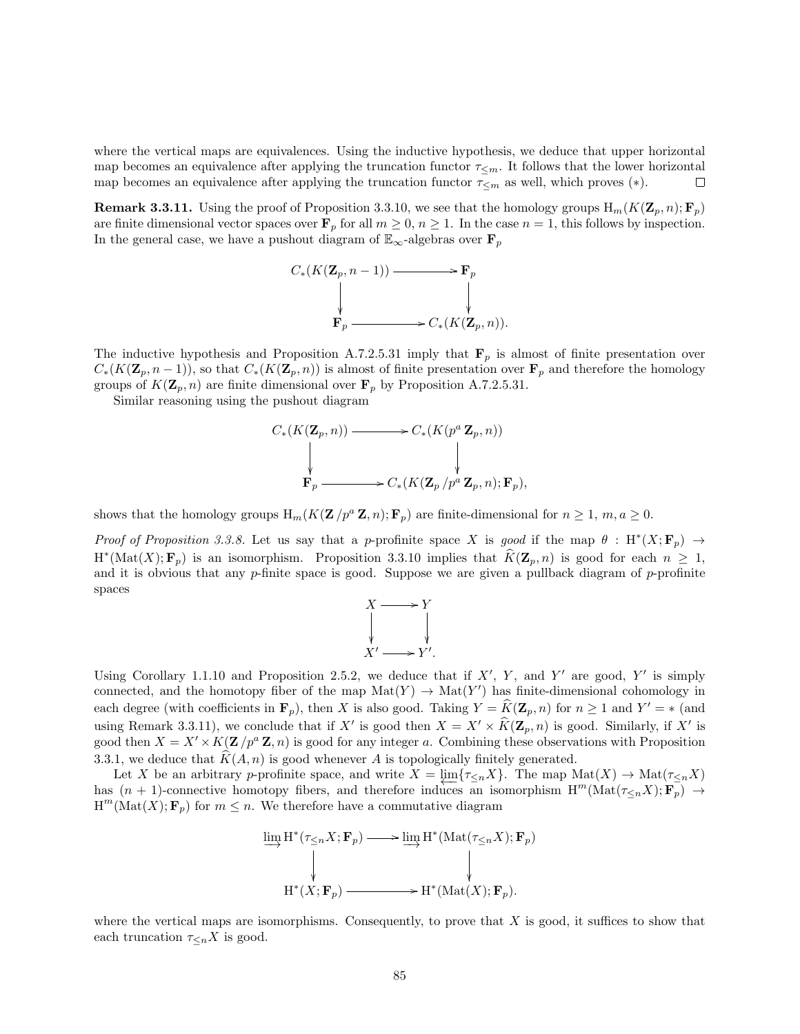where the vertical maps are equivalences. Using the inductive hypothesis, we deduce that upper horizontal map becomes an equivalence after applying the truncation functor  $\tau_{\leq m}$ . It follows that the lower horizontal map becomes an equivalence after applying the truncation functor  $\tau_{\leq m}$  as well, which proves  $(*)$ .  $\Box$ 

**Remark 3.3.11.** Using the proof of Proposition 3.3.10, we see that the homology groups  $H_m(K(\mathbf{Z}_p, n); \mathbf{F}_p)$ are finite dimensional vector spaces over  $\mathbf{F}_p$  for all  $m \geq 0$ ,  $n \geq 1$ . In the case  $n = 1$ , this follows by inspection. In the general case, we have a pushout diagram of  $\mathbb{E}_{\infty}$ -algebras over  $\mathbf{F}_p$ 

$$
C_*(K(\mathbf{Z}_p, n-1)) \longrightarrow \mathbf{F}_p
$$
  
\n
$$
\downarrow \qquad \qquad \downarrow
$$
  
\n
$$
\mathbf{F}_p \longrightarrow C_*(K(\mathbf{Z}_p, n)).
$$

The inductive hypothesis and Proposition A.7.2.5.31 imply that  $\mathbf{F}_p$  is almost of finite presentation over  $C_*(K(\mathbf{Z}_p, n-1))$ , so that  $C_*(K(\mathbf{Z}_p, n))$  is almost of finite presentation over  $\mathbf{F}_p$  and therefore the homology groups of  $K(\mathbf{Z}_p, n)$  are finite dimensional over  $\mathbf{F}_p$  by Proposition A.7.2.5.31.

Similar reasoning using the pushout diagram

$$
C_*(K(\mathbf{Z}_p, n)) \longrightarrow C_*(K(p^a \mathbf{Z}_p, n))
$$
  
\n
$$
\downarrow \qquad \qquad \downarrow
$$
  
\n
$$
\mathbf{F}_p \longrightarrow C_*(K(\mathbf{Z}_p/p^a \mathbf{Z}_p, n); \mathbf{F}_p),
$$

shows that the homology groups  $H_m(K(\mathbf{Z}/p^a \mathbf{Z}, n); \mathbf{F}_p)$  are finite-dimensional for  $n \geq 1, m, a \geq 0$ .

Proof of Proposition 3.3.8. Let us say that a p-profinite space X is good if the map  $\theta$ : H<sup>\*</sup> $(X; \mathbf{F}_p) \rightarrow$  $H^*(\mathrm{Mat}(X); \mathbf{F}_p)$  is an isomorphism. Proposition 3.3.10 implies that  $\widehat{K}(\mathbf{Z}_p, n)$  is good for each  $n \geq 1$ , and it is obvious that any  $p$ -finite space is good. Suppose we are given a pullback diagram of  $p$ -profinite spaces



Using Corollary 1.1.10 and Proposition 2.5.2, we deduce that if  $X'$ ,  $Y$ , and  $Y'$  are good,  $Y'$  is simply connected, and the homotopy fiber of the map  $\text{Mat}(Y) \to \text{Mat}(Y')$  has finite-dimensional cohomology in each degree (with coefficients in  $\mathbf{F}_p$ ), then X is also good. Taking  $Y = \hat{K}(\mathbf{Z}_p, n)$  for  $n \ge 1$  and  $Y' = *$  (and using Remark 3.3.11), we conclude that if X' is good then  $X = X' \times \widehat{K}(\mathbf{Z}_p, n)$  is good. Similarly, if X' is good then  $X = X' \times K(\mathbf{Z} / p^a \mathbf{Z}, n)$  is good for any integer a. Combining these observations with Proposition 3.3.1, we deduce that  $K(A, n)$  is good whenever A is topologically finitely generated.

Let X be an arbitrary p-profinite space, and write  $X = \varprojlim \{ \tau_{\leq n} X \}$ . The map  $\mathrm{Mat}(X) \to \mathrm{Mat}(\tau_{\leq n} X)$ has  $(n + 1)$ -connective homotopy fibers, and therefore induces an isomorphism  $H^m(Mat(\tau \leq nX); \mathbf{F}_p) \rightarrow$  $H^m(\text{Mat}(X); \mathbf{F}_p)$  for  $m \leq n$ . We therefore have a commutative diagram

$$
\varinjlim_{\substack{\longrightarrow \\ W}} H^*(\tau_{\leq n}X; \mathbf{F}_p) \longrightarrow \varinjlim_{\substack{\longrightarrow \\ W}} H^*(\mathrm{Mat}(\tau_{\leq n}X); \mathbf{F}_p)
$$
\n
$$
\downarrow \qquad \qquad \downarrow
$$
\n
$$
H^*(X; \mathbf{F}_p) \longrightarrow H^*(\mathrm{Mat}(X); \mathbf{F}_p).
$$

where the vertical maps are isomorphisms. Consequently, to prove that  $X$  is good, it suffices to show that each truncation  $\tau_{\leq n} X$  is good.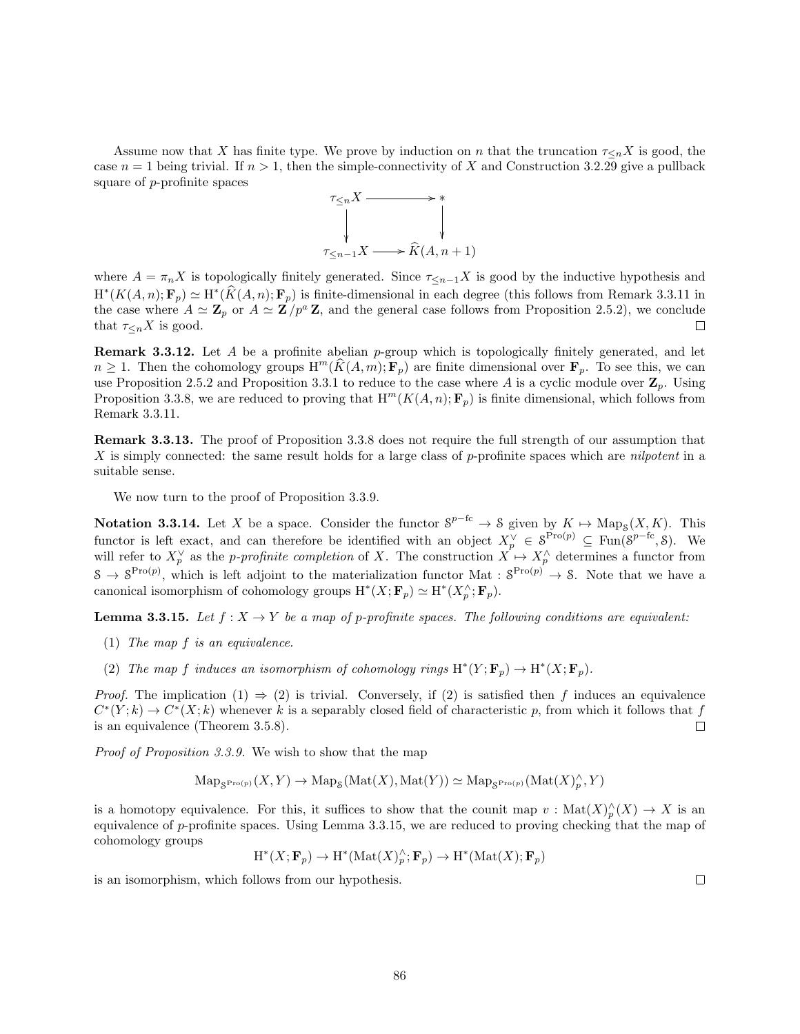Assume now that X has finite type. We prove by induction on n that the truncation  $\tau_{\leq n}X$  is good, the case  $n = 1$  being trivial. If  $n > 1$ , then the simple-connectivity of X and Construction 3.2.29 give a pullback square of p-profinite spaces



where  $A = \pi_n X$  is topologically finitely generated. Since  $\tau_{\leq n-1} X$  is good by the inductive hypothesis and  $H^*(K(A,n); \mathbf{F}_p) \simeq H^*(\hat{K}(A,n); \mathbf{F}_p)$  is finite-dimensional in each degree (this follows from Remark 3.3.11 in the case where  $A \simeq \mathbf{Z}_p$  or  $A \simeq \mathbf{Z}/p^a \mathbf{Z}$ , and the general case follows from Proposition 2.5.2), we conclude that  $\tau <sub>n</sub> X$  is good.  $\Box$ 

**Remark 3.3.12.** Let  $A$  be a profinite abelian  $p$ -group which is topologically finitely generated, and let  $n \geq 1$ . Then the cohomology groups  $\text{H}^m(\widehat{K}(A, m); \mathbf{F}_p)$  are finite dimensional over  $\mathbf{F}_p$ . To see this, we can use Proposition 2.5.2 and Proposition 3.3.1 to reduce to the case where A is a cyclic module over  $\mathbf{Z}_p$ . Using Proposition 3.3.8, we are reduced to proving that  $H^m(K(A, n); \mathbf{F}_p)$  is finite dimensional, which follows from Remark 3.3.11.

Remark 3.3.13. The proof of Proposition 3.3.8 does not require the full strength of our assumption that X is simply connected: the same result holds for a large class of  $p$ -profinite spaces which are *nilpotent* in a suitable sense.

We now turn to the proof of Proposition 3.3.9.

**Notation 3.3.14.** Let X be a space. Consider the functor  $S^{p-fc} \to S$  given by  $K \mapsto \text{Map}_S(X, K)$ . This functor is left exact, and can therefore be identified with an object  $X_p^{\vee} \in \mathcal{S}^{\text{Pro}(p)} \subseteq \text{Fun}(\mathcal{S}^{p-fc}, \mathcal{S})$ . We will refer to  $X_p^{\vee}$  as the *p-profinite completion* of X. The construction  $X \to X_p^{\wedge}$  determines a functor from  $S \to S^{\text{Pro}(p)}$ , which is left adjoint to the materialization functor Mat :  $S^{\text{Pro}(p)} \to S$ . Note that we have a canonical isomorphism of cohomology groups  $H^*(X; \mathbf{F}_p) \simeq H^*(X_p^{\wedge}; \mathbf{F}_p)$ .

**Lemma 3.3.15.** Let  $f: X \to Y$  be a map of p-profinite spaces. The following conditions are equivalent:

- (1) The map f is an equivalence.
- (2) The map f induces an isomorphism of cohomology rings  $H^*(Y; \mathbf{F}_p) \to H^*(X; \mathbf{F}_p)$ .

*Proof.* The implication  $(1) \Rightarrow (2)$  is trivial. Conversely, if  $(2)$  is satisfied then f induces an equivalence  $C^*(Y; k) \to C^*(X; k)$  whenever k is a separably closed field of characteristic p, from which it follows that f is an equivalence (Theorem 3.5.8).  $\Box$ 

Proof of Proposition 3.3.9. We wish to show that the map

$$
\operatorname{Map}_{S^{\operatorname{Pro}(p)}}(X,Y) \to \operatorname{Map}_S(\operatorname{Mat}(X),\operatorname{Mat}(Y)) \simeq \operatorname{Map}_{S^{\operatorname{Pro}(p)}}(\operatorname{Mat}(X)^{\wedge}_p,Y)
$$

is a homotopy equivalence. For this, it suffices to show that the counit map  $v: \text{Mat}(X)_{p}^{\wedge}(X) \to X$  is an equivalence of  $p$ -profinite spaces. Using Lemma 3.3.15, we are reduced to proving checking that the map of cohomology groups

$$
\operatorname{H}^*(X; \mathbf{F}_p) \to \operatorname{H}^*(\operatorname{Mat}(X)^{\wedge}_p; \mathbf{F}_p) \to \operatorname{H}^*(\operatorname{Mat}(X); \mathbf{F}_p)
$$

is an isomorphism, which follows from our hypothesis.

 $\Box$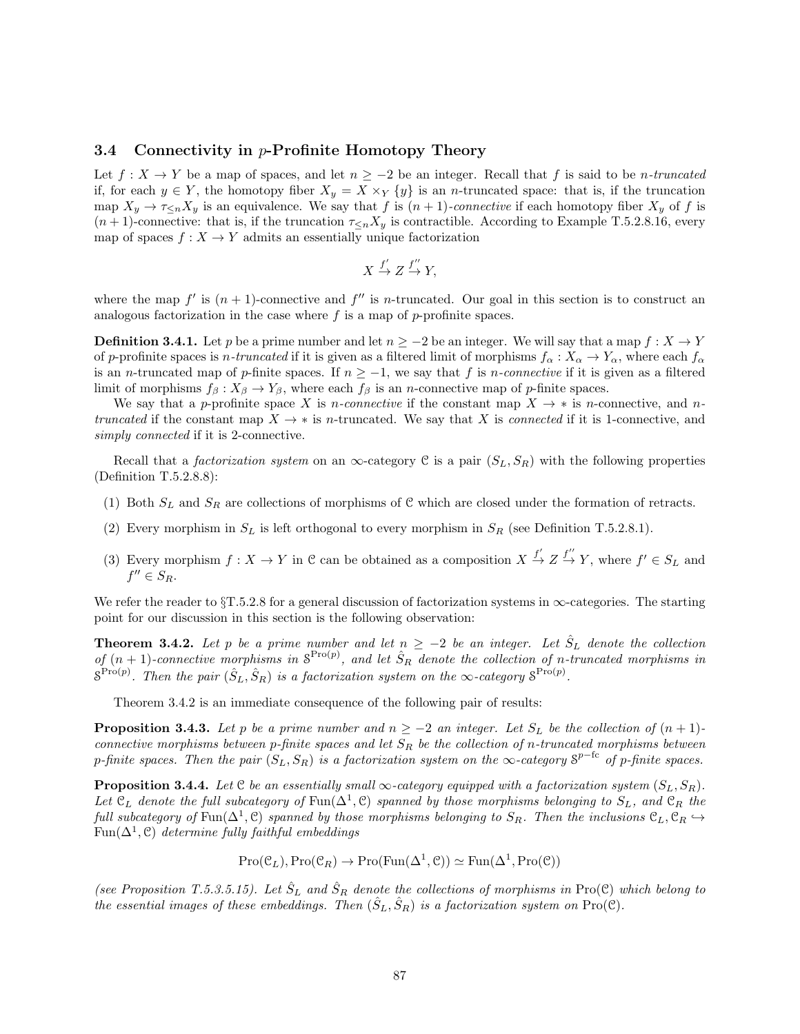#### 3.4 Connectivity in p-Profinite Homotopy Theory

Let  $f: X \to Y$  be a map of spaces, and let  $n \geq -2$  be an integer. Recall that f is said to be n-truncated if, for each  $y \in Y$ , the homotopy fiber  $X_y = X \times_Y \{y\}$  is an *n*-truncated space: that is, if the truncation map  $X_y \to \tau \leq_n X_y$  is an equivalence. We say that f is  $(n+1)$ -connective if each homotopy fiber  $X_y$  of f is  $(n+1)$ -connective: that is, if the truncation  $\tau_{\leq n}X_y$  is contractible. According to Example T.5.2.8.16, every map of spaces  $f: X \to Y$  admits an essentially unique factorization

$$
X \xrightarrow{f'} Z \xrightarrow{f''} Y,
$$

where the map  $f'$  is  $(n + 1)$ -connective and  $f''$  is *n*-truncated. Our goal in this section is to construct an analogous factorization in the case where  $f$  is a map of  $p$ -profinite spaces.

**Definition 3.4.1.** Let p be a prime number and let  $n \geq -2$  be an integer. We will say that a map  $f : X \to Y$ of p-profinite spaces is n-truncated if it is given as a filtered limit of morphisms  $f_{\alpha}: X_{\alpha} \to Y_{\alpha}$ , where each  $f_{\alpha}$ is an *n*-truncated map of p-finite spaces. If  $n \ge -1$ , we say that f is n-connective if it is given as a filtered limit of morphisms  $f_\beta: X_\beta \to Y_\beta$ , where each  $f_\beta$  is an *n*-connective map of *p*-finite spaces.

We say that a p-profinite space X is n-connective if the constant map  $X \to *$  is n-connective, and ntruncated if the constant map  $X \to *$  is n-truncated. We say that X is connected if it is 1-connective, and simply connected if it is 2-connective.

Recall that a *factorization system* on an  $\infty$ -category C is a pair  $(S_L, S_R)$  with the following properties (Definition T.5.2.8.8):

- (1) Both  $S_L$  and  $S_R$  are collections of morphisms of C which are closed under the formation of retracts.
- (2) Every morphism in  $S_L$  is left orthogonal to every morphism in  $S_R$  (see Definition T.5.2.8.1).
- (3) Every morphism  $f: X \to Y$  in C can be obtained as a composition  $X \stackrel{f'}{\to} Z \stackrel{f''}{\to} Y$ , where  $f' \in S_L$  and  $f'' \in S_R$ .

We refer the reader to  $\S T.5.2.8$  for a general discussion of factorization systems in  $\infty$ -categories. The starting point for our discussion in this section is the following observation:

**Theorem 3.4.2.** Let p be a prime number and let  $n \geq -2$  be an integer. Let  $\hat{S}_L$  denote the collection of  $(n + 1)$ -connective morphisms in  $S^{Pro(p)}$ , and let  $\hat{S}_R$  denote the collection of n-truncated morphisms in  $S^{\text{Pro}(p)}$ . Then the pair  $(\hat{S}_L, \hat{S}_R)$  is a factorization system on the  $\infty$ -category  $S^{\text{Pro}(p)}$ .

Theorem 3.4.2 is an immediate consequence of the following pair of results:

**Proposition 3.4.3.** Let p be a prime number and  $n \ge -2$  an integer. Let  $S_L$  be the collection of  $(n+1)$ connective morphisms between p-finite spaces and let  $S_R$  be the collection of n-truncated morphisms between p-finite spaces. Then the pair  $(S_L, S_R)$  is a factorization system on the  $\infty$ -category  $S^{p-{\rm fc}}$  of p-finite spaces.

**Proposition 3.4.4.** Let C be an essentially small  $\infty$ -category equipped with a factorization system  $(S_L, S_R)$ . Let  $\mathfrak{C}_L$  denote the full subcategory of Fun( $\Delta^1$ ,  $\mathfrak{C}$ ) spanned by those morphisms belonging to  $S_L$ , and  $\mathfrak{C}_R$  the full subcategory of Fun( $\Delta^1$ , C) spanned by those morphisms belonging to  $S_R$ . Then the inclusions  $\mathfrak{C}_L$ ,  $\mathfrak{C}_R$   $\hookrightarrow$  $\text{Fun}(\Delta^1,\mathcal{C})$  determine fully faithful embeddings

 $Pro(\mathcal{C}_L), Pro(\mathcal{C}_R) \to Pro(Fun(\Delta^1, \mathcal{C})) \simeq Fun(\Delta^1, Pro(\mathcal{C}))$ 

(see Proposition T.5.3.5.15). Let  $\hat{S}_L$  and  $\hat{S}_R$  denote the collections of morphisms in Pro(C) which belong to the essential images of these embeddings. Then  $(\hat{S}_L, \hat{S}_R)$  is a factorization system on Pro(C).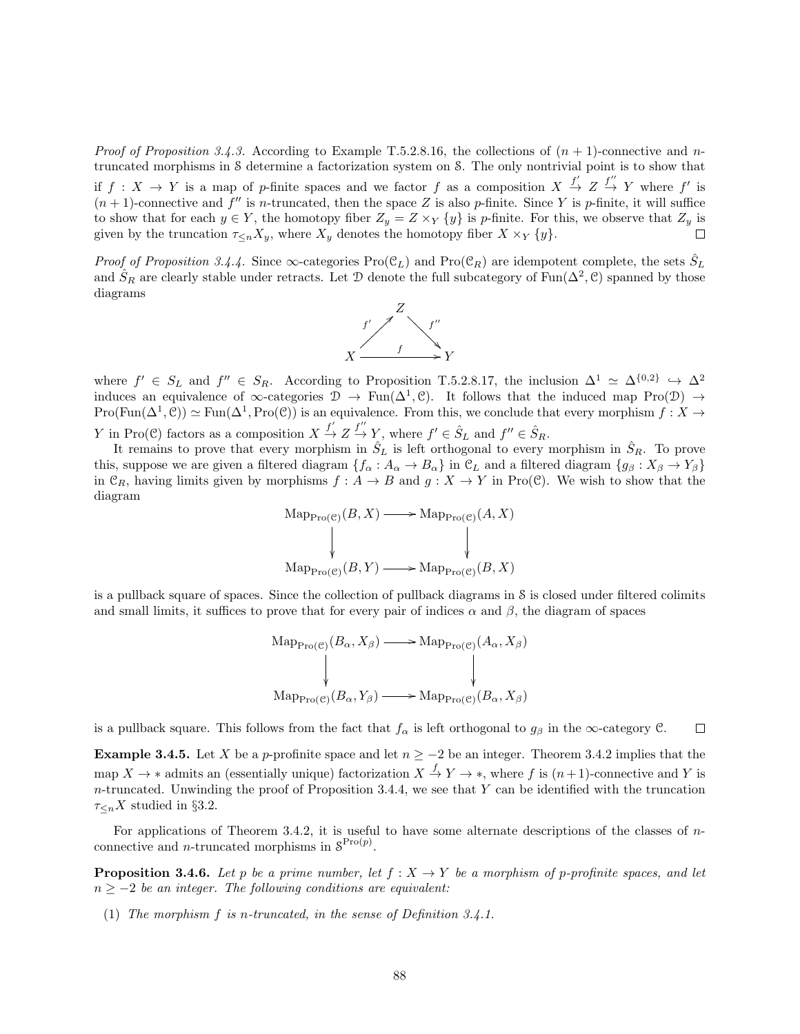*Proof of Proposition 3.4.3.* According to Example T.5.2.8.16, the collections of  $(n + 1)$ -connective and ntruncated morphisms in S determine a factorization system on S. The only nontrivial point is to show that if  $f: X \to Y$  is a map of p-finite spaces and we factor f as a composition  $X \stackrel{f'}{\to} Z \stackrel{f''}{\to} Y$  where f' is  $(n + 1)$ -connective and  $f''$  is n-truncated, then the space Z is also p-finite. Since Y is p-finite, it will suffice to show that for each  $y \in Y$ , the homotopy fiber  $Z_y = Z \times_Y \{y\}$  is p-finite. For this, we observe that  $Z_y$  is given by the truncation  $\tau_{\leq n}X_{y}$ , where  $X_{y}$  denotes the homotopy fiber  $X \times_{Y} \{y\}$ .

*Proof of Proposition 3.4.4.* Since  $\infty$ -categories Pro( $\mathfrak{C}_L$ ) and Pro( $\mathfrak{C}_R$ ) are idempotent complete, the sets  $\hat{S}_L$ and  $\hat{S}_R$  are clearly stable under retracts. Let D denote the full subcategory of Fun( $\Delta^2$ , C) spanned by those diagrams



where  $f' \in S_L$  and  $f'' \in S_R$ . According to Proposition T.5.2.8.17, the inclusion  $\Delta^1 \simeq \Delta^{\{0,2\}} \hookrightarrow \Delta^2$ induces an equivalence of  $\infty$ -categories  $\mathcal{D} \to \text{Fun}(\Delta^1,\mathcal{C})$ . It follows that the induced map Pro( $\mathcal{D}$ )  $\to$  $Pro(Fun(\Delta^1, \mathcal{C})) \simeq Fun(\Delta^1, Pro(\mathcal{C}))$  is an equivalence. From this, we conclude that every morphism  $f: X \to Y$ Y in Pro(C) factors as a composition  $X \stackrel{f'}{\to} Z \stackrel{f''}{\to} Y$ , where  $f' \in \hat{S}_L$  and  $f'' \in \hat{S}_R$ .

It remains to prove that every morphism in  $\hat{S}_L$  is left orthogonal to every morphism in  $\hat{S}_R$ . To prove this, suppose we are given a filtered diagram  $\{f_\alpha : A_\alpha \to B_\alpha\}$  in  $\mathcal{C}_L$  and a filtered diagram  $\{g_\beta : X_\beta \to Y_\beta\}$ in  $\mathcal{C}_R$ , having limits given by morphisms  $f : A \to B$  and  $g : X \to Y$  in Pro(C). We wish to show that the diagram

$$
Map_{Pro(\mathcal{C})}(B, X) \longrightarrow Map_{Pro(\mathcal{C})}(A, X)
$$
  
\n
$$
Map_{Pro(\mathcal{C})}(B, Y) \longrightarrow Map_{Pro(\mathcal{C})}(B, X)
$$

is a pullback square of spaces. Since the collection of pullback diagrams in S is closed under filtered colimits and small limits, it suffices to prove that for every pair of indices  $\alpha$  and  $\beta$ , the diagram of spaces

$$
Map_{Pro(\mathcal{C})}(B_{\alpha}, X_{\beta}) \longrightarrow Map_{Pro(\mathcal{C})}(A_{\alpha}, X_{\beta})
$$
  
\n
$$
\downarrow \qquad \qquad \downarrow
$$
  
\n
$$
Map_{Pro(\mathcal{C})}(B_{\alpha}, Y_{\beta}) \longrightarrow Map_{Pro(\mathcal{C})}(B_{\alpha}, X_{\beta})
$$

is a pullback square. This follows from the fact that  $f_\alpha$  is left orthogonal to  $g_\beta$  in the  $\infty$ -category C.  $\Box$ 

Example 3.4.5. Let X be a p-profinite space and let  $n \ge -2$  be an integer. Theorem 3.4.2 implies that the map  $X \to *$  admits an (essentially unique) factorization  $X \stackrel{f}{\to} Y \to *$ , where f is  $(n+1)$ -connective and Y is  $n$ -truncated. Unwinding the proof of Proposition 3.4.4, we see that Y can be identified with the truncation  $\tau_{\leq n}X$  studied in §3.2.

For applications of Theorem 3.4.2, it is useful to have some alternate descriptions of the classes of  $n$ connective and *n*-truncated morphisms in  $S^{\text{Pro}(p)}$ .

**Proposition 3.4.6.** Let p be a prime number, let  $f : X \to Y$  be a morphism of p-profinite spaces, and let  $n \geq -2$  be an integer. The following conditions are equivalent:

(1) The morphism f is n-truncated, in the sense of Definition 3.4.1.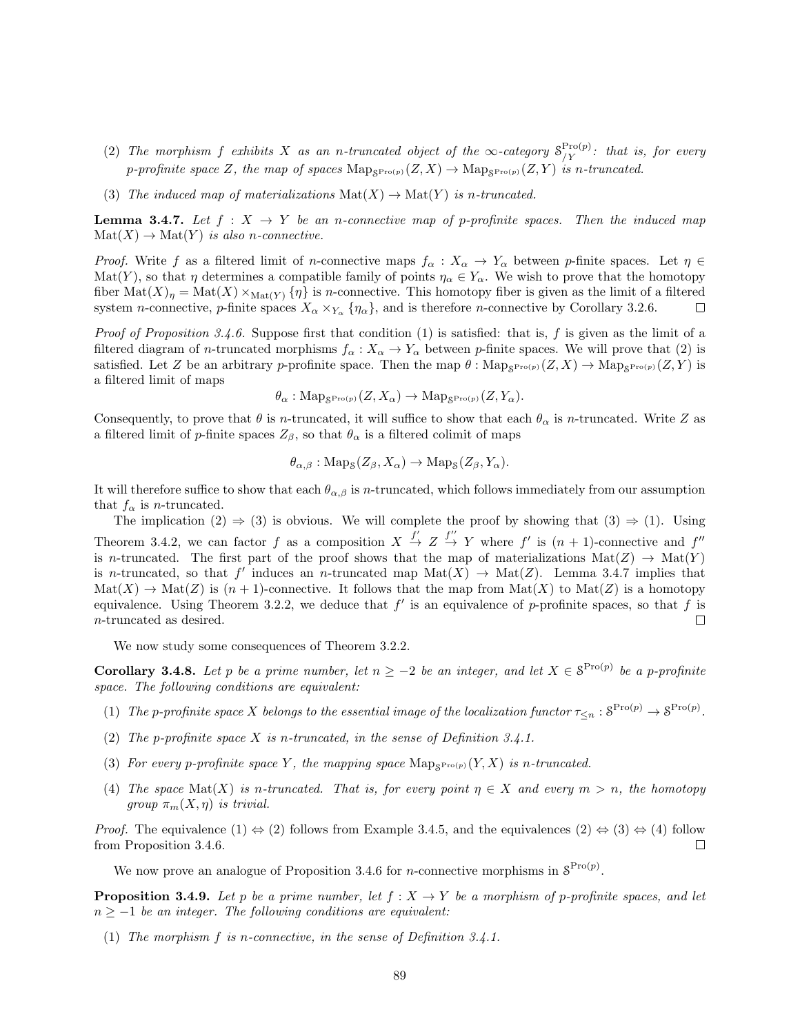- (2) The morphism f exhibits X as an n-truncated object of the  $\infty$ -category  $S_{/Y}^{\text{Pro}(p)}$ : that is, for every p-profinite space Z, the map of spaces  $\text{Map}_{S^{\text{Pro}(p)}}(Z,X) \to \text{Map}_{S^{\text{Pro}(p)}}(Z,Y)$  is n-truncated.
- (3) The induced map of materializations  $\text{Mat}(X) \to \text{Mat}(Y)$  is n-truncated.

**Lemma 3.4.7.** Let  $f : X \to Y$  be an n-connective map of p-profinite spaces. Then the induced map  $\text{Mat}(X) \to \text{Mat}(Y)$  is also n-connective.

*Proof.* Write f as a filtered limit of n-connective maps  $f_{\alpha}: X_{\alpha} \to Y_{\alpha}$  between p-finite spaces. Let  $\eta \in$ Mat(Y), so that  $\eta$  determines a compatible family of points  $\eta_\alpha \in Y_\alpha$ . We wish to prove that the homotopy fiber  $\text{Mat}(X)_\eta = \text{Mat}(X) \times_{\text{Mat}(Y)} {\eta}$  is *n*-connective. This homotopy fiber is given as the limit of a filtered system *n*-connective, *p*-finite spaces  $X_{\alpha} \times_{Y_{\alpha}} {\eta_{\alpha}}$ , and is therefore *n*-connective by Corollary 3.2.6.  $\Box$ 

*Proof of Proposition 3.4.6.* Suppose first that condition (1) is satisfied: that is, f is given as the limit of a filtered diagram of n-truncated morphisms  $f_{\alpha}: X_{\alpha} \to Y_{\alpha}$  between p-finite spaces. We will prove that (2) is satisfied. Let Z be an arbitrary p-profinite space. Then the map  $\theta$ :  $\text{Map}_{\mathcal{S}^{\text{Pro}(p)}}(Z,X) \to \text{Map}_{\mathcal{S}^{\text{Pro}(p)}}(Z,Y)$  is a filtered limit of maps

$$
\theta_{\alpha}: \text{Map}_{\mathcal{S}^{\text{Pro}(p)}}(Z, X_{\alpha}) \to \text{Map}_{\mathcal{S}^{\text{Pro}(p)}}(Z, Y_{\alpha}).
$$

Consequently, to prove that  $\theta$  is n-truncated, it will suffice to show that each  $\theta_{\alpha}$  is n-truncated. Write Z as a filtered limit of p-finite spaces  $Z_{\beta}$ , so that  $\theta_{\alpha}$  is a filtered colimit of maps

$$
\theta_{\alpha,\beta} : \text{Map}_{\mathcal{S}}(Z_{\beta}, X_{\alpha}) \to \text{Map}_{\mathcal{S}}(Z_{\beta}, Y_{\alpha}).
$$

It will therefore suffice to show that each  $\theta_{\alpha,\beta}$  is n-truncated, which follows immediately from our assumption that  $f_{\alpha}$  is *n*-truncated.

The implication  $(2) \Rightarrow (3)$  is obvious. We will complete the proof by showing that  $(3) \Rightarrow (1)$ . Using Theorem 3.4.2, we can factor f as a composition  $X \stackrel{f'}{\rightarrow} Z \stackrel{f''}{\rightarrow} Y$  where f' is  $(n + 1)$ -connective and f'' is n-truncated. The first part of the proof shows that the map of materializations  $\text{Mat}(Z) \to \text{Mat}(Y)$ is n-truncated, so that f' induces an n-truncated map  $\text{Mat}(X) \to \text{Mat}(Z)$ . Lemma 3.4.7 implies that  $\text{Mat}(X) \to \text{Mat}(Z)$  is  $(n+1)$ -connective. It follows that the map from  $\text{Mat}(X)$  to  $\text{Mat}(Z)$  is a homotopy equivalence. Using Theorem 3.2.2, we deduce that  $f'$  is an equivalence of p-profinite spaces, so that f is n-truncated as desired. П

We now study some consequences of Theorem 3.2.2.

**Corollary 3.4.8.** Let p be a prime number, let  $n \geq -2$  be an integer, and let  $X \in S^{\text{Pro}(p)}$  be a p-profinite space. The following conditions are equivalent:

- (1) The p-profinite space X belongs to the essential image of the localization functor  $\tau_{\leq n} : S^{\text{Pro}(p)} \to S^{\text{Pro}(p)}$ .
- (2) The p-profinite space  $X$  is n-truncated, in the sense of Definition 3.4.1.
- (3) For every p-profinite space Y, the mapping space  $\text{Map}_{S^{\text{Pro}(p)}}(Y,X)$  is n-truncated.
- (4) The space Mat(X) is n-truncated. That is, for every point  $\eta \in X$  and every  $m > n$ , the homotopy group  $\pi_m(X, \eta)$  is trivial.

*Proof.* The equivalence  $(1) \Leftrightarrow (2)$  follows from Example 3.4.5, and the equivalences  $(2) \Leftrightarrow (3) \Leftrightarrow (4)$  follow from Proposition 3.4.6.  $\Box$ 

We now prove an analogue of Proposition 3.4.6 for *n*-connective morphisms in  $S^{\text{Pro}(p)}$ .

**Proposition 3.4.9.** Let p be a prime number, let  $f : X \to Y$  be a morphism of p-profinite spaces, and let  $n \geq -1$  be an integer. The following conditions are equivalent:

(1) The morphism f is n-connective, in the sense of Definition 3.4.1.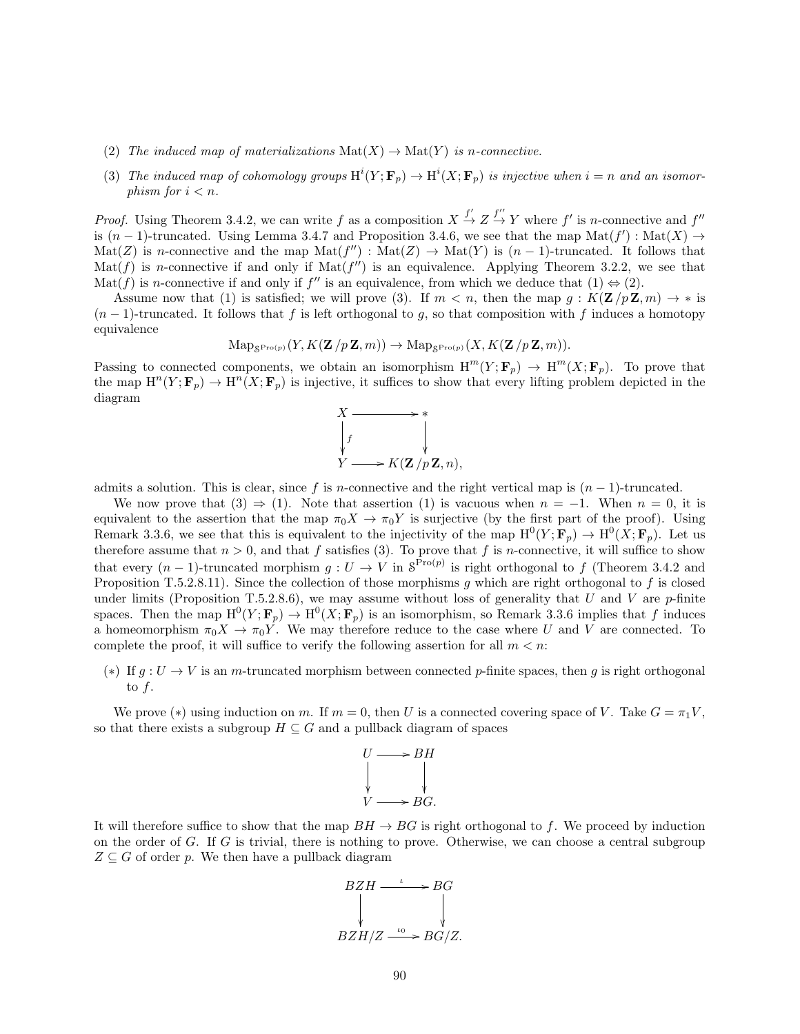- (2) The induced map of materializations  $\text{Mat}(X) \to \text{Mat}(Y)$  is n-connective.
- (3) The induced map of cohomology groups  $\text{H}^i(Y; \mathbf{F}_p) \to \text{H}^i(X; \mathbf{F}_p)$  is injective when  $i = n$  and an isomorphism for  $i < n$ .

*Proof.* Using Theorem 3.4.2, we can write f as a composition  $X \stackrel{f'}{\rightarrow} Z \stackrel{f''}{\rightarrow} Y$  where f' is n-connective and f'' is  $(n-1)$ -truncated. Using Lemma 3.4.7 and Proposition 3.4.6, we see that the map Mat $(f') : Mat(X) \to$  $\text{Mat}(Z)$  is *n*-connective and the map  $\text{Mat}(f'') : \text{Mat}(Z) \to \text{Mat}(Y)$  is  $(n-1)$ -truncated. It follows that  $\text{Mat}(f)$  is *n*-connective if and only if  $\text{Mat}(f'')$  is an equivalence. Applying Theorem 3.2.2, we see that Mat(f) is n-connective if and only if f'' is an equivalence, from which we deduce that  $(1) \Leftrightarrow (2)$ .

Assume now that (1) is satisfied; we will prove (3). If  $m < n$ , then the map  $g : K(\mathbf{Z}/p\mathbf{Z}, m) \to *$  is  $(n-1)$ -truncated. It follows that f is left orthogonal to g, so that composition with f induces a homotopy equivalence

$$
\mathrm{Map}_{\mathcal{S}^{\mathrm{Pro}(p)}}(Y, K(\mathbf{Z}/p\mathbf{Z},m)) \to \mathrm{Map}_{\mathcal{S}^{\mathrm{Pro}(p)}}(X, K(\mathbf{Z}/p\mathbf{Z},m)).
$$

Passing to connected components, we obtain an isomorphism  $H^m(Y; \mathbf{F}_p) \to H^m(X; \mathbf{F}_p)$ . To prove that the map  $H^n(Y; \mathbf{F}_p) \to H^n(X; \mathbf{F}_p)$  is injective, it suffices to show that every lifting problem depicted in the diagram



admits a solution. This is clear, since f is n-connective and the right vertical map is  $(n-1)$ -truncated.

We now prove that  $(3) \Rightarrow (1)$ . Note that assertion  $(1)$  is vacuous when  $n = -1$ . When  $n = 0$ , it is equivalent to the assertion that the map  $\pi_0 X \to \pi_0 Y$  is surjective (by the first part of the proof). Using Remark 3.3.6, we see that this is equivalent to the injectivity of the map  $H^0(Y; \mathbf{F}_p) \to H^0(X; \mathbf{F}_p)$ . Let us therefore assume that  $n > 0$ , and that f satisfies (3). To prove that f is n-connective, it will suffice to show that every  $(n-1)$ -truncated morphism  $g: U \to V$  in  $S^{\text{Pro}(p)}$  is right orthogonal to f (Theorem 3.4.2 and Proposition T.5.2.8.11). Since the collection of those morphisms q which are right orthogonal to f is closed under limits (Proposition T.5.2.8.6), we may assume without loss of generality that U and V are  $p$ -finite spaces. Then the map  $\mathrm{H}^0(Y; \mathbf{F}_p) \to \mathrm{H}^0(X; \mathbf{F}_p)$  is an isomorphism, so Remark 3.3.6 implies that f induces a homeomorphism  $\pi_0 X \to \pi_0 Y$ . We may therefore reduce to the case where U and V are connected. To complete the proof, it will suffice to verify the following assertion for all  $m < n$ .

(∗) If  $g: U \to V$  is an m-truncated morphism between connected p-finite spaces, then g is right orthogonal to  $f$ .

We prove (\*) using induction on m. If  $m = 0$ , then U is a connected covering space of V. Take  $G = \pi_1 V$ , so that there exists a subgroup  $H \subseteq G$  and a pullback diagram of spaces



It will therefore suffice to show that the map  $BH \rightarrow BG$  is right orthogonal to f. We proceed by induction on the order of G. If G is trivial, there is nothing to prove. Otherwise, we can choose a central subgroup  $Z \subseteq G$  of order p. We then have a pullback diagram

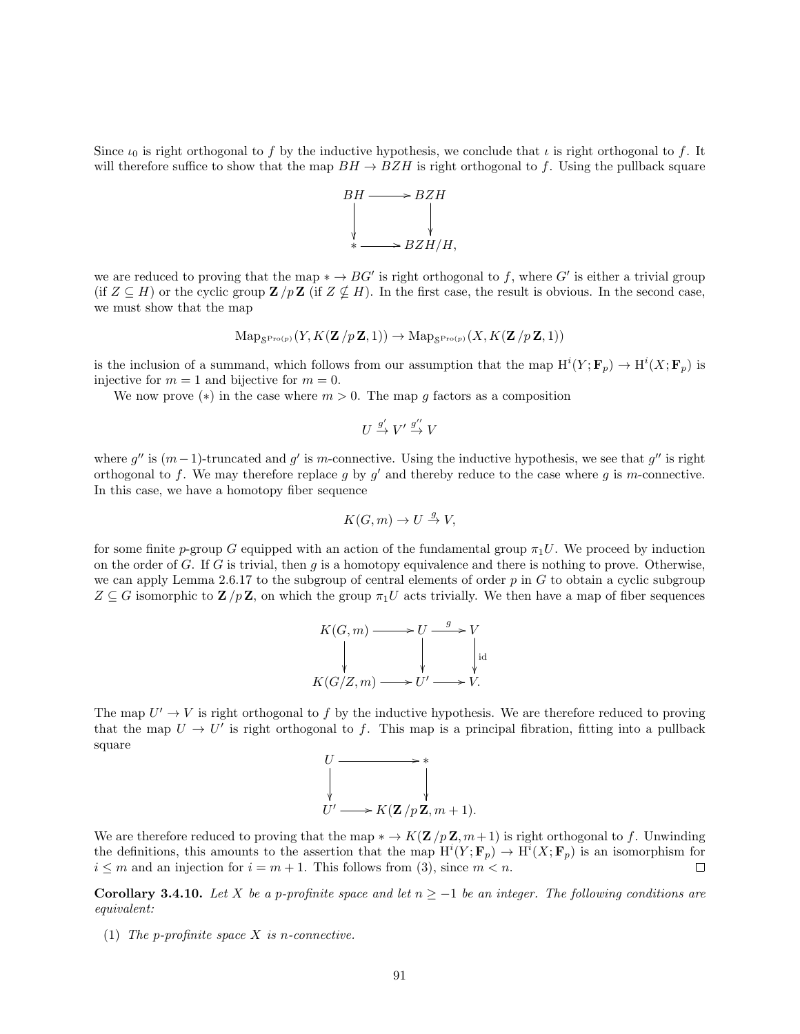Since  $\iota_0$  is right orthogonal to f by the inductive hypothesis, we conclude that  $\iota$  is right orthogonal to f. It will therefore suffice to show that the map  $BH \rightarrow BZH$  is right orthogonal to f. Using the pullback square



we are reduced to proving that the map  $* \to BG'$  is right orthogonal to f, where G' is either a trivial group (if  $Z \subseteq H$ ) or the cyclic group  $\mathbf{Z}/p\mathbf{Z}$  (if  $Z \nsubseteq H$ ). In the first case, the result is obvious. In the second case, we must show that the map

$$
\mathrm{Map}_{\mathcal{S}^{\mathrm{Pro}(p)}}(Y, K(\mathbf{Z}/p\mathbf{Z},1)) \to \mathrm{Map}_{\mathcal{S}^{\mathrm{Pro}(p)}}(X, K(\mathbf{Z}/p\mathbf{Z},1))
$$

is the inclusion of a summand, which follows from our assumption that the map  $\text{H}^i(Y; \mathbf{F}_p) \to \text{H}^i(X; \mathbf{F}_p)$  is injective for  $m = 1$  and bijective for  $m = 0$ .

We now prove (\*) in the case where  $m > 0$ . The map g factors as a composition

$$
U \stackrel{g'}{\to} V' \stackrel{g''}{\to} V
$$

where  $g''$  is  $(m-1)$ -truncated and g' is m-connective. Using the inductive hypothesis, we see that  $g''$  is right orthogonal to f. We may therefore replace g by  $g'$  and thereby reduce to the case where g is m-connective. In this case, we have a homotopy fiber sequence

$$
K(G, m) \to U \stackrel{g}{\to} V,
$$

for some finite p-group G equipped with an action of the fundamental group  $\pi_1 U$ . We proceed by induction on the order of G. If G is trivial, then q is a homotopy equivalence and there is nothing to prove. Otherwise, we can apply Lemma 2.6.17 to the subgroup of central elements of order  $p$  in  $G$  to obtain a cyclic subgroup  $Z \subseteq G$  isomorphic to  $\mathbf{Z}/p\mathbf{Z}$ , on which the group  $\pi_1U$  acts trivially. We then have a map of fiber sequences

$$
K(G, m) \longrightarrow U \xrightarrow{g} V
$$
  
\n
$$
\downarrow \qquad \qquad \downarrow \qquad \qquad \downarrow \text{id}
$$
  
\n
$$
K(G/Z, m) \longrightarrow U' \longrightarrow V.
$$

The map  $U' \to V$  is right orthogonal to f by the inductive hypothesis. We are therefore reduced to proving that the map  $U \to U'$  is right orthogonal to f. This map is a principal fibration, fitting into a pullback square



We are therefore reduced to proving that the map  $* \to K(\mathbf{Z}/p\mathbf{Z}, m+1)$  is right orthogonal to f. Unwinding the definitions, this amounts to the assertion that the map  $\mathrm{H}^i(Y; \mathbf{F}_p) \to \mathrm{H}^i(X; \mathbf{F}_p)$  is an isomorphism for  $i \leq m$  and an injection for  $i = m + 1$ . This follows from (3), since  $m < n$ .  $\Box$ 

**Corollary 3.4.10.** Let X be a p-profinite space and let  $n \ge -1$  be an integer. The following conditions are equivalent:

(1) The p-profinite space  $X$  is n-connective.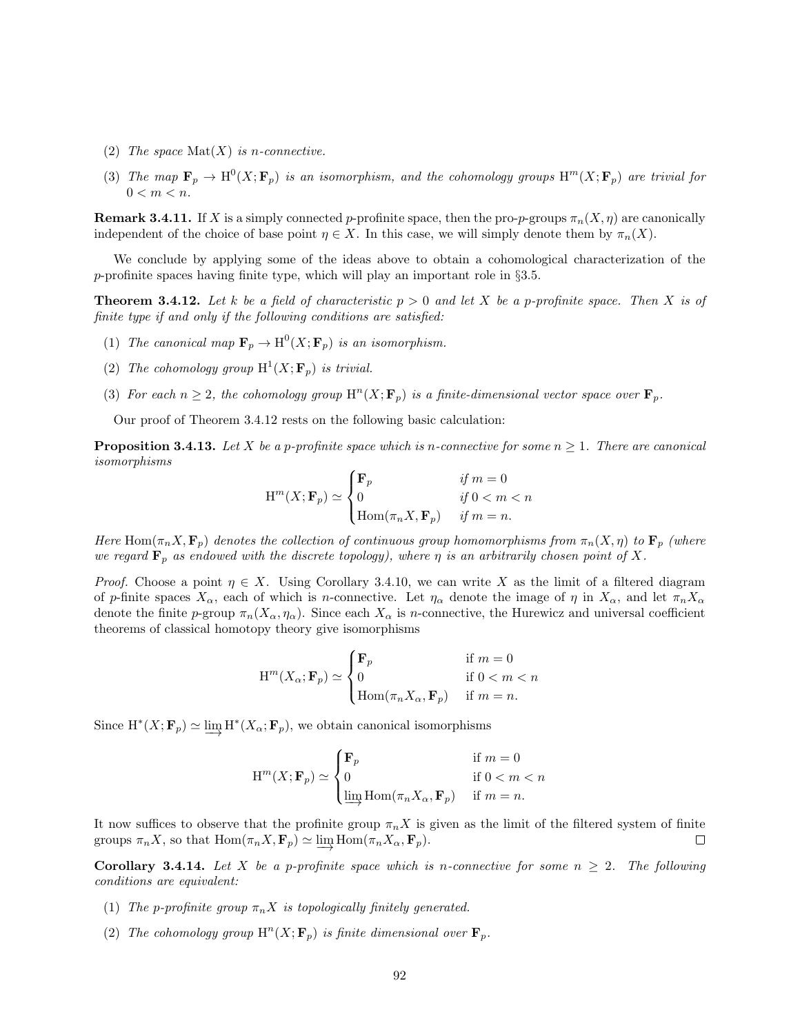- (2) The space  $\text{Mat}(X)$  is n-connective.
- (3) The map  $\mathbf{F}_p \to \mathrm{H}^0(X; \mathbf{F}_p)$  is an isomorphism, and the cohomology groups  $\mathrm{H}^m(X; \mathbf{F}_p)$  are trivial for  $0 < m < n$ .

**Remark 3.4.11.** If X is a simply connected p-profinite space, then the pro-p-groups  $\pi_n(X, \eta)$  are canonically independent of the choice of base point  $\eta \in X$ . In this case, we will simply denote them by  $\pi_n(X)$ .

We conclude by applying some of the ideas above to obtain a cohomological characterization of the p-profinite spaces having finite type, which will play an important role in  $\S 3.5$ .

**Theorem 3.4.12.** Let k be a field of characteristic  $p > 0$  and let X be a p-profinite space. Then X is of finite type if and only if the following conditions are satisfied:

- (1) The canonical map  $\mathbf{F}_p \to \mathrm{H}^0(X; \mathbf{F}_p)$  is an isomorphism.
- (2) The cohomology group  $H^1(X; \mathbf{F}_p)$  is trivial.
- (3) For each  $n \geq 2$ , the cohomology group  $\mathrm{H}^n(X; \mathbf{F}_p)$  is a finite-dimensional vector space over  $\mathbf{F}_p$ .

Our proof of Theorem 3.4.12 rests on the following basic calculation:

**Proposition 3.4.13.** Let X be a p-profinite space which is n-connective for some  $n \geq 1$ . There are canonical isomorphisms

$$
\mathcal{H}^m(X; \mathbf{F}_p) \simeq \begin{cases} \mathbf{F}_p & \text{if } m = 0\\ 0 & \text{if } 0 < m < n\\ \text{Hom}(\pi_n X, \mathbf{F}_p) & \text{if } m = n. \end{cases}
$$

Here Hom $(\pi_n X, \mathbf{F}_p)$  denotes the collection of continuous group homomorphisms from  $\pi_n(X, \eta)$  to  $\mathbf{F}_p$  (where we regard  $\mathbf{F}_p$  as endowed with the discrete topology), where  $\eta$  is an arbitrarily chosen point of X.

*Proof.* Choose a point  $\eta \in X$ . Using Corollary 3.4.10, we can write X as the limit of a filtered diagram of p-finite spaces  $X_{\alpha}$ , each of which is n-connective. Let  $\eta_{\alpha}$  denote the image of  $\eta$  in  $X_{\alpha}$ , and let  $\pi_n X_{\alpha}$ denote the finite p-group  $\pi_n(X_\alpha, \eta_\alpha)$ . Since each  $X_\alpha$  is n-connective, the Hurewicz and universal coefficient theorems of classical homotopy theory give isomorphisms

$$
\mathbf{H}^m(X_\alpha; \mathbf{F}_p) \simeq \begin{cases} \mathbf{F}_p & \text{if } m = 0\\ 0 & \text{if } 0 < m < n\\ \mathbf{Hom}(\pi_n X_\alpha, \mathbf{F}_p) & \text{if } m = n. \end{cases}
$$

Since  $H^*(X; \mathbf{F}_p) \simeq \varinjlim H^*(X_\alpha; \mathbf{F}_p)$ , we obtain canonical isomorphisms

$$
\mathcal{H}^m(X; \mathbf{F}_p) \simeq \begin{cases} \mathbf{F}_p & \text{if } m = 0\\ 0 & \text{if } 0 < m < n\\ \varinjlim \mathcal{H}om(\pi_n X_\alpha, \mathbf{F}_p) & \text{if } m = n. \end{cases}
$$

It now suffices to observe that the profinite group  $\pi_n X$  is given as the limit of the filtered system of finite groups  $\pi_n X$ , so that  $\text{Hom}(\pi_n X, \mathbf{F}_p) \simeq \varinjlim \text{Hom}(\pi_n X_\alpha, \mathbf{F}_p)$ . □

**Corollary 3.4.14.** Let X be a p-profinite space which is n-connective for some  $n \geq 2$ . The following conditions are equivalent:

- (1) The p-profinite group  $\pi_n X$  is topologically finitely generated.
- (2) The cohomology group  $\mathrm{H}^n(X; \mathbf{F}_p)$  is finite dimensional over  $\mathbf{F}_p$ .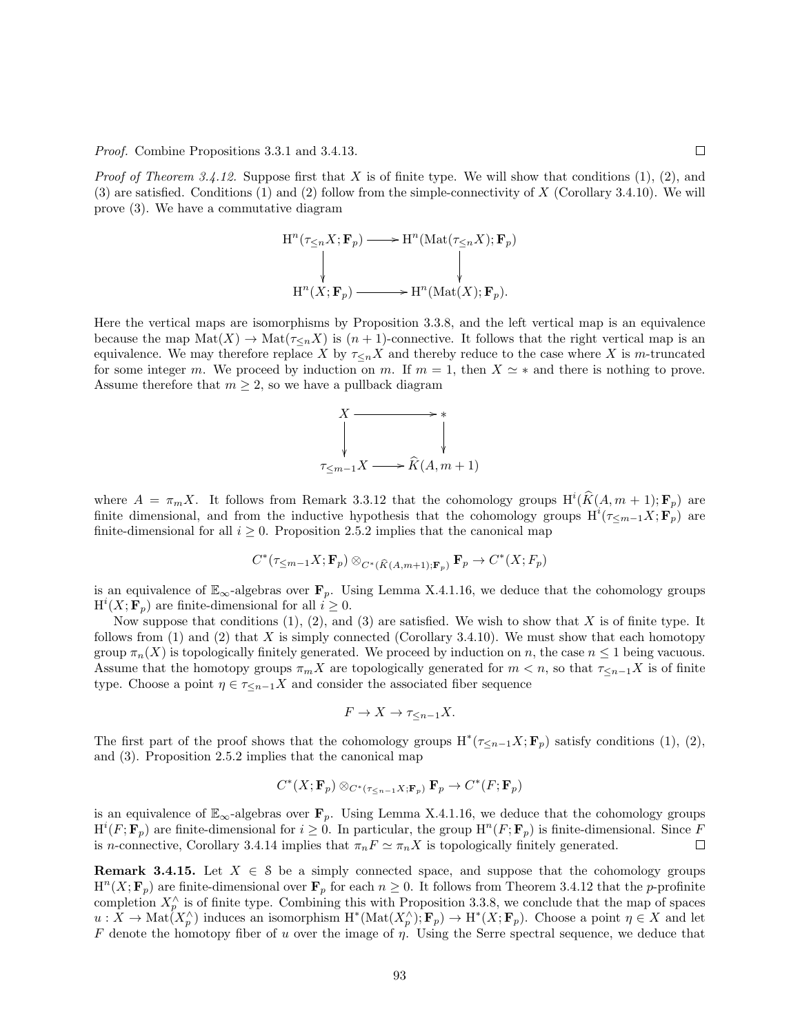Proof. Combine Propositions 3.3.1 and 3.4.13.

*Proof of Theorem 3.4.12.* Suppose first that X is of finite type. We will show that conditions  $(1), (2),$  and (3) are satisfied. Conditions (1) and (2) follow from the simple-connectivity of X (Corollary 3.4.10). We will prove (3). We have a commutative diagram

$$
H^{n}(\tau_{\leq n}X; \mathbf{F}_{p}) \longrightarrow H^{n}(\text{Mat}(\tau_{\leq n}X); \mathbf{F}_{p})
$$
\n
$$
\downarrow \qquad \qquad \downarrow
$$
\n
$$
H^{n}(X; \mathbf{F}_{p}) \longrightarrow H^{n}(\text{Mat}(X); \mathbf{F}_{p}).
$$

Here the vertical maps are isomorphisms by Proposition 3.3.8, and the left vertical map is an equivalence because the map  $\text{Mat}(X) \to \text{Mat}(\tau_{\leq n}X)$  is  $(n+1)$ -connective. It follows that the right vertical map is an equivalence. We may therefore replace X by  $\tau <sub>n</sub>X$  and thereby reduce to the case where X is m-truncated for some integer m. We proceed by induction on m. If  $m = 1$ , then  $X \simeq *$  and there is nothing to prove. Assume therefore that  $m \geq 2$ , so we have a pullback diagram

$$
X \longrightarrow \ast
$$
  
\n
$$
\downarrow \qquad \qquad \downarrow
$$
  
\n
$$
\tau_{\leq m-1} X \longrightarrow \widehat{K}(A, m+1)
$$

where  $A = \pi_m X$ . It follows from Remark 3.3.12 that the cohomology groups  $H^i(\widehat{K}(A, m + 1); \mathbf{F}_p)$  are finite dimensional, and from the inductive hypothesis that the cohomology groups  $\text{H}^i(\tau_{\leq m-1}X;\mathbf{F}_p)$  are finite-dimensional for all  $i \geq 0$ . Proposition 2.5.2 implies that the canonical map

$$
C^*(\tau_{\leq m-1}X; \mathbf{F}_p) \otimes_{C^*(\widehat{K}(A, m+1); \mathbf{F}_p)} \mathbf{F}_p \to C^*(X; F_p)
$$

is an equivalence of  $\mathbb{E}_{\infty}$ -algebras over  $\mathbf{F}_p$ . Using Lemma X.4.1.16, we deduce that the cohomology groups  $H^{i}(X; \mathbf{F}_p)$  are finite-dimensional for all  $i \geq 0$ .

Now suppose that conditions  $(1), (2),$  and  $(3)$  are satisfied. We wish to show that X is of finite type. It follows from (1) and (2) that X is simply connected (Corollary 3.4.10). We must show that each homotopy group  $\pi_n(X)$  is topologically finitely generated. We proceed by induction on n, the case  $n \leq 1$  being vacuous. Assume that the homotopy groups  $\pi_m X$  are topologically generated for  $m < n$ , so that  $\tau_{\leq n-1} X$  is of finite type. Choose a point  $\eta \in \tau \leq_{n-1} X$  and consider the associated fiber sequence

$$
F \to X \to \tau_{\leq n-1} X.
$$

The first part of the proof shows that the cohomology groups  $H^*(\tau_{\leq n-1}X; \mathbf{F}_p)$  satisfy conditions (1), (2), and (3). Proposition 2.5.2 implies that the canonical map

$$
C^*(X; \mathbf{F}_p) \otimes_{C^*(\tau_{\leq n-1}X; \mathbf{F}_p)} \mathbf{F}_p \to C^*(F; \mathbf{F}_p)
$$

is an equivalence of  $\mathbb{E}_{\infty}$ -algebras over  $\mathbf{F}_p$ . Using Lemma X.4.1.16, we deduce that the cohomology groups  $\text{H}^i(F; \mathbf{F}_p)$  are finite-dimensional for  $i \geq 0$ . In particular, the group  $\text{H}^n(F; \mathbf{F}_p)$  is finite-dimensional. Since F is n-connective, Corollary 3.4.14 implies that  $\pi_n F \simeq \pi_n X$  is topologically finitely generated.  $\Box$ 

**Remark 3.4.15.** Let  $X \in \mathcal{S}$  be a simply connected space, and suppose that the cohomology groups  $H^{n}(X; \mathbf{F}_p)$  are finite-dimensional over  $\mathbf{F}_p$  for each  $n \geq 0$ . It follows from Theorem 3.4.12 that the *p*-profinite completion  $X_p^{\wedge}$  is of finite type. Combining this with Proposition 3.3.8, we conclude that the map of spaces  $u: X \to \text{Mat}(X_p^{\wedge})$  induces an isomorphism  $H^*(\text{Mat}(X_p^{\wedge}); \mathbf{F}_p) \to H^*(X; \mathbf{F}_p)$ . Choose a point  $\eta \in X$  and let F denote the homotopy fiber of u over the image of  $\eta$ . Using the Serre spectral sequence, we deduce that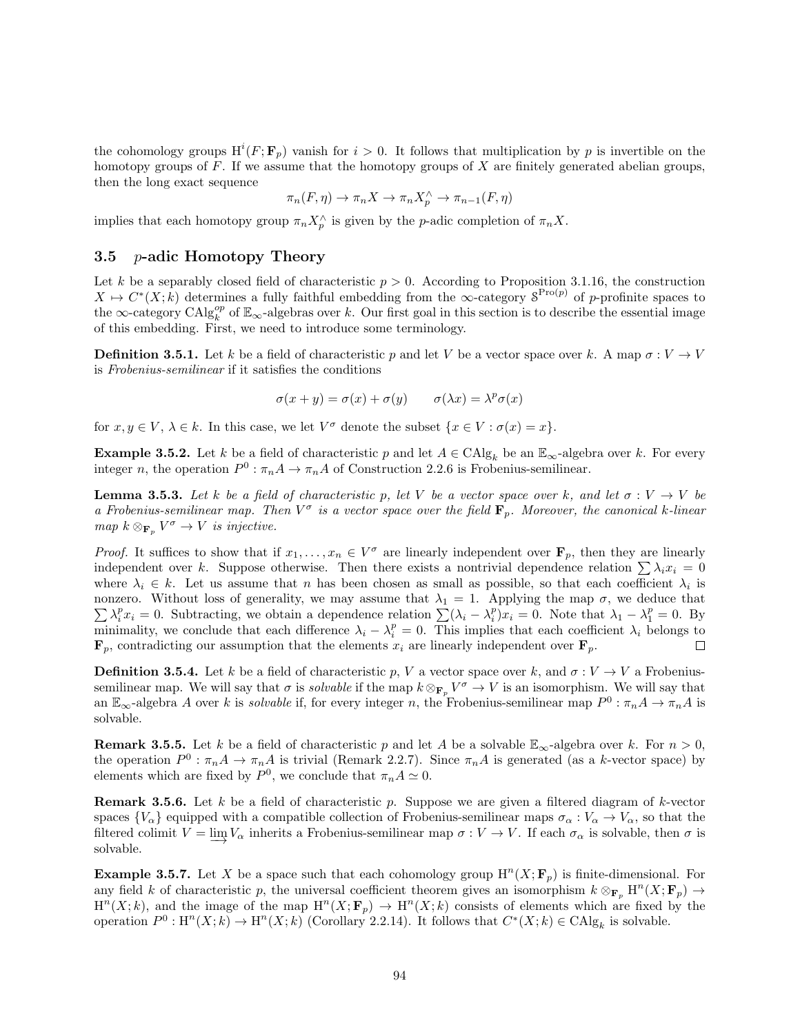the cohomology groups  $H^i(F; \mathbf{F}_p)$  vanish for  $i > 0$ . It follows that multiplication by p is invertible on the homotopy groups of  $F$ . If we assume that the homotopy groups of  $X$  are finitely generated abelian groups, then the long exact sequence

$$
\pi_n(F,\eta) \to \pi_n X \to \pi_n X_p^{\wedge} \to \pi_{n-1}(F,\eta)
$$

implies that each homotopy group  $\pi_n X_p^{\wedge}$  is given by the *p*-adic completion of  $\pi_n X$ .

#### 3.5 *p*-adic Homotopy Theory

Let k be a separably closed field of characteristic  $p > 0$ . According to Proposition 3.1.16, the construction  $X \mapsto C^*(X; k)$  determines a fully faithful embedding from the  $\infty$ -category  $S^{\text{Pro}(p)}$  of p-profinite spaces to the  $\infty$ -category  $\text{CAlg}_{k}^{op}$  of  $\mathbb{E}_{\infty}$ -algebras over k. Our first goal in this section is to describe the essential image of this embedding. First, we need to introduce some terminology.

**Definition 3.5.1.** Let k be a field of characteristic p and let V be a vector space over k. A map  $\sigma: V \to V$ is Frobenius-semilinear if it satisfies the conditions

$$
\sigma(x + y) = \sigma(x) + \sigma(y) \qquad \sigma(\lambda x) = \lambda^p \sigma(x)
$$

for  $x, y \in V$ ,  $\lambda \in k$ . In this case, we let  $V^{\sigma}$  denote the subset  $\{x \in V : \sigma(x) = x\}$ .

**Example 3.5.2.** Let k be a field of characteristic p and let  $A \in CA|_{S_k}$  be an  $\mathbb{E}_{\infty}$ -algebra over k. For every integer n, the operation  $P^0$ :  $\pi_n A \to \pi_n A$  of Construction 2.2.6 is Frobenius-semilinear.

**Lemma 3.5.3.** Let k be a field of characteristic p, let V be a vector space over k, and let  $\sigma: V \to V$  be a Frobenius-semilinear map. Then  $V^{\sigma}$  is a vector space over the field  $\mathbf{F}_p$ . Moreover, the canonical k-linear map  $k \otimes_{\mathbf{F}_p} V^{\sigma} \to V$  is injective.

*Proof.* It suffices to show that if  $x_1, \ldots, x_n \in V^{\sigma}$  are linearly independent over  $\mathbf{F}_p$ , then they are linearly independent over k. Suppose otherwise. Then there exists a nontrivial dependence relation  $\sum \lambda_i x_i = 0$ where  $\lambda_i \in k$ . Let us assume that n has been chosen as small as possible, so that each coefficient  $\lambda_i$  is nonzero. Without loss of generality, we may assume that  $\lambda_1 = 1$ . Applying the map  $\sigma$ , we deduce that  $\sum \lambda_i^p x_i = 0$ . Subtracting, we obtain a dependence relation  $\sum (\lambda_i - \lambda_i^p) x_i = 0$ . Note that  $\lambda_1 - \lambda_1^p = 0$ . By minimality, we conclude that each difference  $\lambda_i - \lambda_i^p = 0$ . This implies that each coefficient  $\lambda_i$  belongs to  $\mathbf{F}_p$ , contradicting our assumption that the elements  $x_i$  are linearly independent over  $\mathbf{F}_p$ .

**Definition 3.5.4.** Let k be a field of characteristic p, V a vector space over k, and  $\sigma: V \to V$  a Frobeniussemilinear map. We will say that  $\sigma$  is *solvable* if the map  $k \otimes_{\mathbf{F}_p} V^{\sigma} \to V$  is an isomorphism. We will say that an  $\mathbb{E}_{\infty}$ -algebra A over k is *solvable* if, for every integer n, the Frobenius-semilinear map  $P^0$ :  $\pi_n A \to \pi_n A$  is solvable.

**Remark 3.5.5.** Let k be a field of characteristic p and let A be a solvable  $\mathbb{E}_{\infty}$ -algebra over k. For  $n > 0$ , the operation  $P^0$ :  $\pi_n A \to \pi_n A$  is trivial (Remark 2.2.7). Since  $\pi_n A$  is generated (as a k-vector space) by elements which are fixed by  $P^0$ , we conclude that  $\pi_n A \simeq 0$ .

**Remark 3.5.6.** Let k be a field of characteristic p. Suppose we are given a filtered diagram of k-vector spaces  $\{V_{\alpha}\}\$ equipped with a compatible collection of Frobenius-semilinear maps  $\sigma_{\alpha}: V_{\alpha}\to V_{\alpha}$ , so that the filtered colimit  $V = \varinjlim V_\alpha$  inherits a Frobenius-semilinear map  $\sigma : V \to V$ . If each  $\sigma_\alpha$  is solvable, then  $\sigma$  is solvable.

**Example 3.5.7.** Let X be a space such that each cohomology group  $H^{n}(X; \mathbf{F}_p)$  is finite-dimensional. For any field k of characteristic p, the universal coefficient theorem gives an isomorphism  $k \otimes_{\mathbf{F}_p} H^n(X; \mathbf{F}_p) \to$  $H^{n}(X;k)$ , and the image of the map  $H^{n}(X; \mathbf{F}_p) \to H^{n}(X;k)$  consists of elements which are fixed by the operation  $P^0: \text{H}^n(X;k) \to \text{H}^n(X;k)$  (Corollary 2.2.14). It follows that  $C^*(X;k) \in \text{CAlg}_k$  is solvable.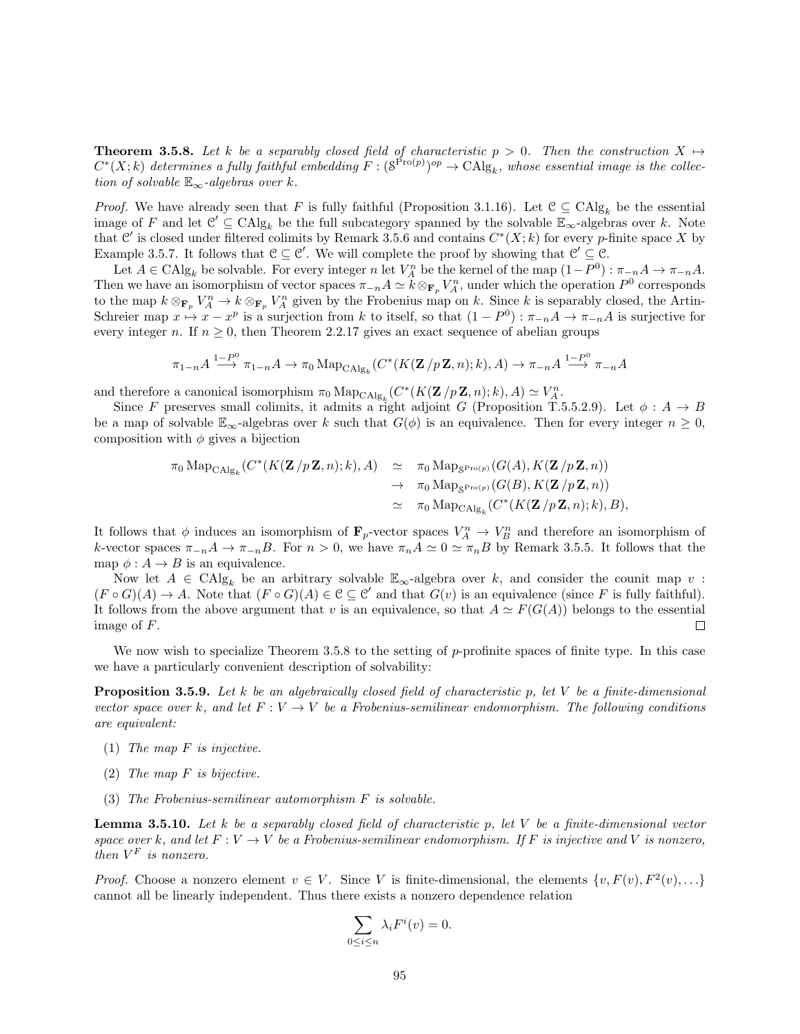**Theorem 3.5.8.** Let k be a separably closed field of characteristic  $p > 0$ . Then the construction  $X \mapsto$  $C^*(X;k)$  determines a fully faithful embedding  $F:(\mathcal{S}^{\text{Pro}(p)})^{op}\to\text{CAlg}_k$ , whose essential image is the collection of solvable  $\mathbb{E}_{\infty}$ -algebras over k.

*Proof.* We have already seen that F is fully faithful (Proposition 3.1.16). Let  $C \subseteq CA|_{g_k}$  be the essential image of F and let  $\mathcal{C}' \subseteq \mathrm{CAlg}_k$  be the full subcategory spanned by the solvable  $\mathbb{E}_{\infty}$ -algebras over k. Note that C' is closed under filtered colimits by Remark 3.5.6 and contains  $C^*(X;k)$  for every p-finite space X by Example 3.5.7. It follows that  $\mathcal{C} \subseteq \mathcal{C}'$ . We will complete the proof by showing that  $\mathcal{C}' \subseteq \mathcal{C}$ .

Let  $A \in \text{CAlg}_k$  be solvable. For every integer n let  $V_A^n$  be the kernel of the map  $(1 - P^0) : \pi_{-n}A \to \pi_{-n}A$ . Then we have an isomorphism of vector spaces  $\pi_{-n}A \simeq k \otimes_{\mathbf{F}_p} V_A^n$ , under which the operation  $P^0$  corresponds to the map  $k \otimes_{\mathbf{F}_p} V_A^n \to k \otimes_{\mathbf{F}_p} V_A^n$  given by the Frobenius map on k. Since k is separably closed, the Artin-Schreier map  $x \mapsto x - x^p$  is a surjection from k to itself, so that  $(1 - P^0) : \pi_{-n}A \to \pi_{-n}A$  is surjective for every integer n. If  $n \geq 0$ , then Theorem 2.2.17 gives an exact sequence of abelian groups

$$
\pi_{1-n}A \xrightarrow{1-P^0} \pi_{1-n}A \to \pi_0 \operatorname{Map}_{\operatorname{CAlg}_k}(C^*(K(\mathbf{Z}/p\mathbf{Z},n);k),A) \to \pi_{-n}A \xrightarrow{1-P^0} \pi_{-n}A
$$

and therefore a canonical isomorphism  $\pi_0 \operatorname{Map}_{\mathrm{CAlg}_k}(C^*(K(\mathbf{Z}/p\mathbf{Z},n);k),A) \simeq V_A^n$ .

Since F preserves small colimits, it admits a right adjoint G (Proposition T.5.5.2.9). Let  $\phi: A \to B$ be a map of solvable  $\mathbb{E}_{\infty}$ -algebras over k such that  $G(\phi)$  is an equivalence. Then for every integer  $n \geq 0$ , composition with  $\phi$  gives a bijection

$$
\pi_0 \operatorname{Map}_{\operatorname{CAlg}_k}(C^*(K(\mathbf{Z}/p\mathbf{Z},n);k),A) \simeq \pi_0 \operatorname{Map}_{\operatorname{S}^{\operatorname{Pro}(p)}}(G(A),K(\mathbf{Z}/p\mathbf{Z},n)) \to \pi_0 \operatorname{Map}_{\operatorname{S}^{\operatorname{Pro}(p)}}(G(B),K(\mathbf{Z}/p\mathbf{Z},n)) \simeq \pi_0 \operatorname{Map}_{\operatorname{CAlg}_k}(C^*(K(\mathbf{Z}/p\mathbf{Z},n);k),B),
$$

It follows that  $\phi$  induces an isomorphism of  $\mathbf{F}_p$ -vector spaces  $V_A^n \to V_B^n$  and therefore an isomorphism of k-vector spaces  $\pi_{-n}A \to \pi_{-n}B$ . For  $n > 0$ , we have  $\pi_nA \simeq 0 \simeq \pi_nB$  by Remark 3.5.5. It follows that the map  $\phi: A \to B$  is an equivalence.

Now let  $A \in \text{CAlg}_k$  be an arbitrary solvable  $\mathbb{E}_{\infty}$ -algebra over k, and consider the counit map v:  $(F \circ G)(A) \to A$ . Note that  $(F \circ G)(A) \in \mathcal{C} \subseteq \mathcal{C}'$  and that  $G(v)$  is an equivalence (since F is fully faithful). It follows from the above argument that v is an equivalence, so that  $A \simeq F(G(A))$  belongs to the essential image of F. □

We now wish to specialize Theorem 3.5.8 to the setting of p-profinite spaces of finite type. In this case we have a particularly convenient description of solvability:

**Proposition 3.5.9.** Let k be an algebraically closed field of characteristic p, let V be a finite-dimensional vector space over k, and let  $F: V \to V$  be a Frobenius-semilinear endomorphism. The following conditions are equivalent:

- (1) The map  $F$  is injective.
- (2) The map F is bijective.
- (3) The Frobenius-semilinear automorphism F is solvable.

**Lemma 3.5.10.** Let k be a separably closed field of characteristic p, let V be a finite-dimensional vector space over k, and let  $F: V \to V$  be a Frobenius-semilinear endomorphism. If F is injective and V is nonzero, then  $V^F$  is nonzero.

*Proof.* Choose a nonzero element  $v \in V$ . Since V is finite-dimensional, the elements  $\{v, F(v), F^2(v), \ldots\}$ cannot all be linearly independent. Thus there exists a nonzero dependence relation

$$
\sum_{0 \le i \le n} \lambda_i F^i(v) = 0.
$$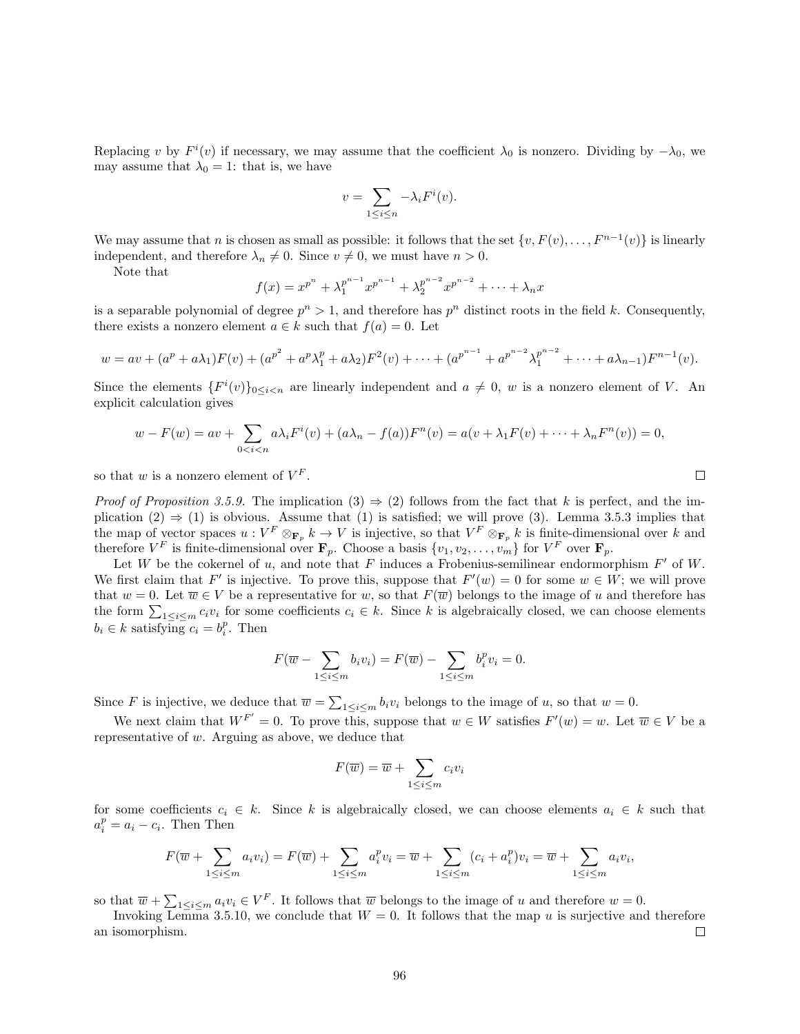Replacing v by  $F^i(v)$  if necessary, we may assume that the coefficient  $\lambda_0$  is nonzero. Dividing by  $-\lambda_0$ , we may assume that  $\lambda_0 = 1$ : that is, we have

$$
v = \sum_{1 \le i \le n} -\lambda_i F^i(v).
$$

We may assume that n is chosen as small as possible: it follows that the set  $\{v, F(v), \ldots, F^{n-1}(v)\}\$ is linearly independent, and therefore  $\lambda_n \neq 0$ . Since  $v \neq 0$ , we must have  $n > 0$ .

Note that

$$
f(x) = x^{p^{n}} + \lambda_1^{p^{n-1}} x^{p^{n-1}} + \lambda_2^{p^{n-2}} x^{p^{n-2}} + \dots + \lambda_n x
$$

is a separable polynomial of degree  $p^{n} > 1$ , and therefore has  $p^{n}$  distinct roots in the field k. Consequently, there exists a nonzero element  $a \in k$  such that  $f(a) = 0$ . Let

$$
w = av + (ap + a\lambda_1)F(v) + (ap2 + ap\lambda_1p + a\lambda_2)F2(v) + \cdots + (apn-1 + apn-2\lambda_1pn-2 + \cdots + a\lambda_{n-1})Fn-1(v).
$$

Since the elements  ${F^{i}(v)}_{0\leq i\leq n}$  are linearly independent and  $a\neq 0$ , w is a nonzero element of V. An explicit calculation gives

$$
w - F(w) = av + \sum_{0 < i < n} a\lambda_i F^i(v) + (a\lambda_n - f(a))F^n(v) = a(v + \lambda_1 F(v) + \dots + \lambda_n F^n(v)) = 0,
$$

so that  $w$  is a nonzero element of  $V^F$ .

*Proof of Proposition 3.5.9.* The implication  $(3) \Rightarrow (2)$  follows from the fact that k is perfect, and the implication  $(2) \Rightarrow (1)$  is obvious. Assume that  $(1)$  is satisfied; we will prove  $(3)$ . Lemma 3.5.3 implies that the map of vector spaces  $u: V^F \otimes_{\mathbf{F}_p} k \to V$  is injective, so that  $V^F \otimes_{\mathbf{F}_p} k$  is finite-dimensional over k and therefore  $V^F$  is finite-dimensional over  $\mathbf{F}_p$ . Choose a basis  $\{v_1, v_2, \ldots, v_m\}$  for  $V^F$  over  $\mathbf{F}_p$ .

Let W be the cokernel of u, and note that F induces a Frobenius-semilinear endormorphism  $F'$  of W. We first claim that F' is injective. To prove this, suppose that  $F'(w) = 0$  for some  $w \in W$ ; we will prove that  $w = 0$ . Let  $\overline{w} \in V$  be a representative for w, so that  $F(\overline{w})$  belongs to the image of u and therefore has the form  $\sum_{1 \leq i \leq m} c_i v_i$  for some coefficients  $c_i \in k$ . Since k is algebraically closed, we can choose elements  $b_i \in k$  satisfying  $c_i = b_i^p$ . Then

$$
F(\overline{w} - \sum_{1 \le i \le m} b_i v_i) = F(\overline{w}) - \sum_{1 \le i \le m} b_i^p v_i = 0.
$$

Since F is injective, we deduce that  $\overline{w} = \sum_{1 \leq i \leq m} b_i v_i$  belongs to the image of u, so that  $w = 0$ .

We next claim that  $W^{F'} = 0$ . To prove this, suppose that  $w \in W$  satisfies  $F'(w) = w$ . Let  $\overline{w} \in V$  be a representative of w. Arguing as above, we deduce that

$$
F(\overline{w}) = \overline{w} + \sum_{1 \le i \le m} c_i v_i
$$

for some coefficients  $c_i \in k$ . Since k is algebraically closed, we can choose elements  $a_i \in k$  such that  $a_i^p = a_i - c_i$ . Then Then

$$
F(\overline{w} + \sum_{1 \leq i \leq m} a_i v_i) = F(\overline{w}) + \sum_{1 \leq i \leq m} a_i^p v_i = \overline{w} + \sum_{1 \leq i \leq m} (c_i + a_i^p) v_i = \overline{w} + \sum_{1 \leq i \leq m} a_i v_i,
$$

so that  $\overline{w} + \sum_{1 \leq i \leq m} a_i v_i \in V^F$ . It follows that  $\overline{w}$  belongs to the image of u and therefore  $w = 0$ .

Invoking Lemma 3.5.10, we conclude that  $W = 0$ . It follows that the map u is surjective and therefore an isomorphism.  $\Box$ 

 $\Box$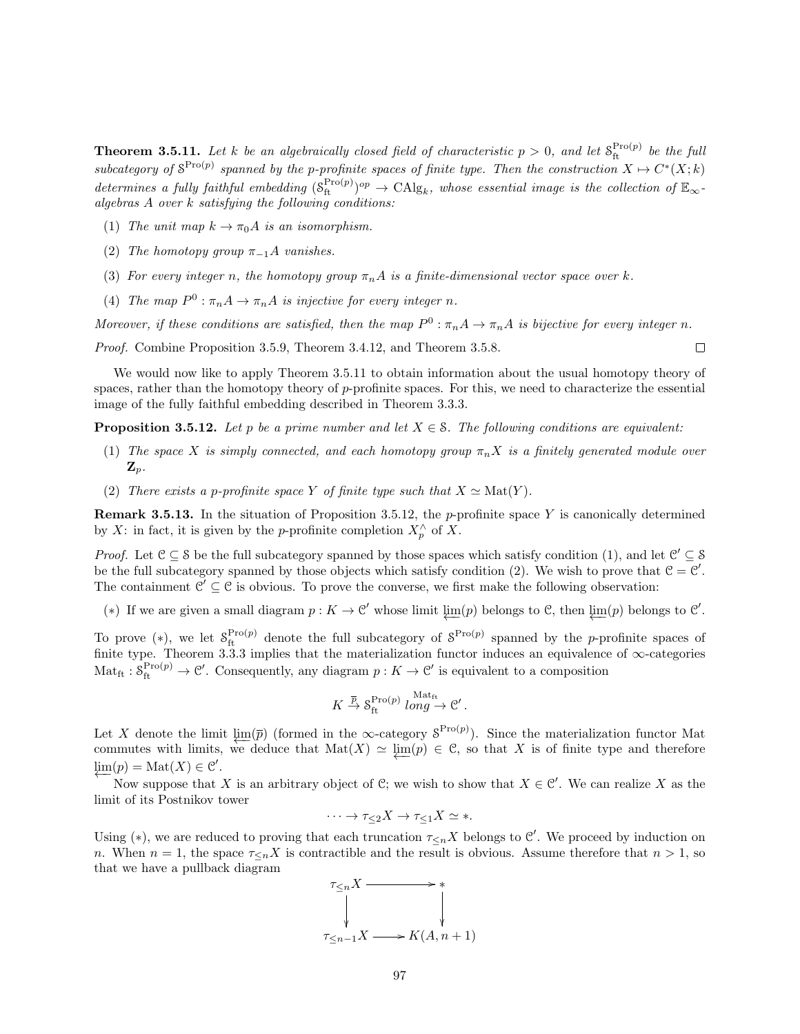**Theorem 3.5.11.** Let k be an algebraically closed field of characteristic  $p > 0$ , and let  $S_{\text{ft}}^{\text{Pro}(p)}$  be the full subcategory of  $S^{\text{Pro}(p)}$  spanned by the p-profinite spaces of finite type. Then the construction  $X \mapsto C^*(X; k)$ determines a fully faithful embedding  $(S_f^{\text{Pro}(p)})^{op} \to \text{CAlg}_k$ , whose essential image is the collection of  $\mathbb{E}_{\infty}$ algebras A over k satisfying the following conditions:

- (1) The unit map  $k \to \pi_0 A$  is an isomorphism.
- (2) The homotopy group  $\pi_{-1}A$  vanishes.
- (3) For every integer n, the homotopy group  $\pi_n A$  is a finite-dimensional vector space over k.
- (4) The map  $P^0$ :  $\pi_n A \to \pi_n A$  is injective for every integer n.

Moreover, if these conditions are satisfied, then the map  $P^0$ :  $\pi_n A \to \pi_n A$  is bijective for every integer n.

Proof. Combine Proposition 3.5.9, Theorem 3.4.12, and Theorem 3.5.8.

We would now like to apply Theorem 3.5.11 to obtain information about the usual homotopy theory of spaces, rather than the homotopy theory of p-profinite spaces. For this, we need to characterize the essential image of the fully faithful embedding described in Theorem 3.3.3.

 $\Box$ 

**Proposition 3.5.12.** Let p be a prime number and let  $X \in \mathcal{S}$ . The following conditions are equivalent:

- (1) The space X is simply connected, and each homotopy group  $\pi_n X$  is a finitely generated module over  $\mathbf{Z}_p$ .
- (2) There exists a p-profinite space Y of finite type such that  $X \simeq \text{Mat}(Y)$ .

**Remark 3.5.13.** In the situation of Proposition 3.5.12, the p-profinite space Y is canonically determined by X: in fact, it is given by the p-profinite completion  $X_p^{\wedge}$  of X.

*Proof.* Let  $C \subseteq S$  be the full subcategory spanned by those spaces which satisfy condition (1), and let  $C' \subseteq S$ be the full subcategory spanned by those objects which satisfy condition (2). We wish to prove that  $C = C'$ . The containment  $\mathcal{C}' \subseteq \mathcal{C}$  is obvious. To prove the converse, we first make the following observation:

(\*) If we are given a small diagram  $p: K \to \mathcal{C}'$  whose limit  $\varprojlim(p)$  belongs to  $\mathcal{C}$ , then  $\varprojlim(p)$  belongs to  $\mathcal{C}'$ .

To prove (\*), we let  $S_{\text{ft}}^{\text{Pro}(p)}$  denote the full subcategory of  $S^{\text{Pro}(p)}$  spanned by the p-profinite spaces of finite type. Theorem 3.3.3 implies that the materialization functor induces an equivalence of ∞-categories  $\mathrm{Mat}_{\mathrm{ft}}: \mathcal{S}_{\mathrm{ft}}^{\mathrm{Pro}(p)} \to \mathcal{C}'$ . Consequently, any diagram  $p: K \to \mathcal{C}'$  is equivalent to a composition

$$
K \stackrel{\overline{p}}{\to} \mathcal{S}_{\text{ft}}^{\text{Pro}(p)} \text{ long} \to \mathcal{C}'.
$$

Let X denote the limit  $\varprojlim(\overline{p})$  (formed in the ∞-category  $S^{\text{Pro}(p)}$ ). Since the materialization functor Mat commutes with limits, we deduce that  $Mat(X) \simeq \varprojlim(p) \in \mathcal{C}$ , so that X is of finite type and therefore  $\varprojlim(p) = \mathrm{Mat}(X) \in \mathcal{C}'.$ 

Now suppose that X is an arbitrary object of C; we wish to show that  $X \in \mathcal{C}'$ . We can realize X as the limit of its Postnikov tower

$$
\cdots \to \tau_{\leq 2} X \to \tau_{\leq 1} X \simeq *.
$$

Using (\*), we are reduced to proving that each truncation  $\tau_{\leq n} X$  belongs to  $\mathcal{C}'$ . We proceed by induction on n. When  $n = 1$ , the space  $\tau \leq_n X$  is contractible and the result is obvious. Assume therefore that  $n > 1$ , so that we have a pullback diagram

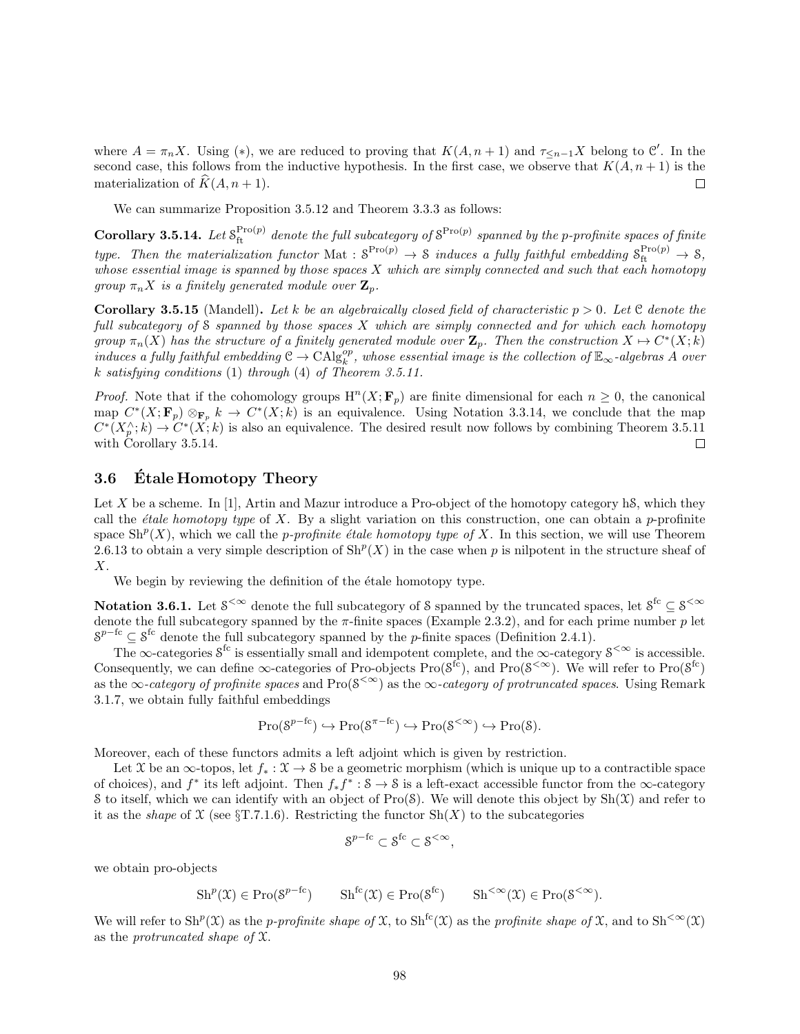where  $A = \pi_n X$ . Using (\*), we are reduced to proving that  $K(A, n + 1)$  and  $\tau_{\leq n-1} X$  belong to  $\mathcal{C}'$ . In the second case, this follows from the inductive hypothesis. In the first case, we observe that  $K(A, n + 1)$  is the materialization of  $\widehat{K}(A, n + 1)$ .  $\Box$ 

We can summarize Proposition 3.5.12 and Theorem 3.3.3 as follows:

Corollary 3.5.14. Let  $S_f^{\text{Pro}(p)}$  denote the full subcategory of  $S^{\text{Pro}(p)}$  spanned by the p-profinite spaces of finite type. Then the materialization functor Mat :  $S^{\text{Pro}(p)} \to S$  induces a fully faithful embedding  $S_{\text{ft}}^{\text{Pro}(p)} \to S$ , whose essential image is spanned by those spaces  $X$  which are simply connected and such that each homotopy group  $\pi_n X$  is a finitely generated module over  $\mathbf{Z}_p$ .

**Corollary 3.5.15** (Mandell). Let k be an algebraically closed field of characteristic  $p > 0$ . Let C denote the full subcategory of S spanned by those spaces X which are simply connected and for which each homotopy group  $\pi_n(X)$  has the structure of a finitely generated module over  $\mathbf{Z}_p$ . Then the construction  $X \mapsto C^*(X; k)$  $induces~a~fully~faithful~embedding~\mathcal{C}\to\mathrm{CAlg}^{op}_k,~whose~essential~image~is~the~collection~of~\mathbb{E}_{\infty}$ -algebras  $A~over$ k satisfying conditions (1) through (4) of Theorem 3.5.11.

*Proof.* Note that if the cohomology groups  $H^{n}(X; \mathbf{F}_p)$  are finite dimensional for each  $n \geq 0$ , the canonical map  $C^*(X; \mathbf{F}_p) \otimes_{\mathbf{F}_p} k \to C^*(X; k)$  is an equivalence. Using Notation 3.3.14, we conclude that the map  $C^*(X_p^{\wedge}; k) \to C^*(X; k)$  is also an equivalence. The desired result now follows by combining Theorem 3.5.11 with Corollary 3.5.14.  $\Box$ 

## 3.6 Etale Homotopy Theory

Let X be a scheme. In [1], Artin and Mazur introduce a Pro-object of the homotopy category hS, which they call the *étale homotopy type* of X. By a slight variation on this construction, one can obtain a p-profinite space  $\mathrm{Sh}^p(X)$ , which we call the *p-profinite étale homotopy type of X*. In this section, we will use Theorem 2.6.13 to obtain a very simple description of  $\mathrm{Sh}^p(X)$  in the case when p is nilpotent in the structure sheaf of X.

We begin by reviewing the definition of the étale homotopy type.

Notation 3.6.1. Let  $S^{<\infty}$  denote the full subcategory of S spanned by the truncated spaces, let  $S^{fc} \subseteq S^{<\infty}$ denote the full subcategory spanned by the  $\pi$ -finite spaces (Example 2.3.2), and for each prime number p let  $S^{p-{\rm fc}} \subseteq S^{\rm fc}$  denote the full subcategory spanned by the p-finite spaces (Definition 2.4.1).

The  $\infty$ -categories  $S^{\text{fc}}$  is essentially small and idempotent complete, and the  $\infty$ -category  $S^{\leq \infty}$  is accessible. Consequently, we can define  $\infty$ -categories of Pro-objects Pro( $S^{\text{fc}}$ ), and Pro( $S^{\text{<}}$ ). We will refer to Pro( $S^{\text{fc}}$ ) as the ∞-category of profinite spaces and  $\text{Pro}(S^{\lt \infty})$  as the ∞-category of protruncated spaces. Using Remark 3.1.7, we obtain fully faithful embeddings

$$
\operatorname{Pro}(\mathcal{S}^{p-fc}) \hookrightarrow \operatorname{Pro}(\mathcal{S}^{\pi-fc}) \hookrightarrow \operatorname{Pro}(\mathcal{S}^{<\infty}) \hookrightarrow \operatorname{Pro}(\mathcal{S}).
$$

Moreover, each of these functors admits a left adjoint which is given by restriction.

Let X be an  $\infty$ -topos, let  $f_* : \mathfrak{X} \to \mathfrak{S}$  be a geometric morphism (which is unique up to a contractible space of choices), and  $f^*$  its left adjoint. Then  $f_* f^* : \mathcal{S} \to \mathcal{S}$  is a left-exact accessible functor from the  $\infty$ -category S to itself, which we can identify with an object of  $Pro(S)$ . We will denote this object by  $Sh(\mathcal{X})$  and refer to it as the *shape* of  $\mathfrak X$  (see §T.7.1.6). Restricting the functor Sh $(X)$  to the subcategories

$$
S^{p-{\rm fc}}\subset S^{\rm fc}\subset S^{<\infty},
$$

we obtain pro-objects

$$
Sh^{p}(\mathfrak{X}) \in \mathrm{Pro}(\mathcal{S}^{p-fc}) \qquad Sh^{fc}(\mathfrak{X}) \in \mathrm{Pro}(\mathcal{S}^{fc}) \qquad Sh^{<\infty}(\mathfrak{X}) \in \mathrm{Pro}(\mathcal{S}^{<\infty}).
$$

We will refer to  $\text{Sh}^p(\mathfrak{X})$  as the *p-profinite shape of*  $\mathfrak{X}$ , to  $\text{Sh}^{\text{fc}}(\mathfrak{X})$  as the *profinite shape of*  $\mathfrak{X}$ , and to  $\text{Sh}^{<\infty}(\mathfrak{X})$ as the protruncated shape of X.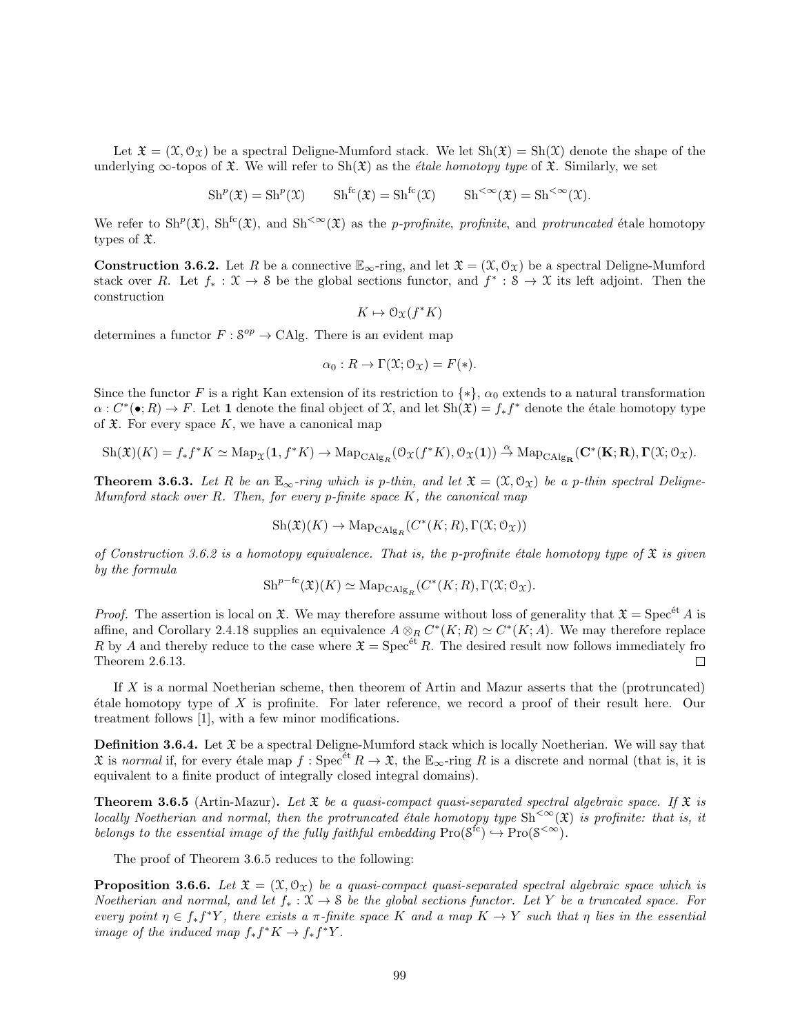Let  $\mathfrak{X} = (\mathfrak{X}, \mathcal{O}_{\mathfrak{X}})$  be a spectral Deligne-Mumford stack. We let  $\text{Sh}(\mathfrak{X}) = \text{Sh}(\mathfrak{X})$  denote the shape of the underlying  $\infty$ -topos of  $\mathfrak X$ . We will refer to  $\text{Sh}(\mathfrak X)$  as the *étale homotopy type* of  $\mathfrak X$ . Similarly, we set

 $\mathrm{Sh}^p(\mathfrak{X}) = \mathrm{Sh}^p(\mathfrak{X})$   $\mathrm{Sh}^{\mathrm{fc}}(\mathfrak{X}) = \mathrm{Sh}^{\mathrm{fc}}(\mathfrak{X})$   $\mathrm{Sh}^{<\infty}(\mathfrak{X}) = \mathrm{Sh}^{<\infty}(\mathfrak{X})$ .

We refer to  $\text{Sh}^p(\mathfrak{X})$ ,  $\text{Sh}^{\text{fc}}(\mathfrak{X})$ , and  $\text{Sh}^{<\infty}(\mathfrak{X})$  as the *p-profinite*, profinite, and protruncated étale homotopy types of X.

**Construction 3.6.2.** Let R be a connective  $\mathbb{E}_{\infty}$ -ring, and let  $\mathfrak{X} = (\mathfrak{X}, \mathfrak{O}_{\mathfrak{X}})$  be a spectral Deligne-Mumford stack over R. Let  $f_* : \mathfrak{X} \to \mathfrak{S}$  be the global sections functor, and  $f^* : \mathfrak{S} \to \mathfrak{X}$  its left adjoint. Then the construction

$$
K \mapsto \mathcal{O}_{\mathfrak{X}}(f^*K)
$$

determines a functor  $F : S^{op} \to \text{CAlg}$ . There is an evident map

$$
\alpha_0: R \to \Gamma(\mathfrak{X}; \mathfrak{O}_\mathfrak{X}) = F(*).
$$

Since the functor F is a right Kan extension of its restriction to  $\{*\}$ ,  $\alpha_0$  extends to a natural transformation  $\alpha: C^*(\bullet; R) \to F$ . Let 1 denote the final object of X, and let  $\text{Sh}(\mathfrak{X}) = f_* f^*$  denote the étale homotopy type of  $\mathfrak X$ . For every space K, we have a canonical map

$$
\mathrm{Sh}(\mathfrak{X})(K) = f_*f^*K \simeq \mathrm{Map}_{\mathfrak{X}}(\mathbf{1}, f^*K) \to \mathrm{Map}_{\mathrm{CAlg}_R}(\mathcal{O}_{\mathfrak{X}}(f^*K), \mathcal{O}_{\mathfrak{X}}(\mathbf{1})) \xrightarrow{\alpha} \mathrm{Map}_{\mathrm{CAlg}_{\mathbf{R}}}(\mathbf{C}^*(\mathbf{K}; \mathbf{R}), \mathbf{\Gamma}(\mathfrak{X}; \mathcal{O}_{\mathfrak{X}}).
$$

**Theorem 3.6.3.** Let R be an  $\mathbb{E}_{\infty}$ -ring which is p-thin, and let  $\mathfrak{X} = (\mathfrak{X}, \mathcal{O}_{\mathfrak{X}})$  be a p-thin spectral Deligne-Mumford stack over  $R$ . Then, for every p-finite space  $K$ , the canonical map

$$
\mathrm{Sh}(\mathfrak{X})(K) \rightarrow \mathrm{Map}_{\mathrm{CAlg}_R}(C^*(K;R),\Gamma(\mathfrak{X};\mathfrak{O}_{\mathfrak{X}}))
$$

of Construction 3.6.2 is a homotopy equivalence. That is, the p-profinite étale homotopy type of  $\mathfrak X$  is given by the formula

$$
\mathrm{Sh}^{p-\mathrm{fc}}(\mathfrak{X})(K)\simeq \mathrm{Map}_{\mathrm{CAlg}_R}(C^*(K;R),\Gamma(\mathfrak{X};\mathcal{O}_{\mathfrak{X}}).
$$

*Proof.* The assertion is local on  $\mathfrak X$ . We may therefore assume without loss of generality that  $\mathfrak X = \mathrm{Spec}^{\text{\'et}} A$  is affine, and Corollary 2.4.18 supplies an equivalence  $A \otimes_R C^*(K;R) \simeq C^*(K;A)$ . We may therefore replace R by A and thereby reduce to the case where  $\mathfrak{X} = \mathrm{Spec}^{\text{\'et}} R$ . The desired result now follows immediately fro Theorem 2.6.13.  $\Box$ 

If  $X$  is a normal Noetherian scheme, then theorem of Artin and Mazur asserts that the (protruncated)  $\acute{e}$ tale homotopy type of X is profinite. For later reference, we record a proof of their result here. Our treatment follows [1], with a few minor modifications.

**Definition 3.6.4.** Let  $\mathfrak{X}$  be a spectral Deligne-Mumford stack which is locally Noetherian. We will say that  $\mathfrak X$  is normal if, for every étale map  $f : \operatorname{Spec}^{\text{\'et}} R \to \mathfrak X$ , the  $\mathbb E_{\infty}$ -ring R is a discrete and normal (that is, it is equivalent to a finite product of integrally closed integral domains).

**Theorem 3.6.5** (Artin-Mazur). Let  $\mathfrak{X}$  be a quasi-compact quasi-separated spectral algebraic space. If  $\mathfrak{X}$  is locally Noetherian and normal, then the protruncated étale homotopy type  $\text{Sh}^{\ltfty\infty}(\mathfrak{X})$  is profinite: that is, it belongs to the essential image of the fully faithful embedding  $\text{Pro}(\mathcal{S}^{\text{fc}}) \hookrightarrow \text{Pro}(\mathcal{S}^{<\infty}).$ 

The proof of Theorem 3.6.5 reduces to the following:

**Proposition 3.6.6.** Let  $\mathfrak{X} = (\mathfrak{X}, \mathcal{O}_\mathfrak{Y})$  be a quasi-compact quasi-separated spectral algebraic space which is Noetherian and normal, and let  $f_* : \mathfrak{X} \to \mathfrak{S}$  be the global sections functor. Let Y be a truncated space. For every point  $\eta \in f_* f^*Y$ , there exists a  $\pi$ -finite space K and a map  $K \to Y$  such that  $\eta$  lies in the essential image of the induced map  $f_* f^* K \to f_* f^* Y$ .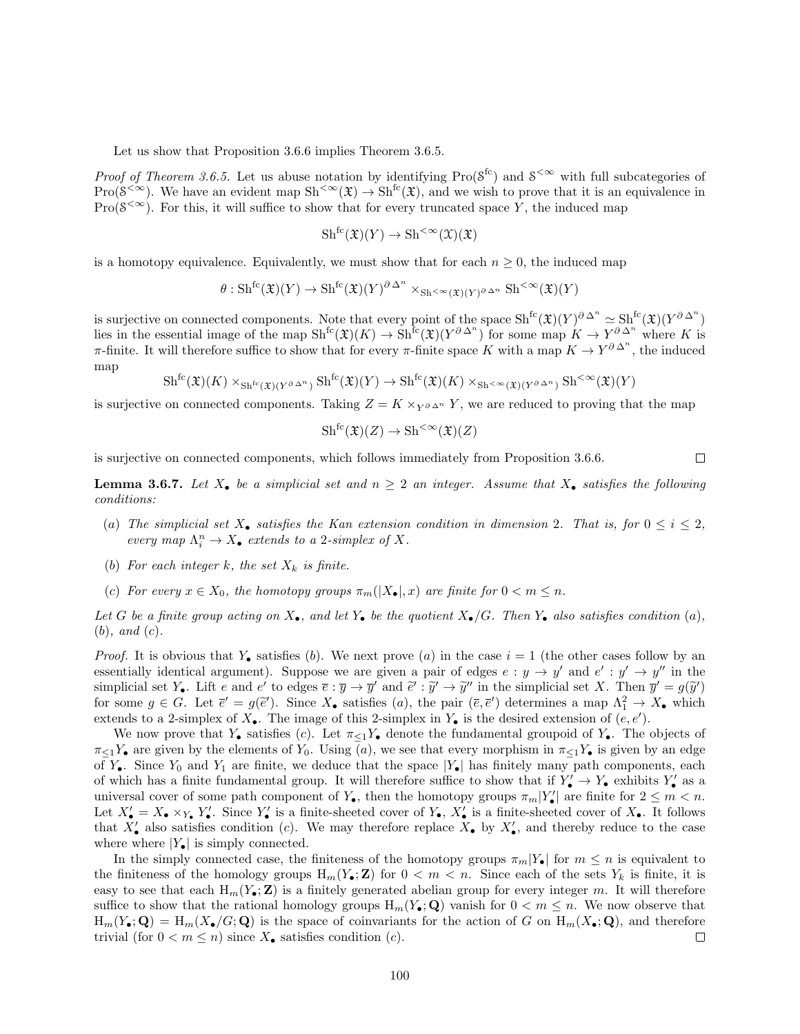Let us show that Proposition 3.6.6 implies Theorem 3.6.5.

*Proof of Theorem 3.6.5.* Let us abuse notation by identifying  $\text{Pro}(\mathcal{S}^{\text{fc}})$  and  $\mathcal{S}^{<\infty}$  with full subcategories of  $Pro(S^{<\infty})$ . We have an evident map  $Sh^{<\infty}(\mathfrak{X}) \to Sh^{fc}(\mathfrak{X})$ , and we wish to prove that it is an equivalence in  $Pro(\mathcal{S}^{<\infty})$ . For this, it will suffice to show that for every truncated space Y, the induced map

$$
Sh^{fc}(\mathfrak{X})(Y) \to Sh^{<\infty}(\mathfrak{X})(\mathfrak{X})
$$

is a homotopy equivalence. Equivalently, we must show that for each  $n \geq 0$ , the induced map

$$
\theta: \mathrm{Sh}^{\mathrm{fc}}(\mathfrak{X})(Y) \to \mathrm{Sh}^{\mathrm{fc}}(\mathfrak{X})(Y)^{\partial \Delta^n} \times_{\mathrm{Sh}^{<\infty}(\mathfrak{X})(Y)^{\partial \Delta^n}} \mathrm{Sh}^{<\infty}(\mathfrak{X})(Y)
$$

is surjective on connected components. Note that every point of the space  $\mathrm{Sh}^{\mathrm{fc}}(\mathfrak{X})(Y)^{\partial \Delta^n} \simeq \mathrm{Sh}^{\mathrm{fc}}(\mathfrak{X})(Y^{\partial \Delta^n})$ lies in the essential image of the map  $\mathrm{Sh}^{\mathrm{fc}}(\mathfrak{X})(K) \to \mathrm{Sh}^{\mathrm{fc}}(\mathfrak{X})(Y^{\partial \Delta^n})$  for some map  $K \to Y^{\partial \Delta^n}$  where K is π-finite. It will therefore suffice to show that for every π-finite space K with a map  $K \to Y^{\partial \Delta^n}$ , the induced map

$$
\mathrm{Sh}^{\mathrm{fc}}(\mathfrak{X})(K) \times_{\mathrm{Sh}^{\mathrm{fc}}(\mathfrak{X})(Y^{\partial \Delta^n})} \mathrm{Sh}^{\mathrm{fc}}(\mathfrak{X})(Y) \to \mathrm{Sh}^{\mathrm{fc}}(\mathfrak{X})(K) \times_{\mathrm{Sh}^{<\infty}(\mathfrak{X})(Y^{\partial \Delta^n})} \mathrm{Sh}^{<\infty}(\mathfrak{X})(Y)
$$

is surjective on connected components. Taking  $Z = K \times_{Y \partial \Delta^n} Y$ , we are reduced to proving that the map

$$
Sh^{fc}(\mathfrak{X})(Z) \to Sh^{<\infty}(\mathfrak{X})(Z)
$$

is surjective on connected components, which follows immediately from Proposition 3.6.6.

**Lemma 3.6.7.** Let  $X_{\bullet}$  be a simplicial set and  $n \geq 2$  an integer. Assume that  $X_{\bullet}$  satisfies the following conditions:

- (a) The simplicial set  $X_{\bullet}$  satisfies the Kan extension condition in dimension 2. That is, for  $0 \leq i \leq 2$ , every map  $\Lambda^n_i \to X_{\bullet}$  extends to a 2-simplex of X.
- (b) For each integer k, the set  $X_k$  is finite.
- (c) For every  $x \in X_0$ , the homotopy groups  $\pi_m(|X_{\bullet}|,x)$  are finite for  $0 < m \leq n$ .

Let G be a finite group acting on  $X_{\bullet}$ , and let  $Y_{\bullet}$  be the quotient  $X_{\bullet}/G$ . Then  $Y_{\bullet}$  also satisfies condition (a),  $(b)$ , and  $(c)$ .

*Proof.* It is obvious that  $Y_{\bullet}$  satisfies (b). We next prove (a) in the case  $i = 1$  (the other cases follow by an essentially identical argument). Suppose we are given a pair of edges  $e : y \to y'$  and  $e' : y' \to y''$  in the simplicial set  $Y_{\bullet}$ . Lift e and e' to edges  $\overline{e}: \overline{y} \to \overline{y}'$  and  $\overline{e}': \overline{y}' \to \overline{y}''$  in the simplicial set X. Then  $\overline{y}' = g(\overline{y}')$  for some  $g \in G$ . Let  $\overline{z}' = g(\overline{z}')$ . Since X, spristigg (a), the pair  $(\over$ for some  $g \in G$ . Let  $\bar{e}' = g(\bar{e}')$ . Since  $X_{\bullet}$  satisfies (a), the pair  $(\bar{e}, \bar{e}')$  determines a map  $\Lambda_1^2 \to X_{\bullet}$  which extends to a 2-simplex of  $X_{\bullet}$ . The image of this 2-simplex in  $Y_{\bullet}$  is the desired extension of  $(e, e')$ .

We now prove that  $Y_{\bullet}$  satisfies (c). Let  $\pi_{\leq 1}Y_{\bullet}$  denote the fundamental groupoid of  $Y_{\bullet}$ . The objects of  $\pi_{\leq 1}Y_{\bullet}$  are given by the elements of  $Y_0$ . Using (a), we see that every morphism in  $\pi_{\leq 1}Y_{\bullet}$  is given by an edge of  $Y_{\bullet}$ . Since  $Y_0$  and  $Y_1$  are finite, we deduce that the space  $|Y_{\bullet}|$  has finitely many path components, each of which has a finite fundamental group. It will therefore suffice to show that if  $Y'_{\bullet} \to Y_{\bullet}$  exhibits  $Y'_{\bullet}$  as a universal cover of some path component of  $Y_{\bullet}$ , then the homotopy groups  $\pi_m|Y_{\bullet}'|$  are finite for  $2 \leq m < n$ . Let  $X'_{\bullet} = X_{\bullet} \times_{Y_{\bullet}} Y'_{\bullet}$ . Since  $Y'_{\bullet}$  is a finite-sheeted cover of  $Y_{\bullet}$ ,  $X'_{\bullet}$  is a finite-sheeted cover of  $X_{\bullet}$ . It follows that  $X'_{\bullet}$  also satisfies condition (c). We may therefore replace  $X_{\bullet}$  by  $X'_{\bullet}$ , and thereby reduce to the case where where  $|Y_{\bullet}|$  is simply connected.

In the simply connected case, the finiteness of the homotopy groups  $\pi_m|Y_{\bullet}|$  for  $m \leq n$  is equivalent to the finiteness of the homology groups  $H_m(Y_\bullet; Z)$  for  $0 < m < n$ . Since each of the sets  $Y_k$  is finite, it is easy to see that each  $H_m(Y_\bullet; \mathbf{Z})$  is a finitely generated abelian group for every integer m. It will therefore suffice to show that the rational homology groups  $H_m(Y_{\bullet}; Q)$  vanish for  $0 < m \leq n$ . We now observe that  $H_m(Y_{\bullet}; \mathbf{Q}) = H_m(X_{\bullet}/G; \mathbf{Q})$  is the space of coinvariants for the action of G on  $H_m(X_{\bullet}; \mathbf{Q})$ , and therefore trivial (for  $0 < m \leq n$ ) since  $X_{\bullet}$  satisfies condition (*c*). □

 $\Box$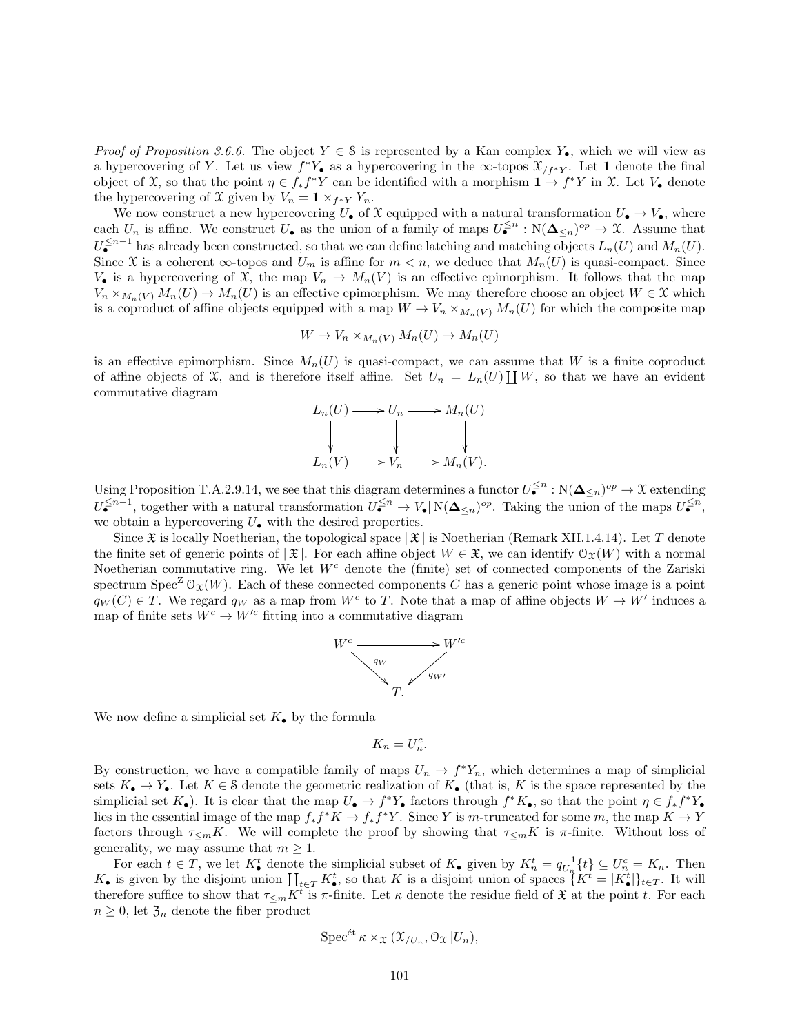*Proof of Proposition 3.6.6.* The object  $Y \in \mathcal{S}$  is represented by a Kan complex Y<sub>•</sub>, which we will view as a hypercovering of Y. Let us view  $f^*Y_{\bullet}$  as a hypercovering in the  $\infty$ -topos  $\mathfrak{X}_{/f^*Y}$ . Let 1 denote the final object of X, so that the point  $\eta \in f_* f^*Y$  can be identified with a morphism  $1 \to f^*Y$  in X. Let  $V_{\bullet}$  denote the hypercovering of X given by  $V_n = \mathbf{1} \times_{f^*Y} Y_n$ .

We now construct a new hypercovering  $U_{\bullet}$  of X equipped with a natural transformation  $U_{\bullet} \to V_{\bullet}$ , where each  $U_n$  is affine. We construct  $U_{\bullet}$  as the union of a family of maps  $U_{\bullet}^{\leq n} : \mathcal{N}(\Delta_{\leq n})^{op} \to \mathcal{X}$ . Assume that  $U^{\leq n-1}_{\bullet}$  has already been constructed, so that we can define latching and matching objects  $L_n(U)$  and  $M_n(U)$ . Since X is a coherent  $\infty$ -topos and  $U_m$  is affine for  $m < n$ , we deduce that  $M_n(U)$  is quasi-compact. Since  $V_{\bullet}$  is a hypercovering of X, the map  $V_n \to M_n(V)$  is an effective epimorphism. It follows that the map  $V_n \times_{M_n(V)} M_n(U) \to M_n(U)$  is an effective epimorphism. We may therefore choose an object  $W \in \mathfrak{X}$  which is a coproduct of affine objects equipped with a map  $W \to V_n \times_{M_n(V)} M_n(U)$  for which the composite map

$$
W \to V_n \times_{M_n(V)} M_n(U) \to M_n(U)
$$

is an effective epimorphism. Since  $M_n(U)$  is quasi-compact, we can assume that W is a finite coproduct of affine objects of X, and is therefore itself affine. Set  $U_n = L_n(U) \coprod W$ , so that we have an evident commutative diagram

$$
L_n(U) \longrightarrow U_n \longrightarrow M_n(U)
$$
  
\n
$$
\downarrow \qquad \qquad \downarrow
$$
  
\n
$$
L_n(V) \longrightarrow V_n \longrightarrow M_n(V).
$$

Using Proposition T.A.2.9.14, we see that this diagram determines a functor  $U_{\bullet}^{\leq n} : \mathbb{N}(\Delta_{\leq n})^{op} \to \mathfrak{X}$  extending  $U_{\bullet}^{\leq n-1}$ , together with a natural transformation  $U_{\bullet}^{\leq n} \to V_{\bullet} | N(\Delta_{\leq n})^{op}$ . Taking the union of the maps  $U_{\bullet}^{\leq n}$ , we obtain a hypercovering  $U_{\bullet}$  with the desired properties.

Since  $\mathfrak X$  is locally Noetherian, the topological space  $|\mathfrak X|$  is Noetherian (Remark XII.1.4.14). Let T denote the finite set of generic points of  $|\mathfrak{X}|$ . For each affine object  $W \in \mathfrak{X}$ , we can identify  $\mathfrak{O}_X(W)$  with a normal Noetherian commutative ring. We let  $W<sup>c</sup>$  denote the (finite) set of connected components of the Zariski spectrum Spec<sup>Z</sup>  $\mathcal{O}_X(W)$ . Each of these connected components C has a generic point whose image is a point  $q_W(C) \in T$ . We regard  $q_W$  as a map from W<sup>c</sup> to T. Note that a map of affine objects  $W \to W'$  induces a map of finite sets  $W^c \to W'^c$  fitting into a commutative diagram



We now define a simplicial set  $K_{\bullet}$  by the formula

 $K_n = U_n^c$ .

By construction, we have a compatible family of maps  $U_n \to f^*Y_n$ , which determines a map of simplicial sets  $K_{\bullet} \to Y_{\bullet}$ . Let  $K \in \mathcal{S}$  denote the geometric realization of  $K_{\bullet}$  (that is, K is the space represented by the simplicial set  $K_{\bullet}$ ). It is clear that the map  $U_{\bullet} \to f^*Y_{\bullet}$  factors through  $f^*K_{\bullet}$ , so that the point  $\eta \in f_*f^*Y_{\bullet}$ lies in the essential image of the map  $f_* f^* K \to f_* f^* Y$ . Since Y is m-truncated for some m, the map  $K \to Y$ factors through  $\tau_{\leq m}K$ . We will complete the proof by showing that  $\tau_{\leq m}K$  is  $\pi$ -finite. Without loss of generality, we may assume that  $m \geq 1$ .

For each  $t \in T$ , we let  $K^t_{\bullet}$  denote the simplicial subset of  $K_{\bullet}$  given by  $K^t_n = q_{U_n}^{-1}\{t\} \subseteq U_n^c = K_n$ . Then  $K_{\bullet}$  is given by the disjoint union  $\coprod_{t\in T} K_{\bullet}^{t}$ , so that K is a disjoint union of spaces  $\overline{K}^{t} = |K_{\bullet}^{t}|_{t\in T}$ . It will therefore suffice to show that  $\tau_{\leq m}K^{\tilde{t}}$  is  $\pi$ -finite. Let  $\kappa$  denote the residue field of  $\mathfrak X$  at the point t. For each  $n \geq 0$ , let  $\mathfrak{Z}_n$  denote the fiber product

$$
\operatorname{Spec}^{\text{\'et}} \kappa \times_{\mathfrak{X}} (\mathfrak{X}_{/U_n}, \mathfrak{O}_{\mathfrak{X}} | U_n),
$$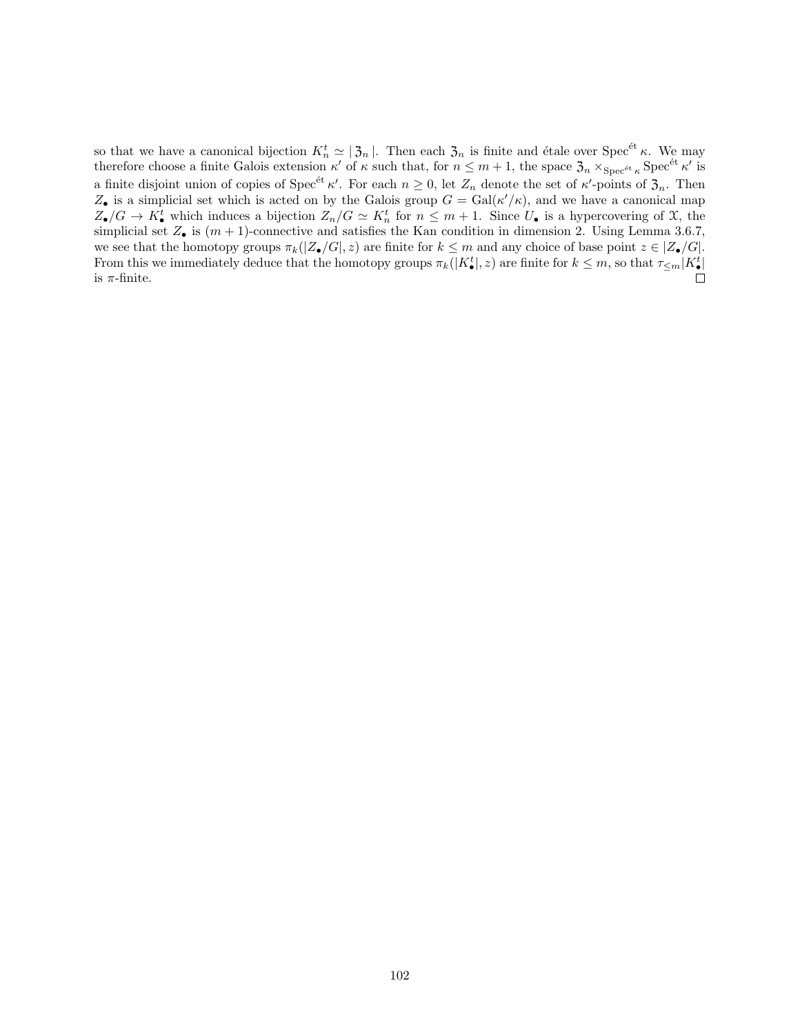so that we have a canonical bijection  $K_n^t \simeq |\mathfrak{Z}_n|$ . Then each  $\mathfrak{Z}_n$  is finite and étale over Spec<sup>ét</sup>  $\kappa$ . We may therefore choose a finite Galois extension  $\kappa'$  of  $\kappa$  such that, for  $n \leq m+1$ , the space  $\mathfrak{Z}_n \times_{\operatorname{Spec}^{\text{\'et}} \kappa} \operatorname{Spec}^{\text{\'et}} \kappa'$  is a finite disjoint union of copies of  $Spec^{\'{e}t} \kappa'$ . For each  $n \geq 0$ , let  $Z_n$  denote the set of  $\kappa'$ -points of  $\mathfrak{Z}_n$ . Then  $Z_{\bullet}$  is a simplicial set which is acted on by the Galois group  $G = \text{Gal}(\kappa'/\kappa)$ , and we have a canonical map  $Z_{\bullet}/G \to K_{\bullet}^{t}$  which induces a bijection  $Z_{n}/G \simeq K_{n}^{t}$  for  $n \leq m+1$ . Since  $U_{\bullet}$  is a hypercovering of X, the simplicial set  $Z_{\bullet}$  is  $(m + 1)$ -connective and satisfies the Kan condition in dimension 2. Using Lemma 3.6.7, we see that the homotopy groups  $\pi_k(|Z_{\bullet}/G|, z)$  are finite for  $k \leq m$  and any choice of base point  $z \in |Z_{\bullet}/G|$ . From this we immediately deduce that the homotopy groups  $\pi_k(|K^t_{\bullet}|, z)$  are finite for  $k \leq m$ , so that  $\tau_{\leq m} | K^t_{\bullet} |$ is  $\pi$ -finite.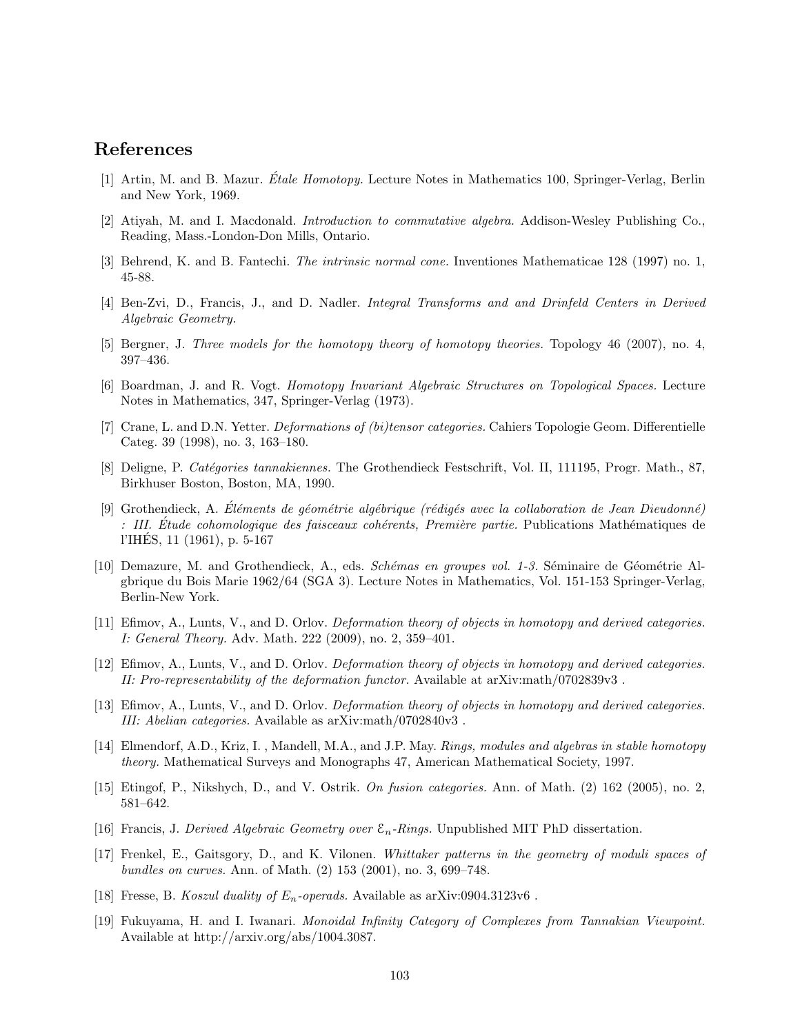# References

- [1] Artin, M. and B. Mazur. Étale Homotopy. Lecture Notes in Mathematics 100, Springer-Verlag, Berlin and New York, 1969.
- [2] Atiyah, M. and I. Macdonald. Introduction to commutative algebra. Addison-Wesley Publishing Co., Reading, Mass.-London-Don Mills, Ontario.
- [3] Behrend, K. and B. Fantechi. The intrinsic normal cone. Inventiones Mathematicae 128 (1997) no. 1, 45-88.
- [4] Ben-Zvi, D., Francis, J., and D. Nadler. Integral Transforms and and Drinfeld Centers in Derived Algebraic Geometry.
- [5] Bergner, J. Three models for the homotopy theory of homotopy theories. Topology 46 (2007), no. 4, 397–436.
- [6] Boardman, J. and R. Vogt. Homotopy Invariant Algebraic Structures on Topological Spaces. Lecture Notes in Mathematics, 347, Springer-Verlag (1973).
- [7] Crane, L. and D.N. Yetter. Deformations of (bi)tensor categories. Cahiers Topologie Geom. Differentielle Categ. 39 (1998), no. 3, 163–180.
- [8] Deligne, P. Catégories tannakiennes. The Grothendieck Festschrift, Vol. II, 111195, Progr. Math., 87, Birkhuser Boston, Boston, MA, 1990.
- [9] Grothendieck, A. Éléments de géométrie algébrique (rédigés avec la collaboration de Jean Dieudonné) : III. Étude cohomologique des faisceaux cohérents, Première partie. Publications Mathématiques de l'IHES, 11 (1961), p. 5-167 ´
- [10] Demazure, M. and Grothendieck, A., eds. Schémas en groupes vol. 1-3. Séminaire de Géométrie Algbrique du Bois Marie 1962/64 (SGA 3). Lecture Notes in Mathematics, Vol. 151-153 Springer-Verlag, Berlin-New York.
- [11] Efimov, A., Lunts, V., and D. Orlov. Deformation theory of objects in homotopy and derived categories. I: General Theory. Adv. Math. 222 (2009), no. 2, 359–401.
- [12] Efimov, A., Lunts, V., and D. Orlov. Deformation theory of objects in homotopy and derived categories. II: Pro-representability of the deformation functor. Available at arXiv:math/0702839v3 .
- [13] Efimov, A., Lunts, V., and D. Orlov. Deformation theory of objects in homotopy and derived categories. III: Abelian categories. Available as arXiv:math/0702840v3 .
- [14] Elmendorf, A.D., Kriz, I. , Mandell, M.A., and J.P. May. Rings, modules and algebras in stable homotopy theory. Mathematical Surveys and Monographs 47, American Mathematical Society, 1997.
- [15] Etingof, P., Nikshych, D., and V. Ostrik. On fusion categories. Ann. of Math. (2) 162 (2005), no. 2, 581–642.
- [16] Francis, J. Derived Algebraic Geometry over  $\mathcal{E}_n$ -Rings. Unpublished MIT PhD dissertation.
- [17] Frenkel, E., Gaitsgory, D., and K. Vilonen. Whittaker patterns in the geometry of moduli spaces of bundles on curves. Ann. of Math. (2) 153 (2001), no. 3, 699–748.
- [18] Fresse, B. Koszul duality of  $E_n$ -operads. Available as arXiv:0904.3123v6.
- [19] Fukuyama, H. and I. Iwanari. Monoidal Infinity Category of Complexes from Tannakian Viewpoint. Available at http://arxiv.org/abs/1004.3087.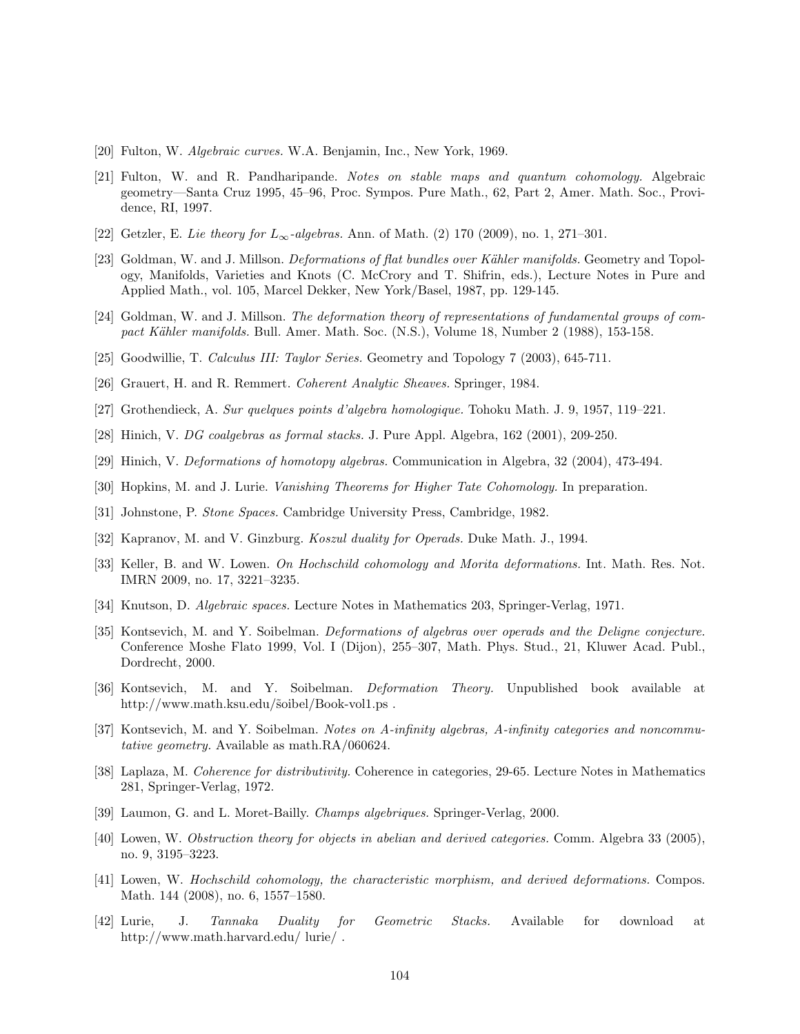- [20] Fulton, W. Algebraic curves. W.A. Benjamin, Inc., New York, 1969.
- [21] Fulton, W. and R. Pandharipande. Notes on stable maps and quantum cohomology. Algebraic geometry—Santa Cruz 1995, 45–96, Proc. Sympos. Pure Math., 62, Part 2, Amer. Math. Soc., Providence, RI, 1997.
- [22] Getzler, E. Lie theory for  $L_{\infty}$ -algebras. Ann. of Math. (2) 170 (2009), no. 1, 271–301.
- [23] Goldman, W. and J. Millson. Deformations of flat bundles over Kähler manifolds. Geometry and Topology, Manifolds, Varieties and Knots (C. McCrory and T. Shifrin, eds.), Lecture Notes in Pure and Applied Math., vol. 105, Marcel Dekker, New York/Basel, 1987, pp. 129-145.
- [24] Goldman, W. and J. Millson. The deformation theory of representations of fundamental groups of compact Kähler manifolds. Bull. Amer. Math. Soc. (N.S.), Volume 18, Number 2 (1988), 153-158.
- [25] Goodwillie, T. Calculus III: Taylor Series. Geometry and Topology 7 (2003), 645-711.
- [26] Grauert, H. and R. Remmert. Coherent Analytic Sheaves. Springer, 1984.
- [27] Grothendieck, A. Sur quelques points d'algebra homologique. Tohoku Math. J. 9, 1957, 119–221.
- [28] Hinich, V. DG coalgebras as formal stacks. J. Pure Appl. Algebra, 162 (2001), 209-250.
- [29] Hinich, V. Deformations of homotopy algebras. Communication in Algebra, 32 (2004), 473-494.
- [30] Hopkins, M. and J. Lurie. Vanishing Theorems for Higher Tate Cohomology. In preparation.
- [31] Johnstone, P. Stone Spaces. Cambridge University Press, Cambridge, 1982.
- [32] Kapranov, M. and V. Ginzburg. Koszul duality for Operads. Duke Math. J., 1994.
- [33] Keller, B. and W. Lowen. On Hochschild cohomology and Morita deformations. Int. Math. Res. Not. IMRN 2009, no. 17, 3221–3235.
- [34] Knutson, D. Algebraic spaces. Lecture Notes in Mathematics 203, Springer-Verlag, 1971.
- [35] Kontsevich, M. and Y. Soibelman. Deformations of algebras over operads and the Deligne conjecture. Conference Moshe Flato 1999, Vol. I (Dijon), 255–307, Math. Phys. Stud., 21, Kluwer Acad. Publ., Dordrecht, 2000.
- [36] Kontsevich, M. and Y. Soibelman. Deformation Theory. Unpublished book available at http://www.math.ksu.edu/ $\delta$ oibel/Book-vol1.ps.
- [37] Kontsevich, M. and Y. Soibelman. Notes on A-infinity algebras, A-infinity categories and noncommutative geometry. Available as math.RA/060624.
- [38] Laplaza, M. Coherence for distributivity. Coherence in categories, 29-65. Lecture Notes in Mathematics 281, Springer-Verlag, 1972.
- [39] Laumon, G. and L. Moret-Bailly. Champs algebriques. Springer-Verlag, 2000.
- [40] Lowen, W. Obstruction theory for objects in abelian and derived categories. Comm. Algebra 33 (2005), no. 9, 3195–3223.
- [41] Lowen, W. Hochschild cohomology, the characteristic morphism, and derived deformations. Compos. Math. 144 (2008), no. 6, 1557–1580.
- [42] Lurie, J. Tannaka Duality for Geometric Stacks. Available for download at http://www.math.harvard.edu/ lurie/ .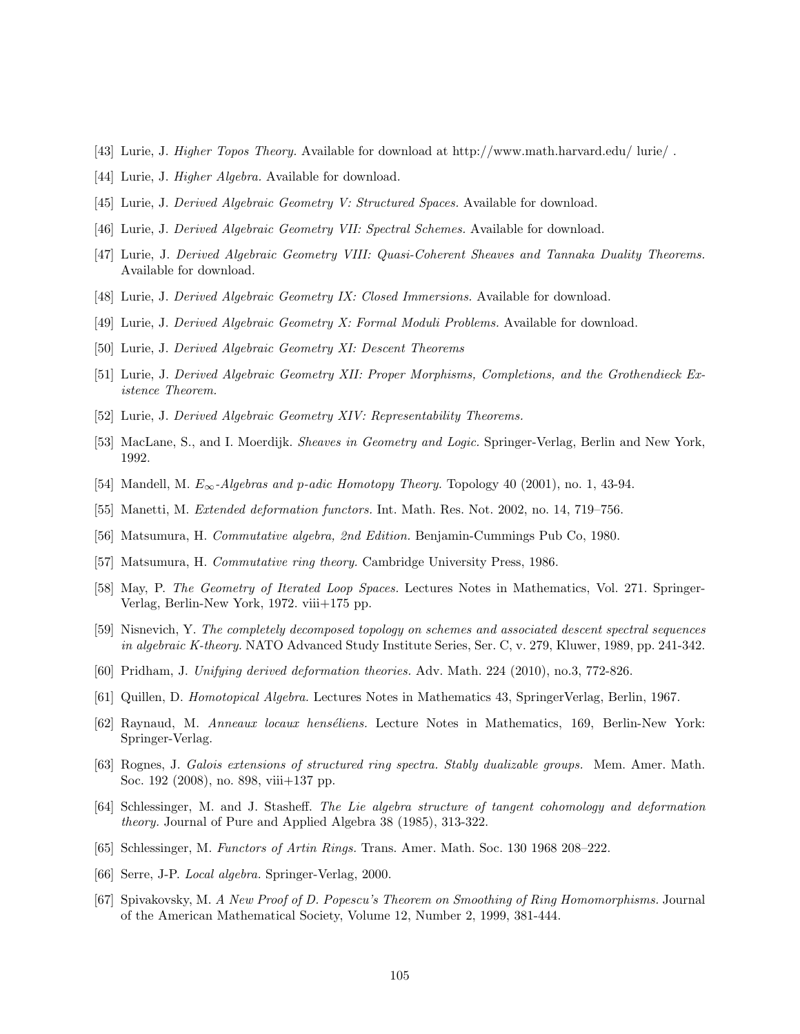- [43] Lurie, J. Higher Topos Theory. Available for download at http://www.math.harvard.edu/ lurie/ .
- [44] Lurie, J. Higher Algebra. Available for download.
- [45] Lurie, J. Derived Algebraic Geometry V: Structured Spaces. Available for download.
- [46] Lurie, J. Derived Algebraic Geometry VII: Spectral Schemes. Available for download.
- [47] Lurie, J. Derived Algebraic Geometry VIII: Quasi-Coherent Sheaves and Tannaka Duality Theorems. Available for download.
- [48] Lurie, J. Derived Algebraic Geometry IX: Closed Immersions. Available for download.
- [49] Lurie, J. Derived Algebraic Geometry X: Formal Moduli Problems. Available for download.
- [50] Lurie, J. Derived Algebraic Geometry XI: Descent Theorems
- [51] Lurie, J. Derived Algebraic Geometry XII: Proper Morphisms, Completions, and the Grothendieck Existence Theorem.
- [52] Lurie, J. Derived Algebraic Geometry XIV: Representability Theorems.
- [53] MacLane, S., and I. Moerdijk. Sheaves in Geometry and Logic. Springer-Verlag, Berlin and New York, 1992.
- [54] Mandell, M.  $E_{\infty}$ -Algebras and p-adic Homotopy Theory. Topology 40 (2001), no. 1, 43-94.
- [55] Manetti, M. Extended deformation functors. Int. Math. Res. Not. 2002, no. 14, 719–756.
- [56] Matsumura, H. Commutative algebra, 2nd Edition. Benjamin-Cummings Pub Co, 1980.
- [57] Matsumura, H. Commutative ring theory. Cambridge University Press, 1986.
- [58] May, P. The Geometry of Iterated Loop Spaces. Lectures Notes in Mathematics, Vol. 271. Springer-Verlag, Berlin-New York, 1972. viii+175 pp.
- [59] Nisnevich, Y. The completely decomposed topology on schemes and associated descent spectral sequences in algebraic K-theory. NATO Advanced Study Institute Series, Ser. C, v. 279, Kluwer, 1989, pp. 241-342.
- [60] Pridham, J. Unifying derived deformation theories. Adv. Math. 224 (2010), no.3, 772-826.
- [61] Quillen, D. Homotopical Algebra. Lectures Notes in Mathematics 43, SpringerVerlag, Berlin, 1967.
- [62] Raynaud, M. Anneaux locaux henséliens. Lecture Notes in Mathematics, 169, Berlin-New York: Springer-Verlag.
- [63] Rognes, J. Galois extensions of structured ring spectra. Stably dualizable groups. Mem. Amer. Math. Soc. 192 (2008), no. 898, viii+137 pp.
- [64] Schlessinger, M. and J. Stasheff. The Lie algebra structure of tangent cohomology and deformation theory. Journal of Pure and Applied Algebra 38 (1985), 313-322.
- [65] Schlessinger, M. Functors of Artin Rings. Trans. Amer. Math. Soc. 130 1968 208–222.
- [66] Serre, J-P. Local algebra. Springer-Verlag, 2000.
- [67] Spivakovsky, M. A New Proof of D. Popescu's Theorem on Smoothing of Ring Homomorphisms. Journal of the American Mathematical Society, Volume 12, Number 2, 1999, 381-444.